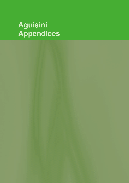# **Aguisíní Appendices**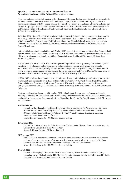### **Aguisín 1: Comóradh Céad Bliain Ollscoil na hÉireann Appendix 1: Centenary of the National University of Ireland**

Píosa reachtaíochta stairiúil ab ea Acht Ollscoileanna na hÉireann, 1908, a chuir deireadh go foirmeálta le tréimhse shuaite in oideachas tríú leibhéal na hEireann agus a d'oscail caibidil nua agus nuálaíoch: a bhunaigh dhá ollscoil ar leith – ceann amháin díobh i mBéal Feirste, in ionad sean-Choláiste na Ríona den Ollscoil Ríoga, agus an ceann eile lárnaithe i mBaile Átha Cliath, ollscoil fheidearálach ina raibh coláistí na hOllscoile Ríoga de Bhaile Átha Cliath, Corcaigh agus Gaillimh, athchumtha mar Chomh-Choláistí d'Ollscoil nua na hÉirean,.

Sa bhliain 2008, rinne OÉ ceiliúradh ar chéad bliain ar an saol. Is iomaí athrú suntasach a a tharla thar na mblianta, go háiriithe nuair a ritheadh Acht na nOllscoileanna i 1997, a rinneadh na Comh-Choláistí i mBaile Átha Cliath, Corcaigh agus Gaillimh a athbhunú mar Chomh-Ollscoileanna, agus a rinneadh an Coláiste Aitheanta (Coláiste Phádraig, Má Nuad) a athstruchtúrú mar Ollscoil na hÉireann, Má Nuad – Comh-Ollscoil nua.

Cuireadh tús le comóradh an chéid ar an 3 Nollaig 2007 agus chríochnaigh an ceiliúradh le mórchomhdháil agus bronnadh céime speisialta ar an 3 Nollaig 2008. Comóradh céad bliain ón gcéad chruinniú de Sheanad OÉ ar an lá céanna a nochtaíodh protráid den Seansailéirm, an Dr. Garret FitzGerald. Tá liosta de na hócáidí ar fad thíos.

The Irish Universities Act 1908 was a historic piece of legislation, formally closing a turbulent chapter in Irish third level education and opening a new and innovational chapter: establishing two separate universities, one in Belfast, replacing the old Queen's College of the Royal University, the other with its seat in Dublin, a federal university comprising the Royal University colleges of Dublin, Cork and Galway, re-structured as Constituent Colleges of the new National University of Ireland.

In 2008, NUI celebrated one hundred years in existence. Many profound changes had taken place over the century, not least the enactment in 1997 of the pivotal Universities Act, which re-constituted the Dublin, Cork and Galway Constituent Colleges as Constituent Universities, and re-structured the Recognised College (St. Patrick's College, Maynooth) as National University of Ireland, Maynooth - a new Constituent University.

Centenary celebrations began on 3 December 2007 and culminated in a major conference and special honorary conferring on 3 December 2008. Subsequently the centenary of the first NUI Senate meeting was celebrated on the same day that a portrait of the Chancellor, Dr. Garret FitzGerald was unveiled. All events are listed below.

### **3 December 2007**

Launch by the Chancellor Dr. Garret FitzGerald of new publication for *Éigse A Journal of Irish Studies* (ed. An tOllamh Pádraig Breatnach): *Léann Lámhscríbhinní Lobháin/The Louvain Manuscript Heritage* and Index to Volumes I - XXXV (ed. Pádraig A. Breatnach, Caoimhín Breathnach and Meidhbhín Ní Úrdail) *Venue:* Phelan Rooms, 49 NUI Merrion Square, Dublin

### **4 February 2008**

Lecture by Professor Luisa de Faria, Vice Rector Universita de Lisboa. 'From Newman's Idea of a University to Universities in the Global Age' *Venue:* Milltown Institute, Milltown, Dublin 6

### **29 February 2008**

BUILD-NOVA European Seminar on Innovation and Construction Policy: Seminar for European policy-makers, representatives of the construction industry and academics, opened by Mr John Gormley TD, Minister for the Environment, Heritage and Local Government *Venue:* Phelan Rooms, 49 NUI Merrion Square, Dublin

### **4 March 2008**

Launch of Managing IT Innovation for Business Value by Esther Baldwin and Martin Curley. Launched by Mr Micheál Martin TD, Minister for Enterprise and Employment. Published by Intel. *Venue:* Phelan Rooms, 49 NUI Merrion Square, Dublin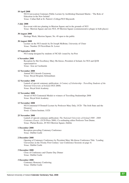### **10 April 2008**

NUI Convocation Centenary Public Lecture by Archbishop Diarmuid Martin : 'The Role of Education in the New Ireland' *Venue:* Callan Hall at St. Patrick's College/NUI Maynooth

### **3 July 2008**

Eco-event with tree planting in Merrion Square and in the grounds of NUI *Venue:* Merrion Square and rere NUI, 49 Merrion Square (commemorative plaque in both places)

### **30 August 2008**

Heritage Week, Merrion Square; No. 49 open to the public

### **30 August 2008**

Lecture on the NUI murals by Dr Joseph McBrinn, University of Ulster *Venue:* Number 29 Fitzwilliam St. Lower

### **19 September 2008**

NUI stamp designed by students of NCAD: issued by An Post

### **6 November 2008**

Reception by Her Excellency Mary McAleese, President of Ireland, for NUI and QUB representatives *Venue:* Áras an Uachtaráin

### **12 November 2008**

Annual NUI Awards Ceremony *Venue:* Royal Hospital, Kilmainham

### **12 November 2008**

Launch of special centenary publication: *A Century of Scholarship - Travelling Students of the National University of Ireland* (NUI 2008) *Venue:* Royal Irish Academy

### **12 November 2008**

Award of NUI Centennial Medals to winners of Travelling Studentships 2008 *Venue:* Royal Irish Academy

### **13 November 2008**

NUI Centennial O'Donnell Lecture by Professor Mary Daly, UCD: 'The Irish State and the Diaspora' *Venue:* Clinton Institute, UCD

### **25 November 2008**

Launch of special centenary publication: *The National University of Ireland 1908 - 2008 Centenary Essays.* (UCD Press 2008). Co-ordinating editor Professor Tom Dunne. *Venue:* Phelan Rooms, 49 NUI Merrion Square, Dublin

### **1 December 2008**

Reception preceding Centenary Conference *Venue:* Dublin Castle

### **2 December 2008**

Opening of Centenary Conference by President Mary McAleese Conference Title: 'Leading Universities in the Twenty First Century' (see Conference Sessions on page 4) *Venue:* Dublin Castle

### **3 December 2008**

Close of Conference and Charter Day Dinner *Venue:* Dublin Castle

### **3 December 2008**

Centenary Honorary Conferring *Venue:* Dublin Castle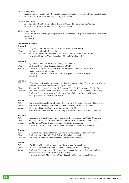# **17 December 2008**

Centenary of first meeting of NUI Senate: Special publication: 'Minutes of First Senate Meeting' *Venue:* Phelan Rooms, 49 NUI Merrion Square, Dublin

### **17 December 2008**

Unveiling of portrait by Carey Clarke RHA, of Chancellor, Dr. Garret FitzGerald, *Venue:* Phelan Rooms, 49 NUI Merrion Square, Dublin

### **31 December 2008**

World Universities Debating Championship: NUI Prize for best speaker from Ireland and event sponsorship *Venue:* UCC

# **Conference Sessions:**

| 255 M<br>۱<br><br>٠<br>٠<br>٠ |  |
|-------------------------------|--|
|-------------------------------|--|

| Title:    | 'Key Issues for University Leaders in the Twenty-first Century'       |
|-----------|-----------------------------------------------------------------------|
| Chair:    | Dr Garret FitzGerald, Chancellor                                      |
| Speakers: | Mr. Peter Sutherland, Chairman, London School of Economics and BP plc |
|           | Dr Michael Murphy, Vice Chancellor NUI, and President, UCC            |

### **Session 2**

| Title:           | 'Oualities of Universities in the Twenty-first Century'                                                                                |
|------------------|----------------------------------------------------------------------------------------------------------------------------------------|
| Chair:           | Dr. Hugh Brady, Chair IUA and President, UCD                                                                                           |
| Speakers:        | Professor Georg Winckler, President, European Universities Association and                                                             |
|                  | Rector, University of Vienna                                                                                                           |
|                  | Professor Robin Middlehurst, Professor of Higher Education at Kingston                                                                 |
|                  | University                                                                                                                             |
| <b>Session 3</b> |                                                                                                                                        |
| Title:           | 'Extending the Boundaries, Communicating the Understanding, Transmitting the Culture:<br>Academic Leadership in the Knowledge Society' |
|                  |                                                                                                                                        |

| Chair:    | The Hon Mrs. Justice Catherine McGuinness, Chair Irish Universities Quality Board |
|-----------|-----------------------------------------------------------------------------------|
| Speakers: | Professor Nicholas Canny, President RIA and Director Moore Institute, NUI Galway  |
|           | Professor Chris Hawkesworth, Professor of Earth Sciences: Research Director,      |
|           | Facutly of Science University of Bristol.                                         |

### **Session 4**

| Title:<br>Chair:     | 'Structures, Responsibilities, Relationships: Towards Effective University Governance'<br>Professor John Hughes, President National University of Ireland, Maynooth |
|----------------------|---------------------------------------------------------------------------------------------------------------------------------------------------------------------|
| <i>Speakers:</i>     | Mr Dermot Gleeson, Chair Governing Authority UCC<br>Professor Sir David Watson, Chair of Higher Education, Institute of Education London                            |
| $\sim$ $\sim$ $\sim$ |                                                                                                                                                                     |

### **Session 5**

| Title:    | 'Engagement in the Public Sphere: University Leadership and the Wider Community' |
|-----------|----------------------------------------------------------------------------------|
| Chair:    | Ms. Brigid McManus, Secretary General, Department of Education and Science       |
| Speakers: | Dr. Martin G. Curley, Director-IT Innovation Intel Corporation                   |
|           | Professor Gülsün Saglamer, former Rector of Istanbul Technical University        |
|           |                                                                                  |

### **Session 6**

| Title:    | Transforming Higher Education Systems: Leading Change in the University |
|-----------|-------------------------------------------------------------------------|
| Chair:    | Professor Patrick Fottrell, Chair Science Foundation Ireland            |
| Speakers: | Professor Zhiming Ye, Vice-President, University of Shanghai            |

# **Session 7**

| 'World-class Universities: Reputation, Ranking and Sustainability'               |
|----------------------------------------------------------------------------------|
| Dr James J Browne, President National University of Ireland, Galway              |
| Professor Ellen Hazelkorn, Director of Research and Enterprise; Dean of Graduate |
| Research School, Dublin Institute of Technology                                  |
| Professor Dzulkifli Abdul Razak, Vice-Chancellor, University Sains Malaysia      |
|                                                                                  |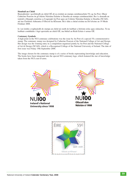### **Siombail an Chéid**

Buaicphointe i gceiliúradh an chéid OÉ ab ea eisiúint an stampa cuimhneacháin 55c ag An Post. Dhear Catherine Pearson ón gColáiste Náisiúna Ealaíne is Deartha an stampa cuimhneacháin. Ba é a dearadh an iontráil a bhuaigh comórtas a d'eagraigh An Post agus an Coláiste Náisiúna Ealaíne is Deartha (NCAD), atá ina Choláiste Aitheanta d'Ollscoil na hÉireann. Bá é dáta a chéad eisiúna na Dé hAoine an 19 Meán Fómhair 2008.

Is í an íomhá a roghnaíodh do stampa an chéid ná sraith de leabhair a léiríonn eolas agus oideachas. Tá na leabhair comhtháite i lógó speisialta an chéid OÉ, ina bhfuil an Réalt Eolais ó armas OÉ.

### **Centenary Symbols**

A high point in the NUI centenary celebrations was the issue by An Post of a special 55c commemorative stamp. The centenary stamp was designed by Catherine Pearson of the National College of Art and Design. Her design was the winning entry in a competition organised jointly by An Post and the National College of Art & Design (NCAD), which is a Recognised College of the National University of Ireland. The date of first issue was Friday 19th September 2008.

The image chosen for the centenary stamp is of a series of books representing knowledge and education. The books have been integrated into the special NUI centenary logo, which featured the star of knowledge taken from the NUI coat-of-arms.



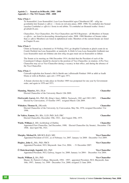### **Aguisín 2 : Seanad na hOllscoile, 1908 - 2008 Appendix 2 : The NUI Senate 1908 - 2008**

### **Nóta 1/Note 1**

Tá Seansailéirí, Leas-Seansailéirí, Leas-Leas-Seansailéirí agus Cláraitheoirí OÉ – uilig ina gcomhaltaí den Seanad *ex officio* – i liosta on ord ama anuas, 2008 -1908; Tá comhaltaí den Seanad (seachas Comhaltaí *ex officio*) i liosta in ord aibítre. Tá comhaltaí an tSeanaid reatha i liosta i gCaibidil II *ante.*

Chancellors, Vice-Chancellors, Pro-Vice-Chancellors and NUI Registrars - all Members of Senate *ex officio* - are listed in descending chronologoical order, 2008 -1908 Members of Senate (other than *ex officio* Members) are listed in alphabetical order. Members of the current Senate are listed in Chapter II *ante.*

### **Nóta 2/Note 2**

Chinn an Seanad ag a chruinniú ar 10 Nollaig 1914, go dtoghfaí Uachtarán ar ghach ceann de na Comh-Choláistí ina Leas-Seansailéir, ar uainíocht. Is féidir le Leas-Leas-Seansailéir feidhmiú mar Leas-Seansailéir nuair atá folúntas ann don oifig sin,agus nuair atá an Seansailéir as láthair.

The Senate at its meeting on 10th December 1914, decided that the President of each of the Constituent Colleges should be elected to the position of Vice-Chancellor, in rotation. A Pro-Vice-Chancellor may act as Vice-Chancellor during a vacancy in that office, and during the absence of the Vice-Chancellor.

### **Nóta 3/Note 3**

Cuireadh toghchán don Seanad a bhí le bheith ann i nDeireadh Fómhair 1969 ar athló ar feadh bliana ar ordú an Rialtais, agus arís i 1970 agus 1971.

A Senate election due to take place in October 1969 was postponed for one year by Government order, and again in 1970 and 1971. **\_\_\_\_\_\_\_\_\_\_\_\_\_\_\_\_\_\_\_\_\_\_\_\_\_\_\_\_**

| Manning, Maurice, MA, DLitt<br>Elected Chancellor of the University March 12th 2009.                                                                                                                        | <b>Chancellor</b>      |
|-------------------------------------------------------------------------------------------------------------------------------------------------------------------------------------------------------------|------------------------|
| <b>FitzGerald, Garret, BA, PhD, BL (King's Inns), MRIA; Taoiseach, 1981 and 1983-1987;</b><br>Elected by Convocation, 15 October 1997; resigned March 12th 2009.                                            | <b>Chancellor</b>      |
| Whitaker, Thomas K., DEconSc<br>Elected Chancellor of the University, by Convocation, May 5th, 1976; resigned December 31st<br>1996.                                                                        | <b>Chancellor</b>      |
| De Valéra, Eamon, BA, BSc, LLD, PhD, ScD, FRC<br>Elected Chancellor, December 19th, 1921; died August 29th, 1975.                                                                                           | <b>Chancellor</b>      |
| Walsh, William J., DD, Archbishop of Dublin;<br>Appointed First Chancellor, 2nd December, 1908; Elected Chancellor (by Senate), December 17th<br>1908; died April 9th, 1921.                                | <b>Chancellor</b>      |
| Murphy, Michael B., MB BCh BAO, MD<br>Appointed President of UCC, as of February 1st, 2007. January 1st 2008 - December 31st 2009.                                                                          | <b>Vice-Chancellor</b> |
| Hughes, John G., BSc, PhD, FBCS<br>Appointed President, NUI, Maynooth June 21st, 2004; - 31 December 2007.                                                                                                  | <b>Vice-Chancellor</b> |
| Ó Muircheartaigh, Iognáid, MA, PhD<br>Appointed President, NUI, Galway, August 1st, 2000. January 1st 2004 - December 31st 2004.                                                                            | <b>Vice-Chancellor</b> |
| Smyth, William J., BA, PhD<br>Master, St. Patrick's College, Maynooth, 1994 - 1997; appointed President, NUI, Maynooth, June<br>16th, 1997; January 1st, 1999 - December 31st, 2000; resigned 21 June 2004. | <b>Vice-Chancellor</b> |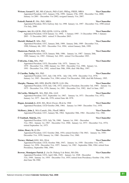**Wrixon, Gerard T.**, BE, MS (Caltech), PhD (Calif), FREng, FIEEE, MRIA **Vice-Chancellor** Appointed President, UCC, January 27th, 1999; January 27th, 1999 - December 31st, 2000; January 1st 2001 - December 31st 2002; resigned January 31st, 2007.

### **Fottrell, Patrick P.**, DSc, PhD, MRIA **Vice-Chancellor**

Appointed President, NUI, Galway July 1st, 1996 January 1st, 1997 - December 31st, 1998 retired 31st July, 2000.

# **Cosgrove, Art,** BA (QUB), PhD (QUB), LLD hc (QUB) **Vice-Chancellor**

Appointed President, UCD January 1st, 1994; 1 January 1995 - 31 December 1996; 1 January 2003 - 31 December 2003; retired 31 December 2003.

# **Mortell, Michael P.**, MSc, PhD **Vice-Chancellor**

Appointed President, UCC, January 26th, 1989; January 26th, 1989 - December 31st, 1990; February 4th, 1993 - December 31st, 1994; retired January 26th, 1999.

### **Masterson, Patrick,** MA, PhD, **Vice-Chancellor**

Appointed President, UCD, January 30th, 1986; January 1st, 1987 - January 26th, 1989; January 1st, 1993 - February 3rd, 1993; retired 31st December 1993.

### **Ó hEocha, Colm,** MSc, PhD **Vice-Chancellor**

Appointed President, UCG, December 11th, 1975; January 1st, 1979 - December 31st, 1980; January 1st, 1985 - December 31st, 1986; January 1st, 1991 - December 31st, 1992; retired June 30th, 1996; died 19th May, 1997.

### **Ó Ciardha, Tadhg,** MA, PhD **Vice-Chancellor**

Appointed President, UCC, July 13th 1978; July 13th, 1978 - December 31st, 1978; January 1st, 1983 - December 31st, 1984; retired 31st December, 1988; died 8th February, 1995.

**Murphy, Thomas,** MD, DPH, BScPH, FRCPI, LLD, DSc **Vice-Chancellor**

### Appointed President, UCD, July 13th, 1972; retired as President, December 3rd, 1985; January 1st, 1975 - December 31st, 1976; January 1st, 1981 - December 31st, 1982; died 1st June, 1997.

### **McCarthy, Michael D**., MA, PhD, DSc, LLD **Vice-Chancellor**

Appointed President, UCC, September 1st, 1967; January 1st, 1971 - December 31st, 1972; January 1st, 1977 - June 4th, 1978; retired June 4th 1978.

- **Hogan, Jeremiah J.,** KSS, MA, BLitt (Oxon), DLitt hc 1968 **Vice-Chancellor** Appointed President, UCD October 29th, 1964; January 1st 1969 - December 31st, 1970.
- **McHenry, John J.**, MA (Cantab), DSc, FInstP, MRIA **Vice-Chancellor** Appointed President, UCC, January 9th, 1964; September 30th, 1964 - December 31st, 1966.

### **Ó Tnúthail, Máirtín,** DSc **Vice-Chancellor**

Appointed President, UCG, July 7th, 1960; January 1st, 1961 - December 31st, 1961; January 1st, 1967 - December 31st, 1968; January 1st, 1973 - December 31st, 1974; retired September 1st, 1975.

### **Atkins, Henry St. J,** DSc **Vice-Chancellor**

Appointed President, UCC October 28th, 1954; retired October 17th 1963; January 1st, 1958 - December 31st, 1959; January 1st, 1960 - December 31st, 1960.

**Tierney, Michael,** KSG, MA, DLitt **Vice-Chancellor**

Appointed President, UCD, October 30th, 1947; January 1st, 1950 - December 31st, 1951; January 1st, 1956 - December 31st, 1957; January 1st, 1962 - September 30th, 1964; retired from Presidency, September 30th, 1964.

# **Browne, Monsignor Patrick J**. (An Dr. Pádraig S de Brún), MA DSc **Vice-Chancellor**

Appointed President, UCG, April 18th, 1945; January 1st, 1948 - December 31st, 1949; January 1st, 1954 - December 31st, 1955; retired from Presidency October 13th, 1959; died June 5th 1960.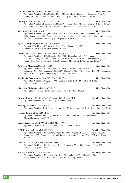**O'Rahilly, Rev Alfred,** MA, DSc, DPhil, DLitt **Vice-Chancellor** Appointed President, UCC, October 28th, 1943; retired from Presidency, September 19th, 1954; January 1st, 1946 - December, 31st, 1947; January 1st, 1952 - December 31st, 1953. **Conway, Arthur W**., MA, DSc, ScD, LLD, FRS **Vice-Chancellor**

- Appointed President of UCD, April 18th, 1940; January 1st, 1943 December 31st, 1944; January 1st, 1945 to December 31st 1945; retired October 2nd, 1947; died July 11th, 1950.
- **Merriman, Patrick J.,** MA, LLD **Vice-Chancellor** Appointed President, UCC, December 16th, 1919; January 1st, 1923 - December 31st, 1924; January 1st, 1929 - December 31st, 1930; January 1st, 1935 - December 31st, 1936; January 1st, 1941 - December 31st, 1942; died September 13th, 1943.
- **Hynes, Monsignor John,** MA LLD BD (Mayn) **Vice-Chancellor** Appointed President, UCG, October, 25th, 1934; January 1st, 1939 - December 31st, 1940; resigned January 5th, 1945.
- **Coffey, Denis J.**, MA, MB, BCh, BAO, DSc, LLD, FRCPI **Vice-Chancellor** Appointed President, UCD, December 2nd 1908; December 16th, 1918 - December 6th, 1920; January 1st, 1925 - December 31st, 1926; January 1st, 1931 - December 31st, 1932; January 1st, 1937 - December 31st, 1938; resigned March 31st, 1940; died April 3rd, 1945.
- **Anderson, Alexander,** MA, DSc, LLD **Vice-Chancellor** Appointed President, UCG, December 2nd, 1908; December 10th, 1914 - December 10th 1916; December 16th, 1920 - December 31st, 1921; January 1st, 1927 - December 31st, 1928; January 1st, 1933 - resigned October 10th, 1934.
- **Windle, Sir Bertram** C.A., MA, MD, DSc, LLD, FRS **Vice-Chancellor** Appointed President, UCC, 2nd, 1908; December 10th, 1916 - December 6th 1918; resigned November 21st, 1919.
- **Nixon, Sir Christopher (Bart.),** MD, LLD **Vice-Chancellor** Appointed Vice-Chancellor November 11th, 1909; died July 19th, 1914. **\_\_\_\_\_\_\_\_\_\_\_\_\_\_\_\_\_\_\_\_\_\_\_\_\_\_\_\_**
- **Browne, James J,** BE MEngsSc, PhD (Manc), DSc (Manc), FIEI **Pro-Vice-Chancellor** Appointed President of NUI, Galway, March 6th 2008
- **Murphy, Michael B.**, MB BCh BAO, MD **Pro-Vice-Chancellor** Appointed President of UCC, as of February 1st, 2007; February 1st. 2007 - December 31st, 2007.
- **Hughes, John G.,** BSc, PhD, FBCS **Pro-Vice-Chancellor** Appointed President, NUI, Maynooth June 21st, 2004; June 21st 2004 - December 31st 2005; January 1st, 2008 -
- **Brady, Hugh,** MB BCh BAO, BSC, PhD, MD, FRCPI **Pro-Vice-Chancellor** Appointed President of UCD, 1 January 2004; 1 January 2004 -
- **Ó Muircheartaigh, Iognáid,** MA, PhD **Pro-Vice-Chancellor** Appointed President, NUI, Galway, August 1st, 2000; August 1st, 2000-December 31st, 2002; January 1st, 2003 - December 31st 2003; January 1st 2006 - December 31st, 2007; retired March 5th 2007.
- **Wrixon, Gerard T.,** BE, MS (Caltech), PhD (Calif) **Pro-Vice-Chancellor** Appointed President, UCC, January 27th, 1999; January 27th, 1999 - December 31st, 2004; resigned January 31st, 2007.
- **Fottrell, Patrick P.,** DSc, PhD, MRIA **Pro-Vice-Chancellor** Appointed President, NUI, Galway July 1st, 1996; July 1st, 1996 - December 31st, 1996; January 1st, 1999 - July 31st, 2000; retired 31st July, 2000.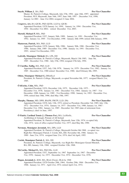### **Smyth, William J., BA, PhD Pro-Vice-Chancellor**

Master, St. Patrick's College, Maynooth, July 27th, 1994 - june 16th, 1997; appointed President, NUI, Maynooth, June 16th, 1997; June 16th, 1997 -. December 31st, 1998; January 1st 2001 - June 21st 2004; resigned 21 June 2004.

# **Cosgrove, Art,** BA (QUB), PhD (QUB), LLD hc (QUB) **Pro-Vice-Chancellor**

Appointed President, UCD January 1st, 1994; January 1st, 1994 - December 31st, 1994 - December 31st 2002; retired December 31st, 2003.

# **Mortell, Michael P,** MSc, PhD **Pro-Vice-Chancellor**

Appointed President, UCC, January 26th, 1989; January 1st, 1991 - December 31st, 1992; January 1st, 1995 - 31st December, 1996 - January 26th 1999; retired 26th January, 1999.

# **Masterson, Patrick,** MA, PhD, LLD **Pro-Vice-Chancellor**

Appointed President, UCD, January 30th, 1986; January 30th, 1986 - December 31st, 1986; January 26th, 1989 - December 31st, 1990; January 1st, 1991 - December 31st, 1993; retired 31st December, 1993.

**Ledwith, Monsignor Mícheál,** BA, LPh, DD **Pro-Vice-Chancellor**

Appointed President, St. Patrick's College, Maynooth, March 13th 1985; June 5th, 1985 - December 31st, 1986 - July 27th, 1994; resigned 27th July, 1994.

# **Ó Ciardha, Tadhg,** MA, PhD, LLD **Pro-Vice-Chancellor**

Appointed President, UCC, July 13th 1978; January 1st, 1979 - December 31st, 1982; January 1st, 1985 - December 31st, 1988 retired December 31st, 1988; died February 8th, 1995.

**Olden, Monsignor Michael G,** DHistEccl **Pro-Vice-Chancellor**

President, St. Patrick's College, Maynooth, co-opted November 8th, 1977; resigned March 21st, 1985.

# **Ó hEocha, Colm,** MSc, PhD **Pro-Vice-Chancellor**

Appointed President, UCG, December 11th, 1975; December 11th, 1975 - December 31st, 1978; January 1st, 1981 - December 31st, 1984; January 1st, 1987 - 31st December, 1988; January 1st, 1989 - 31st December, 1990; January 1st, 1993 - December 31st, 1994; retired June 30th, 1996; died May 19th, 1997.

# **Murphy, Thomas,** MD, DPH, BScPH, FRCPI, LLD, DSc **Pro-Vice-Chancellor**

Appointed President, UCD, July 13th, 1972; retired as President, December 3rd, 1985; July 13th, 1972 - December 31st, 1974; January 1st, 1977 - December 31st, 1980; January 1st, 1983 - December 31st, 1984; January 1st, 1985 - December 3rd, 1985 (date of retirement from Presidency); died 1st June, 1997.

# **Ó Fiaich, Cardinal Tomás J, (Thomas Fee),** MA, LicHistSc, **Pro-Vice-Chancellor**

Archbishop of Armagh, Primate of All Ireland Appointed President, St. Patrick's College, Maynooth, June 12th, 1974; co-opted July 11th, 1974; term of office expired October 31st, 1977; died May 8th, 1990.

# **Newman, Monsignor Jeremiah,** MA, DPh, LLD **Pro-Vice-Chancellor**

Appointed President, St. Patrick's College, Maynooth October 8th 1968; co-opted vice Right Rev Monsignor Patrick J. Corish, MA, DD, November 4th, 1968; January 1st, 1969 - June 21st, 1974; resigned June 21st, 1974; died 3rd April, 1995.

**Corish, Monsignor Patrick J.**, MA, DD **Pro-Vice-Chancellor**

President, St. Patrick's College, Maynooth, vice Right Rev Monsignor Gerard Mitchell, BA, DD, January 11th, 1968; resigned October 12th, 1968.

**McCarthy, Michael D.,** MA, PhD DSc, LLD **Pro-Vice-Chancellor**

Appointed President, UCC, September 1st, 1967 September 1st, 1967 - December 31st, 1970; January 1st, 1973 - December 31st, 1974 - December 31st, 1976.

# **Hogan, Jeremiah J.**, KSS, MA, BLitt (Oxon), DLitt hc 1968 **Pro-Vice-Chancellor**

Appointed President, UCD October 29th, 1964; October 29th, 1964 - December 31st, 1968; January 1st, 1971 - April 21st, 1972; retired April 21st, 1972.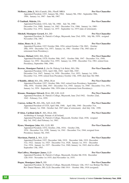# **McHenry, John J.,** MA (Cantab), DSc, FInstP, MRIA **Pro-Vice-Chancellor**

Appointed President, UCC, January 9th, 1964; January 9th, 1964 - September 30th, 1964; January 1st, 1967 - June 9th, 1967.

# **Ó Tnúthail, Máirtín,** DSc **Pro-Vice-Chancellor**

Appointed President, UCG, July 7th, 1960; July 7th, 1960 - December 31st, 1960; January 1st, 1962 - December 31st, 1966; January 1st, 1969 - December 31st, 1972; January 1st, 1975 - September 1st, 1975 (date of retirement).

# **Mitchell, Monsignor Gerard,** BA, DD **Pro-Vice-Chancellor**

Appointed President, St. Patrick's College, Maynooth, June 23rd, 1959; July 9th, 1959; resigned November 27th, 1967.

# **Atkins, Henry St. J**., DSc **Pro-Vice-Chancellor**

Appointed President, UCC October 28th, 1954; retired October 17th 1963; October 28th, 1954 - December 31st, 1957; January 1st, 1961 - October 17th, 1963 (date of retirement from Presidency).

**Tierney, Michael**, KSG, MA, DLitt **Pro-Vice-Chancellor**

Appointed President, UCD, October 30th, 1947; October 30th, 1947 - December 31st, 1949; January 1st, 1952 - December 31st, 1955; January 1st, 1958 - December 31st, 1961; retired from Presidency, September 30th, 1964.

**Browne, Monsignor Patrick J.** (An Dr. Pádraig S de Brún), MA, DSc **Pro-Vice-Chancellor** Appointed President, UCG, April 18th, 1945; April 18th, 1945 - December 31st, 1947; January 1st, 1950 - December, 31st, 1953; January 1st, 1956 - December 31st, 1959; retired from Presidency October 13th, 1959; died June 5th 1960.

# **O'Rahilly, Alfred,** MA, DSc, DPhil, DLitt **Pro-Vice-Chancellor**

Appointed President, UCC, October 28th, 1943; retired from Presidency, September 19th, 1954; October 28th, 1943 - December 31st, 1945; January 1st, 1948 - December 31st, 1951; January 1st, 1954 - September 19th, 1954 (date of retirement from Presidency).

### **Kissane, Monsignor Edward,** DLitt, DD, LSS, LLD **Pro-Vice-Chancellor** Appointed President, St. Patrick's College, Maynooth, June 23rd 1942; October 22nd,

1942 - February 21st, 1959. **Conway, Arthur W.,** MA, DSc, ScD, LLD, FRS **Pro-Vice-Chancellor**

Appointed President of UCD, April 18th, 1940; April 18th, 1940 - December 31st, 1942; January 1st, 1946 - October 2nd, 1947 (date of retirement); died July 11th, 1950.

# **D'Alton, Cardinal John F.**, MA, DLitt, DD, **Pro-Vice-Chancellor**

Archbishop of Armagh, Primate of all Ireland; Appointed President, St. Patrick's College, Maynooth, October 22nd, 1936; resigned July 3rd, 1942; died February 1st, 1963.

# **Hynes, Monsignor John,** MA, LLD, BD **Pro-Vice-Chancellor**

Appointed President, UCG, October, 25th, 1934; October 25th, 1934 - December 31st, 1938; January 1st, 1941 - December 31st, 1944; resigned from Presidency January 5th, 1945.

# **Merriman, Patrick J.**, MA, LLD **Pro-Vice-Chancellor**

Appointed President, UCC, December 16th, 1919; December 16th, 1919 -December 31st, 1922; January 1st, 1925 - December 31st, 1928; January 1st, 1931 - December 31st, 1934; January 1st, 1937 - December 31st, 1940; January 1st, 1943; died in office September 13th, 1943.

# **MacCaffrey, Monsignor James, LLD Pro-Vice-Chancellor**

Appointed President, St. Patrick's College, Maynooth, October 8th 1918; December 12th 1918 - November 1st 1935; died November 1st, 1935.

# **Hogan, Monsignor John F.,** DD **Pro-Vice-Chancellor**

Appointed President, St. Patrick's College, Maynooth; February 12th, 1913 vice Bishop The Most Rev Daniel Mannix, DD, LLD; December 10th 1914 - October 18th, 1918 (resigned).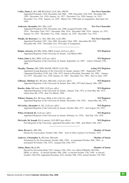| Coffey, Denis J., MA, MB BCh BAO, LLD, DSc, FRCPI<br>Appointed President, UCD, December 2nd 1908; 1909 -December 15th 1918; December 6th,<br>1920 - December 31st, 1924; January 1st, 1927 - December 31st, 1930; January 1st, 1933 -<br>December 31st, 1936; January 1st, 1939 - March 31st, 1940 (date of resignation); died April 3rd,<br>1945. | <b>Pro-Vice-Chancellor</b>  |
|----------------------------------------------------------------------------------------------------------------------------------------------------------------------------------------------------------------------------------------------------------------------------------------------------------------------------------------------------|-----------------------------|
| Anderson, Alexander, MA, DSc, LLD<br>Appointed President, UCG, December 2nd, 1908; resigned October 10th,<br>1934; December 22nd, 1912 - December 10th, 1914; December 10th, 1916 - January 1st, 1921;<br>January 1st, 1923 - December 31st, 1926; January 1st, 1929 - December 31st, 1932.                                                        | <b>Pro-Vice-Chancellor</b>  |
| Windle, Sir Bertram C.A., MA, MD, DSc, LLD, FRS<br>Appointed President, UCC, 2nd, 1908 December 22nd, 1909 - December 9th 1916<br>December 6th, 1918 - November 21st, 1919 (date of resignation).                                                                                                                                                  | <b>Pro-Vice-Chancellor</b>  |
| Halpin, Attracta, BA MSc (Dub), MBA (Lond), LLD jure officii<br>Appointed Registrar of the University by Senate, 11th March 2004.                                                                                                                                                                                                                  | <b>NUI Registrar</b>        |
| Nolan, John A, MA, MPA, LLD jure officii<br>Appointed Registrar of the University by Senate, September 1st, 1987; retired February 27th,<br>2004.                                                                                                                                                                                                  | <b>NUI Registrar</b>        |
| Murphy, Thomas, MD, DPH, BScPH, FRCPI, LLD, DSc<br>Appointed Acting Registrar of the University by Senate, January 1987 - September 1987.<br>(Appointed President, UCD, July 13th, 1972; retired as President, December 3rd, 1985; January<br>1st, 1975 - December 31st, 1976; January 1st, 1981 - December 31st, 1982; died 1st June, 1997.       | <b>Acting NUI Registrar</b> |
| Gilheany, Michael, BA, BComm, MEconSc, LLD jure officii<br>Appointed Registrar of the University by Senate, June 10th, 1979 died January 24th, 1987.                                                                                                                                                                                               | <b>NUI Registrar</b>        |
| Bourke, John, MComm, PhD, LLD jure officii<br>Appointed Registrar of the University by Senate,, January 27th, 1972, as from May 4th, 1972;<br>retired June 9th, 1979; died 21st March, 1994.                                                                                                                                                       | <b>NUI Registrar</b>        |
| Wilmot, Séamus, BA, BComm, HDip in Ed, LLD jure officii<br>Appointed Registrar of the University by Senate, December 11th, 1952; retired May 4th, 1972.                                                                                                                                                                                            | <b>NUI Registrar</b>        |
| McCarthy, Alexander A., BA, LLD jure officii<br>Appointed Registrar of the University by Senate, October 28th, 1937; died August 3rd, 1952.                                                                                                                                                                                                        | <b>NUI Registrar</b>        |
| Wiber, Frederick H., LLD jure officii<br>Appointed Registrar of the University by Senate, February 1st, 1924; died July 11th, 1936.                                                                                                                                                                                                                | <b>NUI Registrar</b>        |
| McGrath, Sir Joseph, BA (London), LLD (RUI jure officii)<br>First Registrar of the University; appointed December 2nd, 1908; died March 15th, 1923.                                                                                                                                                                                                | <b>NUI Registrar</b>        |
| Alton, Bryan G., MD, BSc<br>Elected by Convocation, October 10th, 1964; term of office expired 31st October, 1972.                                                                                                                                                                                                                                 | <b>Member of Senate</b>     |
| Andrews, Christopher S., BComm, DEconSc<br>Nominated by the Government, October 20th, 1959; re-nominated October 28th, 1964; re-<br>nominated November 17th, 1972; resigned July 25th, 1977.                                                                                                                                                       | <b>Member of Senate</b>     |
| Atkins, Henry St, J, BSc<br>Elected by Governing Body UCC, January 25th, 1944, vice Alfred O'Rahilly, MA DSc,<br>DPhil, ex officio; re-elected October 18th, 1944; re-elected October 17th, 1949; re-elected<br>October 15th, 1954; Appointed President, UCC October 28th, 1954; retired October 17th 1963.                                        | <b>Member of Senate</b>     |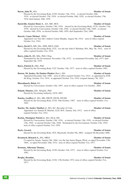Elected by the Governing Body, UCD, October 13th, 1914; re-elected October 16th, 1919; re-elected October 17th, 1924; re-elected October 16th, 1929; re-elected October 17th, 1934; died January 24th, 1939.

**Barniville, Senator Henry L., BA, MD, MCh <b>Member of Senate** Member of Senate

Elected by Convocation, October 13th, 1934; elected by the Governing Body, UCD, October 17th, 1939; elected by Convocation, October 13th, 1944; re-elected October 14th, 1949; re-elected October 16th, 1954; re-elected October 10th, 1959; died September 23rd, 1960.

# **Barrett, Canon Michael** , DPhil **Member of Senate**

Appointed vice Very Rev Andrew Canon Murphy, August 5th, 1914; term of office expired October 31st, 1914.

- **Barry, David T., MD, DSc, DPH, FRCS, ENG <b>Member of Senate** 
	- Elected by the Governing Body, UCC, vice the late John P. Molohan, MA, May 7th, 1915; term of office expired October 31st, 1919.
- **Barry, John D., BE, MSc, PhD, CEng <b>Member of Senate** Member of Senate

Nominated by the Government, November 17th, 1972; re-nominated November 2nd, 1977; died September 6th, 1979.

- **Barry, Patrick D.,** MSc, PhD **Member of Senate** 
	- Elected by the Governing Body, UCC October 13th, 1977; term of office expired October 1982.
- **Barton, Mr Justice, Sir Dunbar Plunket** (Bart.), MA **Member Member** of Senate
	- Appointed December 2nd, 1908; term of office expired October 31st, 1914; re-appointed by H.M. the King, October 31st, 1914; re-appointed October 31st, 1919; resigned January 7th, 1923.
- **Bhreathnach, Helen, BA Member of Senate** 
	- Elected by Convocation, October 15th, 1997; term of office expired 31st October, 2002.
- **Boland, Maurice,** DSc, MAgrSc, PhD **Member of Senate** Elected by Governing Authority, UCD, 2007.
- **Bourke, Geoffrey J., MA, MD, FRCPI, FFCM, FFCMI MEMBER OF Senate** Elected by the Governing Body, UCD, 16th October, 1987; term of office expired October 31st, 1992.
- **Bourke, Mr. Justice Matthew J**, MA, KC, Recorder of Cork; **Member** of Senate Appointed vice Samuel H. Butcher, LLD, M.P., January 2nd, 1912; term of office expired October 31st, 1914.
- **Boylan, Monsignor Patrick J., MA, DLitt, DD Member Member** of Senate Elected by Convocation, October 13th, 1934; re-elected October 13th, 1939; re-elected October 13th, 1944; re-elected October 14th, 1949; Nominated by the Government, October 27th, 1954; term of office expired October 31st, 1959.

# **Boyle, Gerard, Senate Senate Senate Senate Senate** Senate Senate

Elected by the Governing Body, NUI, Maynooth, October 9th, 2002; resigned 5th December 2006.

# **Breatnach, Risteárd A.,** MA, MRIA **Member of Senate**

Co-opted by Senate, January 9th, 1964, vice the late James Hogan, DLitt; co-opted November 13th, 1964; co-opted November 10th, 1972; term of office expired October 31st, 1977.

# **Brennan, Alderman Thomas, Senate Senate Senate Alderman Thomas, Senate Senate Senate Aldermine Senate**

Elected by the Governing Body, UCD, October 11th, 1977; term of office expired October 31st, 1982.

# **Brophy, Brendan, Member of Senate**

Elected by the Governing Body, UCD, 17th October 1972; term of office expired October 31st, 1977.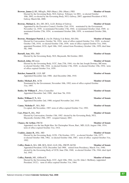| 10th, 2002; re-elected by the Governing Body, NUI, Galway, 2007; appointed President of NUI,<br>Galway March 6th, 2008.                                                                                                                                                                                                                                                                 |                         |
|-----------------------------------------------------------------------------------------------------------------------------------------------------------------------------------------------------------------------------------------------------------------------------------------------------------------------------------------------------------------------------------------|-------------------------|
| Browne, Michael J., BA, DD, DCL, LLD, Bishop of Galway<br>Appointed by the Executive Council, October 23rd, 1934; nominated by the Government,<br>November 1st, 1939; re-nominated November 17th, 1944; re-nominated October 22nd, 1949; re-<br>nominated October 27th, 1954; re-nominated October 20th, 1959; re-nominated October 28th,<br>1964.                                      | <b>Member of Senate</b> |
| Browne, Monsignor Patrick J. (An Dr. Pádraig S de Brún), MA DSc<br>Elected by Convocation, October 7th, 1924; term of office expired October 31st, 1929; re-elected<br>October 13th, 1934; re-elected October 13th, 1939; term of office expired October 31st, 1944;<br>appointed President, UCG, April 18th, 1945; retired from Presidency October 13th, 1959; died June<br>5th, 1960. | <b>Member of Senate</b> |
| Burnell, Ann, MSc, PhD<br>Elected by the Governing Body, NUI, Maynooth, 9th October, 2002.                                                                                                                                                                                                                                                                                              | <b>Member of Senate</b> |
| Busteed, John, MComm<br>Elected by the Governing Body, UCC, June 27th, 1944, vice the late Joseph Downey, MComm;<br>re-elected October 18th, 1944; re-elected October 17th, 1949; re-elected October 15th, 1954; term<br>of office expired October 31st, 1959.                                                                                                                          | <b>Member of Senate</b> |
| Butcher, Samuel H., LLD, MP<br>Appointed December 2nd, 1908; died December 28th, 1910.                                                                                                                                                                                                                                                                                                  | <b>Member of Senate</b> |
| <b>Butler, Michael, BA, ACIS</b><br>Nominated by the Government, November 10th, 1992; term of office expired October<br>31st, 1997.                                                                                                                                                                                                                                                     | <b>Member of Senate</b> |
| Butler, Sir William F., Privy Councillor<br>Appointed December 2nd, 1908; died June 7th, 1910.                                                                                                                                                                                                                                                                                          | <b>Member of Senate</b> |
| <b>Butler, William F. T., MA</b><br>Appointed December 2nd, 1908; resigned November 2nd, 1910.                                                                                                                                                                                                                                                                                          | <b>Member of Senate</b> |
| Canny, Nicholas P., MA, PhD<br>Co-opted, 4th November, 1987; term of office expired October 31st, 1992.                                                                                                                                                                                                                                                                                 | <b>Member of Senate</b> |
| Carr, Peter F., BSc, PhD<br>Elected by Convocation, October 15th, 1992 elected by the Governing Body, NUI,<br>Maynooth, October 29th, 1997; resigned January 2001.                                                                                                                                                                                                                      | <b>Member of Senate</b> |
| <b>Chance, Sir Arthur, FRCSI</b><br>Appointed vice the late Right Hon. Sir Christopher Nixon, Bart., MD, LLD, August 19th, 1914;<br>term of office expired October 31st, 1914.                                                                                                                                                                                                          | <b>Member of Senate</b> |
| Coakley, James B., MSc, MD<br>Elected by the Governing Body, UCD, 17th October, 1972; re-elected October 11th, 1977;<br>re-elected October 18th, 1982; re-elected October 16th, 1987; term of office expired October 31st,<br>1992.                                                                                                                                                     | <b>Member of Senate</b> |
| Coffey, Denis J., MA, MB, BCh, BAO, LLD, DSc, FRCPI, KCSS<br>Appointed President, UCD, December 2nd 1908; retired from Presidency, March 31st, 1940;<br>elected by the Governing Body of UCD, June 25th, 1940; re-elected October 17th, 1944; died April<br>3rd, 1945.                                                                                                                  | <b>Member of Senate</b> |
| Coffey, Patrick, ME, AMInstCE<br>Elected by the Governing Body, UCC, April 10th, 1964, vice Dr. John J. McHenry, (appointed                                                                                                                                                                                                                                                             | <b>Member of Senate</b> |

Elected by the Governing Body, NUI, Galway February 1st 2001; re-elected October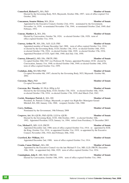# **68** National University of Ireland **Calendar Centenary Year, 2008**

### **Comerford, Richard V., MA, PhD Member of Senate**

Elected by the Governing Body, NUI, Maynooth, October 29th, 1997; term of office expired 31st October, 2002.

### **Concannon, Senator Helena, MA, DLitt Member of Senate Member of Senate**

Appointed by the Executive Council, October 23rd, 1934; nominated by the Government, November 1st, 1939; re-nominated November 17th, 1944; re-nominated October 22nd, 1949; died February, 1952.

### **Conran, Matthew J., MA, DSc Member of Senate**

Elected by Convocation, October 7th, 1924; re-elected October 12th, 1929; term of office expired October 31st, 1934.

### **Conway, Arthur W., MA, DSc, ScD, LLD, FRS Member of Senate**

Appointed member of Senate December 2nd, 1908; term of office expired October 31st, 1914; re-elected by the Governing Body, UCD, October 13th, 1914; re-elected October 16th, 1919; re-elected October 17th, 1924; re-elected October 16th, 1929; re-elected October 17th, 1934; Appointed President of UCD, April 18th, 1940; died July 11th, 1950.

### **Conway, Edward J., MD, DSc, FRCPI, FRS Member of Senate**

Co-opted October 30th 1947 vice Professor M. Tierney, appointed President, UCD; elected by Convocation, January 31st, 1948; re-elected October 14th, 1949; re-elected October 16th, 1954; term of office expired October 31st, 1959.

### **Coolahan, John, MA MEd PhD Member of Senate**

Co-opted November 6th, 1997; elected by the Governing Body, NUI, Maynooth October 9th, 2002.

### **Corcoran, Mary, PhD Member of Senate**

Co-opted November 2007.

### **Corcoran, Rev Timothy,** SJ, DLitt, HDip in Ed **Member of Senate**

Elected by the Governing Body, UCD, October 17th, 1924; re-elected October 16th, 1929; re-elected October 17th, 1934; re-elected October 17th, 1939; died March 23rd, 1943.

### **Corish, Monsignor Patrick J., MA, DD <b>Member of Senate Member of Senate**

President, St. Patrick's College, Maynooth, co-opted vice Right Rev Monsignor Gerard Mitchell, BA, DD, January 11th, 1968; resigned, October 12th, 1968.

Nominated by the Government, 19th February 2008

**Cosgrove, Art**, BA (QUB), PhD (QUB), LLD hc (QUB) **Member of Senate**

# Elected by the Governing Body, UCD, 16th October, 1987; re-elected October 16th, 1992; Appointed President, UCD, January 1st, 1994; retired from Presidency 31 December 2003.

### **Cox, Michael F., MD, LLD, FRCPI Member of Senate**

Appointed December 2nd, 1908; term of office expired October 31st, 1914; re- appointed by H.M. the King, October 31st, 1914; re-appointed October 31st, 1919; re-appointed by the Executive Council, November 25th, 1924; died February 20th, 1926.

### **Crawford, Rev William, MA Member of Senate**

Appointed December 2nd, 1908; term of office expired October 31st, 1914.

### **Cronin, Canon Michael , MA, DD <b>Member of Senate Member of Senate**

Appointed by the Executive Council vice the late Michael F. Cox, MD, LLD, FRCPI, December 19th, 1928; re-appointed July 18th, 1929; term of office expired October 31st, 1934.

### **Cunningham, John F., MD, MAO, FRCOG Member of Senate**

Elected by Convocation, October 10th, 1959; term of office expired October 31st, 1964.

### **Corry, Siobhan, Member of Senate**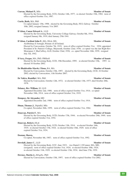### **Curran, Michael P., MSc Member of Senate**

Elected by the Governing Body, UCG, October 14th, 1977; re-elected October 15th, 1982; term of office expired October 31st, 1987.

### **Curtis, Ruth,** MA, PhD **Member of Senate**

Co-opted January 15th, 1998; elected by the Governing Body, NUI, Galway October 10th, 2002; resigned January 31st 2005.

### **D'Alton, Canon Edward A.**, LLD **Member of Senate**

Elected by the Governing Body, University College Galway, October 8th, 1914; resigned January 9th, 1919; died January 25th 1941.

### **D'Alton, Cardinal John F., MA, DLitt, DD, <b>Member of Senate**

Archbishop of Armagh, Primate of all Ireland; Elected by Convocation, October 7th, 1919; term of office expired October 31st, 1924; appointed President of St. Patrick's College, Maynooth, October 22nd, 1936; co-opted vice the late Right Rev Monsignor J. MacCaffrey, LLD, October 22nd, 1936; co- opted November 16th, 1939; resigned July 3rd, 1942.

### **D'Arcy, Fergus,** MA, PhD, FRHistS **Member of Senate**

Elected by the Governing Body, UCD, 19th December, 1995; re-elected October 15th, 1997; reelected 16 October 2002.

### **De Bhaldraithe-Marsh, Clíona, BA, MA Member of Senate**

Elected by Convocation, October 15th, 1997; elected by the Governing Body, UCD, 16 October 2002; elected by Convocation, 11th October 2007.

### **De Valéra, Ruaidhrí**, MA, PhD **Member of Senate**

Elected by Convocation, October 12th, 1972; re-elected October 13th, 1977; died October 28th, 1978.

### **Delaney, Rev William, SJ, LLD <b>Member of Senate**

Appointed December 2nd, 1908; term of office expired October 31st, 1914; co-opted November 18th, 1914; term of office expired October 31st, 1919.

### **Dempsey, Sir Alexander, MD Member of Senate**

Appointed December 2nd, 1908; term of office expired October 31st, 1914.

# **Dinan, Thomas J., DipinEd, MSc <b>Member of Senate** Member of Senate

Co-opted, November 26th, 1959; term of office expired October 31st, 1964.

### **Donovan, Patrick F.**, MA **Member of Senate**

Elected by the Governing Body, UCD, October 17th, 1944; re-elected November 29th, 1949; term of office expired October 31st, 1954.

# **Donovan, Robert, DLitt Member of Senate**

Elected by the Governing Body, UCD, October 13th, 1914; re-elected October 16th, 1919; re-elected October 17th, 1924; re-elected October 16th, 1929; term of office expired October 31st, 1934.

Co-opted, November 4th, 1987; term of office expired October 31st, 1992.

### **Dowdall, James C., LLD Member of Senate**

Elected by the Governing Body, UCC, June 1923; vice Daniel J. O'Connor, MA, MD, (resigned); term of office expired October 31st, 1924; re-elected October 10th, 1924; re-elected October 11th, 1929; re-elected October 13th, 1934; died June 27th, 1939.

# **Downes, Martin J., MAgrSc, PhD Member of Senate**

Elected by Convocation, October 15th, 1997; term of office expired October 31st 2002.

### **Doonan, Shawn, New Shawn, New Shawn, New Shawn, New Shawn, New Shawn, New Shawn, New Shawn, New Shawn, New Shawn, New Shawn, New Shawn, New Shawn, New Shawn, New Shawn, New Shawn, New Shawn, New Shawn, New Shawn, New Shaw**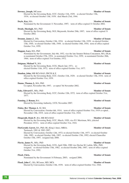### **Downey, Joseph, MComm <b>Member of Senate**

Elected by the Governing Body, UCC, October 11th, 1929; re-elected October 13th, 1934; re-elected October 13th, 1939; died March 23rd, 1944.

### **Doyle, Kay, MA Member of Senate**

Nominated by the Government 11 November, 1997; term of office expired 31 October 2002.

### **Drudy, Sheelagh, MA, PhD Member of Senate**

Elected by the Governing Body, NUI, Maynooth, October 29th, 1997; term of office expired 31 October 2002.

### **Drumm, James J., DSc Member of Senate**

Elected by Convocation, October 13th, 1934; re-elected October 13th, 1939; re-elected October 13th, 1944; re-elected October 14th, 1949; re-elected October 16th, 1954; term of office expired October 31st, 1959.

### **Duggan, Lucy, MA, PhD Member of Senate**

Nominated by the Government, July 6th, 1952, vice the late Senator Helena Concannon, MA, DLitt; re-nominated October 27th, 1954; re-nominated October 31st, 1959; re-nominated October 28th, 1964; term of office expired 31st October, 1972.

### **Duignan, Michael V., MA Member of Senate**

Elected by the Governing Body, UCG, March 2nd, 1971; reelected October 11th, 1972; term of office expired October 31st, 1977.

### **Dundon, John, MB BCh BAO, FRCSI & E Member of Senate**

Elected by the Governing Body, UCC, October 11th, 1929; re-elected October 13th, 1934; term of office expired October 31st, 1939.

### **Dunne, Thomas J., MA, PhD Member of Senate**

Co-opted, November 6th, 1997; co-opted 7th November 2002.

### **Fahy, Edward F.**, MSc, PhD **Member of Senate**

Elected by the Governing Body, UCC, October 12th, 1972; term of office expired October 31st, 1977.

### **Fanning, J. Ronan, BA: Member of Senate**

Elected by Governing Authority, UCD, November 2007.

### **Finlay, Rev Thomas A**, SJ, MA **Member of Senate**

Elected by Convocation, October 6th, 1914; term of office expired October 31st, 1919 co-opted , November 13th, 1919; term of office expired October 31st, 1924.

### **Fitzgerald, Denis P.**, BA, MB BCh BAO **Member of Senate**

Elected by the Governing Body, UCC, March, 1920, vice P.J. Merriman, MA, (elected President, UCC); term of office expired October 31st, 1924.

### **FitzGerald, Garret,** BA, PhD, BL (King's Inns), MRIA; **Member of Senate**

Taoiseach, 1981 & 1983-1987;

Elected by Convocation, October 12th, 1972; re-elected October 13th, 1977; re-elected October 14th, 1982; re-elected October 16th, 1987; re-elected October 15th, 1992; elected Chancellor October 15th, 1997; resigned July 2008.

### **Flavin, James N., MSc, PhD Member of Senate**

Elected by the Governing Body, UCG, April 30th, 1980 vice Declan M. Larkin, MSc, PhD, resigned; re-elected October 15th, 1982; re-elected October 29th, 1987; term of office expired October 31st, 1992.

Nominated by the Government 14 February, 2003; resigned 2006.

### Flood, John C., BA, BComm, MD, MCh **Member of Senate**

Elected by Convocation, October 13th, 1939; term of office expired October 31st, 1944.

### **Flood, Chris, Newborner, Christian Christian Christian Christian Christian Christian Christian Christian Christian Christian Christian Christian Christian Christian Christian Christian Christian Christian Christian Christ**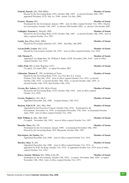|                                                                         | term of office explice october 515t, 1772, Electe<br>by Convocation, October 15th, 1997; re-elected 16th October 2002; re-elected 11th October 2007.                                                                                                                                                                                                |                         |
|-------------------------------------------------------------------------|-----------------------------------------------------------------------------------------------------------------------------------------------------------------------------------------------------------------------------------------------------------------------------------------------------------------------------------------------------|-------------------------|
| Gallagher, Eamonn J., MAgrSc, PhD<br>office expired October 31st, 1997. | Elected by the Governing Body, UCD, October 16th, 1987; re-elected October 16th, 1992; term of                                                                                                                                                                                                                                                      | <b>Member of Senate</b> |
| Gantly, Joe, BEng (Dub), MBA                                            | Elected by Governing Authority UCC, 2007; died May 14th 2009.                                                                                                                                                                                                                                                                                       | <b>Member of Senate</b> |
| Gavan-Duffy, Louise, MA, LLD                                            | Elected by Convocation, October 7th, 1919; term of office expired October 31st, 1924.                                                                                                                                                                                                                                                               | <b>Member of Senate</b> |
| Gill, Thomas P.,<br>expired October 31st, 1914.                         | Appointed vice Right Hon. Sir. William F. Butler, GCB, November 25th, 1910; term of office                                                                                                                                                                                                                                                          | <b>Member of Senate</b> |
| Giller, Paul, BSc (Lond); Registrar, UCC;                               | Co-opted, 21st April 2005; co-opted November 2007.                                                                                                                                                                                                                                                                                                  | <b>Member of Senate</b> |
|                                                                         | Gilmartin, Thomas P., DD, Archbishop of Tuam<br>Elected by the Governing Body, UCG, vice Very Rev E.A. Canon<br>D'Alton, LLD, May 6th, 1919; term of office expired October 31st, 1919; re-elected<br>October 14th, 1919; re-elected October 10th, 1924; re-elected October 16th, 1929; re-<br>elected October 14th, 1934; died October 14th, 1939. | <b>Member of Senate</b> |
| Gwynn, Rev Aubrey, SJ, MA, BLitt (Oxon)<br>October 31st, 1959.          | Elected by the Governing Body, UCD, October 16th, 1954; term of office expired                                                                                                                                                                                                                                                                      | <b>Member of Senate</b> |
| Gwynn, Stephen L., BA, DLitt                                            | Appointed December 2nd, 1908; resigned January 12th, 1912.                                                                                                                                                                                                                                                                                          | <b>Member of Senate</b> |
| Hackett, Felix E.W., MA, MSc, PhD                                       | Appointed by the Executive Council, October 23rd, 1934; Nominated by the<br>Government, November 1st, 1939; re-nominated November 17th, 1944; re-nominated October<br>22nd, 1949; term of office expired October 31st, 1954.                                                                                                                        | <b>Member of Senate</b> |
| <b>Hall, William J.,</b> MSc, MD, PhD                                   | Co-opted; , November 2nd, 1992; term of office expired October 31st, 1997.                                                                                                                                                                                                                                                                          | <b>Member of Senate</b> |
| Hanafin, Mary, BA, TD                                                   | Nominated by the Government, January 1989; re-nominated November 10th, 1992<br>Elected by the Governing Body, NUI, Maynooth, October 29th, 1997.                                                                                                                                                                                                    | <b>Member of Senate</b> |
| Harrington, Sir Stanley, BA                                             | Appointed December 2nd, 1908; term of office expired October 31st, 1914.                                                                                                                                                                                                                                                                            | <b>Member of Senate</b> |
| <b>Hayden, Mary T., MA</b><br>expired October 31st, 1924.               | Appointed December 2nd, 1908; term of office expired October 31st, 1914; re-<br>appointed by H.M. the King, October 31st, 1914; re-appointed October 31st, 1919; term of office                                                                                                                                                                     | <b>Member of Senate</b> |
| Hayes, Senator Michael, MA, HDip in Ed, BL                              | Nominated by the Government, October 27th, 1954; co-opted, November 26th, 1959; co-opted<br>November 13th, 1964; term of office expired October 31st, 1972.                                                                                                                                                                                         | <b>Member of Senate</b> |

# **Fottrell, Patrick,** DSc, PhD MRIA **Member of Senate**

Elected by the Governing Body, UCG, October 20th, 1987; re-elected October 16th, 1992; appointed President, UCG, July 1st, 1996; retired 31st July, 2000.

**Francis, Thomas,** MA **Member of Senate** Nominated by the Government, January 1989; term of office expired October 31st, 1992; Elected

- 
-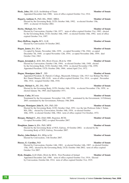# **Healy, John,** DD, LLD, Archbishop of Tuam **Member of Senate**

Appointed December 2nd, 1908; term of office expired October 31st, 1914.

### **Hegarty, Anthony F., PhD, BSc, FRSC, MRIA Member of Senate**

Elected by the Governing Body, UCD, October 16th, 1992; re-elected October 15th, 1997; re-elected 16 October 2002.

### **Herity, Michael, MA, PhD Member of Senate**

Elected by Convocation, October 13th, 1977; term of office expired October 31st, 1982; elected by the Governing Body, UCD, October 16th, 1987; re-elected October 16th, 1992; term of office expired October 31st, 1997.

# **Hoey-Heffron, Angela,** BCL, LLB **Member of Senate**

Elected by Convocation 16 October 2002.

# **Hogan, James, BA, DLitt Member of Senate**

Co-opted by Senate, November 16th, 1939; co-opted November 17th, 1944; co-opted December 7th, 1949; co-opted November 12th, 1954; co-opted November 26th, 1959; died October 23rd, 1963.

# **Hogan, Jeremiah J.**, KSS, MA, BLitt (Oxon), DLitt hc 1968 **Member of Senate**

Elected by Convocation, October 13th, 1944; re-elected October 14th, 1949; elected by the Governing Body, UCD, October 16th, 1954; re-elected November 17th, 1959; Appointed President, UCD, October 29th, 1964; retired April 21st, 1972.

# **Hogan, Monsignor John F**. , DD **Member of Senate**

Appointed President, St. Patrick's College, Maynooth; February 12th, 1913 vice Bishop The Most Rev Daniel Mannix, DD, LLD; term of office expired October 31st, 1914; co-opted , November 18th, 1914; resigned October 18th, 1918.

# **Hogan, Michael A., BE, DSc, PhD Member of Senate**

Elected by the Governing Body, UCD, October 16th, 1954; re-elected November 17th, 1959; reelected January 5th, 1965; died September 1971.

### **Honan, Cathy,** BComm **Member of Senate**

Nominated by the Government, November 11th, 1997; nominated by the Government, 14 February 2003; nominated by the Government, February 19th 2008.

### **Horgan, Monsignor John D., MA, PhD, DD Member of Senate**

Elected by the Governing Body, UCD, October 22nd, 1952, vice the late Professor John J. Nolan, MA, DSc; elected by Convocation, October 16th, 1954; re-elected October 10th, 1959; re-elected October 10th, 1964; term of office expired 31st October, 1972.

### **Horgan, Michael C., BSc (Dub) MIE; Registrar, RCSI; Member of Senate** Co-opted November 2002; co-opted November 2007.

### **Houghton, James A, BSc, PhD, MFH <b>Member of Senate** Member of Senate

Elected by the Governing Body of NUI, Galway, 10 October 2002; re-elected by the Governing Body of NUI, Galway, November 2007.

### **Hurley, John Robert, BA, HDip in Ed <b>Member of Senate** Member of Senate

Elected by Convocation, 11th October 2007.

### **Hussey, E. Caroline, PhD Member of Senate**

Elected by Convocation, October 14th, 1982; re-elected October 14th, 1987; re-elected October 15th, 1992; elected by the Governing Body, UCD, October 16th 2002; term of office expired October 31st 2007.

### **Hyde, Douglas,** LLD (Dub), DLitt (hc RUI), First President of Ireland **Member of Senate** Appointed December 2nd, 1908; term of office expired October 31st, 1914; Elected by Convocation, October 6th, 1914; term of office expired October 31st, 1919.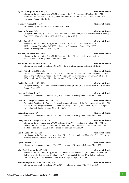### **Hynes, Monsignor John, MA, BD Member of Senate**

Elected by the Governing Body, UCG, October 14th, 1919; re-elected October 10th, 1924; re-elected October 16th, 1929; Appointed President, UCG, October, 25th, 1934; retired from Presidency January 5th, 1945.

### **Kearney, Philip, MFT, MSc Member of Senate**

Nominated by the Government, 19th February 2008.

### **Keenan, Edward, MD Member of Senate**

Co-opted April 11th, 1957, vice the late Professor John McGrath, MD; Elected by the Governing Body, UCD, November 17th, 1959; died February 14th, 1962.

Elected by the Governing Body, UCD, October 18th, 1982; co-opted November 4th, 1987; co-opted November 2nd, 1992; elected by Convocation, October 15th, 1997; term of office expired October 31st, 2002.

### **Kennedy, Maurice, MSc, PhD <b>Member of Senate** Member of Senate

Elected by the Governing Body, UCD, October 17th, 1972; co-opted, November 8th, 1977; term of office expired October 31st, 1982.

### **Kenny, Mr. Justice John J. MA, LLB <b>Member of Senate**

Elected by Convocation, October 10th, 1964; term of office expired October 31st, 1972.

### **Kiely, Patrick, MD, MCh, BSc Member of Senate**

Elected by Convocation, October 13th, 1934; re-elected October 13th, 1939; re-elected October 13th, 1944; re-elected October 14th, 1949; elected by the Governing Body, UCC, October 15th, 1954; re-elected October 15th, 1959; re-elected October 13th, 1964;

### **Larkin, Declan M., MSc, PhD <b>Member of Senate Member of Senate**

Co-opted January 15th, 1976; elected by the Governing Body, UCG, October 14th, 1977; resigned January 31st, 1980.

### **Lawton, Richard R, MA Member of Senate**

Elected by Convocation, October 12th, 1929; term of office expired October 31st, 1934.

### **Ledwith, Monsignor Mícheál, BA, LPh, DD Member of Senate**

Appointed President, St. Patrick's College, Maynooth, March 13th 1985; co-opted, June 5th, 1985, vice Rt. Rev Monsignor Michael G. Olden, resigned; co-opted , November 4th, 1987; co-opted November 2nd, 1992; resigned 27th July, 1994.

### **Lee, John Joseph**, MA **Member of Senate**

Elected by Convocation, October 15th, 1992; term of office expired October 31st, 1997.

### **Lucey, Denis I.F.,** BAgrSc, MSc, PhD **Member of Senate**

Elected by the Governing Body, UCC, October 13th, 1977; re-elected October 18th, 1982; reelected 16th October, 1987; re-elected October 15th, 1992; re-elected October 14th, 1997; reelected 13 November 2003; term of office expired October 31st 2007.

### **Lynch, Celia,** BA, BComm **Member of Senate**

Nominated by the Government, November 17th, 1972; re-nominated November 2nd, 1977; term of office expired October 31st, 1982; died 1986.

### **Lynch, Patrick, MA Member of Senate**

Elected by Convocation, October 12th, 1972; term of office expired October 31st, 1977.

### **Mac Enrí, Seaghan P., MA, MD Member of Senate**

Elected by the Governing Body, UCG, vice the late Alfred Senier, MD, PhD, DSc, October 15th, 1918; term of office expired October 31st, 1919; re-elected October 14th, 1919; re-elected October 10th, 1924; re-elected October 16th, 1929; died April 14th, 1930.

### **MacAodhagáin, Rev Aindrias, CSSp, MA Member of Senate**

Elected by Convocation, October 10th, 1959; re-elected October 10th, 1964; died 1971.

### **Kelly, John, PhD <b>Member of Senate**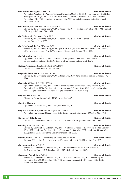### **MacCaffrey, Monsignor James , LLD <b>Member of Senate** Member of Senate

office expired October 31st, 1987.

Appointed President, St. Patrick's College, Maynooth, October 8th 1918; co-opted vice Right Rev Monsignor J.F. Hogan, DD, December 12th, 1918; co-opted November 13th, 1919; co-opted November 13th, 1924; co-opted November 14th, 1929; co-opted November 13th, 1934; died November 1st, 1935.

| MacGiollarnath, Proinnsias, MA, LLB<br>Elected by the Governing Body, UCG, October 11th, 1972; term of office<br>expired October 31st, 1977.                                                                       | <b>Member of Senate</b> |
|--------------------------------------------------------------------------------------------------------------------------------------------------------------------------------------------------------------------|-------------------------|
| MacHale, Joseph P., BA, MComm, ACA<br>Elected by the Governing Body, UCD, April 17th, 1962, vice the late Professor Edward Keenan,<br>MD; re-elected January 5th, 1965; term of office expired October 31st, 1972. | <b>Member of Senate</b> |
| <b>MacNeill, John, BA, DLitt</b>                                                                                                                                                                                   | <b>Member of Senate</b> |
| Appointed December 2nd, 1908; term of office expired October 31st, 1914; Elected                                                                                                                                   |                         |
| by Convocation, October 7th, 1919; term of office expired October 31st, 1924.                                                                                                                                      |                         |

### **Madden, Therese J,** BSocSc, DASS, CQSW, MSW **Member of Senate** Elected by Convocation 16 October 2002.

- **Magennis, Alexander J., MEconSc, FSAA <b>Member of Senate** Elected by the Governing Body, UCC, October 13th, 1939; term of office expired October 31st, 1944.
- **Magennis, William, MS, DLitt, KCSS;**  $\blacksquare$  **Member of Senate**

Appointed December 2nd, 1908; term of office expired October 31st, 1914; Elected by the Governing Body, UCD, October 13th, 1914; re-elected October 16th, 1919; re-elected October 17th, 1924; re-elected October 16th, 1929; re-elected October 17th, 1934;

**Maguire, Anita**, BSc, PhD **Member of Senate** 

Elected by Governing Authority UCC, November 2007.

Appointed December 2nd, 1908; resigned May 7th, 1913.

**Maguire, William**, BA, MD, FRCPI, DipMental Diseases **Member of Senate** Appointed vice Thomas Maguire, June 17th, 1913; term of office expired October 31st, 1914.

### **Malone, Rev John F.**, BA **Member of Senate**

Elected by Convocation, October 13th, 1977; term of office expired October 31st, 1982.

### **Manning, Maurice, MA, Dlitt Member of Senate Member of Senate**

Elected by Convocation, October 14th, 1982; re-elected October 14th, 1987; re-elected October 15th, 1992; re-elected October 15th, 1997; re-elected 16 October 2002; re-elected 11th October 2007; elected Chancellor of the University March 12th 2009.

**Mannix, Daniel ,** DD, LLD (Archbishop of Melbourne, Australia) **Member of Senate** Appointed December 2nd, 1908; resigned January 18th, 1913; died November 6th, 1963.

### **Martin, Augustine, MA, PhD Member of Senate**

Elected by Convocation, October 14th, 1982; re-elected October 14th, 1987elected by the Governing Body, UCD, October 16th, 1992; died 16th October, 1995.

### **Masterson, Patrick P., MA, PhD Member of Senate**

Elected by Convocation, October 12th, 1972; re-elected October 13th, 1977; elected by the Governing Body, UCD, October 18th, 1982; appointed President, UCD, January 30th, 1986; retired 31st December, 1993.

### **MacCormac, Michael,** MA, MComm, DEconSc **Member of Senate** Elected by the Governing Body, UCD, October 11th, 1977; re-elected October 18th, 1982; term of

**Maguire, Thomas, Thomas, The Contract of Senate Contract of Senate Contract of Senate**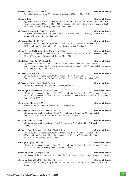### **McArdle, John S., MCh, FRCSI Member of Senate**

Appointed December 2nd, 1908; term of office expired October 31st, 1914.

**McCann, John, 2008** Member of Senate Appointed by the Executive Council vice the late Rt. Hon. Laurence A. Waldron, May 2nd, 1924; term of office expired October 31st, 1924; re-appointed November 25th, 1924; re-appointed July 18th, 1929; term of office expired October 31st, 1934.

**McCarthy, Matthew F., PhD, DSc, MRIA Member of Senate** 

Co-opted November 2nd 1992; Elected by the Governing Body, NUI, Galway, October 28th, 1997; term of office expired 31 October 2002.

**McCartney, Donal,** MA, PhD **Member of Senate** 

Elected by the Governing Body, UCD, October 11th, 1977; re-elected October 18th, 1982; re-elected October 16th, 1987; term of office expired October 31st, 1992.

- **McCarvill (née McGrane), Eileen M.L., MA, HDip in Ed <b>Member of Senate** Elected by Convocation, October 7th, 1924; re-elected October 12th, 1929; re-elected October 13th, 1934; term of office expired October 31st, 1939.
- **McClelland, John A., MA, DSc, FRS <b>Member of Senate**

Appointed December 2nd, 1908; term of office expired October 31st, 1914; Elected by Convocation, October 6th, 1914; term of office expired October 31st, 1919; co- opted , November 13th, 1919; died April 13th, 1920.

**McDermott, Edward N., BSc, MD, MCh <b>Member of Senate** 

Elected by the Governing Body, UCG, October 17th, 1959; re-elected October 15th, 1964; term of office expired October 31st, 1972; died November 1972.

**McDermott, Hubert, BA, HDipinEd, MA Member of Senate** 

Elected by Governing Authority, NUI, Galway, November 2007.

### **McDonagh, Rev Michael E.**, BSc, LPh, DD **Member of Senate**

Elected by Convocation, October 12th, 1972; re-elected October 13th, 1977; re-elected October 14th, 1982; re-elected October 14th, 1987; re-elected October 15th, 1992; term of office expired October 31st, 1997.

### **McDowell, J Moore, BA, MA Member of Senate**

Elected by the Governing Authority, UCD, November 2007.

**McGilligan, Patrick, MA, DEconSc, HDip in Ed <b>Member of Senate** Elected by Convocation, October 7th, 1919; re-elected October 7th, 1924; re-elected October 12th, 1929; term of office expired October 31st, 1934.

### **McGrath, John, MSc, MD Member of Senate**

Elected by Convocation, October 14th, 1949; co-opted November 12th, 1954; died January, 11th, 1957.

**McHenry, John J., MA** (Cantab), DSc, FInstP, MRIA **Member of Senate** 

Elected by the Governing Body, UCC, October 17th, 1949; re-elected October 15th, 1954; re-elected October 15th, 1959; appointed President, UCC, January 9th, 1964; retired from Presidency, June 9th, 1967.

### **McHugh, Roger J., MA, PhD Member of Senate**

Elected by Convocation, October 16th, 1954; re-elected October 10th, 1959; re-elected October 10th, 1964; term of office expired October 31st, 1972.

**McKenna, Anne T., MPsychSc, PhD Member of Senate** 

# Nominated by the Government, November 5th, 1982; term of office expired October 31st, 1987.

### **McKenna, Brian,** BE, MEngSc, CEng, MIChemE **Member of Senate**

Elected by the Governing Body, UCD, October 16th, 1992; term of office expired October 31st, 1997.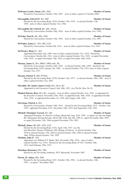### **McKenna Lawlor, Susan, MSc, PhD Member of Senate**

Elected by Convocation, October 15th, 1997; term of office expired 31 October 2002.

### **McLaughlin, Edward P., BA, MD Member of Senate**

Elected by the Governing Body, UCD, October 17th, 1934; re-elected October 17th, 1939; term of office expired October 31st, 1944.

### **McLaughlin, Rev Patrick J.I., MSc, DesSc Member of Senate Member of Senate**

Elected by Convocation, October 16th, 1954; term of office expired October 31st, 1959.

### **McNulty, Paul B., BE, MSc, PhD Member of Senate**

Elected by Convocation, October 15th, 1992; term of office expired October 31st, 1997.

### **McWalter, James C., MA, MD, LLD <b>Member of Senate**

Elected by Convocation, October 6th, 1914; term of office expired October 31st, 1919.

### **McWeeney, Henry C., MA Member of Senate**

Appointed December 2nd, 1908 term of office expired October 31st, 1914; Elected by Convocation, October 6th, 1914; term of office expired October 31st, 1919; co-opted November 13th, 1919; co-opted November 13th, 1924; co-opted November 14th, 1929;

### **Meenan, James F., MA, MRIA, FREconSc, BL Member of Senate**

Elected by Convocation, October 16th, 1954; re-elected October 10th, 1959; elected by the Governing Body, UCD, January 5th, 1965; . re-elected October 17th, 1972; term of office expired October 31st, 1977

### **Meenan, Patrick N,** MD, FCPath **Member of Senate**

Elected by the Governing Body, UCD, October 11th, 1977; re-elected October 18th, 1982; term of office expired October 31st, 1987.

**Meredith, Mr. Justice James Creed, MA, DLitt, KC Member of Senate** 

Appointed by the Executive Council, July 18th, 1923, vice The Rt. Hon. Sir. D.

**Plunkett Barton, Bart,** MA, KC, resigned; term of office expired October 31st, 1924; re-appointed by the Executive Council, November 25th, 1924; re-appointed July 18th, 1929; re-appointed October 23rd, 1934; re-appointed November 1st, 1939; died August 14th, 1942.

### **Merriman, Patrick J., MA Member of Senate**

Elected by Convocation, October 16th, 1914; elected by the Governing Body, UCC, October 11th, 1919; appointed President, UCC, December 16th, 1919; died September 13th, 1943.

### **Mitchell, Monsignor Gerard, BA, DD Member of Senate**

Appointed President, St. Patrick's College, Maynooth, June 23rd, 1959; co-opted vice the late Right Rev Monsignor Edward Kissane, DLitt, DD, LSS, July 9th, 1959 co- opted November 26th, 1959 co-opted November 13th, 1964 resigned November 27th, 1967.

### **Mitchell, James, BE, BSc, FGS, LLD Member of Senate**

Elected by the Governing Body, UCG, April 13th, 1937, vice the late Most Rev Thomas O'Doherty, DD, Bishop of Galway re-elected October 12th, 1939 re-elected October 17th, 1944 re-elected October 14th, 1949 re-elected October 16th, 1954re-elected October 17th, 1959

### **Molohan, John P.**, MA **Member of Senate**

Appointed vice William F.T. Butler, MA, November 25th, 1910; term of office expired October 31st, 1914; Elected by the Governing Body of UCC, October 16th, 1914; died February 25th, 1915.

### **Monahan, Rosemary, BSc, MSc Member of Senate of Senate**

Elected by the Governing Authority, NUI, Maynooth, November 2007.

# **Moran, M. Aidan, MSc, PhD Member of Senate**

Elected by the Governing Body, UCC, October 15th, 1992; re-elected October, 14th, 1997; co-opted 7 November 2002.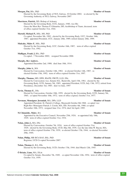### **Morgan, Pat, BSc, PhD Member of Senate** Elected by the Governing Body of NUI, Galway, 10 October 2002; re-elected by the Governing Authority of NUI, Galway, November 2007

### **Morrisroe, Patrick, DD, Bishop of Achonry <b>Member of Senate Member of Senate** Elected by the Governing Body, UCG, January, 1940, vice His Grace the Most Rev Thomas P. Gilmartin, DD, Archbishop of Tuam, deceased; term of office expired October 31st, 1944.

### **Mortell, Michael P., MSc, MS, PhD Member of Senate**

Co-opted, November 9th, 1982; elected by the Governing Body, UCC, October 16th, 1987; appointed President, UCC, January 26th, 1989; retired January 26th, 1999.

### **Mulcahy, Máire F., MSc, PhD Member of Senate**

Elected by the Governing Body, UCC, October 16th, 1987; term of office expired October 31st, 1992.

# **Mulligan, Frank J, BSc, PhD Member of Senate**

Co-opted , 7 November 2002; resigned November 2006

### **Murphy, Rev Andrew, The Contract of Senate Andrew, Member of Senate**

Appointed December 2nd, 1908; died June 18th, 1914.

### **Murphy, John A., MA Member of Senate**

Elected by Convocation, October 14th, 1982; re-elected October 14th, 1987; reelected October 15th, 1992; term of office expired October 31st, 1997.

# **Murphy, Thomas,** MD, DPH, BScPH, FRCPI, LLD, DSc **Member of Senate**

Elected by Convocation vice, Senator H.L. Barniville, April 15th, 1961; elected by the Governing Body, UCD, January 5th, 1965; appointed President, UCD, July 13th, 1972; retired from Presidency, December 3rd, 1985; died 1st June, 1997

### **Nevin, Thomas E.**, DSc **Member of Senate**

Elected by Convocation, October 10th, 1959; elected by the Governing Body, UCD, January 5th, 1965; co-opted November 10th, 1972; term of office expired, October 31st, 1977.

### **Newman, Monsignor Jeremiah, MA, DPh, LLD <b>Member of Senate** Member of Senate

Appointed President, St. Patrick's College, Maynooth October 8th 1968; co-opted vice Right Rev Monsignor Patrick J. Corish, MA, DD, November 4th, 1968; co-opted November 10th, 1972; resigned June 21st, 1974; died 3rd April, 1995.

### **Ní Chinnéide, Máire**, BA **Member of Senate**

Appointed by the Executive Council, November 25th, 1924; re-appointed July 18th, 1929; term of office expired October 31st, 1934.

# **Nolan, John J., MA, DSc Member of Senate**

Elected by Convocation, October 7th, 1924; term of office expired October 31st, 1929; elected by the Governing Body, UCD, May 8th, 1939, vice the late John W. Bacon, MA; term of office expired October 17th, 1939; re-elected October 17th, 1944; re-elected November 29th, 1949;

# **Nolan, Philip, MB BCh BAO, BSc, PhD <b>Member of Senate**

Registrar, UCD Co-opted November 2007.

# **Nolan, Thomas J., BA, DSc Member** of Senate

Elected by the Governing Body, UCD, October 17th, 1944. died March 12th, 1945.

### **Ó** Briain, Liam, MA, DLitt **Member of Senate**

Co-opted by Senate, December 7th, 1949; co-opted November 12th, 1954; term of office expired October 31st, 1959.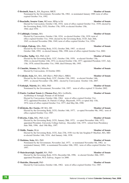### **Ó Broiméil, Sean A., BA, Registrar, MICE Member of Senate**

Nominated by the Government, November 5th, 1982; re-nominated January 1989; term of office expired October 31st, 1992.

**Ó** Buachalla, Senator Liam, MComm, HDip in Ed **Member of Senate** Elected by Convocation, October 13th, 1934; term of office expired October 31st, 1939; elected by the Governing Body, UCG, October 17th, 1959; re-elected October 15th, 1964; died 1970.

### **Ó** Cadhlaigh, Cormac, MA **Member of Senate**

Elected by Convocation, October 13th, 1934; re-elected October 13th, 1939; term of office expired October 31st, 1944; elected by the Governing Body, UCD, June 26th, 1945; re-elected November 29th, 1949; term of office expired October 31st, 1954.

# **Ó Céidigh, Pádraig**, MSc, PhD; **Member of Senate**

Elected by the Governing Body, UCG, October 20th, 1987; re-elected October 16th, 1992; re-elected January 29th, 1998; term of office expired October 31st, 2002.

# **Ó** Ciardha, Tadhg, MA, PhD, LLD **Member of Senate**

Elected by the Governing Body, UCC, October 15th, 1959; re-elected October 13th, 1964; re-elected October 12th, 1972; re-elected October 13th, 1977; appointed President, UCC, July 13th, 1978; retired December 31st, 1988; died February 8th, 1995.

# **Ó** Cinnéide, Séamus, BA, MSocSc **Member of Senate**

Elected by Convocation, 16 October 2002.

**Ó Coileáin, Seán,** BA, MA, AM (Harv), PhD (Harv), MRIA **Member of Senate**

Elected by the Governing Body, UCC, October 15th, 1992; re-elected October 14th, 1997; re-elected November 13th, 2002; elected by Convocation October 11th, 2007.

**Ó** Fathaigh, Mairtín, BA, MEd, PhD **Member of Senate** 

Nominated by the Government, November 11th, 1997; term of office expired 31 October 2002.

# **Ó Fiaich, Cardinal Tomás J, (Thomas Fee),** MA, LicHistSc, **Member of Senate**

Archbishop of Armagh, Primate of All Ireland

Elected by Convocation, October 10th, 1964; term of office expired October 31st, 1972; appointed President, St. Patrick's College, Maynooth, 1974; co-opted July 11th, 1974; term of office expired October 31st, 1977; died May 8th, 1990.

# **Ó hÉideáin, Rev Eustás,** OP, MA, DD **Member of Senate**

Elected by the Governing Body, UCG, October 14th, 1977; co-opted November 9th, 1982; term of office expired October 31st, 1987.

# **Ó hEocha, Colm,** MSc, PhD, LLD **Member of Senate**

Elected by the Governing Body, UCG, January 20th, 1972; co-opted November 10th, 1972; appointed President, University College Galway, December 11th, 1975; retired from Presidency June 30th, 1996; died 19th May, 1997.

# **Ó Máille, Tomás,** DLitt **Member of Senate**

Elected by the Governing Body, UCG, June 27th, 1930 vice the late Seaghan P. MacEnri, MA, MD: re-elected October 14th, 1934; died January 14th, 1938.

# **Ó Mathúna, Seán,** MA, PhD **Member of Senate**

Nominated by the Government, November 2nd, 1977; re-nominated November 5th, 1982; renominated January 1989; re-nominated November 10th, 1992; term of office expired October 31st, 1997.

# **Ó Muircheartaigh, Iognáid,** MA, PhD **Member of Senate**

Elected by the Governing Body, UCG, December 6th, 1996; re-elected October 28th, 1997; appointed President, NUI, Galway, August 1st 2000.

# **Ó Muirithe, Diarmaid,** PhD **Member of Senate**

Elected by Convocation, October 14th, 1982; term of office expired October 31st, 1987.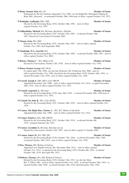expired October 31st, 1997. **Ó Súilleabháin, Micheál,** BA, BComm, BacScOec, DrScPol **Member of Senate** Elected by the Governing Body, UCC, October 15th, 1992; re-elected October 14th, 1997. Elected by Convocation 16 October 2002. **Ó** Tuama, Seán, MA, PhD **Member of Senate** Elected by the Governing Body, UCC, October 16th, 1987; term of office expired October 31st, 1992; died September 2006 **Ó** Tuathaigh, M.A. Gearóid, MA **Member of Senate** office expired October 31st, 2002. **O'Beirne, Thomas C**, MA, HDip in Ed **Member of Senate** Elected by Convocation, October 12th, 1929; term of office expired October 31st, 1934. **O'Brien, Senator George A.T.**, DLitt **Member of Senate** Co-opted April 15th, 1948, vice the late Professor J.M. O'Sullivan, MA, PhD; term of elected November 17th, 1959; term of office expired October 31st, 1964. **O'Carroll, Joseph F.,** MD, MCh, LLD, FRCPI **Member of Senate** 18th, 1914; term of office expired October 31st, 1919. **O'Connell, Augustine J.**, MComm **Member of Senate** office expired October 31st, 1954. **O'Connell, Sir John R.**, MA, LLD, KCSG **Member of Senate** 1929. **O'Connor, The Right Hon. Charles A.** , MA, KC, Master of the Rolls **Member of Senate** Appointed December 2nd, 1908; term of office expired October 31st, 1914. **O'Connor, Daniel J., MA, MD, FRCPI <b>Member Member of Senate** Elected by the Governing Body, UCC, October 16th, 1914; re-elected October 9th, 1919; resigned February 4th, 1923. Elected by Convocation, October 15th, 1997; term of office expired 31 October 2002. **O'Connor, James M., BA, MD, DSc Member of Senate** re-elected October 16th, 1954; term of office expired October 31st, 1959. **O'Dea, Thomas,** DD, Bishop of Galway **Member of Senate** Appointed vice Stephen Gwynn, BA, December 30th, 1912; term of office expired October 31st, 1914; re-elected by the Governing Body, UCG, October 8th, 1914; re-elected October 14th, 1919; died April 9th, 1923. **O'Doherty, Thomas.,** BA, DD, Bishop of Galway **Member of Senate**

Elected by the Governing Body, UCG, October 11th, 1923, vice the late Most Rev T. O'Dea, DD; term of office expired October 31st, 1924; re-elected October 10th, 1924; reelected October 16th, 1929; re-elected October 14th, 1934; died December 15th, 1936.

Elected by the Governing Body, UCG, October 16th, 1992; re-elected October 28th, 1997; term of

Nominated by the Government, September 21st, 1960, vice the Right Rev Monsignor Pádraig de Brún, BSc, deceased; re-nominated October 28th, 1964 term of office expired October 31st, 1972. **Ó** Rodaighe, Aodhagán, MSc, PhD **Member of Senate** 

Elected by the Governing Body, UCG, October 16th, 1992; term of office

office expired October 31st, 1949; elected by the Governing Body, UCD, October 16th, 1954; re-

Appointed December 2nd, 1908; term of office expired October 31st, 1914; co-opted November

Elected by the Governing Body, UCD, June 26th, 1945; re-elected November 28th, 1949 term of

Elected by the Governing Body, UCC, October 10th, 1924; term of office expired October 31st,

**O'Connor, Geraldine F.,** BComm, Barrister-at-Law **Member of Senate**

Elected by the Governing Body, UCD, October 17th, 1944; re-elected November 29th, 1949;

### **Ó** Riain, Senator Eoin, BA, SC **Member of Senate**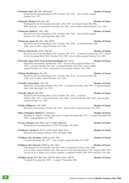### **O'Donnell, John, ME, BSc, MIChemE <b>Member of Senate** Member of Senate

Elected by the Governing Body, UCD, October 17th, 1972; term of office expired October 31st, 1977.

### **O'Donnell, Michael, MEconSc, BE Member of Senate Member of Senate**

Nominated by the Government, December 14th, 1979, vice John D. Barry, BE, MSc, PhD, deceased; re-nominated November 5th, 1982; term of office expired October 31st, 1987.

### **O'Donovan, Daniel G., MSc, PhD Member of Senate**

Elected by the Governing Body, UCC, October 18th, 1982; term of office expired October 31st, 1987; died September 30th, 1992.

### **O'Donovan, James M., MSc, MD, FRCP <b>Member of Senate**

Elected by the Governing Body, UCC, October 13th, 1939; re-elected October 18th, 1944; term of office expired October 31st, 1949.

### **O'Dwyer, Edward M.,** MAO, FRCOG **Member of Senate**

Elected by the Governing Body, UCG, October 11th, 1972; co-opted November 8th, 1977; elected by the Governing Body, UCG, October 15th, 1982; term of office expired October 31st, 1987.

### **O'Farrelly, Agnes M.W. (Úna Ní Fhaircheallaigh),** MA, DLitt **Member of Senate**

Elected by Convocation, October 6th, 1914; term of office expired October 31st, 1919; re-elected October 7th, 1924; re-elected October 12th, 1929; term of office expired October 31st, 1934; re-elected by Convocation, October 13th, 1944;

### **O'Flynn, Bartholomew, BA, BE Member of Senate**

Elected by the Governing Body, UCC, October 16th, 1914; re-elected October 9th, 1919; term of office expired October 31st, 1924.

| <b>O'Keeffe, Canon Denis</b> , MA, DD |  |  |
|---------------------------------------|--|--|
|                                       |  |  |

**O'Keeffe, Canon Denis** , MA, DD **Member of Senate** Elected by Convocation, October 13th, 1939; re-elected November 17th, 1944; re-elected October 14th, 1949; died April 21st, 1952.

### **O'Keeffe, John D., BE, PhD Member of Senate**

Elected by the Governing Body, UCG, October 11th, 1972; re-elected October 14th, 1977; re-elected October 15th, 1982; re-elected October 20th, 1987; term of office expired October 31st, 1992.

### **O'Kelly, William D., MD. DPH <b>Member of Senate**

Elected by Convocation, October 7th, 1919; term of office expired October 31st, 1924.

# **Olden, Monsignor Michael G., DHistEccl <b>Member of Senate** Member of Senate

President, St. Patrick's College, Maynooth, co-opted November 8th, 1977; co-opted November 9th, 1982; resigned March 21st, 1985.

# **O'Leary, Eleanor,** PhD, FRSI, IACT, IAHIP, HDipinEd **Member of Senate** Elected by the Governing Body of UCC November 13th, 2002.

**O'Mahoney, Dermot F.,** FCCA, ACIS, DipA, QFA, FLIA **Member of Senate** Elected by Governing Authority, UCC, November 2007.

### **O'Mahony, Rev Brendan,** OFMCap, MA, PhD **Member of Senate** Co-opted November 8th, 1977; term of office expired October 31st, 1982.

### **O'Mahony, Rev Edward,** OFMCap, MA, DLitt **Member of Senate** Nominated by the Government, July 8th, 1946; re-nominated October 22nd, 1949;

Co-opted, November 6th, 1997; co-opted 7 November 2002.

term of office expired October 31st, 1954 elected by the Governing Body, UCC, January 26th, 1955, vice Dr. H. St. J. Atkins, an ex officio member; re-elected October 15th, 1959; died July 31st, 1962.

# **O'Malley, Kevin,** MD, PhD, DSc, FRCPF, FRCP (Glas), FRCPI **Member of Senate**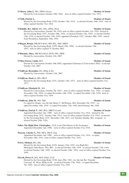### **O'Meara, John J., MA, DPhil (Oxon) Member of Senate**

Elected by Convocation, October 10th, 1964; term of office expired October 31st, 1972.

### **O'Neill, Patrick J., Source 2018 Member of Senate**

Elected by the Governing Body, UCD, October 13th, 1914; re-elected October 16th, 1919; term of office expired October 31st, 1924.

### **O'Rahilly, Rev Alfred, MA, DSc, DPhil, DLitt <b>Member of Senate** Member of Senate

Elected by Convocation, October 7th, 1919; term of office expired October 31st, 1924 elected by the Governing Body, UCC, October 10th, 1924; re-elected October 11th, 1929; re-elected October 13th, 1934; re-elected October 13th, 1939; appointed President, UCC, October 28th, 1943; retired from Presidency, September 19th, 1954.

### **O'Regan, Ronan, MB BCh BAO, MD, BSc, PhD, MRIA Member of Senate**

Elected by the Governing Body, UCD, March 15th, 1994; re-elected October 15th, 1997; term of office expired 31 October 2002.

**O'Riordan, Mary,** MB BCh BAO, DCH, FPC, MPH **Member of Senate** Elected by convocation, October 11th, 2007.

**O'Shea Farren, Linda,** BCL **Member of Senate**

Elected by Convocation October 16th 2002; (appointed Chairman of Convocation 2002) re-elected October 11th, 2007.

### **O'Sullivan, Bernadine,** BA, HDip in Ed **Member of Senate**

Elected by Convocation October 11th, 2007.

### **O'Sullivan, Denis J.,** MD, FRCP **Member of Senate**

Elected by the Governing Body, UCC, October 12th, 1972; term of office expired October 31st, 1977.

### **O'Sullivan, Elizabeth M., MA Member of Senate**

Elected by Convocation, October 7th, 1919; term of office expired October 31st, 1924; co-opted , November 13th, 1924; co-opted November 14th, 1929; co-opted November 13th, 1934; term of office expired October 31st, 1939.

### **O'Sullivan, John M.**, MA, PhD **Member of Senate**

Co-opted by Senate, vice the late Henry C. McWeeney, MA, December 5th, 1935; coopted November 16th, 1939; co-opted November 17th, 1944; died February 9th, 1948.

### **O'Sullivan, Patrick T.**, MD, BCh, MRCP (Lond) **Member of Senate**

Appointed December 2nd, 1908; term of office expired October 31st, 1914; elected by the Governing Body, UCC, October 16th, 1914; term of office expired October 31st, 1919; re-elected by the Governing Body, UCC, December 14th, 1923, vice Timothy Smiddy, MA, resigned; reelected October 10th, 1924;

Palles, The Right Hon. Christopher, LLD, Lord Chief Baron of the Exchequer **Member of Senate** Appointed December 2nd, 1908; term of office expired October 31st, 1919.

### **Pearson, Charles Y., MD, MCh, FRCS, Eng <b>Member Member** of Senate

Appointed December 2nd, 1908; term of office expired October 31st, 1914; co-opted November 18th, 1914; term of office expired October 31st, 1919.

### **Power, Michael, MA, BSc Member of Senate**

Elected by the Governing Body, UCG, January 23rd, 1935, vice Right Rev Monsignor John Hynes, MA, BD; re-elected October 12th, 1939; re-elected October 17th, 1944; re-elected October 14th, 1949; re-elected October 16th, 1954; term of office expired October 31st, 1959.

# **Purcell, Pierce F., MA, MAI (Dub), LLD Member of Senate**

Elected by the Governing Body, UCD, June 29th, 1943, vice the late Rev Timothy Corcoran, SJ, DLitt, HDip in Ed; re-elected October 17th, 1944; co-opted December 7th, 1949; term of office expired October 31st, 1954.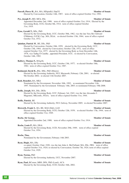# **Purcell, Pierce H., BA, MA, HDipinEd, DipCG <b>Member of Senate**

Elected by Convocation, October 14th, 1987; term of office expired October 31st, 1992.

# **Pye, Joseph P., MD, MCh, DSc Member of Senate**

Appointed December 2nd, 1908; term of office expired October 31st, 1914; Elected by the Governing Body, UCG, October 8th, 1914; term of office expired October 31st, 1919.

# **Pyne, Gerald T., MSc, PhD Member of Senate**

Elected by the Governing Body, UCC, October 30th, 1962, vice the late Very Rev Edward O'Mahony, O.F.M. Cap., MA, DLitt; re-elected October 13th, 1964; term of office expired October 31st, 1972.

# **Quinlan, Patrick M., BE, DSc, PhD <b>Member of Senate** Member of Senate

Elected by Convocation, October 10th, 1959; elected by the Governing Body, UCC, October 13th, 1964; elected by Convocation, October 12th, 1972; term of office expired October 31st, 1977; elected by the Governing Body as from December 14th, 1978, vice Tadhg Ó Ciardha , appointed President, UCC; re-elected by Convocation, October 14th, 1982.

# **Raftery, Thomas F.,** MAgrSc **Member of Senate**

Elected by the Governing Body, UCC, October 13th, 1977; re-elected October 18th, 1982; term of office expired October 31st, 1987.

# **Redmond, David B.,** BSc, MSc, PhD (Illinois) **Member of Senate**

Elected by the Governing Authority, NUI, Maynooth, February 12th, 2001; re-elected 9th October 2002; re-elected 11th October 2007

# **Reid, Benedict, BA, MEd <b>Member of Senate** Member of Senate

Nominated by the Government, November 10th, 1992; re-nominated November 11th, 1997. Nominated by the Government February 14th, 2003; re-nominated February 19th 2008.

# **Reilly, Joseph,** MA, DSc, DESc **Member of Senate**

Elected by the Governing Body, UCC, February 3rd, 1943, vice the late Alexander J. Magennis, MEconSc, FSAA; term of office expired October 31st, 1944.

Elected by the Governing Authority, NUI. Galway, November 2005; re-elected November 2007.

# **Risworth, Frank S., BA, BE, MAI (Dub), LLD <b>Member Member** of Senate

Elected by the Governing Body, UCG, October 12th, 1939; re-elected October 17th, 1944; term of office expired October 31st, 1949.

# **Roche, Sir George, The Contract of Senate Contract of Senate Member of Senate**

Appointed December 2nd, 1908; term of office expired October 31st, 1914.

# **Roche, Louis P., MA, DEsL <b>Member of Senate**

Elected by the Governing Body, UCD, November 29th, 1949; term of office expired October 31st, 1954.

Nominated by the Government, February 14th 2003.

# **Ryan, Hugh, MA, DSc Member of Senate**

co-opted, October 22nd, 1920, vice the late John A. McClelland, MA, DSc, FRS; term of office expired October 31st, 1924; re-elected by Convocation, October 7th, 1924; term of office expired October 31st, 1929.

# **Ryan, Norma, PhD Member of Senate**

Elected by the Governing Authority, UCC, November 2007.

# **Ryan, Paul, BComm, MBS, DPA, PhD (Lond), ACA Member of Senate**

Elected by the Governing Body, UCD, October 16th, 2002.

# **Reilly, Patrick**, BE **Member of Senate**

### **Roche, Tina, New York Contract According to the Senate Member of Senate**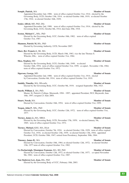### **Semple, Patrick,** MA **Member of Senate**

Appointed December 2nd, 1908; term of office expired October 31st, 1914; elected by the Governing Body, UCD, October 13th, 1914; re-elected October 16th, 1919; re-elected October 17th, 1924; re-elected October 16th, 1929;

### **Senier, Alfred, MD, PhD, DSc Member of Senate**

Appointed December 2nd, 1908; term of office expired October 31st, 1914; elected by the Governing Body, UCG, October 8th, 1914; died June 29th, 1918.

### **Sexton, Michael C., MSc, PhD Member of Senate**

Elected by the Governing Body, UCC, October 18th, 1982; term of office expired October 31st, 1987.

### **Shannon, Patrick M, BSc, PhD Member of Senate**

Elected by Governing Authority, UCD, November 2007.

### **Shaw, Rev Francis J., SK, MA Member of Senate**

Elected by the Governing Body, UCD, March 19th, 1963, vice the late Thomas S. Wheeler, DSc; term of office expired October 31st, 1964.

### **Shea, Stephen,** MD **Member of Senate**

Elected by the Governing Body, UCG, October 14th, 1949; re-elected October 16th, 1954; term of office expired October 31st, 1959; co-opted , November 13th, 1964; term of office expired October 31st, 1972.

### **Sigerson, George,** MD **Member of Senate**

Appointed December 2nd, 1908; term of office expired October 31st, 1914; elected by Convocation, October 6th, 1914; term of office expired October 31st, 1919.

### **Smiddy, Timothy, MA, DEconSc Member of Senate**

Elected by the Governing Body, UCC, October 9th, 1919; resigned September 30th, 1923.

### **Smyth, William J., BA, PhD, <b>Member** of Senate

Master, St. Patrick's College, Maynooth, 1994 - 1997; appointed President, NUI, Maynooth, June 16th, 1997; resigned 21 June 2004.

Elected by Convocation, October 16th, 1954; term of office expired October 31st, 1959.

### **Teegan, John P., MSc, PhD Member of Senate**

Elected by the Governing Body, UCC, October 12th, 1972; term of office expired October 31st, 1977.

### **Tierney, James J., MA, MRIA Member of Senate**

Elected by the Governing Body, UCD, November 17th, 1959; re-elected January 5th, 1965; term of office expired October 31st, 1972.

### **Tierney, Michael,** KSG, MA, DLitt **Member of Senate**

Elected by Convocation, October 7th, 1924; re-elected October 12th, 1929; term of office expired October 31st, 1934; re-elected October 13th, 1939; re-elected October 13th, 1944; appointed President, UCD, October 30th, 1947; retired from Presidency, September 30th, 1964.

### **Timoney, James R., MA Member of Senate**

Elected by Convocation, October 10th, 1964, re-elected October 12th, 1972; re-elected October 13th, 1977 term of office expired October 31st, 1982.

### **Ua Dochartaigh, Monsignor Eamonn,** MA, BD, PhD **Member of Senate**

Elected by Convocation, October 12th, 1972, re-elected October 13th, 1977; co-opted November 9th, 1982; term of office expired October 31st, 1987.

### **Van Sinderen-Law, Jean,** BSc, PhD **Member of Senate**

Elected by the Governing Body of UCC, February 18th, 2003.

# **Stuart, Norah, MA Member of Senate**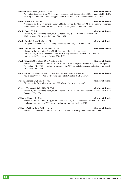### **Waldron, Laurence A**, Privy Councillor **Member of Senate Member of Senate**

Appointed December 2nd, 1908; term of office expired October 31st, 1914; re-appointed by H.M. the King, October 31st, 1914; re-appointed October 31st, 1919; died December 27th, 1923.

**Walsh, Edward M., BE, PhD <b>Member of Senate** 

Nominated by the Government, January 25th, 1977, vice the Most Rev Michael Browne, resigned; re-nominated November 2nd, 1977; term of office expired October 31st, 1982.

**Walsh, Henry N., ME Member of Senate** 

Elected by the Governing Body, UCC, October 18th, 1944; re-elected October 17th, 1949; term of office expired October 31st, 1954.

Walsh, Jim, BA, MA (McMaster), DLitt **Member of Senate** Member of Senate Co-opted November 2002; elected by Governing Authority, NUI, Maynooth, 2007.

**Walsh, Joseph, MA, DD, Archbishop of Tuam <b>Member of Senate Member of Senate** Elected by the Governing Body, UCG, October 17th, 1944; re-elected October 14th, 1949; re-elected October 16th, 1954; re-elected October 17th, 1959; re-elected October 15th, 1964; retired October 15th, 1971.

- **Walsh, Thomas,** MA, BSc, MD, DPH, HDip in Ed **Member of Senate** Elected by Convocation, October 7th, 1919; term of office expired October 31st, 1924; co-opted, November 13th, 1924; co-opted November 14th, 1929; co-opted November 13th, 1934; co-opted November 16th, 1939.
- **Ward, James J,** BComm, MEconSc, DBA (George Washington University) **Member of Senate** March 6th 2008, vice James J Browne (appointed President NUI, Galway).
- **Watson, Richard O.**, BSc MSc, PhD **Member of Senate** Elected by the Governing Authority, NUI, Maynooth, November 2007.
- **Wheeler, Thomas S., DSc, PhD, FRCScI Member of Senate** Elected by the Governing Body, UCD, October 16th, 1954; re-elected November 17th, 1959; died December 13th, 1962.
- **Williams, Thomas D., MA Member of Senate**

Elected by the Governing Body, UCD, December 18th, 1971; re-elected October 17th, 1972; re-elected October 11th, 1977; term of office expired October 31st, 1982.

**Williams, William J., MA, HDip in Ed <b>Member Member** of Senate

Elected by Convocation, October 12th, 1929; term of office expired October 31st, 1934.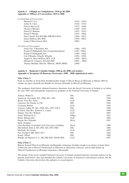### **Aguisín 3: Oifigigh na Comhghairme, 1910 go dtí 2008 Appendix 3: Officers of Convocation, 1910 to 2008**

| (i) Chairman of Convocation                |                 |
|--------------------------------------------|-----------------|
| Michael F. Cox                             | $(1910 - 1924)$ |
| Arthur E. Clery                            | $(1924 - 1932)$ |
| Patrick McCarvill                          | $(1932 - 1940)$ |
| Thomas O'Rourke                            | $(1940 - 1953)$ |
| Patrick F. Bulman                          | $(1953 - 1955)$ |
| Donal Ó Moráin                             | $(1955 - 1984)$ |
| Paul Cannon, BA MA MSc MB BCh BAO          | $(1984 - 1997)$ |
| James Heffron, BSc PhD                     | $(1998 - 2002)$ |
| Linda O'Shea Farren, BCL                   | $(2002 -$       |
| (ii) Clerk of Convocation                  |                 |
| Anraí Uas. Ó Braonáin, BA                  | $(1966 - 1987)$ |
| Peadar Ó Dubhghaill, BA (Acting/Gníomhach) | $(1987 - 1989)$ |
| Peadar Ó Dubhghaill, BA                    | $(1989 - 1994)$ |
| Con O'Rourke, BAgrSc MAgrSc                | $(1994 - 1999)$ |
| Angela E. Hoey-Heffron, BCL LLB            | $(1999 - 2002)$ |
| Michael B. Cosgrave, BA MA PhD             | $(2002 - 2006)$ |
| Therese Madden, BSocSc, MSocSc, MSW, MPhil | $(2006 -$       |
|                                            |                 |

### **Aguisín 4: Buaiteoirí Céimithe Oinigh, 1908 go dtí 2008 (ord arbítre) Appendix 4: Recipients Of Honorary Doctorates, 1908 – 2008 (alphabetical order)**

### **Nóta 1/Note 1:**

Fuair na céimithe sa liosta thíos dochtúireachtaí oinigh ó Ollscoil Ríoga na hÉireann sa bhliain 1909 nó roimhe sin, agus cláraíodh ina dhiaidh sin iad mar chéimithe ar Ollscoil na hÉireann.

The graduates listed below obtained honorary doctorates from the Royal University of Ireland in or before the year 1909, and subsequently registered as graduates of the National University of Ireland.

| Adeney, Walter E                                      | DSc         | 1897 |
|-------------------------------------------------------|-------------|------|
| Anderson, Alexander, BA, 1880; MA, 1881               | DSc         | 1909 |
| Byrne, Very Rev. Peter                                | LLD         | 1909 |
| Cameron, Sir Charles A, CB                            | MD          | 1896 |
| Cochrane, Robert                                      | LLD         | 1905 |
| Conway, Arthur W., BA, 1896; MA, 1897; F.R.S          | <b>DSc</b>  | 1908 |
| D'Alton, Very Rev. Edward A., Canon                   | LLD         | 1909 |
| Delany, Very Rev William                              | LLD         | 1885 |
| Flood, William H. G.                                  | <b>DMus</b> | 1907 |
| Healy, Bishop John                                    | LLD         | 1885 |
| Hogan, Rev Edmond                                     | DLitt       | 1897 |
| Hyde, Douglas,                                        |             |      |
| (first President of Ireland) LLD University of Dublin | DLitt       | 1906 |
| McClelland, John A; BA 1892, MA 1893, FRS             | <b>DSc</b>  | 1906 |
| McGrath, Sir Joseph,                                  | LLD         | 1892 |
| Pye, Joseph P, MD, MCh 1871,                          | DSc         | 1882 |
| Senier, Alfred                                        | <b>DSc</b>  | 1908 |
| Windle, Sir Bertram C.A., MA MD DSC (DUB) FRS         | LLD         | 1907 |

### **Nóta 2/Note 2:**

Bhronn Seanad Ollscoil na hÉireann nuabhunaithe céimeanna dochtúra oinigh ar na daoine sa liosta thíos; d'fhreastal siad ar Ollscoil Chaitliceach na hÉireann ar chúiseanna coinsiasa, ach ní raibh údarás ag Ollscoil Chaitliceach na hÉireann céimeanna a bhronnadh.

The Senate of the newly founded National University of Ireland awarded honorary doctorate degrees on the persons listed below; they had attended the Catholic University of Ireland for conscientious reasons, but the Catholic University did not have the authority to award degrees.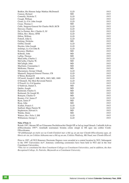| Bodkin, His Honour Judge Mathias McDonnell    | LLD        | 1915 |
|-----------------------------------------------|------------|------|
| Cannon, Richard                               | MD         | 1915 |
| Connolly, Nicholas T.                         | <b>LLD</b> | 1915 |
| Creagh, William                               | <b>LLD</b> | 1915 |
| Crean, Lt.-Col. John Joseph                   | <b>LLD</b> | 1915 |
| Crean, Thomas J.                              | MD         | 1915 |
| Cuffe, Surgeon-General Sir Charles McD, KCB   | LLD        | 1915 |
| Dawson, Charles                               | <b>LLD</b> | 1915 |
| De La Pasture, Rev. Charles E, SJ             | <b>LLD</b> | 1915 |
| Dillon, Rev. Henry, OFM                       | <b>LLD</b> | 1915 |
| Dillon, William                               | <b>LLD</b> | 1915 |
| Fottrell, John G.                             | <b>LLD</b> | 1915 |
| Furlong, Nicholas                             | <b>MD</b>  | 1915 |
| Griffin, Gerald                               | <b>LLD</b> | 1915 |
| Hayden, John Joseph                           | <b>LLD</b> | 1915 |
| Jennings, Lt.-Col John B.                     | <b>LLD</b> | 1915 |
| Kearney, Matthew                              | <b>MD</b>  | 1915 |
| Kilbride, John                                | MD         | 1915 |
| Laffan, Thomas                                | MD         | 1915 |
| MacCarthy, Charles J.                         | LLD        | 1915 |
| McCarthy, Charles W,                          | <b>MD</b>  | 1915 |
| McCullagh, John                               | MD         | 1915 |
| MacGuire, Constantine J.                      | MD         | 1915 |
| McKenna, Thomas                               | MD         | 1915 |
| Macnamara, George Uthank                      | <b>LLD</b> | 1915 |
| Maunsell, Surgeon-General Thomas, CB          | <b>LLD</b> | 1915 |
| O'Brien, Richard B                            | <b>LLD</b> | 1915 |
| O'Carroll, Joseph F., MB, MCh, 1883; MD, 1889 | <b>LLD</b> | 1915 |
| O'Donnell, The Most Reverend Patrick          | <b>LLD</b> | 1915 |
| O'Farrell, Lt.-Col Ignatius                   | <b>LLD</b> | 1915 |
| O'Sullivan, Daniel A.                         | MD         | 1915 |
| Quirke, Joseph                                | MD         | 1915 |
| Redmond, Charles S.                           | <b>MD</b>  | 1915 |
| Redmond, Sir Joseph M.                        | MD         | 1915 |
| Ronayne, Charles O                            | MD         | 1915 |
| Rooney, Col. James P                          | LLD        | 1915 |
| Ryan, James P                                 | MD         | 1915 |
| Ryan, John                                    | MD         | 1915 |
| Scallan, Francis J.                           | <b>LLD</b> | 1915 |
| Stafford, Major Patrick W.                    | <b>LLD</b> | 1915 |
| Stephenson, Edward A                          | MD         | 1915 |
| Walshe, Denis                                 | MD         | 1915 |
| Watters, Rev. Felix J, SM                     | LLD        | 1915 |
| Williamson, George J.                         | LLD        | 1915 |

### **Nóta 3/Note 3:**

Roimh 1997, bhronn OÉ na Céimeanna Dochtúireachta Oinigh OÉ ar fad ag ionad lárnach. I ndiaidh Acht na nOllscoileanna 1997\*, tionóladh searmanais bronnta céime oinigh in OÉ agus sna ceithre Comh-Ollscoileanna.

*\*D'athbhunaigh an tAcht seo na Comh-Choláistí mar a bhí ag an am mar Chomh-Ollscoileanna agus, de bhreis air sin, an Coláiste Aitheanta mar a bhí ag an am, Coláiste Phádraig, Má Nuad, mar Chomh-Ollscoil.*

Prior to 1997, all NUI Honorary Doctorate Degrees were awarded at a central location by NUI. Subsequent to the 1997 Universities Act\*, honorary conferring ceremonies have been held in NUI and in the four Constituent Universities.

*\*This Act re-constituted the then Constituent Colleges as Constituent Universities, and in addition, the then Recognised College, St. Patricks, Maynooth as a Constituent University.*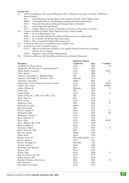### **Eochar/ Key**

- N = Ollscoil na hÉireann, 49 Cearnóg Mhuirfean, BAC 2/National University of Ireland, 49 Merrion Square Dublin 2<br> $DC =$ Halla I
	- Halla Phádraig, Caisleán Bhaile Átha Cliath/St. Patrick's Hall, Dublin Castle
	- RHK = An tOspidéal Ríoga, Cill Mhaighneann/Royal Hospital Kilmainham
	- NGI = Gailearaí Náisiúnta na hÉireann/National Gallery of Ireland<br>IH = Teach Eathach/Iveagh House
	- Teach Eathach/Iveagh House
	- CPI = Coláiste Ríoga na Lianna in Éirinn/Royal College of Physicians in Ireland
- D = Coláiste na hOllscoile Baile Átha Cliath/University College Dublin
	- D/RC = D, Corn Ryder/Ryder Cup
	- D/BL = D, Comóradh 100 Bliain Lá Bloom/100th Anniversary of Bloomsday
	- D/CL = D, Comórdh 150 Bliain/150th Anniversary
	- D/IPA = IPA, Comóradh 50 Bliain/50th Anniversary
- C = Coláiste ne hOllscoile Corcaigh/University College Cork
- G = National University of Ireland, Galway
	- G/LA = Ollscoil na hÉireann, Gaillimh i Los Angeles/National University of Ireland, Galway at Los Angeles
	- G/SH = Shannon College of Hotel Management
- M = Ollscoil na hÉireann, Má Nuad/NationalUniversity of Ireland, Maynooth

|                                               | <b>Honorary Degree</b> |      |              |
|-----------------------------------------------|------------------------|------|--------------|
| Recipient                                     | <b>Conferred</b>       | Year | Location     |
| Aga Khan IV, Prince Karim                     | <b>LLD</b>             | 2008 | M            |
| Agagianian, His Eminence Cardinal Gregory P   | <b>LLD</b>             | 1961 |              |
| Ahern, Bertie, Taoiseach                      | <b>LLD</b>             | 2006 | N/DC         |
| Allen, Myrtle                                 | <b>LLD</b>             | 2000 | С            |
| Amoroso, Emmanuel C., MB BCh BAO              | <b>DSc</b>             | 1963 |              |
| Andrews, Christopher S., BComm, 1926          | DEconSc                | 1955 |              |
| Anissimov, Alexander                          | <b>DMus</b>            | 2001 | D            |
| Annan, Kofi, United Nations Secretary-General | <b>LLD</b>             | 1999 | N/DC         |
| Arbour, H.E. Louise                           | <b>LLD</b>             | 2006 | N/RHK        |
| Arthur, William B.                            | DEconSc                | 2000 | G            |
| Ashby, Eric                                   | <b>DSc</b>             | 1954 |              |
| Asmal, Kader                                  | LLD                    | 2003 | G            |
| Atkins, Henry St. J., BSc 1915; MSc, 1923     | <b>DSc</b>             | 1955 |              |
| Atluri, Satya N.                              | <b>DSc</b>             | 1989 |              |
| Bain, George                                  | <b>LLD</b>             | 1998 | $\mathsf{C}$ |
| Baldessari, John                              | <b>DFA</b>             | 2006 | G            |
| Barbirolli, Sir John                          | <b>DMus</b>            | 1952 |              |
| Barcroft, Joseph                              | <b>DSc</b>             | 1933 |              |
| Barone, Angela R.                             | <b>DLitt</b>           | 2001 | G            |
| Barrington, Ruth                              | <b>LLD</b>             | 2005 | М            |
| Barrington, Thomas J.                         | <b>LLD</b>             | 1986 |              |
| Barry, Anthony D.                             | <b>LLD</b>             | 1995 |              |
| Barry, Peter                                  | <b>LLD</b>             | 2000 | N/DC         |
| Barry, William, BA, 1928                      | <b>LLD</b>             | 1948 |              |
| Barton, Dunbar P.                             | DLitt                  | 1926 |              |
| Bassiouni, Cherif                             | <b>LLD</b>             | 2001 | G            |
| Bates, David R., FRS                          | <b>DSc</b>             | 1975 |              |
| Bax, Sir Arnold                               | <b>DMus</b>            | 1947 |              |
| Bazin, Renè                                   | DLitt.                 | 1929 |              |
| Beattie, James M.                             | DSc Public Health 1933 |      |              |
| Beatty, Alfred C.                             | <b>LLD</b>             | 1951 |              |
| Beaver, Sir Hugh E.C.                         | DEconSc                | 1959 |              |
| Beckett, James C.                             | <b>DLitt</b>           | 1990 |              |
| Beeching, Lord Richard                        | <b>DSc</b>             | 1967 |              |
| Begley, John                                  | <b>DLitt</b>           | 1939 |              |
| Behan, John                                   | <b>DLitt</b>           | 2000 | G            |
| Beit, Sir Alfred Lane, BT                     | <b>LLD</b>             | 1979 |              |
| Belloc, Hilary J.P.R.                         | DLitt                  | 1929 |              |
| Benabid, Professor Alim-Louis                 | <b>MD</b>              | 2005 | G            |
| Best, Richard I.                              | DLitt                  | 1920 |              |
| Beveridge, Sir Gordon                         | <b>LLD</b>             | 1995 |              |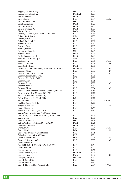| Biggart, Sir John Henry                              | DSc                      | 1973         |               |
|------------------------------------------------------|--------------------------|--------------|---------------|
| Binchy, Daniel A., MA                                | DLittCelt                | 1973         |               |
| Binchy, Maeve                                        | DLitt                    | 1990         |               |
| Bird, Charlie                                        | LLD                      | 2004         | D/CL          |
| Birkhoff, George D.                                  | DSc                      | 1944         |               |
| Birrell, Augustine                                   | DLitt                    | 1929         |               |
| Bischoff, Bernard                                    | DLitt                    | 1962         |               |
| Bishop, William W.                                   | DLitt                    | 1937         |               |
| Blacher, Boris                                       | <b>DMus</b>              | 1974         |               |
| Bodkin, Thomas P., BA, 1909, DLitt, 1927             | <b>LLD</b>               | 1961         |               |
| Bolam, Sir Robert A.                                 | <b>MD</b>                | 1933         |               |
| Boland, Eavan                                        | DLitt                    | 1997         | D             |
| Boland, Frederick H.                                 | <b>LLD</b>               | 1961         |               |
| Boland, John P.                                      | <b>LLD</b>               | 1950         |               |
| Bougon, Pierre                                       | <b>LLD</b>               | 1995         |               |
| Bourke, Patrick A.                                   | <b>DSc</b>               | 1973         |               |
| Bowen, William H.                                    | MD                       | 1995         |               |
| Boydell, Brian                                       | <b>DMus</b>              | 1974         |               |
| Boyle, Leonard E., OP                                | DLitt                    | 1993         |               |
| Brackenbury, Sir Henry B.                            | MD                       | 1933         |               |
| Bradbury, Ray                                        | <b>LLD</b>               | 2005         | G/LA          |
| Braiden, Dr Olive                                    | <b>LLD</b>               | 2008         | D             |
| Bramsbäck, Birgit                                    | DLitt                    | 1981         |               |
| Breathnach, Diarmuid, jointly with Máire Ní Mhurchú) | DLitt Celt               | 2002         | М             |
| Brendel, Alfred                                      | LLD                      | 2007         | D             |
| Brennan Glucksman, Loretta                           | <b>LLD</b>               | 2007         | $\mathcal{C}$ |
| Brennan, Joseph, MA, 1910                            | <b>LLD</b>               | 1938         |               |
| Brennan, Mr. Justice William                         | <b>LLD</b>               | 1990         |               |
| Brennan, Tom                                         | <b>LLD</b>               | 1985         |               |
| Brosnan, Denis                                       | <b>LLD</b>               | 1999         | C             |
| Brosnan, John F.                                     | <b>LLD</b>               | 1960         |               |
| Brosnan, Pierce                                      | <b>LLD</b>               | 2004         | C             |
| Browne, His Eminence Michael, Cardinal, OP, DD       | LLD                      | 1954         |               |
| Browne, Most Rev. Michael, DD, DCL.                  | <b>LLD</b>               | 1971         |               |
| Brownell, The Hon. Herbert (Jr.)                     | LLD                      | 1957         |               |
| Brück, Hermann A., DPhil, PhD                        | DSc                      | 1972         |               |
| Bruton, John                                         | <b>LLD</b>               | 2005         | N/RHK         |
| Buckley, John J.C., DSc                              | <b>LLD</b>               | 1972         |               |
| Bulger, William M.                                   | <b>LLD</b>               | 2002         | G             |
| Bunn, Edward B.                                      | <b>LLD</b>               | 1965         |               |
| Burke, Liam, Lord Mayor of Cork                      | <b>LLD</b>               | 1985         |               |
| Burke, Very Rev. Thomas W., OCarm, BSc,              |                          |              |               |
| 1945; MSc, 1947; PhD, 1949; HDip in Ed, 1953         | <b>LLD</b>               | 1961         |               |
| Burns, Conn                                          | <b>LLD</b>               | 1988         |               |
| Burstall, Aubrey F.                                  | DSc                      | 1959         |               |
| Butler, William F.T., BA, 1891; MA, 1894             | DLitt                    | 1926         |               |
| Butterfield, Herbert                                 | DLitt                    | 1954         |               |
| Byrne, David                                         | <b>LLD</b>               | 2004         | D/CL          |
| Byrne, Gabriel                                       | DArts                    | 2007         | G             |
| Caird, Rev. Donald A., Archbishop                    | <b>LLD</b>               | 1995         |               |
| Callaghan, Lieut. Gen. William                       | <b>LLD</b>               | 1986         |               |
| Callan, Curtis G. Jr                                 | DSc                      | 2005         | М             |
| Campbell Sharpe, Noelle                              | <b>LLD</b>               | 2007         | М             |
| Carey, Edward P.,                                    |                          |              |               |
| BA, 1911; BSc, 1913; MB, BCh, BAO 1914               | <b>LLD</b>               | 1954         |               |
|                                                      | <b>LLD</b>               | 1992         |               |
| Carey, Martin C.                                     | LLD                      |              |               |
| Carlisle, James M.                                   |                          | 1951         |               |
| Carney, James P., B.A.                               | DLittCelt<br><b>DMus</b> | 1979<br>2007 | G             |
| Carolan, Nicholas                                    |                          |              |               |
| Carrigan, Joseph E.                                  | DEconSc                  | 1950         |               |
| Carroll, John, DSc                                   | LLD                      | 1979         |               |
| Carroll, Michael M.                                  | <b>LLD</b>               | 1992         |               |
| Carroll, The Hon Miss Justice Mella                  | <b>LLD</b>               | 2004         | N/NGI         |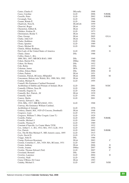| Carter, Charles F.                                  | DEconSc     | 1968 |       |
|-----------------------------------------------------|-------------|------|-------|
| Casey, Caroline                                     | LLD         | 2006 | N/RHK |
| Cassells, Peter                                     | <b>LLD</b>  | 2002 | N/RHK |
| Cavanagh, Tom                                       | <b>LLD</b>  | 1996 |       |
| Ceannt, Rónán É.                                    | <b>LLD</b>  | 1966 |       |
| Chadwick, Nora K.                                   | DLittCelt   | 1959 |       |
| Chauviré, Roger                                     | DLitt       | 1929 |       |
| Chesterton, Gilbert K.                              | DLitt       | 1929 |       |
| Childers, Erskine H.                                | <b>LLD</b>  | 1973 |       |
| Christiansen, Reidar T.                             | DLitt       | 1954 |       |
| Clare, George                                       | DLitt       | 2005 | G/LA  |
| Clarke, John G.P.                                   | DLitt       | 1976 |       |
| Clarke, Kathleen                                    | <b>LLD</b>  | 1966 |       |
| Cleary, Ignatius                                    | <b>LLD</b>  | 1989 |       |
| Cleary, Michael B.                                  | <b>LLD</b>  | 2004 | М     |
| Clinton, Hillary Rodham,                            |             |      |       |
| First Lady of the United States of America          | <b>LLD</b>  | 1999 | G     |
| Clunie, James                                       | DSc         | 1988 |       |
| Coffey, Denis J., BA,                               |             |      |       |
| 1886; MA, 1897; MB BCh BAO, 1888                    | <b>DSc</b>  | 1940 |       |
| Cohen, Harriet P.A.                                 | <b>DMus</b> | 1960 |       |
| Cohen, Sir Henry                                    | DSc         | 1952 |       |
| Cole, Rufus                                         | <b>DSc</b>  | 1933 |       |
| Coleman, James                                      | DFA         | 2006 | G     |
| Collins, Eileen Marie                               | <b>DSc</b>  | 2006 | D     |
| Colum, Padraic                                      | DLitt       | 1951 |       |
| Commins, Patrick, BComm, HDipinEd                   | DLitt       | 2008 | M     |
| Concannon, Helena (née Walsh), BA, 1900; MA, 1902   | DLitt       | 1929 |       |
| Conlon, Michael N.                                  | LLD         | 1995 |       |
| Connell, His Eminence Cardinal Desmond,             |             |      |       |
| Archbishop of Dublin and Primate of Ireland, DLitt  | <b>LLD</b>  | 2001 | N/DC  |
| Connolly O'Brien, Nora M.                           | <b>LLD</b>  | 1966 |       |
| Connolly, Eugene J.I.                               | <b>LLD</b>  | 1926 |       |
| Connolly, Rev. Patrick., SJ                         | DLitt       | 1939 |       |
| Connolly, Sybil                                     | <b>LLD</b>  | 1991 |       |
| Conroy, Sheila                                      | <b>LLD</b>  | 2001 | M     |
| Conway, Edward J., BSc,                             |             |      |       |
| 1916; MSc, 1917; MB BCh BAO, 1921;                  | <b>LLD</b>  | 1968 |       |
| Conway, His Eminence William Cardinal,              |             |      |       |
| Archbishop of Armagh                                | <b>LLD</b>  | 1976 |       |
| Corkery, Daniel, MA, 1929 (Ó Corcora, Domhnall)     | DLitt       | 1948 |       |
| Cosgrave, Liam                                      | <b>LLD</b>  | 1974 |       |
| Cosgrave, William T. (Mac Cosgair, Liam T.)         | <b>LLD</b>  | 1929 |       |
| Costello, Finbar                                    | <b>LLD</b>  | 2005 | N/RHK |
| Costello, Michael J.                                | <b>LLD</b>  | 1964 |       |
| Costello, Thomas P.                                 | <b>LLD</b>  | 1989 |       |
| Coustant d'Yanville, Le Comte Marie T.P.H.          | <b>LLD</b>  | 1932 |       |
| Cox, Arthur C. J., BA, 1912; MA, 1913; LLB, 1914    | LLD         | 1952 |       |
| Cox, Patrick                                        | <b>LLD</b>  | 2002 | N/RHK |
| Cox, The Rt Hon Michael F., MD, honoris causa, 1895 | LLD         | 1915 |       |
| Coyle, David D.                                     | <b>LLD</b>  | 1974 |       |
| Craggs, John D.                                     | <b>DSc</b>  | 1986 |       |
| Cramp, Professor Rosemary                           | DLitt       | 2003 | C     |
| Cremin, Cornelius C., BA, 1929; MA, BComm, 1931     | LLD         | 1965 |       |
| Cronin, Anthony                                     | DLitt       | 2006 | D     |
| Crooks, Joanna                                      | <b>DMus</b> | 2007 | М     |
| Crosbie, Thomas Edward (Ted)                        | <b>LLD</b>  | 2007 | C     |
| Crossland, Bernard                                  | <b>DSc</b>  | 1984 |       |
| Crowley, Laurence                                   | <b>LLD</b>  | 2004 | D     |
| Crowley, Niall                                      | LLD         | 1982 |       |
| Cruise O'Brien, Dr Conor                            | DLitt       | 1993 |       |
| Cudahy, Michael J.                                  | LLD         | 1997 | N/IH  |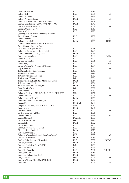| Cudmore, Harold                                  | <b>LLD</b>   | 1983       |       |
|--------------------------------------------------|--------------|------------|-------|
| Cullen, Bill                                     | <b>LLD</b>   | 2005       | M     |
| Cullen, Edmund J.                                | <b>LLD</b>   | 1928       |       |
| Cullen, Professor Louis                          | DLitt        | 2003       | M     |
| Cuming, Edward, BA, 1873; MA, 1882               | <b>LLD</b>   | 1909 (RUI) |       |
| Curran, Constantine P., BA, 1902; MA, 1906       | DLitt        | 1949       |       |
| Curtin, Professor Deirdre                        | <b>LLD</b>   | 2008       | D     |
| Cusack, Christopher A.                           | <b>LLD</b>   | 1959       |       |
| Cusack, Cyril                                    | <b>LLD</b>   | 1977       |       |
| Cushing, His Eminence Richard J. Cardinal,       |              |            |       |
| Archbishop of Boston                             | <b>LLD</b>   | 1958       |       |
| Daley, Richard                                   | <b>LLD</b>   | 2003       | G     |
| Dalsimer, Adele M.                               | DLitt        | 1999       | N/IH  |
| D'Alton, His Eminence John F. Cardinal,          |              |            |       |
| Archbishop of Armagh, BA,                        |              |            |       |
| 1904; MA, 1910; DLitt, 1918                      | <b>LLD</b>   | 1958       |       |
| Daly, His Eminence Cardinal Cahal                | <b>LLD</b>   | 1993       |       |
| D'Arcy, Martin C., MA, (Oxon)                    | DLitt        | 1953       |       |
| Dardis, John Anthony                             | <b>LLD</b>   | 2004       | D/CL  |
| Daunt, John W.                                   | <b>LLD</b>   | 1965       |       |
| Davies, David, Sir                               | <b>LLD</b>   | 2006       | М     |
| Davis, Mary                                      | <b>LLD</b>   | 2004       | N/NG  |
| Davis, William G., Premier of Ontario            | <b>LLD</b>   | 1984       |       |
| Day, Catherine                                   | <b>LLD</b>   | 2003       | D     |
| de Barra, Leslie, Bean Thomáis                   | <b>LLD</b>   | 1963       |       |
| de Buitléar, Éamon                               | <b>DSc</b>   | 1991       |       |
| de Courcy Ireland, Dr. John                      | <b>LLD</b>   | 1982       |       |
| de Giovanni, Francesco                           | <b>DSc</b>   | 2006       | G     |
| de Raeymaeker, Right Rev. Monsignor Louis        | DLitt        | 1954       |       |
| de Rougemont, Denis                              | <b>LLD</b>   | 1981       |       |
| de Vaux, Very Rev. Roland, OP                    | DLitt        | 1954       |       |
| Dean, Dr Geoffrey                                | <b>DSc</b>   | 2008       | D     |
| Dean, Henry T.                                   | <b>LLD</b>   | 1960       |       |
| Delaney, Patrick J., MB BCh BAO, 1917; DPH, 1927 | MD           | 1952       |       |
| Delany, Ronnie                                   | <b>LLD</b>   | 2006       | D     |
| Delargy, James H., MA                            | <b>DLitt</b> | 1969       |       |
| Dempsey, Jeremiah, BComm, 1927                   | <b>LLD</b>   | 1964       |       |
| Denez, Per                                       | DLittCelt    | 1989       |       |
| Dengel, Anna, BSc, MB BCh BAO, 1919              | MD           | 1932       |       |
| Déon, Michel                                     | DLitt        | 1981       |       |
| Desmond, Dermot                                  | <b>LLD</b>   | 2007       | D     |
| Devlin, Liam St. J., MSc.                        | <b>LLD</b>   | 1975       |       |
| Dewey, John F.                                   | <b>LLD</b>   | 1998       | M     |
| Digby, Margaret                                  | DEconSc      | 1980       |       |
| Dillon, Charles T.G.                             | <b>DSc</b>   | 1992       |       |
| Dillon, Eilís                                    | DLitt        | 1992       |       |
| Dillon, Geraldine                                | <b>LLD</b>   | 1966       |       |
| Dinan, Rev. Vincent H., CSSp                     | <b>LLD</b>   | 1961       |       |
| Dinneen, Rev. Patrick S.                         | DLitt        | 1920       |       |
| Dobbin, Dr Craig L.                              | <b>LLD</b>   | 1995       |       |
| Doherty, Moya (jointly with John McColgan)       | LLD          | 2003       | M     |
| Dolley, Dr. Michael                              | DLitt        | 1983       |       |
| Donlon, John Anthony (Sean) BA                   | <b>LLD</b>   | 2008       | N/DC  |
| Donlon, Patricia                                 | DLitt        | 1996       |       |
| Donnan, Frederick G., MA, FRS                    | <b>DSc</b>   | 1939       |       |
| Donnelly, Brian                                  | <b>LLD</b>   | 1993       |       |
| Donnelly, Dervilla                               | <b>LLD</b>   | 2002       | N/RHK |
| Donoghue, Denis                                  | DLitt        | 1989       |       |
| Donovan, Robert, BA, 1885                        | DLitt        | 1928       |       |
| Dooge, James                                     | <b>DSc</b>   | 2001       | D     |
| Doolin, William, MB BCh BAO, 1910                | DLitt        | 1952       |       |
| Dorr, Noel                                       | LLD          | 2001       | G     |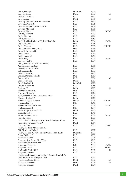| Dottin, Georges                                        | DLittCelt       | 1926 |        |
|--------------------------------------------------------|-----------------|------|--------|
| Douglas, Barry                                         | <b>DMus</b>     | 2007 | M      |
| Dowdall, James C.                                      | <b>LLD</b>      | 1926 |        |
| Dowling, Joe                                           | DLitt           | 2001 | M      |
| Dowling, Michael (Rev. Fr. Thomas)                     | LLD             | 1920 |        |
| Dowling, Patrick J.                                    | LLD             | 1995 |        |
| Downes, Joseph V., BArch, 1920                         | <b>LLD</b>      | 1958 |        |
| Downes, Margaret                                       | <b>LLD</b>      | 1988 |        |
| Downey, Liam                                           | <b>LLD</b>      | 2000 | N/DC   |
| Downey, Richard                                        | <b>LLD</b>      | 1930 |        |
| Doyle, Maurice                                         | LLD             | 1991 |        |
| Doyle, Michael F.                                      | LLD             | 1957 |        |
| Doyle, Roddy (Roderick T.), BA HDipinEd                | DLitt           | 2004 | D/BL   |
| Doyle, Thomas M.                                       | DSc             | 1968 |        |
| Doyle, Vincent                                         | LLD             | 2005 | N/RHK  |
| Drew, James P., MSc, 1923                              | DSc             | 1956 |        |
| Driscoll, Bro John G.                                  | LLD             | 1991 |        |
| Dubos, René J.                                         | DSc             | 1955 |        |
| Duff, Francis M.                                       | LLD             | 1968 |        |
| Duffy, Mary                                            | LLD             | 2003 | N/DC   |
| Duggan, Noel C.                                        | <b>LLD</b>      | 1994 |        |
| Duhig, His Grace Most Rev. James,                      |                 |      |        |
| Archbishop of Brisbane                                 | <b>LLD</b>      | 1955 |        |
| Duke-Elder, Sir Stewart                                | MD              | 1952 |        |
| Dukes, James F.                                        | LLD             | 1983 |        |
| Dulanty, John W.                                       | <b>LLD</b>      | 1940 |        |
| Dunlop, Derrick Melville                               | <b>DSc</b>      | 1969 |        |
| Dunne, John                                            | LLD             | 2001 | M      |
| Dunne, Veronica                                        | <b>DMus</b>     | 1987 |        |
| Duval, Paul-Marie                                      | DLittCelt       | 1979 |        |
| Dwyer, William D.                                      | LLD             | 1958 |        |
| Eagleton, T.                                           | DLitt           | 1997 | G      |
| Eddington, Arthur S.                                   | DSc             | 1942 |        |
| Edwards, Hilton M.                                     | LLD             | 1974 |        |
| Egan, Michael F., BA, 1897; MA, 1899                   | DSc             | 1943 |        |
| Ellmann, Richard D.                                    | DLitt           | 1976 |        |
| Elmore Meegan, Michael                                 | <b>DMed</b>     | 2006 | N/RHK  |
| Emeleus, Karl G.                                       | D <sub>Sc</sub> | 1962 |        |
| Empey, Archbishop Walton                               | LLD             | 2003 | N/DC   |
| Ericksen, Jerald L.                                    | <b>DSc</b>      | 1984 |        |
| Evans, Emyr E., CBE, DSc                               | DLitt           | 1975 |        |
| Evatt, Herbert V.                                      | LLD             | 1948 |        |
| Farrell, Professor Brian                               | LLD             | 2003 | N/DC   |
| Fassella, Paolo                                        | DSc             | 1990 |        |
| Felici, His Excellency the Most Rev. Monsignor Ettore  | <b>LLD</b>      | 1950 |        |
| Festugiére, Rev. Jean PP, OP                           | DLitt           | 1954 |        |
| Finchem, Tim                                           | LLD             | 2006 | D/RC   |
| Finlay, The Hon. Mr Thomas A.,                         |                 |      |        |
| Chief Justice of Ireland                               | LLD             | 1992 |        |
| Finlay, Thomas A., MA Honoris Causa, 1885 (RUI)        | DEconSc         | 1929 |        |
| Finlay, William D.                                     | <b>LLD</b>      | 1980 |        |
| Finucane, Marian                                       | <b>LLD</b>      | 2005 | G      |
| Finucane, Rev. James M., CSSp.                         | LLD             | 1965 |        |
| FitzGerald, Dr. Garret, TD                             | LLD             | 1991 |        |
| Fitzgerald, Garret A.                                  | <b>DSc</b>      | 2004 | D/CL   |
| Fitzgerald, John                                       | <b>LLD</b>      | 2007 | D/IPA  |
|                                                        | LLD             | 2007 | G      |
| FitzGerald, Niall, KBE                                 |                 |      |        |
| Fitzgerald, Séamus                                     | LLD             | 1949 |        |
| Fitzpatrick, Bernard (Mac Giolla Phádraig, Brian), BA, | <b>LLD</b>      | 1965 |        |
| 1912; HDip in Ed 1913; MA 1918                         |                 |      |        |
| Fitzpatrick, Sister Stella,                            | DLitt           | 2002 | М<br>G |
| Flanagan, Fionnuala                                    | DArts           | 2008 |        |
| Flanagan, Thomas                                       | DLitt           | 1994 |        |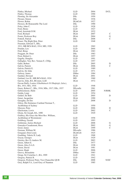| Flatley, Michael                                     | <b>LLD</b>   | 2004 | D/CL         |
|------------------------------------------------------|--------------|------|--------------|
| Flatley, Thomas                                      | <b>LLD</b>   | 1990 |              |
| Fleming, Sir Alexander                               | DSc          | 1950 |              |
| Flexner, Simon                                       | DSc          | 1936 |              |
| Flower, Robin                                        | DLittCelt    | 1927 |              |
| Flowers, Rt Honourable The Lord                      | DSc          | 1990 |              |
| Foley, John C.                                       | <b>LLD</b>   | 1928 |              |
| Ford, Henry                                          | <b>LLD</b>   | 1927 |              |
| Ford, Jeremiah D.M.                                  | <b>DLitt</b> | 1932 |              |
| Ford, Richard                                        | DLitt        | 2007 | C            |
| Foster, Professor Roy                                | DLitt        | 2004 | G            |
| Fottrell, Patrick                                    | DSc          | 2008 | C            |
| Fraser, The Right Hon. Peter                         | <b>LLD</b>   | 1948 |              |
| Freeman, Edward T., BSc,                             |              |      |              |
| 1911; MB BCh BAO, 1914; MD, 1926                     | <b>LLD</b>   | 1962 |              |
| Frieden, Lex                                         | <b>LLD</b>   | 2004 | G            |
| Friel, Brian                                         | DLitt        | 1983 |              |
| Froggatt, Dr. Peter                                  | DSc          | 1983 |              |
| Frost, Robert L.                                     | DLitt        | 1957 |              |
| Gageby, Douglas                                      | <b>LLD</b>   | 1991 |              |
| Gallagher, Very Rev. Vernon F., CSSp.                | <b>LLD</b>   | 1957 |              |
| Gallo, Robert                                        | DSc          | 2005 | D            |
| Galvin, Patrick                                      | DLitt        | 2006 | C            |
| Galvin, Patrick E.                                   | <b>LLD</b>   | 1989 |              |
| Galvin, Sir John                                     | <b>LLD</b>   | 1971 |              |
| Galway, James                                        | <b>DMus</b>  | 1984 |              |
| Gardner, Howard                                      | <b>DLitt</b> | 2001 | $\mathsf{C}$ |
| Garland, Leo H., MB BCh BAO, 1924                    | MD           | 1960 |              |
| Garvin, John, BA, BComm, LLB                         | <b>DLitt</b> | 1972 |              |
| Gavan-Duffy, Louise (Ghabhánach Ní Dhufaigh, Lúise), |              |      |              |
| BA, 1911; MA, 1916                                   | <b>LLD</b>   | 1948 |              |
| Geary, Robert C., BSc, 1916; MSc, 1917; DSc, 1937    | DEconSc      | 1961 |              |
| Gebreselassie, Haile                                 | <b>LLD</b>   | 2005 | N/RHK        |
| Gedda, Luigi                                         | <b>LLD</b>   | 1954 |              |
| Geldof, Sir Bob                                      | <b>LLD</b>   | 2005 | D            |
| Genet, Jacqueline                                    | DLitt        | 1990 |              |
| Geraghty, Dr Des                                     | <b>LLD</b>   | 2008 | D            |
| Gilroy, His Eminence Cardinal Norman T.,             |              |      |              |
| Archbishop of Sydney                                 | LLD          | 1950 |              |
| Gleeson, Peter                                       | <b>LLD</b>   | 2006 | D            |
| Glucksman, Lewis                                     | <b>LLD</b>   | 2002 | C            |
| Glynn, Sir Joseph, BA, 1890                          | <b>LLD</b>   | 1929 |              |
| Godfrey, His Grace the Most Rev. William,            |              |      |              |
| Archbishop of Westminster                            | <b>LLD</b>   | 1958 |              |
| Goldberg, Gerald                                     | LLD          | 1993 |              |
| Goldstone, Justice Richard                           | <b>LLD</b>   | 2008 | G            |
| Gonzalez-Casademont, Rosa                            | DLitt        | 2002 | G            |
| Good, James                                          | <b>DLitt</b> | 1999 | C            |
| Gorman, William M.                                   | DEconSc      | 1986 |              |
| Gougaud, Dom Louis                                   | DLittCelt    | 1925 |              |
| Goulding, Valerie H. Lady                            | <b>LLD</b>   | 1968 |              |
| Goyau, Georges                                       | DLitt        | 1929 |              |
| Greeley, Rev Fr Andrew M.                            | <b>LLD</b>   | 2003 | G            |
| Green, Albert E.                                     | <b>DSc</b>   | 1977 |              |
| Green, Alice S.A.S.                                  | DLitt        | 1928 |              |
| Green, David                                         | DLitt        | 1981 |              |
| Green, Hugh                                          | <b>LLD</b>   | 2006 | ${\bf G}$    |
| Greevy, Bernadette                                   | <b>DMus</b>  | 1983 |              |
| Gregg, Sir Cornelius J., BA, 1909                    | <b>LLD</b>   | 1941 |              |
| Gregory, Patrick B.                                  | LLD          | 1942 |              |
| Gregson, Professor Peter, Vice-Chancellor QUB        | DSc          | 2008 | N/DC         |
| Grey, Ralph F.A., Lord Grey of Naunton               | <b>LLD</b>   | 1985 |              |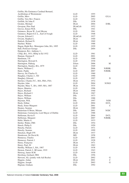| Griffin, His Eminence Cardinal Bernard,    |                  |      |              |
|--------------------------------------------|------------------|------|--------------|
| Archbishop of Westminster                  | LLD              | 1955 |              |
| Griffin, Merv                              | <b>LLD</b>       | 2005 | G/LA         |
| Griffin, Very Rev. Francis                 | <b>LLD</b>       | 1952 |              |
| Griffith, Sir John P.                      | DSc              | 1938 |              |
| Groden, Michael                            | DLitt            | 2004 | D/BL         |
| Grosjean, Père Paul                        | DLittCelt        | 1952 |              |
| Groves, Ernest W.H.                        | <b>DSc</b>       | 1941 |              |
| Guinness, Bryan W., Lord Moyne             | <b>LLD</b>       | 1961 |              |
| Guinness, Rupert E.C.L., Earl of Iveagh    | <b>LLD</b>       | 1948 |              |
| Gwynn, Edward J.                           | <b>DLittCelt</b> | 1927 |              |
| Gwynn, Stephen L.                          | DLitt            | 1940 |              |
| Hadock, Richard N.                         | DLitt            | 1969 |              |
| Haefner, Walter                            | <b>LLD</b>       | 1988 |              |
| Hagan, Right Rev. Monsignor John, BA, 1895 | <b>LLD</b>       | 1929 |              |
| Hall, Professor George                     | DSc              | 2004 | M            |
| Hampson, Rev. Anthony J.,                  |                  |      |              |
| CSSp, BA, 1931; HDip in Ed 1932            | <b>LLD</b>       | 1961 |              |
| Hannan, Damian F.                          | <b>LLD</b>       | 2001 | D            |
| Hardiman, T.P.                             | <b>LLD</b>       | 1990 |              |
| Harrington, Howard S.                      | <b>LLD</b>       | 1930 |              |
| Harrington, Pádraig                        | DArts            | 2006 | M            |
| Harrington, Stanley, BA, 1879              | <b>LLD</b>       | 1949 |              |
| Harris, William C.                         | DSc              | 2006 | N/RHK        |
| Harte, Paddy                               | <b>LLD</b>       | 2007 | N/RHK        |
| Harvey, Sir Charles O.                     | <b>LLD</b>       | 1960 |              |
| Haughey, Charles J., TD                    | <b>LLD</b>       | 1990 |              |
| Haughey, Edward                            | <b>LLD</b>       | 1997 | D            |
|                                            | DLitt            | 1972 |              |
| Hawkes, Charles F.C., MA, FBA, FSA         |                  |      |              |
| Hayden, John                               | <b>LLD</b>       | 2004 | N/NGI        |
| Hayden, Mary T., BA, 1885; MA, 1887        | DLitt            | 1935 |              |
| Hayes, Maurice                             | <b>LLD</b>       | 1996 |              |
| Hayes, Richard                             | DLitt            | 1940 |              |
| Hayes, Richard J.                          | DLitt            | 1967 |              |
| Hayes, William                             | DSc              | 1973 |              |
| Hayes, William                             | <b>DSc</b>       | 1988 |              |
| Hayman, W.K.                               | DSc              | 1997 | N/IH         |
| Healy, Eithne                              | <b>LLD</b>       | 2004 | D/CL         |
| Healy, Sister Margaret                     | <b>LLD</b>       | 2001 | C            |
| Heaney, Seamus                             | DLitt            | 1989 |              |
| Hederman O'Brien, Miriam                   | DSc              | 2001 | N/DC         |
| Hederman, Carmencita, Lord Mayor of Dublin | <b>LLD</b>       | 1988 |              |
| Heffernan, Kevin P.                        | <b>LLD</b>       | 2004 | D/CL         |
| Heffernan, Margaret                        | <b>LLD</b>       | 2007 | N/RHK        |
| Hehir, Martin A.                           | <b>LLD</b>       | 1933 |              |
| Heitler, Walter, FRS                       | <b>DSc</b>       | 1954 |              |
| Hench, Philip S.                           | <b>DSc</b>       | 1950 |              |
| Henchy, Patrick                            | <b>LLD</b>       | 1971 |              |
| Henchy, Seamus                             | <b>LLD</b>       | 1999 |              |
| Hencken, Hugh O'N                          | DLitt            | 1937 |              |
| Henderson, Sir David K.                    | MD               | 1958 |              |
| Hennessy, Charles                          | <b>LLD</b>       | 2003 | $\mathsf{C}$ |
| Hennessy, Patrick J.                       | <b>LLD</b>       | 1928 |              |
| Henry, Françoise                           | <b>DLitt</b>     | 1971 |              |
| Henry, Paul, SJ                            | DLitt            | 1963 |              |
| Herlihy, William J., BA, 1907              | <b>LLD</b>       | 1938 |              |
| Hernon, Patrick J., BComm, 1919            | <b>LLD</b>       | 1943 |              |
| Hertzog, James B.M.                        | <b>LLD</b>       | 1930 |              |
| Herzberg, Gerhard, FRS                     | <b>DSc</b>       | 1956 |              |
| Hewson, Ali, (jointly with Adi Roche)      | <b>LLD</b>       | 2002 | G            |
| Higgins, Aidan                             | DLitt            | 2001 | C            |
| Higgins, Joseph                            | <b>LLD</b>       | 2003 | G            |
| Higman, Graham                             | <b>DSc</b>       | 1992 |              |
|                                            |                  |      |              |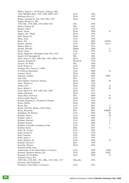| Hillery, Patrick J., (O hIrighile, Pádraig), BSc, |              |      |                |
|---------------------------------------------------|--------------|------|----------------|
| 1944; MB BCh BAO, 1947; CPH, DPH, 1952            | <b>LLD</b>   | 1962 |                |
| Hoffman, Ross J.S.                                | DLitt        | 1957 |                |
| Hogan, Jeremiah H., BA, 1922; MA, 1923            | DLitt        | 1968 |                |
| Hogan, Michael A., BE,                            |              |      |                |
| 1918; BSc, 1918; MSc, 1919; PhD 1922              | DSc          | 1969 |                |
| Holms, Gordon M.                                  | DSc          | 1941 |                |
| Horgan, John J.                                   | <b>LLD</b>   | 1952 |                |
| Howe, Susan                                       | DLitt        | 2000 | D              |
| Hughes, Rev. Philip                               | DLitt        | 1956 |                |
| Hull, Eleanor H.                                  | DLitt        | 1931 |                |
| Hume, John                                        | <b>LLD</b>   | 1996 |                |
| Hume, Pat                                         | <b>LLD</b>   | 2004 | N/NGI          |
| Huston, Anjelica                                  | LLD          | 2005 | G/LA           |
| Hutton, Mary A.                                   | DLitt        | 1933 |                |
| Hyland, Michael                                   | DMed         | 2008 | $\mathcal{C}$  |
| Hynes, Garry                                      | <b>LLD</b>   | 1997 | G              |
| Hynes, Right Rev. Monsignor John, MA, 1922        | LLD          | 1941 |                |
| Ingold, Sir Christopher K.                        | <b>DSc</b>   | 1962 |                |
| Irwin, James A., BA, 1900; MA, 1902; DPhil, 1910  | DLitt        | 1950 |                |
| Jackson, Kenneth H.                               | DLittCelt    | 1958 |                |
| Jackson, Sir Willis                               | DSc          | 1964 |                |
| Jacob, Francis L.                                 | LLD          | 1980 |                |
| Jennings, Rev. Francis J., OFM                    | DLitt        | 1957 |                |
| Ji, Professor Baocheng                            | <b>LLD</b>   | 2008 | D              |
| Joannon, Pierre                                   | DLitt        | 1988 |                |
| Johnston, Jennifer                                | DLitt        | 2004 | D/BL           |
| Joly, John                                        | DSc          | 1931 |                |
| Jones Hughes, Professor Thomas                    | DLitt        | 2004 | M              |
| Jones, Thomas G.                                  | <b>DLitt</b> | 1938 |                |
| Jordan, Neil                                      | DLitt        | 2005 | D              |
| Joyce, Robert J.                                  | <b>LLD</b>   | 2007 | M              |
| Joynt, Maud A.E., BA, 1889; MA, 1890              | DLitt        | 1937 |                |
| Junker, Hermann                                   | DLitt        | 1953 |                |
| Jürgen Huss, Professor                            | DSc          | 2008 | D              |
| Kaim-Caudle, Peter R                              | DLitt        | 2002 | M              |
| Kaunda, Kenneth D., President of Zambia           | <b>LLD</b>   | 1964 |                |
| Keane, Mollie                                     | <b>DLitt</b> | 1989 |                |
| Keane, Roy                                        | <b>LLD</b>   | 2002 | C              |
| Keane, The Hon. Ronan, Chief Justice              | <b>LLD</b>   | 2001 | D              |
| Keary, Raymond                                    | DSc          | 2002 | N/RHK          |
| Kellaghan, Dr Thomas                              | <b>LLD</b>   | 2004 | M              |
| Kelleher, Denis                                   | <b>LLD</b>   | 2002 | M              |
| Kelleher, John V.                                 | DLitt        | 1999 | C              |
| Kelleher, Michael                                 | <b>LLD</b>   | 2005 | C              |
|                                                   | <b>LLD</b>   |      | $\overline{C}$ |
| Kelleher, Patrick                                 |              | 2000 |                |
| Kelleher, Venerable Archdeacon John               | <b>LLD</b>   | 1951 | $\overline{C}$ |
| Kelliher, Bertie                                  | DEd          | 2007 |                |
| Kelly, Br. Jerome                                 | <b>LLD</b>   | 1982 |                |
| Kelly, Charles E.                                 | <b>LLD</b>   | 1979 |                |
| Kelly, Eamonn                                     | <b>LLD</b>   | 1989 |                |
| Kelly, James J.                                   | <b>LLD</b>   | 1978 |                |
| Kelly, Michael, SJ                                | <b>LLD</b>   | 2006 | D              |
| Kendall, Edward C.                                | <b>DSc</b>   | 1950 |                |
| Keneally, Thomas                                  | DLitt        | 1994 |                |
| Kennedy Smith, Jean,                              |              |      |                |
| Ambassador of the United States of America        | <b>LLD</b>   | 1998 | N/IH           |
| Kennedy, Baroness Helena, Q.C.                    | <b>LLD</b>   | 2000 | N/DC           |
| Kennedy, Dr Geraldine                             | LLD          | 2008 | D              |
| Kennedy, Henry, BA,                               |              |      |                |
| 1909; MA, 1910; BSc, 1911; MSc, 1912; DSc, 1917   | DEconSc      | 1954 |                |
| Kennedy, John Fitzgerald,                         |              |      |                |
| President, United States of America               | <b>LLD</b>   | 1963 |                |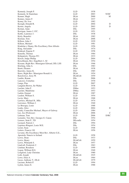| Kennedy, Joseph P.                             | LLD          | 1938 |               |
|------------------------------------------------|--------------|------|---------------|
| Kennedy, Sr Stanislaus                         | <b>LLD</b>   | 2003 | N/DC          |
| Kenner, Hugh                                   | DLitt        | 2000 | M             |
| Kenney, James F.                               | DLitt        | 1937 |               |
| Kenny, Dr. Ivor                                | <b>LLD</b>   | 1982 |               |
| Keough, Donald R.                              | <b>LLD</b>   | 2004 | D             |
| Kerins, Angela                                 | <b>LLD</b>   | 2003 | D             |
| Kernan, Anne                                   | <b>DSc</b>   | 1995 |               |
| Kerrigan, James J. O'C.                        | <b>LLD</b>   | 1951 |               |
| Kettle, Laurence J.                            | <b>DSc</b>   | 1938 |               |
| Kiely, Benedict                                | DLitt        | 1982 |               |
| Kiernan, Tom                                   | DLitt        | 2006 | C             |
| Killeen, John J.                               | <b>LLD</b>   | 1929 |               |
| Killeen, Michael                               | <b>LLD</b>   | 1981 |               |
| Kindelan y Duany, His Excellency Don Alfredo   | <b>LLD</b>   | 1956 |               |
| King, Alexander                                | DSc          | 1974 |               |
| Kinkead, Eugene F.                             | <b>LLD</b>   | 1958 |               |
| Kinsella, Thomas                               | DLitt        | 1984 |               |
| Kirkpatrick, Thomas P.C.                       | <b>DLitt</b> | 1933 |               |
| Kirsch, Judge Phillip                          | <b>LLD</b>   | 2004 | G             |
| Kirschbaum, Rev. Engelbert J., SJ              | DLitt        | 1954 |               |
| Kissane, Right Rev. Monsignor Edward, DD, LSS  | DLitt        | 1946 |               |
| Kitching, John A.                              | <b>DSc</b>   | 1983 |               |
| Knott, Eleanor                                 | DLitt        | 1938 |               |
| Knowles, James K.                              | DSc          | 1985 |               |
| Knox, Right Rev. Monsignor Ronald A.           | DLitt        | 1954 |               |
| Kurylowicz, Jerzy W.                           | DLittCelt    | 1959 |               |
| Lambe, Ronan                                   | <b>DSc</b>   | 2006 | G             |
| Lanczos, Cornelius                             | <b>DSc</b>   | 1970 |               |
| Langa, Pius                                    | <b>LLD</b>   | 2007 | G             |
| Langdon-Brown, Sir Walter                      | <b>LLD</b>   | 1938 |               |
| Larchet, John F.                               | <b>DMus</b>  | 1953 |               |
| Larchet, Madeleine                             | <b>DMus</b>  | 1953 |               |
| Larkin, Emmet                                  | DLitt        | 1987 |               |
| Lasdon, William S.                             | <b>LLD</b>   | 1954 |               |
| Lavin, Mary                                    | DLitt        | 1968 |               |
| Lawless, Michael B., MSc                       | <b>LLD</b>   | 1974 |               |
| Lawrence, William J.                           | DLitt        | 1940 |               |
| Le Brocquy, Louis                              | <b>LLD</b>   | 1988 |               |
| Leahy, Alice                                   | <b>LLD</b>   | 2004 | D             |
| Leahy, Councillor Michael, Mayor of Galway     | LLD          | 1984 |               |
| Lee, Joe (Professor)                           | DLitt        | 2006 | $\mathcal{C}$ |
| Lehman, Tom                                    | <b>LLD</b>   | 2006 | D/RC          |
| Lemaitre, Very Rev. Georges E. Canon           | <b>DSc</b>   | 1954 |               |
| Lemass, Seán F., TD                            | DEconSc      | 1954 |               |
| Leonard, Patrick J.                            | <b>DSc</b>   | 1994 |               |
| Leprince-Ringuet, Louis M.E.                   | <b>DSc</b>   | 1954 |               |
| Lester, Sean                                   | <b>LLD</b>   | 1948 |               |
| Letters, Francis J.H.                          | DLitt        | 1956 |               |
| Levame, His Excellency Most Rev. Alberto G.E., |              |      |               |
| Apostolic Nuncio to Ireland                    | <b>LLD</b>   | 1958 |               |
| Lewis, Dean                                    | DSc          | 1933 |               |
| Lewis, Henry                                   | DLittCelt    | 1959 |               |
| Lewis, Wilmarth S.                             | DLitt        | 1957 |               |
| Lindvall, Frederick C.                         | <b>DSc</b>   | 1963 |               |
| Linehan, Rosaleen                              | <b>LLD</b>   | 1999 | D             |
| Logan, William H.G.                            | DLitt        | 1940 |               |
| Longford, Lady Christine                       | DLitt        | 1980 |               |
| Loth, Joseph                                   | DLittCelt    | 1925 |               |
| Lowe, Elias A.                                 | DLitt        | 1964 |               |
| Lucas, Anthony T., DLitt                       | DLittCelt    | 1979 |               |
| Luciano, Robert P.                             | <b>LLD</b>   | 1994 |               |
| Lydon, James E.                                | <b>DLitt</b> | 1988 |               |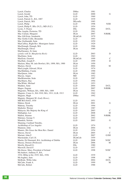| Lynch, Charles                                   | <b>DMus</b>      | 1981 |              |
|--------------------------------------------------|------------------|------|--------------|
| Lynch, Gerald                                    | <b>LLD</b>       | 2000 | G            |
| Lynch, John, TD                                  | <b>LLD</b>       | 1969 |              |
| Lynch, Patrick G., BA, 1887                      | <b>LLD</b>       | 1939 |              |
| Lynch, Patrick, MA                               | DEconSc          | 1985 |              |
| Lynch, Philip                                    | <b>LLD</b>       | 1998 | N/IH         |
| Lynch, Philip P., BSc (N.Z.), MD (N.Z.)          | <b>LLD</b>       | 1954 |              |
| Lyons, T. Pearse                                 | DSc              | 2004 | D/CL         |
| Mac Aogáin, Proinsias, TD                        | <b>LLD</b>       | 1961 |              |
| Mac Curtain, Margaret                            | DLitt            | 2007 | N/RHK        |
| Mac Gill-Eoin, Somhairle                         | <b>DLittCelt</b> | 1979 |              |
| Mac Giolla Coille, Breandán                      | <b>LLD</b>       | 1993 |              |
| Mac Giollarnáth, Seán                            | <b>LLD</b>       | 1959 |              |
| MacCaffrey, Right Rev. Monsignor James           | <b>LLD</b>       | 1929 |              |
| MacDonagh, Donagh, MA                            | <b>LLD</b>       | 1966 |              |
| MacDonagh, Oliver                                | DLitt            | 1989 |              |
| MacEneaney, Sr Anne                              |                  |      |              |
| (jointly with Sr. Margherita Rock)               | <b>LLD</b>       | 2003 | D            |
| MacEntee, Seán                                   | <b>LLD</b>       | 1963 |              |
| MacEoin, Gearóid                                 | DLittCelt        | 1999 | $\mathsf{C}$ |
| MacHale, Joseph P. .                             | <b>LLD</b>       | 1999 | D            |
| Macken, Mary M. (née Bowler), BA, 1898; MA, 1900 | <b>DLitt</b>     | 1950 |              |
| Mackey, David                                    | <b>LLD</b>       | 2004 | M            |
| MacLysaght, Edward, DLitt                        | <b>LLD</b>       | 1974 |              |
| MacMathúna, Ciarán                               | <b>LLD</b>       | 1990 |              |
| MacQueen, John                                   | <b>DLitt</b>     | 1985 |              |
| Macrae, Angus                                    | MD               | 1952 |              |
| MacRéamoinn, Seán                                | <b>LLD</b>       | 1987 |              |
| MacSharry, Ray                                   | <b>LLD</b>       | 1994 |              |
| MacWhite, Michael                                | <b>LLD</b>       | 1953 |              |
| Madden, Anne                                     | LLD              | 2004 | D/CL         |
| Magee, Eugene                                    | <b>LLD</b>       | 2007 | N/RHK        |
| Magennis, William, BA, 1888; MA, 1889            | <b>DLitt</b>     | 1941 |              |
| Maguire, Conor A., BA 1910; MA, 1911; LLB, 1913  | LLD              | 1962 |              |
| Maguire, Hugh                                    | <b>DMus</b>      | 1992 |              |
| Maguire, Margaret M. (Lady Howe),                |                  |      |              |
| MB BCh BAO, 1930                                 | <b>LLD</b>       | 1951 |              |
| Mahon, Derek                                     | DLitt            | 2001 | G            |
| Mahony, Timothy                                  | <b>LLD</b>       | 1994 |              |
| Maihofer, Werner                                 | <b>LLD</b>       | 1987 |              |
| Malaysia, His Majesty the King of                | <b>LLD</b>       | 2003 | C            |
| Mallaghan, Lee                                   | <b>LLD</b>       | 2008 | M            |
| Mallon, Séamus                                   | <b>LLD</b>       | 2002 | N/RHK        |
| Maloney, George T.                               | <b>LLD</b>       | 1993 |              |
| Mandela, Nelson                                  | <b>LLD</b>       | 2003 | G            |
| Manning, Cardinal Timothy,                       |                  |      |              |
| Archbishop of Los Angeles                        | <b>LLD</b>       | 1974 |              |
| Mannion, John                                    | DLitt            | 2004 | G            |
| Mannix, His Grace the Most Rev. Daniel           | <b>LLD</b>       | 1954 |              |
| Marcus, David                                    | DLitt            | 2005 | C            |
| Mariani, John F.                                 | LLD              | 2007 | G/SH         |
| Marstrander, Carl J.S.                           | DLittCelt        | 1959 |              |
| Martin, Dr Diarmuid, BA; Archbishop of Dublin    | LLD              | 2008 | N/DC         |
| Massey, Doreen (Professor)                       | DLitt            | 2006 | М            |
| Mawby, Russell G.                                | <b>DSc</b>       | 1980 |              |
| Maxwell, David F.                                | <b>LLD</b>       | 1957 |              |
|                                                  | <b>LLD</b>       | 1998 |              |
| McAleese, Mary, President of Ireland             |                  |      | N/DC         |
| McAndrew, Anthony P., BA,                        | <b>LLD</b>       | 1939 |              |
| 1934; HDip in Ed, 1935; MA, 1936                 |                  |      |              |
| McAughtry, Sam                                   | <b>LLD</b>       | 1998 | М            |
| McBride, Willie John                             | <b>LLD</b>       | 2004 | D/CL         |
| McCabe, Frank A.                                 | <b>LLD</b>       | 1999 | M            |
| McCabe, Robert                                   | <b>LLD</b>       | 1988 |              |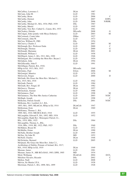| McCaffrey, Lawrence J.                              | DLitt        | 1987 |       |
|-----------------------------------------------------|--------------|------|-------|
| McCann, John M.                                     | <b>LLD</b>   | 1981 |       |
| McCarthy, Brian                                     | <b>LLD</b>   | 2006 | C     |
| McCarthy, Dermot                                    | <b>LLD</b>   | 2007 | D/IPA |
| McCarthy, John                                      | <b>LLD</b>   | 2006 | N/RHK |
| McCarthy, Michael D., MA, 1934; PhD, 1939           | <b>DSc</b>   | 1967 |       |
| McCarthy, Muriel                                    | <b>LLD</b>   | 1995 |       |
| McCarthy, Very Rev. Cathal G., Canon, BA, 1933      | <b>LLD</b>   | 1961 |       |
| McCloskey, Deirdre                                  | DEconSc      | 2008 | G     |
| McColgan, John (jointly with Moya Doherty)          | <b>LLD</b>   | 2003 | M     |
| McCormack, Count John                               | <b>DMus</b>  | 1927 |       |
| McCormack, John W.                                  | <b>LLD</b>   | 1973 |       |
| McCrea, William H., FRS                             | <b>DSc</b>   | 1954 |       |
| McCreevy, Charles J.                                | <b>LLD</b>   | 2007 | M     |
| McDonagh, Rev. Professor Enda                       | <b>LLD</b>   | 2000 | C     |
| McDonagh, Thomas                                    | <b>LLD</b>   | 2000 | G     |
| McDonald, Marianne                                  | DLitt        | 2001 | D     |
| McDonald, William J.                                | <b>LLD</b>   | 1958 |       |
| McElligott, James J., BA, 1911; MA, 1920            | <b>LLD</b>   | 1946 |       |
| McEntegart, His Lordship the Most Rev. Bryan J.     | <b>LLD</b>   | 1954 |       |
| McGahern, John                                      | DLitt        | 1994 |       |
| McGillicuddy, John F.                               | <b>LLD</b>   | 1991 |       |
| McGilligan, Patrick, BA, 1910;                      |              |      |       |
| HDip in Ed, 1913; MA, 1915                          | DEconSc      | 1940 |       |
| McGinley, Paul                                      | DArts        | 2006 | M     |
| McGonigal, Maurice                                  | <b>LLD</b>   | 1970 |       |
| McGovern, Fergus                                    | <b>LLD</b>   | 2000 | D     |
| McGrath, His Grace the Most Rev. Michael J.,        |              |      |       |
| BA, 1915; MA, 1918                                  | <b>LLD</b>   | 1942 |       |
| McGrath, Patrick                                    | <b>LLD</b>   | 1984 |       |
| McGrath, Rev. Fergal, SJ                            | DLitt        | 1982 |       |
| McGreevy, Thomas                                    | <b>DLitt</b> | 1957 |       |
| McGuckian, Alastair                                 | <b>LLD</b>   | 1988 |       |
| McGuinness, Paul                                    | <b>LLD</b>   | 1998 | М     |
| McGuinness, The Hon Mrs Justice Catherine           | <b>LLD</b>   | 2003 | N/DC  |
| McHugh, Joseph                                      | <b>LLD</b>   | 1998 | C     |
| McKenna, Patrick Gerald.                            | DSc          | 2001 | N/DC  |
| McKenna, Rev. Lambert A.J., BA,                     |              |      |       |
| 1893; MA, 1895; MLittCelt, HDip in Ed, 1914         | DLittCelt    | 1947 |       |
| McKiernan, Eoin                                     | DLitt        | 1969 |       |
| McKinney, Thomas J., BA,                            |              |      |       |
| 1909; MA, 1910; MB BCh BAO, 1918                    | <b>LLD</b>   | 1955 |       |
| McLaughlin, Edward P., BA, 1892; MD, 1934           | <b>LLD</b>   | 1952 |       |
| McLaughlin, Right Rev. Monsignor Patrick J.I.,      |              |      |       |
| BSc, 1919; MSc, 1925                                | DSc          | 1964 |       |
| McLaughlin, Thomas A., BSc,                         |              |      |       |
| 1916; MSc, 1918; BE, 1922; PhD, 1923                | <b>DSc</b>   | 1940 |       |
| McMahon, Bryan M.                                   | <b>LLD</b>   | 1972 |       |
|                                                     | <b>DLitt</b> | 1990 |       |
| McMullin, Ernan                                     |              | 1995 |       |
| McNally, Brother Joseph                             | <b>LLD</b>   |      |       |
| McNee, Sir John W.                                  | MD           | 1952 |       |
| McNeill, Charles                                    | DLitt        | 1946 |       |
| McNicholas, Bernard                                 | <b>LLD</b>   | 2005 | G     |
| McQuaid, His Grace the Most Rev. John C.J.,         |              |      |       |
| Archbishop of Dublin, Primate of Ireland, BA, 1917; |              |      |       |
| MA, 1918; HDip in Ed, 1919                          | DLitt        | 1949 |       |
| Meenan, James                                       | LLD.         | 1981 |       |
| Meenan, James N., MB BCh BAO, 1903; DPH, 1905       | MD           | 1934 |       |
| Meid, Wolfgang                                      | DLittCelt    | 2004 | D/CL  |
| Melchior Navarro, Ricardo                           | <b>DSc</b>   | 2002 | C     |
| Mellon, Niall                                       | <b>LLD</b>   | 2008 | C     |
| Melvin, Sir Martin J.P.A.                           | <b>LLD</b>   | 1938 |       |
| Merriman, Patrick J., BA, 1898; MA, 1899            | <b>LLD</b>   | 1928 |       |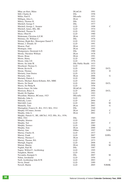| Mhac an tSaoi, Máire                                  | <b>DLittCelt</b>       | 1991 |              |
|-------------------------------------------------------|------------------------|------|--------------|
| Mill, Charles K.                                      | <b>DSc</b>             | 1958 |              |
| Miller, Paul E.                                       | DEconSc                | 1951 |              |
| Milligan, Alice L.                                    | DLitt                  | 1941 |              |
| Milroy, Thomas H.                                     | DSc                    | 1933 |              |
| Mitchell, George F.                                   | DSc                    | 1977 |              |
| Mitchell, George J., Senator                          | LLD                    | 1998 | C            |
| Mitchell, James, BSc, BE.                             | <b>LLD</b>             | 1974 |              |
| Mitchell, Thomas N.                                   | <b>LLD</b>             | 1992 |              |
| Moen, Obed H.                                         | <b>LLD</b>             | 1960 |              |
| Mohrmann, Christina A.E.M.                            | DLitt                  | 1955 |              |
| Moloney, Dr. William C.                               | DSc                    | 1976 |              |
| Molony, Right Rev. Monsignor Daniel T.                | <b>LLD</b>             | 1932 |              |
| Monan, J. Donald, SJ                                  | <b>LLD</b>             | 1991 |              |
| Monroe, Paul                                          | DLitt                  | 1933 |              |
| Montague, John                                        | DLitt                  | 1991 |              |
| Montgomery, Desmond A.D.                              | DSc                    | 1980 |              |
| Moody, Theodore William                               | DLitt                  | 1978 |              |
| Moore, Brian                                          | DLitt                  | 1991 |              |
| Moore, Henry                                          | <b>LLD</b>             | 1983 |              |
| Moore, John J.D.                                      | <b>LLD</b>             | 1976 |              |
| Moore, Sir John W.                                    | DSc Public Health 1933 |      |              |
| Moorhead, Thomas G.                                   | <b>LLD</b>             | 1933 |              |
|                                                       | <b>LLD</b>             | 2004 | D/CL         |
| Moran, Kevin B.                                       |                        |      |              |
| Moran, Thomas                                         | <b>LLD</b>             | 2002 | D            |
| Moriarty, Joan Denise                                 | <b>LLD</b>             | 1979 |              |
| Moriarty, John                                        | DLitt                  | 2006 | G            |
| Moriarty, Patrick J.                                  | LLD                    | 1988 |              |
| Morris, Michael, Baron Killanin, MA, MBE              | <b>LLD</b>             | 1975 |              |
| Morris, Sir Derek                                     | <b>LLD</b>             | 2004 | D/CL         |
| Morris, Sir Philip R.                                 | <b>LLD</b>             | 1958 |              |
| Morris-Jones, Sir John                                | DLittCelt              | 1926 |              |
| Morrison, Bruce A.                                    | <b>LLD</b>             | 2004 | D/CL         |
| Mould, Dr Daphne                                      | LLD                    | 1993 |              |
| Moynihan, Maurice, BComm, 1923                        | DEconSc                | 1955 |              |
| Mulcahy, John A.                                      | <b>LLD</b>             | 1971 |              |
| Mulcahy, Louis                                        | <b>LLD</b>             | 2004 | $\mathsf{C}$ |
| Mulvihill, Liam                                       | LLD                    | 2001 | М            |
| Munnelly, Tom                                         | DLitt                  | 2007 | G            |
| Murnaghan, Francis D., BA, 1913; MA, 1914             | DSc                    | 1940 |              |
| Murphy O'Connor, Jerome                               | DLitt                  | 2002 | C            |
| Murphy, John A.                                       | DLitt                  | 2001 | $\mathsf{C}$ |
| Murphy, Patrick G., BE, ARCScI, 1922; BSc, H.c, 1936; |                        |      |              |
| MEd, 1941                                             | <b>DSc</b>             | 1965 |              |
| Murphy, Séamus                                        | LLD                    | 1969 |              |
| Murphy, Ted                                           | <b>LLD</b>             | 2007 | C            |
| Murphy, Terence                                       | <b>LLD</b>             | 1980 |              |
| Murphy, Tom                                           | DLitt                  | 2000 | G            |
| Murray, Ann                                           | <b>DMus</b>            | 1997 | N/IH         |
| Murray, Charles H.                                    | <b>LLD</b>             | 1977 |              |
| Murray, Frank                                         | <b>LLD</b>             | 2007 | D/IPA        |
| Murray, Thomas C.                                     | DLitt                  | 1949 |              |
| Murray, Thomas, BA                                    | LLD                    | 1973 |              |
| Murtagh, Eugene                                       | <b>LLD</b>             | 2008 | G            |
| Mutran, Munira                                        | DLitt                  | 2008 | M            |
| Naghdi, Paul M.                                       | DSc                    | 1987 |              |
| Napier, Wilfrid F., Archbishop                        | <b>LLD</b>             | 1995 |              |
| Naughton, Martin                                      | <b>LLD</b>             | 1991 |              |
| Navandra, Kumpati S.                                  | DSc                    | 2007 | М            |
| Nehru, Jawaharlal                                     | <b>LLD</b>             | 1956 |              |
| Neill, Archbishop John R.W.                           | <b>LLD</b>             | 2003 | G            |
| Nevin, Donal                                          | <b>LLD</b>             | 1989 |              |
| Newell, Martin                                        | <b>LLD</b>             | 2005 | N/RHK        |
|                                                       |                        |      |              |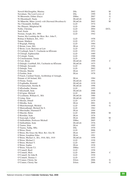| Newell-McGloughlin, Martina                          | DSc                      | 2002         | M             |
|------------------------------------------------------|--------------------------|--------------|---------------|
| Newnham, The Lord Lewis of                           | DSc                      | 1999         | D             |
| Ní Bhraonáin, Eithne (Enya)                          | <b>DMus</b>              | 2007         | G             |
| Ní Dhomhnaill, Nuala                                 | DLittCelt                | 2005         | $\mathcal{C}$ |
| Ní Mhurchú, Máire (jointly with Diarmuid Breathnach) | DLittCelt                | 2002         | M             |
| Nic Chionnáith, Siobhán                              | <b>LLD</b>               | 1974         |               |
| Nic Phiarais, Máighréad M.                           | <b>LLD</b>               | 1966         |               |
| Noble, Christina                                     | <b>LLD</b>               | 2004         | D/CL          |
| Noël, Emile                                          | <b>LLD</b>               | 1981         |               |
| Noonan, Joseph, BA, 1904                             | <b>LLD</b>               | 1942         |               |
| Norton, His Lordship the Most. Rev. John F.,         | <b>LLD</b>               | 1958         |               |
| Bishop of Bathurst, BA, 1911<br>Nunan, Matthew       | <b>LLD</b>               | 1971         |               |
| Ó Bogaigh, Pádraig                                   | <b>LLD</b>               | 1984         |               |
| Ó Briain, Liam, MA                                   | DLitt                    | 1974         |               |
| Ó Broin, Leon, Barrister-at-Law                      | <b>LLD</b>               | 1967         |               |
| Ó Ceallaigh, Seán T., Uachtarán na hÉireann          | <b>LLD</b>               | 1952         |               |
| Ó Cléirigh, Eighneachán                              | LLD                      | 1989         |               |
| Ó Cofaigh, Tomás                                     | <b>LLD</b>               | 1988         |               |
| Ó Concheanainn, Tomás                                | <b>LLD</b>               | 1958         |               |
| Ó Cuív, Brian                                        | DLittCelt                | 1999         | C             |
| Ó Dalaigh, Cearbhall, BA, Uachtarán na hÉireann      | <b>DLittCelt</b>         | 1975         |               |
| Ó Dálaigh, Seosamh                                   | <b>LLD</b>               | 1986         |               |
| Ó Dalaigh, Tony                                      | <b>LLD</b>               | 2002         | D             |
| Ó Direáin, Mairtín                                   | DLitt                    | 1977         |               |
| Ó Faoláin, Seán                                      | DLitt                    | 1978         |               |
| Ó Fiaich, Cardinal Tomás, Archbishop of Armagh,      |                          |              |               |
| Primate of All Ireland, MA                           | DLitt                    | 1984         |               |
| Ó Floinn, Tomás                                      | DLittCelt                | 1991         |               |
| Ó Foghladha, Risteárd                                | <b>DLittCelt</b>         | 1939         |               |
| Ó hAnnracháin, Stiofán B.                            | DLittCelt                | 1996         |               |
| Ó hÉochadha, Séamus                                  | <b>LLD</b>               | 1955         |               |
| O hEochaidh, Seán                                    | DLittCelt                | 1988         |               |
| Ó hUiginn, Mícheál                                   | <b>LLD</b>               | 2008         | G             |
| Ó Lochlainn, William G., MA                          | DLittCelt                | 1960         |               |
| Ó Lúing, Séan                                        | DLittCelt                | 1995         |               |
| Ó Moráin, Dónall                                     | <b>LLD</b>               | 1979         |               |
| Ó Mórdha, Seán                                       | DLitt                    | 2001         | G             |
| Ó Muircheartaigh, Michéal                            | <b>LLD</b>               | 1999         | G             |
| Ó Muireadhaigh, Micheál De S.                        | <b>LLD</b>               | 1962         |               |
| Ó Murchadha, Diarmuid P.                             | DLitt                    | 1994         |               |
| Ó Murchú, Helen                                      | <b>LLD</b>               | 2008         | M             |
| O Riordáin, Seán                                     | DLitt                    | 1976         |               |
| Ó Searcaigh, Cathal                                  | DLitt                    | 2000         | M             |
| Ó Súilleabháin, Professor Micheál                    | <b>DMus</b>              | 2005         | C             |
| Ó Súilleabháin, Seán                                 | DLittCelt                | 1976         |               |
| Ó Tuama, Séan                                        | DLitt                    | 1995         |               |
| O Tuama, Tadhg, MSc.                                 | DSc                      | 1970         |               |
| O'Brien, Denis                                       | <b>LLD</b>               | 2006         | D             |
| O'Brien, His Grace the Most. Rev. Eris M.            | DLitt                    | 1957         |               |
| O'Brien, Josephine Edna                              | DLitt                    | 1991         |               |
| O'Brien, Michael A., BA, 1916; MA, 1919              | DLittCelt                | 1958         |               |
| O'Brien, Michael J.                                  | <b>LLD</b>               | 1930         |               |
| O'Brien, Michael V.                                  | <b>LLD</b>               | 1983         |               |
| O'Brien, Sophie                                      | <b>DLitt</b>             | 1938         |               |
| O'Brien, Vincent T.J.                                | <b>DMus</b>              | 1932         |               |
| O'Connell, Basil                                     | <b>LLD</b>               | 1958         | $\mathsf{C}$  |
| O'Connell, Mick                                      | <b>LLD</b><br><b>LLD</b> | 2004         |               |
| O'Connell, Sir John R.                               | <b>LLD</b>               | 1930<br>1933 |               |
| O'Connell, Thomas J.<br>O'Connor, Christy Jnr        | DArts                    | 2006         | G             |
|                                                      | DArts                    | 2006         | G             |
| O'Connor, Christy Snr                                |                          |              |               |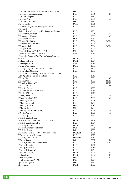| O'Connor, James M., BA, MB BCh BAO, MD            | DSc         | 1956         |      |
|---------------------------------------------------|-------------|--------------|------|
| O'Connor, Marianne (Sister)                       | LLD         | 2006         | G    |
| O'Connor, Stephen                                 | LLD         | 1995         |      |
| O'Connor, Tim                                     | LLD         | 2005         | М    |
| O'Connor, Timothy E.                              | DSc         | 1994         |      |
| O'Conor, John                                     | <b>DMus</b> | 1985         |      |
| O'Doherty, Right Rev. Monsignor Denis J.          | LLD         | 1928         |      |
| O'Donnell,                                        |             |              |      |
| His Excellency Don Leopoldo, Duque de Tetuan      | <b>LLD</b>  | 1956         |      |
| O'Donoghue, Donagh                                | <b>LLD</b>  | 2008         | G    |
| O'Donoghue, Hughie                                | LLD         | 2005         | C    |
| O'Donovan, Denis K.                               | DSc         | 1982         |      |
| O'Dowd, Niall Oliver                              | <b>LLD</b>  | 2004         | D/CL |
| O'Driscoll, Edmond M.R.                           | <b>LLD</b>  | 1973         |      |
| O'Dwyer, Mick                                     | <b>LLD</b>  | 2004         | D/CL |
| O'Dwyer, Tom                                      | LLD         | 1995         |      |
| O'Farrell, Thomas T., DPH, 1913                   | MD          | 1934         |      |
| O'Farrell, William R., LRCP & SI                  | MD          | 1934         |      |
| O'Farrelly, Agnes M.W. (Ní Fhaircheallaigh, Úna), |             |              |      |
| <b>BAMA</b>                                       | DLitt       | 1944         |      |
| O'Flaherty, Liam                                  | DLitt       | 1974         |      |
| O'Flanagan, Harry                                 | MD          | 1981         |      |
| O'Grady, Geraldine                                | <b>DMus</b> | 1989         |      |
| O'Grady, Very Rev. Michael A., SJ, BA             | LLD         | 1956         |      |
| O'Hara Blair, Maureen                             | <b>LLD</b>  | 1988         |      |
| O'Hara, His Excellency Most Rev. Gerald P., DD,   |             |              |      |
| JUD, Apostolic Nuncio to Ireland                  | <b>LLD</b>  | 1953         |      |
| O'Hara, Jim                                       | <b>LLD</b>  | 2006         | М    |
| O'Hare, Daniel                                    | <b>LLD</b>  | 1999         | N/IH |
| O'Higgins, Thomas F.                              | <b>LLD</b>  | 1999         | N/IH |
| O'Kane, Frank                                     | <b>LLD</b>  | 2003         | D    |
| O'Keeffe, Paddy                                   | <b>LLD</b>  | 1990         |      |
| O'Keeffe, Sister M. Canisius                      | <b>LLD</b>  | 1984         |      |
| O'Kelly, William                                  | <b>LLD</b>  | 1978         |      |
| O'Leary, Jane                                     | <b>DMus</b> | 2007         | G    |
| O'Loan, Nuala (DBE)                               | <b>LLD</b>  | 2008         | М    |
| O'Mahony, John A.                                 | <b>LLD</b>  | 1928         |      |
| O'Mahony, Timothy                                 |             |              |      |
|                                                   | LLD<br>DSc  | 1949<br>1985 |      |
| O'Malley, Bert W.                                 | MD          | 1984         |      |
| O'Malley, Eoin                                    |             |              |      |
| O'Malley, Martin (Governor)                       | <b>LLD</b>  | 2008         | G    |
| O'Neill, Patrick                                  | <b>LLD</b>  | 1998         | M    |
| O'Neill, Tip                                      | LLD         | 1990         |      |
| O'Rahilly, Alfred, BA,                            |             |              |      |
| 1907; MA, 1908; BSc, 1912; DSc, 1940              | DLitt       | 1939         |      |
| O'Rahilly, Aodhagan, BE                           | <b>LLD</b>  | 1974         |      |
| O'Rahilly, Cecile                                 | DLitt       | 1977         |      |
| O'Rahilly, Professor Stephen                      | DSc         | 2008         | D    |
| O'Rahilly, Ronan                                  | DSc         | 1989         |      |
| O'Rahilly, Thomas F., BA, 1905; MA, 1916          | DLittCelt   | 1928         |      |
| O'Regan, Andrew Brendan                           | <b>LLD</b>  | 1978         |      |
| O'Reilly, Anthony J.F.                            | DEconSc     | 1989         |      |
| O'Reilly, David                                   | DSc         | 2002         | D    |
| O'Reilly, Emily, BA Ombudsman                     | <b>LLD</b>  | 2008         | N/DC |
| O'Reilly, Francis                                 | <b>LLD</b>  | 1932         |      |
| O'Reilly, Francis J.                              | <b>LLD</b>  | 1986         |      |
| O'Reilly, Michael W.                              | <b>LLD</b>  | 1964         |      |
| O'Rourke, Kevin                                   | DLitt       | 2001         | М    |
| O'Shea, Milo                                      | DLitt       | 2007         | D    |
| O'Sullivan, Denis                                 | DSc         | 2000         | C    |
| O'Sullivan, James V., MD                          | DSc         | 1974         |      |
| Ogilvie, Bridget M.                               | DSc         | 1996         |      |
| Oliva, Dr Jay                                     | DLitt       | 1993         |      |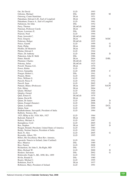| Orr, Sir David                                      | LLD              | 1993 |       |
|-----------------------------------------------------|------------------|------|-------|
| Osborne, Michael                                    | <b>DSc</b>       | 2005 | M     |
| Ostrorog, Count Stanislaus                          | DLitt            | 1951 |       |
| Pakenham, Edward A.H., Earl of Longford             | DLitt            | 1958 |       |
| Pakenham, Francis A., Earl of Longford              | <b>LLD</b>       | 1961 |       |
| Parkinson, Sir John                                 | <b>DSc</b>       | 1952 |       |
| Parry, Thomas                                       | DLittCelt        | 1968 |       |
| Pateman, Professor Carole                           | DLitt            | 2005 | D     |
| Payne, Lawrence E.                                  | <b>DSc</b>       | 1990 |       |
| Pearson, Noel                                       | <b>LLD</b>       | 1994 |       |
| Peate, Iorwerth C.                                  | <b>DLittCelt</b> | 1960 |       |
| Peck, Gregory                                       | DLitt            | 2000 | N/DC  |
| Pedersen, Holger                                    | DLittCelt        | 1925 |       |
| Peirce, Gareth                                      | <b>LLD</b>       | 1999 | G     |
| Pettit, Philip                                      | DLitt            | 2000 | D     |
| Pfeiffer, Dr Heinrich                               | DLitt            | 1993 |       |
| Phelan, Edward J.                                   | <b>LLD</b>       | 1944 |       |
| Pilaro, Dr Anthony                                  | <b>LLD</b>       | 2008 | D     |
| Pinkerton, John H. McK                              | DSc              | 1986 |       |
| Pinter, Harold                                      | DLitt            | 2004 | D/BL  |
| Plummer, Charles                                    | DLittCelt        | 1925 |       |
| Pokorny, Julius                                     | DLittCelt        | 1925 |       |
| Powell, Thomas G.E.                                 | DLitt            | 1970 |       |
| Power, Robin                                        | <b>LLD</b>       | 1990 |       |
| Power, Samantha                                     | <b>LLD</b>       | 2008 | С     |
| Praeger, Robert L.                                  | <b>DSc</b>       | 1941 |       |
| Prejean, Helen                                      | <b>LLD</b>       | 2002 | G     |
| Price, William G.                                   | <b>LLD</b>       | 1965 |       |
| Purcell, Pierce F.                                  | <b>LLD</b>       | 1952 |       |
| Purcell, Sean                                       | <b>LLD</b>       | 2005 | G     |
| Putnam, Hilary (Professor)                          | DLitt            | 2007 | N/CPI |
| Pyle, Hilary                                        | DLitt            | 2004 | C     |
| Quane, Michael                                      | <b>LLD</b>       | 1926 |       |
| Quigley, Gerard                                     | <b>LLD</b>       | 1992 |       |
| Quin, Ernest G.                                     | DLittCelt        | 1979 |       |
| Quinn, David B.                                     | DLitt            | 1981 |       |
| Quinn, Dr James                                     | <b>LLD</b>       | 2008 | D     |
| Quinn, Feargal (Senator)                            | <b>LLD</b>       | 2006 | G     |
| Quinn, Lochlann                                     | LLD              | 2004 | D/CL  |
| Quinn, Sean                                         | <b>LLD</b>       | 1999 | M     |
| Radhakrishnan, Sarvepalli, President of India       | <b>LLD</b>       | 1964 |       |
| Rafferty, Terence, BA,                              |                  |      |       |
| 1925; HDip in Ed, 1926; MA, 1927                    | <b>LLD</b>       | 1964 |       |
| Rafroidi, Patrick P.                                | <b>DLitt</b>     | 1986 |       |
| Raftery, Michael A.                                 | <b>LLD</b>       | 1987 |       |
| Ramaphosa, Cyril                                    | <b>LLD</b>       | 2005 | G     |
| Rea, Stephen                                        | DLitt            | 2007 | D     |
| Reagan, Ronald, President, United States of America | <b>LLD</b>       | 1984 |       |
| Reddy, Neelam Sanjwa, President of India            | LLD              | 1982 |       |
| Reid, Fr. Alex                                      | <b>LLD</b>       | 2005 | G     |
| Reynolds, Albert, TD                                | <b>LLD</b>       | 1995 |       |
| Riberi, His Excellency Most Rev. Antonio,           |                  |      |       |
| Apostolic Nuncio to Ireland, (later Cardinal)       | <b>LLD</b>       | 1961 |       |
| Rice, Maurice                                       | <b>DSc</b>       | 1989 |       |
| Rice, Patrick                                       | <b>LLD</b>       | 2008 | C     |
| Richardson, Sir John S., Ba Right, MD               | <b>DSc</b>       | 1975 |       |
| Riley, Richard W.                                   | <b>LLD</b>       | 2000 | D     |
| Rionero, Salvatore                                  | <b>DSc</b>       | 2002 | G     |
| Rishworth, Frank S., BE, 1898; BA, 1899             | <b>LLD</b>       | 1942 |       |
| Rivlin, Ronald S.                                   | <b>DSc</b>       | 1980 |       |
| Roarty, Michael J.                                  | LLD              | 1995 |       |
| Robinson, Fred N.                                   | DLitt            | 1937 |       |
| Robinson, Mary, President of Ireland                | LLD              | 1991 |       |
|                                                     |                  |      |       |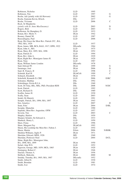| Robinson, Nicholas                              | LLD          | 1995 |              |
|-------------------------------------------------|--------------|------|--------------|
| Robinson, Tim                                   | LLD          | 1997 | G            |
| Roche, Adi (jointly with Ali Hewson)            | LLD          | 2002 | G            |
| Roche, Eamonn Kevin, BArch.                     | DSc          | 1977 |              |
| Roche, Vivienne                                 | LLD          | 2006 | $\mathsf{C}$ |
| Rock, Sr Margherita                             |              |      |              |
| (jointly with Sr. Anne MacEneaney)              | <b>LLD</b>   | 2003 | D            |
| Rogers, Bríd                                    | <b>LLD</b>   | 2003 | G            |
| Rolleston, Sir Humphrey D.                      | <b>LLD</b>   | 1933 |              |
| Ronan, Rev. Myles V.                            | DLitt        | 1942 |              |
| Rooney, Daniel M.                               | <b>LLD</b>   | 1987 |              |
| Rusesabagina, Paul                              | <b>LLD</b>   | 2006 | D            |
| Ryan, His Grace the Most Rev. Patrick O'C., BA, |              |      |              |
| 1902; MA, 1929                                  | <b>LLD</b>   | 1937 |              |
| Ryan, James, MB, BCh, BAO, 1917; DPH, 1922      | DEconSc      | 1964 |              |
| Ryan, John A., MA                               | LLD          | 1975 |              |
| Ryan, Mary, BA, 1895; MA, 1896                  | DLitt        | 1952 |              |
| Ryan, Patrick D.                                | <b>LLD</b>   | 1994 |              |
| Ryan, Rev. John A.                              | DLitt        | 1929 |              |
| Ryan, Right Rev. Monsignor James H.             | DLitt        | 1929 |              |
| Ryan, Tony                                      | <b>LLD</b>   | 1987 |              |
| Ryan, William James Louden                      | DEconSc      | 1978 |              |
| Said, Edward W.                                 | DLitt        | 1999 | G            |
| Saramago, José                                  | DLitt        | 2006 | D            |
| Saul, B. Francis, II                            | <b>LLD</b>   | 1998 | C            |
| Schmidt, Karl H.                                | DLittCelt    | 1999 | C            |
| Schnach, Elizabeth                              | DLitt        | 1970 |              |
| Schofield, Kenneth D, CBE                       | <b>LLD</b>   | 2006 | D/RC         |
| Schouten, Matthijs                              | DSc          | 1992 |              |
| Schrödinger, Erwin R.J.A.                       | <b>DSc</b>   | 1940 |              |
| Scott, Dr Tony, BSc, MSc, PhD, President RDS    | DSc          | 2008 | N/DC         |
| Scott, Patrick                                  | LLD          | 1992 |              |
| Scott, Richard D.                               | DSc          | 1989 |              |
| Scullin, James H.                               | <b>LLD</b>   | 1930 |              |
| Scully, Sean                                    | <b>LLD</b>   | 2003 | C            |
| Seidel, Dr Hinrich                              | <b>LLD</b>   | 1991 |              |
| Semple, Patrick, BA, 1896; MA, 1897             | DLitt        | 1943 |              |
| Sen, Amartya                                    | <b>LLD</b>   | 2007 | D            |
| Senn, Fritz                                     | DLitt        | 2004 | D/BL         |
| Seoighe, Mainchín                               | LLD          | 1990 |              |
| Sepinski, Most Rev. Augustine, OFM              | LLD          | 1957 |              |
| Severin, Tim                                    | <b>LLD</b>   | 2003 | C            |
| Shapley, Harlow                                 | DSc          | 1959 |              |
| Sharpey-Schafer, Sir Edward A.                  | DSc          | 1933 |              |
| Shattuck, Henry L.                              | <b>LLD</b>   | 1950 |              |
| Shaw, Fiona                                     | <b>LLD</b>   | 1996 |              |
| Shaw, Margaret Fay                              | DLittCelt    | 1992 |              |
| Sheen, His Lordship the Most Rev. Fulton J.     | LLD          | 1954 |              |
| Sheen, Martin                                   | DArts        | 2006 | N/RHK        |
| Sheldon-Williams, Inglis P.                     | DLitt        | 1971 |              |
| Sheridan, Edward, MDS, 1926                     | MD           | 1940 |              |
| Sheridan, Professor Noel                        | <b>LLD</b>   | 2004 | D/CL         |
| Shine, Right Rev. Monsignor John,               |              |      |              |
| BA, 1898; MA, 1899                              | DLitt        | 1950 |              |
| Sichel, Alan W.S.                               | <b>LLD</b>   | 1952 |              |
| Sigerson, George, MD, 1859; MCh, 1865           | DLitt        | 1920 |              |
| Simington, Robert C.                            | DLitt        | 1946 |              |
| Sinclair, Thomas A.                             | DLitt        | 1956 |              |
| Skilbeck, Malcolm                               | <b>DLitt</b> | 2000 | M            |
| Smiddy, Timothy, BA, 1905; MA, 1907             | DEconSc      | 1952 |              |
| Smith, Alfred E.                                | <b>LLD</b>   | 1930 |              |
| Smith, Brendan                                  | LLD          | 1981 |              |
|                                                 | <b>LLD</b>   | 1974 |              |
| Smith, Ivor                                     |              |      |              |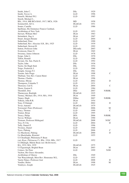| Smith, John C.                                         | <b>DSc</b>       | 1929 |                |
|--------------------------------------------------------|------------------|------|----------------|
| Smith, Trevor A.                                       | <b>LLD</b>       | 1996 |                |
| Smurfit, Michael W.J.                                  | LLD              | 1985 |                |
| Smyth, Michael J.,                                     |                  |      |                |
| BSc, 1914; MB BCh BAO, 1917; MCh, 1926                 | MD               | 1958 |                |
| Sommerfelt, Alf A.                                     | DLittCelt        | 1951 |                |
| Souter, Camille                                        | LLD              | 1986 |                |
| Spellman, His Eminence Francis Cardinal,               |                  |      |                |
| Archbishop of New York                                 | <b>LLD</b>       | 1953 |                |
| Stewart, William McC                                   | DLitt            | 1963 |                |
| Strömbäck, Dag A                                       | DLitt            | 1967 |                |
| Stuart, Imogen Renate                                  | <b>LLD</b>       | 2004 | D              |
| Sutherland, Peter                                      | LLD              | 1990 |                |
| Sutherland, Rev. Aloysius S.B., BA, 1925               | <b>LLD</b>       | 1939 |                |
| Sutherland, Stewart R.                                 | <b>LLD</b>       | 1992 |                |
| Sutton, Professor John                                 | DEconSc          | 2003 | M              |
| Sveinsson, Einer O.                                    | DLitt            | 1965 |                |
| Sweeney, James Johnson                                 | <b>LLD</b>       | 1978 |                |
| Synge, John L.                                         | DSc              | 1970 |                |
| Tallon, Ronald                                         | <b>LLD</b>       | 1990 |                |
| Taviani, On. Sen. Paolo E.                             | <b>LLD</b>       | 1992 |                |
| Taylor, John                                           | DSc              | 1936 |                |
| Taylor, Sir Hugh Stott                                 | <b>DSc</b>       | 1954 |                |
| Teago, Frederick J.                                    | LLD              | 1960 |                |
| Temple, George F.J.                                    | <b>DSc</b>       | 1961 |                |
|                                                        | DLitt            | 1998 | $\overline{C}$ |
| Terente, Inés Praga<br>Thiébaut, Very Rev. Canon Henri | <b>LLD</b>       | 1951 |                |
| Thomas, Charles                                        | DLitt            |      |                |
| Thomas, Moran                                          |                  | 1996 | D              |
|                                                        | LLD              | 2002 |                |
| Thompson, Columba T.                                   | <b>LLD</b>       | 1931 | $\overline{C}$ |
| Thoresen, Carl E.                                      | DLitt            | 2004 |                |
| Thorn, Gaston E.                                       | <b>LLD</b>       | 1984 | N/RHK          |
| Thornhill, Don                                         | DEd              | 2007 |                |
| Thurneysen, Rudolph                                    | <b>DLittCelt</b> | 1925 |                |
| Tierney, Michael, BA, 1914; MA, 1916                   | DLitt            | 1949 |                |
| Tinney, Hugh                                           | <b>DMus</b>      | 2007 | N/RHK          |
| Tolkien, John R.R.                                     | DLitt            | 1954 |                |
| Tony, Ó Dalaigh                                        | <b>LLD</b>       | 2002 | D              |
| Tovar, Antonio                                         | DLittCelt        | 1979 |                |
| Townsend, Peter (Professor)                            | <b>DLitt</b>     | 2006 | М              |
| Tracy, Thomas                                          | LLD              | 1999 | C              |
| Trainor, Brian                                         | <b>LLD</b>       | 1995 |                |
| Treacy, Philip                                         | <b>DFA</b>       | 2006 | N/RHK          |
| Trevor, William                                        | <b>DLitt</b>     | 1990 |                |
| Tristram, Professor Hildegard                          | DLittCelt        | 2008 | N/DC           |
| Troy, Fr Ulic                                          | LLD              | 2004 | D              |
| Tully, Daniel P.                                       | <b>LLD</b>       | 1996 |                |
| Twomey, Daniel                                         | <b>LLD</b>       | 1940 |                |
| Tyers, Pádraig                                         | <b>LLD</b>       | 2006 | C              |
| Ua Maoileoin, Pádraig                                  | <b>DLittCelt</b> | 2000 | D              |
| Ua Maolchatha, Risteárd                                | LLD              | 1955 |                |
| Uí Cheallaigh, Philomena P. Bean                       |                  |      |                |
| (née Ryan, Philomena F.), BSc, 1916; MSc, 1917         | LLD              | 1952 |                |
| Uí Dhálaigh, Máirin Bean (née McDermott),              |                  |      |                |
| BA, 1932; MA, 1939                                     | <b>DLittCelt</b> | 1975 |                |
| Uí Éigeartaigh, Bríghid Bean                           | DLitt            | 2003 | М              |
| Ustinov, Sir Peter                                     | LLD              | 1999 | N/IH           |
| Vachon, His Grace Alexander,                           |                  |      |                |
| Archbishop of Ottawa                                   | <b>DSc</b>       | 1949 |                |
| Van Waeyenbergh, Most Rev. Honoratus M.L.              | LLD              | 1955 |                |
| Varela Núnez, Professor José                           | <b>LLD</b>       | 2008 | D              |
| Vendler, Helen                                         | DLitt            | 1998 | M              |
| Vendryes, Joseph                                       | DLittCelt        | 1925 |                |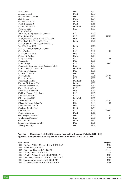| Venkat, Kris                                | DSc               | 1992 |      |
|---------------------------------------------|-------------------|------|------|
| Verbeke, Gerard                             | DLitt             | 1987 |      |
| Vick, Sir Francis Arthur                    | <b>DSc</b>        | 1976 |      |
| Vlad, Roman                                 | <b>DMus</b>       | 1974 |      |
| von Sydow, Carl W.                          | <b>DLitt</b>      | 1937 |      |
| Waddell, Samuel J.                          | DLitt             | 1956 |      |
| Wagner, Heinrich H.                         | <b>DLittCelt</b>  | 1979 |      |
| Wagner, Margit                              | <b>LLD</b>        | 1980 |      |
| Walsh, Charles J.,                          |                   |      |      |
| Dip in Ed, 1919 (Breatnach, Cormac)         | <b>LLD</b>        | 1933 |      |
| Walsh, Edward M.                            | <b>LLD</b>        | 1998 | N/IH |
| Walsh, Michael J., BSc, 1914; MSc, 1915     | <b>DSc</b>        | 1954 |      |
| Walsh, Paul, BA, 1912; MA, 1914             | DLitt             | 1941 |      |
| Walsh, Right Rev. Monsignor Patrick J.,     |                   |      |      |
| BA, 1894; MA, 1902                          | DLitt             | 1928 |      |
| Walsh, Thomas, BAgrSc, PhD, DSc             | <b>LLD</b>        | 1972 |      |
| Walsh, William                              | <b>LLD</b>        | 2007 | G    |
| Walshe, Francis M.R.                        | DSc               | 1941 |      |
| Walton, Sir William                         | <b>DMus</b>       | 1974 |      |
| Wang Shenhang                               | <b>LLD</b>        | 2004 | D    |
| Wareing, P.                                 | DSc               | 1991 |      |
| Warren, Roger                               | <b>LLD</b>        | 2006 | D/RC |
| Warren, The Hon. Earl. Chief Justice of USA | <b>LLD</b>        | 1957 |      |
| Watson, William J., MA, LLD                 | DLittCelt         | 1926 |      |
| Watts, Dr. William A.                       | <b>DSc</b>        | 1991 |      |
| Wayman, Patrick A.                          | DSc               | 1993 |      |
| Weaver, Philip                              | <b>LLD</b>        | 2006 | D/RC |
| Wejchert, Andrzej                           | <b>LLD</b>        | 1997 | D    |
| Whatmough, Joshua                           | DLittCelt         | 1959 |      |
| Wheeler, Sir Robert E.M.                    | DL <sub>itt</sub> | 1955 |      |
| Whitaker, Thomas K.M.                       | DEconSc           | 1962 |      |
| White, (Patrick) James                      | <b>LLD</b>        | 1970 |      |
| Whittaker, Sir Edmund T.                    | DSc               | 1939 |      |
| Wicklow, Eleanor G.H., Lady                 | <b>LLD</b>        | 1985 |      |
| Wilkinson, Frank C.                         | <b>LLD</b>        | 1960 |      |
| Williams, John E.C.                         | <b>DLittCelt</b>  | 1967 |      |
| Wilson, John P                              | <b>LLD</b>        | 2001 | N/DC |
| Wilson, Professor Robert W.                 | DSc               | 2004 | C    |
| Wolfe, Maurice O'B. W.                      | DSc               | 1965 |      |
| Woodham-Smith, Cecil                        | DLitt             | 1964 |      |
| Woosnam, Ian                                | <b>LLD</b>        | 2006 | D/RC |
| Wrenn, Charles L.                           | DLitt             | 1961 |      |
| Xie Shengwu, President                      | DSc               | 2005 | C    |
| Xu Zhihong, Professor                       | <b>LLD</b>        | 2008 | D    |
| Yeats, John B.                              | DLitt             | 1947 |      |
| Zienkiewicz, Olgierd C., DSc                | DSc               | 1975 |      |
| Zilboorg, Gregory                           | DSc               | 1954 |      |
|                                             |                   |      |      |

## **Aguisín 5: Céimeanna Ard-Dochtúireachta a Bronnadh ar Shaothar Foilsithe 1911 - 2008 Appendix 5: Higher Doctorate Degrees Awarded On Published Work 1911 - 2008**

| Year Name                                   | <b>Degree</b> |
|---------------------------------------------|---------------|
| 1911 Crofton, William Mervyn, BA MB BCh BAO | <b>MD</b>     |
| 1911 Flynn, John, MB MCh                    | <b>MD</b>     |
| 1912 Corcoran, Timothy, BA HDipEd           | DLitt         |
| 1912 Dillon, Thomas P, BA MA                | DSc           |
| 1912 O'Kelly, William D, MB BCh BAO DipPH   | <b>MD</b>     |
| 1913 Cummins, Stevenson L, MB BCh BAO LLD   | <b>MD</b>     |
| 1913 Curtin, Lawrence John, MB BCh BAO      | <b>MD</b>     |
| 1913 O'Connor, James M, BAMB BCh BAO        | <b>MD</b>     |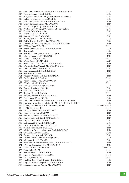|      | 1914 Compton, Arthur John Wilson, BA MB BCh BAO BSc     | DSc             |
|------|---------------------------------------------------------|-----------------|
|      | 1914 Nolan, Thomas J, BA BSc MSc                        | DSc             |
|      | 1914 Shepheard, Frederick George, BSc (Lond) ad eundum  | DSc             |
|      | 1915 Gahan, Charles Joseph, BA MA BSc                   | DSc             |
| 1915 | Barniville, Henry Leo, BA MB BCh BAO MCh                | MD              |
| 1915 | Shaw, Benjamin Henry, MB BCh BAO                        | MD              |
|      | 1916 Davis, Gladys Mary Norman, BA MA                   | DLitt           |
|      | 1916 Austin, Percy Corlett, BA (Cantab) BSc ad eundum   | DSc             |
|      | 1916 Forster, Robert Benjamin,                          | DSc             |
|      | 1917 Algar, Joseph, BA BSc MSc                          | DSc             |
|      | 1917 Kennedy, Henry, BA MA BSc                          | DSc             |
|      | 1917 Nolan, John J, BA MA BSc MSc                       | DSc             |
|      |                                                         |                 |
|      | 1917 Reilly, Joseph, BA BSc HDipEd MSc MA               | DSc             |
|      | 1917 Costello, Joseph Mary Aloysius, MB BCh BAO MSc     | MD              |
|      | 1918 D'Alton, John F, BA MA                             | DLitt           |
|      | 1918 Barry, David Thomas, MB BCh BAO MD                 | DSc             |
| 1918 | Taylor, John,                                           | DSc             |
|      | 1918 McGrath, John J, MB BCh BAO DipPH                  | MD              |
|      | 1918 Moore, Henry F, MB BCh BAO                         | MD              |
|      | 1919 O'Brien, George AT, BA                             | DLitt           |
|      | 1919 Webb, John J, BA MA LLB                            | <b>LLD</b>      |
|      | 1919 MacManus, James Thomas, MB BCh BAO                 | MD              |
|      | 1919 O'Shea, Herbert Vincent, MB BCh BAO MCh            | MD              |
|      | 1920 Butler, Edwin J, MB BCh BAO                        | DSc             |
|      | 1920 Enright, James I, BA MB BCh BAO                    | MD              |
|      | 1921 MacNeill, John, BA                                 | DLitt           |
| 1921 | Magner, William, MB BCh BAO DipPH                       | MD              |
|      | 1922 Boylan, Patrick J, BA MA                           | DLitt           |
|      | 1922 Moore, Henry F, MB BCh BAO MD                      | DSc             |
|      | 1923 O'Nolan, Gerald, BA MA                             | DLitt           |
|      | 1923 Gallagher, Patrick Hugh, BSc MSc                   | DSc             |
|      | 1924 Conran, Matthew J, BA MA                           | <b>DSc</b>      |
|      |                                                         |                 |
|      | 1925 Howley, John F W, BA MA                            | DLitt           |
|      | 1925 Treston, Hubert J, BA MA                           | DLitt           |
|      | 1925 Horgan, Michael J, BA MB BCh BAO                   | MD              |
|      | 1926 Jack, Henry Walter, BA BSc                         | DSc             |
|      | 1926 Compton, Arthur John Wilson, BA MB BCh BAO BSc DSc | MD              |
| 1927 | Conway, Edward Joseph, BSc MSc MB BCh BAO MD LLD hc     | DSc             |
|      | 1927 O'Kelly, William D, MB BCh BAO DipPH MD            | DScPublicHealth |
|      | 1928 Ó Máille, Tomás, BA                                | DLitt           |
|      | 1928 Dungan, Andrew R J, MB BCh BAO                     | MD              |
|      | 1928 Faul, Joseph, MB BCh BAO                           | MD              |
|      | 1928 Heffernan, Patrick, BAMB BCh BAO                   | MD              |
|      | 1928 Kane, Frank, MB BCh BAO BSc DipPH                  | MD              |
|      | 1929 Doyle, Joseph, BA BSc MSc                          | DSc             |
|      | 1930 Cullinane, Nicholas, BSc MSc PhD                   | DSc             |
|      | 1930 Nolan, Patrick Joseph, BSc MSc PhD                 | DSc             |
|      | 1930 Keenan, Edward, MB BCh BAO                         | MD              |
|      | 1930 McSwiney, Stephen Alphonsus, BAMB BCh BAO          | MD              |
|      | 1931 O'Mahony, Edward, BA MA                            | DLitt           |
| 1931 | Drumm, James Joseph, BSc MSc                            | DSc             |
|      | 1931 Drumm, Peter J, BSc MSc HDipEd PhD                 | DSc             |
| 1931 |                                                         | DSc             |
|      | McHenry, John J, BSc MSc                                |                 |
| 1931 | MacDermott, Edward Neale, BSc MB BCh BAO MCh            | MD              |
|      | 1931 O'Flynn, Joseph Aloysius, MB BCh BAO               | MD              |
|      | 1932 Larkin, William, BA HDipEd                         | DEconSc         |
|      | 1932 Ryan, John, BA MA                                  | DLitt           |
|      | 1932 Kerley, Peter J, MB BCh BAO                        | MD              |
|      |                                                         | DLitt           |
|      | 1933 Bradley, Patrick Brendan, BA MA                    |                 |
|      | 1933 Gwynn, Denis R, BA                                 | DLitt           |
|      | 1934 Buckley, John Joseph Cronan, BSc MSc LLD           | DSc             |
|      | 1934 Coghlan, Bernard Augustine, MB BCh BAO             | MD              |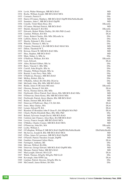| 1934 Levitt, Walter Montague, MB BCh BAO                                                          | MD              |
|---------------------------------------------------------------------------------------------------|-----------------|
| 1934 Roche, William Joseph, MB BCh BAO MCh                                                        | MD              |
| 1935 Cormack, Patrick P,                                                                          | DSc             |
| 1935 Harris-O'Connor, Matthew, MB BCh BAO DipPH BScPublicHealth                                   | MD              |
| 1935 Saunders, John C, MB BCh BAO DipPH                                                           | MD              |
| 1936 Conolly, Violet Marie Rose, BA                                                               | DEconSc         |
| 1936 O'Connor, Michael Patrick, MB BCh BAO                                                        | MD              |
| 1937 Shields, Bernard F, BA MA                                                                    | DEconSc         |
| 1937 Edwards, Robert Walter Dudley, BA MA PhD (Lond)                                              | DLitt           |
| 1938 Linehan, William, BA MA<br>1937 Geary, Robert Charles, BSc MSc DEconSc hc                    | DLitt<br>DSc    |
| 1938 Lafferty, Henry A, MSc hc                                                                    | DSc             |
| 1937 Sheehy, Edmond J, BSc (Lond)                                                                 | <b>DSc</b>      |
| 1938 Wheeler, Thomas S, MSc hc                                                                    | DSc             |
| 1938 Cannon, Dominick J, BA MB BCh BAO MAO MA                                                     | MD              |
| 1937 Dillon, Theobold W T,                                                                        | MD              |
| 1938 Kirwan, Ernest W, MB BCh BAO MSc                                                             | <b>MD</b>       |
| 1937 Shea, Stephen, MB BCh BAO                                                                    | MD              |
| 1939 Main, Sidney A, MSc hc                                                                       | DSc             |
| 1939 O'Sullivan, William, BA MA                                                                   | DEconSc         |
| 1939 Leen, Edward,                                                                                | DLitt           |
| 1939 Allen, Richard Gilbert, BSc hc                                                               | DSc             |
| 1939 Barry, Vincent C, BSc MSc                                                                    | DSc             |
| 1939 Carroll, John BAgrSc, BSc hc                                                                 | DSc             |
| 1939 Douglas, William Donald, MSc hc                                                              | DSc             |
| 1939 Renouf, Louis Percy Watt, MSc                                                                | DSc             |
| 1939 O'Sullivan, Florance, MB BCh BAO                                                             | MD              |
| 1940 McKay, Robert, BSc hc                                                                        | DSc             |
| 1940 O'Rahilly, Alfred, BA MA BSc DLitt hc                                                        | DSc<br>MD       |
| 1940 McGrath, John, BSc MSc MB BCh BAO<br>1941 Beddy, James P, BComm MComm                        | DEconSc         |
| 1942 Gleeson, Dermot F, BA MA                                                                     | DLitt           |
| 1941 Nevin, Thomas Edwin, BSc MSc                                                                 | DSc             |
| 1941 FitzGerald, Oliver Patrick Noel Alexis, BSc MB BCh BAO MSc                                   | MD              |
| 1941 O'Donovan, Denis Kenry, BSc MB BCh BAO MSc                                                   | MD              |
| 1942 FitzGerald, Patrick Alexis Martin, BSc MB BCh BAO                                            | MD              |
| 1942 Roden, Dermot MB, BCh BAO                                                                    | MD              |
| 1943 Donovan (O'Sullivan), Mary J D, BA MA                                                        | DLitt           |
| 1943 Jones, Mary Gladys, MA                                                                       | DLitt           |
| 1943 Lynam, Edward W, BA                                                                          | DLitt           |
| 1943 Reardon (Ó Riordáin) John P (Sean P), BA HDipEd MA PhD                                       | DLitt           |
| 1943 Clinch, Phyllis Elizabeth Mary, BSc MSc PhD                                                  | DSc             |
| 1943 Boland, Sylvester Joseph David, MB BCh BAO                                                   | MD              |
| 1944 Carleton (née Chance), Alice Bury, BA MB BCh BAO                                             | MD              |
| 1944 Lavery, Francis Joseph, MB BCh BAO MCh                                                       | MD              |
| 1944 O'Malley, Charles Connor, MB BCh BAO MCh                                                     | MD              |
| 1945 O'Donovan, John BA, MA                                                                       | DEconSc         |
| 1945 Looby, William J,                                                                            | DSc             |
| 1945 O'Callaghan, William P, MB BCh BAO DipPH BScPublicHealth                                     | DScPublicHealth |
| 1945 McArevey, Joseph B, BSc MB BCh BAO MCh                                                       | MD              |
| 1945 O'Dea, James St Lawrence, MB BCh BAO DipPH<br>1945 O'Farrell, Patrick Theodore Joseph, DipPH | MD<br>MD        |
| 1946 Gauthier, Emmanuel Julien Marie,                                                             | DLitt           |
| 1946 Farrington, Anthony, BE                                                                      | DSc             |
| 1946 McLean, Wilfred, BA BSc                                                                      | DSc             |
| 1946 Donovan, George Edward, MB BCh BAO DipPH MSc                                                 | MD              |
| 1946 Meenan, Patrick Nahor, MB BCh BAO                                                            | MD              |
| 1947 MacLysaght, Edward, MA LLD                                                                   | DLitt           |
| 1947 Walsh, Thomas, BAgrSc MAgrSc PhD LLD                                                         | DSc             |
| 1948 Kavanagh, John OFM Cap,                                                                      | DLitt           |
| 1949 Linehan, Patrick Aloysius, BAgrSc BSc hc                                                     | DSc             |
| 1949 McConnell, James Robert, BA MA                                                               | DSc             |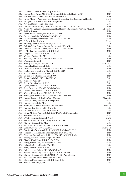| 1949         | O'Connell, Daniel Joseph Kelly, BSc MSc                                   | DSc             |
|--------------|---------------------------------------------------------------------------|-----------------|
| 1949         | Feeney, John Kevin, MB BCh BAO DipPH BScPublicHealth MAO                  | MD              |
| 1949         | Harman, John William, BSc MB BCh BAO MSc                                  | MD              |
| 1950         | Hayes-McCoy (Aoidheach-Mac Eacaidh), Gerard A, BA BComm MA HDipEd         | DLitt           |
| 1952         | Humphries, Carmel F, BSc MSc HDipEd PhD                                   | DSc             |
| 1952         | Newell, Martin Joseph, BSc MSc                                            | DSc             |
| 1952         | Conway, Edward Joseph, BSc MSc MB BCh BAO DSc LLD hc                      | MD              |
| 1953         | Nolan (Ó Nualláin), Laurence Joseph (Labhrás S), BComm DipPubAdm MEconSc  | DEconSc         |
| 1953         | Rahilly, Ronan,                                                           | MD              |
|              | 1954 Barry, Arthur Patrick, MB BCh BAO MAO                                | MD              |
| 1954         | Dunne, John MB, BCh BAO DipPM DipPH                                       | MD              |
| 1955         | De Bhaldraithe, Tomás Mac Donnchadha, BA MA PhD                           | DLitt           |
| 1955         | O Cuív, Brian, BA MA                                                      | DLitt           |
| 1955         | Brindley, James Charles Joseph, BSc MSc                                   | DSc             |
| 1955<br>1955 | Coll(Ó Colla), Francis Joseph (Proinsias S), BSc MSc                      | DSc<br>MD       |
| 1955         | Conalty, Michael Laurence, MB BCh BAO CPH DipPH                           | MD              |
|              | O Mordha, Brendan, BSc MB BCh BAO<br>1956 Loughnane, James B, BAgrSc MSc  | DSc             |
| 1956         | Whelan, Patrick, BSc MA                                                   | DSc             |
|              | 1956 McCarthy, Earl F, BSc MB BCh BAO MSc                                 | MD              |
|              | 1956 O'Sullivan, Edward,                                                  | MD              |
|              | 1957 Rahilly, Cecilia, BA HDipEd MA                                       | DLittCelt       |
| 1957         | Henry, Kathleen Mary, BSc hc                                              | DSc             |
| 1957         | Breathnach, Aodhán Seosamh, BSc MSc MB BCh BAO                            | MD              |
| 1958         | Philbin (née Ryder), Eva Maria, BSc MSc PhD                               | DSc             |
| 1958         | Scott, Francis Leslie, BSc MSc PhD                                        | DSc             |
| 1958         | Steiner, Robert Emil, MB BCh BAO                                          | MD              |
| 1959         | Jacob, Louis BSc, MSc HDipEd PhD                                          | DSc             |
| 1959         | Kennedy, Patrick B,                                                       | DSc             |
| 1959         | Senior, Brendan Joseph, PhD                                               | DSc             |
| 1959         | Lynch, Matthew J G, MB BCh BAO                                            | MD              |
| 1959         | Shea, Steven M, BSc MB BCh BAO MSc                                        | MD              |
| 1960         | Lavelle, John Marcus, MB BCh BAO                                          | MD              |
| 1960         | Walshe, Kevin Joseph, MB BCh BAO PhD                                      | MD              |
| 1961         | Murnaghan, Maurice Francis, MB BCh BAO BSc MSc                            | MD              |
| 1962         | Hensey, Brendan J, DipPubAdm BComm                                        | DEconSc         |
|              | 1962 Lucas, Anthony Thomas, BA HDipEd MA                                  | DLitt           |
| 1962         | Kennedy, John BSc, MSc                                                    | DSc             |
| 1963         | Smith, Louis Patrick Frederick, BA MA PhD                                 | DEconSc         |
| 1963         | Burdon, David Joseph, BE BSc MSc                                          | DSc             |
| 1963         | Quinlan, Patrick Michael, BE BSc MSc                                      | DSc             |
| 1963         | Flynn, Michael Paul, MB BCh BAO DipPH BScPublicHealth                     | MD              |
| 1964         | MacNeill, Máire BA,                                                       | DLitt           |
|              | 1964 O'Kelly, Michael Joseph, BA MA                                       | DLitt           |
|              | 1964 Kernan, Roderick Patrick Mary, BSc MSc PhD                           | DSc             |
|              | 1964 Murphy, Thomas BSc, MSc                                              | DSc             |
| 1964<br>1965 | Amoroso, Emmanuel Cipriano, MB BCh BAO DSc<br>Sullivan, George OFM, BA MA | MD<br>DLittCelt |
| 1965         | Bourke, Geoffrey Joseph Basil, MB BCh BAO DipCH CPH                       | MD              |
| 1965         | Fitzgerald, Maurice John Turlough, MB BCh BAO PhD                         | MD              |
| 1966         | Flanagan, Joseph Martin St Finbar, BSc MSc MB BCh BAO                     | MD              |
| 1967         | Sheehy, Maurice Patrick Joseph, BA PhD                                    | DLitt           |
| 1967         | Bhoola, Kanti Daya, MB BCh BAO BSc                                        | MD              |
| 1969         | Henry, Patrick Leo, BA MEconSc HDipEd                                     | DLitt           |
| 1969         | Imbusch, George Francis, BSc MSc                                          | DSc             |
| 1969         | Nash, James Edward, BE ME                                                 | DSc             |
| 1969         | Cullen, James Finbarr, MB BCh BAO MCh                                     | MD              |
| 1969         | Kirrane, James Augustine Mary, PhD MB BCh BAO                             | MD              |
| 1969         | Murphy, Thomas, MB BCh BAO DipPH BScPublicHealth                          | MD              |
| 1969         | Vas, Caraciola Jose Viviano, MB BCh BAO                                   | MD              |
| 1970         | McCabe, Mary Margaret, MB BCh BAO BSc                                     | MD              |
| 1971         | Moore, John Joseph, BSc                                                   | DSc             |
|              |                                                                           |                 |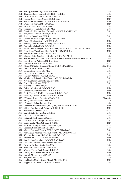| 1971 | Raftery, Michael Augustine, BSc PhD                                      | DSc        |
|------|--------------------------------------------------------------------------|------------|
| 1971 | Thomson, James Bernard, BSc PhD FICI FRIC                                | DSc        |
| 1971 | Clifford, Patrick Paul P, MB BCh BAO MCh                                 | MD         |
| 1971 | Hickey, John Joseph Noel, MB BCh BAO                                     | MD         |
| 1971 | Masterson, Joseph Gerard, MB BCh BAO BSc MSc                             | MD         |
|      | 1971 O'Driscoll, Kieran MB, BCh MAO                                      | MD         |
|      | 1972 Brown, David Arthur, MSc PhD                                        | DSc        |
|      | 1972 Fitzgerald, John Edmund, BSc MSc                                    | <b>DSc</b> |
|      | 1972 FitzGerald, Maurice John Turlough, MB BCh BAO PhD MD                | DSc        |
|      | 1972 McCarthy, Matthew Francis, BSc MSc                                  | DSc        |
|      | 1972 Scanlan, John Oliver, BE ME                                         | DSc        |
|      | 1972 Woods, Michael Joseph, BAgrSc MAgrSc PhD                            | DSc        |
|      | 1972 Beare, Abraham Seftel, MB BCh BAO                                   | MD         |
|      | 1972 Bourke, James Edmund Anthony, MB BCh BAO                            | MD         |
|      | 1972 Carmody, Michael MB, BCh BAO                                        | MD         |
|      | 1972 Hillary (née Finnegan), Irene Benedicta, MB BCh BAO CPH DipCH DipPH | MD         |
|      | 1972 Poon-King, Theodosius Ming Whi, MB BCh BAO BSc                      | MD         |
|      | 1973 Bowen, William Henry Thomas, BDS                                    | DSc        |
|      | 1973 Mackey, Seán (Seaghan) OBE, BE ME BSc PhD MICE                      | <b>DSc</b> |
|      | 1973 Sexton, Michael Cornelius, BSc MSc PhD (Liv) MIEE MIEEE FInstP MRIA | DSc        |
|      | 1973 Powell, David Anthony, MB BCh BAO                                   | MD         |
|      | 1974 Danaher, Kevin BA, MA HDipEd                                        | DLitt      |
|      | 1974 Melia (Ó Máille), Thomas J(Tomás S), BA HDipEd PhD                  | DLittCelt  |
|      | 1974 Butler, Richard Noel, BSc PhD                                       | DSc        |
|      | 1974 Dineen, John Hugh, BSc MSc                                          | DSc        |
|      | 1974 Duggan, Patrick Finbarr, BSc MSc PhD                                | DSc        |
|      | 1974 Hegarty, Anthony Francis, BSc PhD                                   | DSc        |
|      | 1974 McKinney, Brian Graydon Eamon, MB BCh BAO MD                        | DSc        |
|      | 1974 Newell, Martin Leonard Mary, BSc MSc                                | DSc        |
|      | 1974 Power, Henry Mary, BE PhD                                           | DSc        |
|      | 1974 Skevington, David BSc, PhD                                          | DSc        |
|      | 1974 Callan, John Patrick, MB BCh BAO                                    | MD         |
|      | 1974 Comerford, Francis Rory, MB BCh BAO                                 | MD         |
|      | 1974 Pettit (Flattery), Kathleen Veronica, MB BCh BAO                    | MD         |
|      | 1974 Whelton, Andrew (Aindrias), MB BCh BAO                              | MD         |
|      | 1975 O'Connor, Robert BAgrSc, MAgrSc PhD                                 | DEconSc    |
|      | 1975 Brady, Thomas Gerard, BSc MSc                                       | DSc        |
|      | 1975 O'Connell, Robert Francis, BSc                                      | DSc        |
|      | 1975 Cahalane, Seamus Fachtna, PhD(Dub) FRCPath MB BCh BAO               | MD         |
|      | 1975 Milner, Paul Frederick Arthur, MB BCh BAO                           | MD         |
|      | 1976 Mac Niocaill, Gearoid, PhD                                          | DLitt      |
|      | 1976 Carroll, Peter Kevin, BSc MSc PhD                                   | DSc        |
|      | 1976 Duke, Edward Joseph, BSc                                            | DSc        |
|      | 1976 Fottrell, Patrick Finbarr, BSc MSc                                  | DSc        |
|      | 1976 Gaffney, Patrick Joseph, BScDy MScDy                                | DSc        |
|      | 1976 Greally, John MB, BCh BAO BSc MSc                                   | MD         |
|      | 1977 de Brún, Padraig Antaine, BA MA HDipEd                              | DLitt      |
|      | 1977 Leonard, Brian Edmund, BSc PhD                                      | DSc        |
|      | 1977 Moore, Desmond Francis, BE MS (MIT) PhD (Penn)                      | DSc        |
|      | 1977 Murnaghan, Maurice Francis, BSc MSc MB BCh BAO MD                   | DSc        |
|      | 1977 Wheeler, Desmond Michael Sherlock, BSc PhD                          | DSc        |
|      | 1977 Bresnan, Michael John, MB BCh BAO                                   | MD         |
|      | 1977 Keogh, Joseph Anthony, MB BCh BAO DipCH                             | MD         |
|      | 1978 Donnelly, Dervilla Maura Xavier, BSc PhD                            | DSc        |
|      | 1978 Downey, William Kevin, BSc MSc                                      | DSc        |
|      | 1978 Montwill, Alexander BSc, MSc PhD                                    | DSc        |
|      | 1978 Weekes, Trevor Cecil Gerard, BSc PhD                                | DSc        |
|      | 1978 Carney, John Aidan, MB BCh BAO BSc                                  | MD         |
| 1979 | Carroll, Michael Mary, BA MA                                             | DSc        |
|      | 1979 McQuaid, James, BE                                                  | DSc        |
|      | 1979 FitzGerald, Muiris Xavier Miceal, MB BCh BAO                        | <b>MD</b>  |
|      | 1980 Baggot, John Desmond, BSc MVB MVM                                   | DSc        |
|      |                                                                          |            |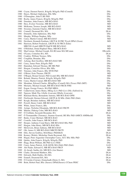|      | 1980 Coyne, Dermot Patrick, BAgrSc MAgrSc PhD (Cornell)            | DSc          |
|------|--------------------------------------------------------------------|--------------|
| 1980 | Hayes, Michael Alphonsus, BSc MSc                                  | DSc          |
| 1980 | O'Donoghue, John P, BE PhD                                         | DSc          |
| 1980 | Roche, James Francis, BAgrSc MAgrSc PhD                            | DSc          |
| 1980 | Donohoe, John Francis, MB BCh BAO                                  | MD           |
| 1980 | Hess, Evelyn Victorine, MB BCh BAO                                 | MD           |
| 1980 | McKenna, Terence Joseph, MB BCh BAO                                | MD           |
| 1980 | Sweeney, Eamonn Charles, MB BCh BAO                                | MD           |
| 1981 | Connell, Desmond BA, MA                                            | DLitt        |
| 1981 | Donnelly, John Alphonsus, BSc PhD                                  | DSc          |
| 1981 | Murphy, William Stephen, MSc                                       | DSc          |
| 1981 | Carey, Martin Conrad, MB BCh BAO                                   | MD           |
| 1981 | Dewhurst, Kenneth Eastham, LRCP & SI FRC Pysch DPhil (Oxon)        | MD           |
| 1981 | Harrison, Robert Frederick, LRCPI & SI FRCS (Edin)                 |              |
|      | MRCOG (Lond) MRCPI DipCH MB BCh BAO                                | MD           |
| 1981 | O'Holohan, Donal Raphael Mary, MB BCh BAO                          | MD           |
| 1982 | MacCormac, Michael Joseph, BA BComm MA MComm                       | DEconSc      |
| 1982 | O'Leary, Cornelius BA, MA                                          | DLitt        |
| 1982 | Coakley, William Terence, MSc                                      | DSc          |
| 1982 | Coughlan, Brendan, BSc                                             | DSc          |
| 1983 | Achong, Bert Geoffrey, MB BCh BAO MD                               | DSc          |
| 1983 | Curry, James Peter, BAgrSc PhD                                     | DSc          |
| 1983 | Hanrahan, Edward Thomas, BE ME PhD                                 | DSc          |
| 1983 | Horgan, Cornelius Oliver, BSc MSc                                  | DSc          |
| 1983 | Timoney, John Francis, BSc MVB PhD                                 | DSc          |
| 1983 | O'Brien, Eoin Thomas, FRCPI                                        | MD           |
| 1983 | O'Regan, Ronan Gerard, PhD (Lond) BSc MB BCh BAO                   | MD           |
| 1984 | Boland, Maurice Patrick, BAgrSc MAgrSc PhD                         | DSc          |
| 1984 | Carey, Martin Conrad, MB BCh BAO MD                                | DSc          |
| 1984 | Monahan, Edward Charles, BEngPhys (Cornell) MA (Texas) PhD (MIT)   | DSc          |
| 1984 | Moriarty, Michael Joseph, MB BCh BAO FRCR FFRI                     | MD           |
| 1985 | Eogan, George Francis, BA PhD MRIA                                 | DLitt        |
| 1985 | Calderwood, James Henry, MEng (Liv) PhD (Liv) DSc (Salford) hc     | DSc          |
| 1985 | Nguyen, Minh Tho, LEnSc (Louvain) DEnSc (Louvain)                  | DSc          |
| 1985 | Bateman-Herity, Bernadette Antonia, MB BCh BAO DPH                 | MD           |
| 1985 | FitzGerald, Dermot Edward, LRCPI & SI MSc (Dub) PhD (Dub)          | MD           |
| 1985 | Keogh, Brendan Anthony, MB BCh BAO                                 | MD           |
| 1985 | Powell, Henry Caleb, MB BCh BAO                                    | MD           |
| 1986 | White, James Francis, BSc                                          | DSc          |
| 1986 | Azinge, Nicholas Olisajindu, MB BCh BAO FRCPI                      | MD           |
| 1986 |                                                                    | MD           |
| 1987 | Malone, Pádraig Colm, MB BCh BAO                                   |              |
| 1987 | O Ciobháin, Seosamh Breandan, BA                                   | DLitt<br>DSc |
| 1987 | O Tiomanaidhe (Timoney), Seamus Gearoid, BE BSc PhD AMICE AMIMechE | MD           |
| 1987 | Burke, Conor Michael, MB BCh BAO                                   | MD           |
| 1987 | Costello, John Francis, MB BCh BAO                                 | MD           |
| 1987 | Hooper, Anthony Conal Barry, MB BCh BAO BSc PhD                    |              |
| 1987 | Horgan, John Henry, MB BCh BAO BSc                                 | MD<br>MD     |
| 1987 | McGovern, Brian Anthony, MB BCh BAO                                | MD           |
|      | Obi, James O, MB BCh BAO MRCPI FRCPI                               |              |
| 1988 | Ellis, Steven Godfrey, MA(Manc) PhD(Belf)                          | DLitt        |
| 1988 | Kerney (Walsh), Micheline Nuala Raymond, BA                        | DLitt        |
| 1988 | Hogan, Peter Augustine Christopher Carey, ACC BSc MSc PhD          | DSc          |
| 1988 | Quirke, John Francis, BAgrSc MAgrSc PhD                            | DSc          |
| 1989 | Hogg, Brian William, BE PhD (Liv) FIEE                             | DSc          |
| 1989 | Casey, James Patrick, LLB (QUB) MA (Dub) PhD (Dub)                 | LLD          |
| 1989 | Abi-Nader, Edward G, MB BCh BAO FRCP                               | MD           |
| 1989 | Al-Awadi, Sadika Ali, MB BCh (Ain Shams)                           | MD           |
|      | 1990 Clarke, Desmond Matthew, BSc                                  | DLitt        |
| 1990 | Edwards, Ruth Dudley, BA MA                                        | DLitt        |
| 1990 | Fennell, Desmond BA, MA                                            | DLitt        |
|      | 1990 Ó Corráin (Curran), Donnchadh (Denis J), MA                   | DLitt        |
|      | 1990 Brint, Robert Paul, BSc (Sussex) DPhil(Sussex) CChem FRSC     | DSc          |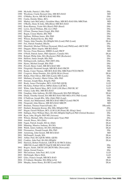| 1990 | McArdle, Patrick J, BSc PhD                                                   | DSc        |
|------|-------------------------------------------------------------------------------|------------|
|      | 1990 Woodman, Ciarán Bernard John, MB BCh BAO                                 | MD         |
|      | 1991 O'Malley, Kevin, MB BCh BAO MD BSc                                       | DSc        |
| 1991 | Curtin, Deirdre Máire, BCL                                                    | LLD        |
| 1991 | Markey (née McCarthy), Geraldine Mary, MB BCh BAO BSc MRCPath                 | MD         |
| 1991 | O'Reilly, Denis St John, MSc(Birm) MB BCh BAO                                 | MD         |
|      | 1992 Kunz-Ramsay, Yvette MA (Basel) PhD (Basel)                               | DSc        |
|      | 1992 Lewis, David William, BSc (Liv) PhD                                      | DSc        |
|      | 1992 O'Gara, Thomas James Fergal, BSc PhD                                     | DSc        |
|      | 1992 Regan, Ciaran Martin, BSc PhD                                            | DSc        |
|      | 1992 Spillane, William James, BSc PhD                                         | DSc        |
|      | 1992 Wilson, Richard Kevin, BSc PhD                                           | DSc        |
|      | 1993 Turpin, John Timothy, BA HDipEd MA (Lond) PhD (Lond)                     | DLitt      |
|      | 1993 Fox, Patrick Fanahan, BScDy                                              | DSc        |
|      | 1993 Mansfield, Michael William Desmond, BSc(Lond) PhD(Lond) ARCS DIC         | <b>DSc</b> |
|      | 1993 Duggan, Máire Angela, MB BCh BAO                                         | MD         |
|      | 1993 Stevens, Fiona Maureen, MBBS (Lond) FRCP                                 | MD         |
|      | 1994 O'Neill, Patrick James, PhD (Queen's, Canada) MA                         | DLitt      |
|      | 1994 Boland, Philip John, MA (Rochester) PhD (Rochester)                      | DSc        |
|      | 1994 Heffron, James Joseph, BSc PhD                                           | DSc        |
|      | 1994 Hollingsworth, Anthony, PhD (MIT) BSc                                    | DSc        |
|      | 1994 Hynes, Michael Joseph, BSc PhD                                           | DSc        |
|      | 1994 Powell, Henry Caleb, MB BCh BAO MD                                       | DSc        |
|      | 1994 Fitzgerald, Desmond Joseph, MB BCh BAO FRCPI                             | MD         |
|      | 1994 Keane, Conor Thomas, MB BCh BAO BSc MRCPath FTCD FRCPI                   | MD         |
|      | 1995 Cosgrove, Brian Dominic, BA (QUB) BLitt (Oxon)                           | DLitt      |
|      | 1995 Behan, Peter Oliver, MB ChB (Leeds) MD (Leeds)                           | DSc        |
|      | 1995 Mullaney (Cassidy), Marie Céline, MSc PhD                                | DSc        |
|      | 1995 Sreenan, Joseph Mary, BAgrSc PhD                                         | DSc        |
|      | 1995 Brady, James Christopher, BCL LLB PhD (QUB)                              | <b>LLD</b> |
|      | 1995 McAuley, Finbarr Oliver, MPhil (Edin) LLB BCL                            | <b>LLD</b> |
|      | 1995 White, John Patrick Mary, BCL LLB LLM (Harv) PhD BL SC                   | <b>LLD</b> |
|      | 1995 Clancy, Luke BSc, MB BCh BAO                                             | MD         |
|      | 1996 Gaughan, John Anthony, BA BD (Maynooth) MA PhD HDipEd                    | DLitt      |
|      | 1996 Dinan, Timothy Gerard, BA MB BCh BAO MD MCh (NY) PhD (Lond)              | DSc        |
|      | 1996 O'Sullivan, Joseph BSc, MSc (Dub) PhD (Lond)                             | <b>DSc</b> |
|      | 1996 Alzaid, Aus Muhammed, MB BCh BAO MRCP (Lond) FRCPI                       | MD         |
|      | 1996 Fitzgerald, John Marcus, MB BCh BAO MRCPI                                | MD         |
|      | 1997 Brennan, Thomas Francis (Frank), BA                                      | DEconSc    |
|      | 1997 Hodnett, Benjamin Kieran, BSc MSc HDipEd PhD                             | DSc        |
|      | 1997 Hogan, Gerard William, BCL LLM LLM (Penn) BL (King's Inns)               | LLD        |
|      | 1999 Halligan, Peter William Mary, BA MA HDipEd DipPsych PhD (Oxford Brookes) | DSc        |
|      | 1999 Ryan, John, BAgrSc PhD MS (Arizona)                                      | DSc        |
|      | 1999 Wilson, Michael, MSc (Newcastle-upon-Tyne) PhD                           | DSc        |
|      | 2000 Arnold, Bruce, MA (Dub)                                                  | DLitt      |
|      | 2000 Fagan, Patrick Joseph, MA hc (Dub)                                       | DLitt      |
|      | 2000 Manning, Maurice Anthony, BA MA                                          | DLitt      |
|      | 2000 Walsh, James Anthony, BA MA (McMaster)                                   | DLitt      |
|      | 2000 Fitzmaurice, Donald Joseph, BSc PhD                                      | DSc        |
|      | 2000 Armstrong, John Gerard, MB BCh BAO                                       | MD         |
|      | 2001 McDonnell, Joseph, MA                                                    | DLitt      |
|      | 2002 Arthur, Paul, BA (QUB) MSSc (QUB)                                        | DLitt      |
|      | 2002 Coakley, John Paul, BA MA HDipEd                                         | DLitt      |
|      | 2002 Harrison, Robert Frederick, LRCPI & SI FRCS (Edin)                       |            |
|      | MRCOG (Lond) MRCPI DipCH MB BCh BAO MD                                        | DSc        |
|      | 2002 Rogers, Sarah, LRCSI LM LRCPI MSc (Newcastle)                            | MD         |
| 2003 | Quinn, Gerard Francis,                                                        | DSc        |
|      | 2003 McCutcheon, John Paul, BCL LLM                                           | LLD        |
|      | 2003 McDonagh, Maeve Bríd,                                                    | LLD        |
|      | 2003 Giles, Francis Joseph, MB BCh BAO                                        | MD         |
|      | 2004 Ó Cathaoir, Brendan, MA HDip in Ed                                       | DLitt      |
| 2004 | Murphy, James Henry, BA BD (Lond) PhD                                         | DLitt      |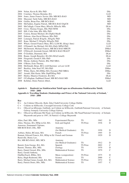| 2004 | Nolan, Kevin B, BSc PhD                              | DSc          |
|------|------------------------------------------------------|--------------|
| 2004 | Courtney, Thomas Brendan, BA                         | <b>LLD</b>   |
| 2004 | Jones, James Francis Xavier, BSc MB BCh BAO          | MD           |
| 2004 | Massoud, Tarik Fathy, MB BCh BAO                     | MD           |
| 2004 | Griffin, Brian Pius, MB BCh BAO                      | MD           |
| 2004 | McFadden, Eugène Patrick, MB BCh BAO DipCH           | MD           |
| 2005 | McCullagh, Ciaran Mary, BSocSc MSocSc MSc            | DLitt        |
| 2005 | Cross, Thomas Fergus, BSc PhD FIFM                   | DSc          |
|      | 2005 Hill, Colin John, BSc MSc PhD                   | DSc          |
| 2005 | Conroy, Ronan Michael, BA DipEd MusB                 | DSc          |
|      | 2005 Dobson, Alan David Watson, BSc PhD              | DSc          |
| 2005 | Lonergan, Patrick BAgrSc, MAgrSc PhD                 | DSc          |
| 2005 | Kane, Michael T, BAgrSc MAgrSc PhD                   | <b>DSc</b>   |
| 2005 | Whyte, Gerard Francis Mary, BCL LLM BL (King's Inns) | <b>LLD</b>   |
| 2005 | O'Donnell, Ian Michael, BA MA (Dub) MPhil PhD        | <b>LLD</b>   |
| 2005 | McDermott, Michael Francis, MB BCh BAO MRCPI         | <b>DMed</b>  |
| 2005 | O'Driscoll, Jeremiah Gerard, MB BCh BAO FRACP        | <b>DMed</b>  |
| 2006 | Ó Giolláin, Diarmuid, MA                             | <b>DLitt</b> |
|      | 2006 Ruane, Joseph Benedict, BA MA MA(Cornell)       | <b>DLitt</b> |
| 2006 | Fitzgerald, Gerald F, BSc PhD                        | DSc          |
| 2006 | Moran, Anthony Patrick, BSc PhD MRA                  | <b>DSc</b>   |
| 2006 | O'Brien, Eoin Thomas,                                | DSc          |
| 2006 | McDonald, Brian, BCL LLB Barrister- at-Law LLM       | <b>LLD</b>   |
| 2007 | Buckley, John Noel NT, MA PhD                        | <b>DMus</b>  |
| 2007 | White, Harry, MA BMus MA (Toronto) PhD MRIA          | <b>DMus</b>  |
| 2007 | Arendt, Elke Karin, MSc DiplFDEng PhD                | DSc          |
| 2007 | Hurley, Maurice Frederick, BA MA                     | <b>DLitt</b> |
| 2007 | O'Callaghan, Eadbhard Donal, MB BCh BAO MD           | <b>DMed</b>  |
| 2008 | Kelleher, Denis Patrick Albert,                      | <b>LLD</b>   |
|      |                                                      |              |

## **Aguisín 6: Buaiteoirí na Staidéarachtaí Taistil agus na nDuaiseanna Staidéarachta Taistil, 1910 - 2008**

## **Appendix 6: Travelling Students (Studentships and Prizes) of the National University of Ireland, ´ 1910 - 2008**

- **Key**  An Coláiste Ollscoile, Baile Átha Cliath/University College Dublin
- $C =$  Coláiste ne hOllscoile, Corcaigh/University College Cork  $G =$  Ollscoile, and Eireann, Gaillimh, iar-Coláiste ne hOllscoile.
- Ollscoil na hÉireann, Gaillimh, iar-Coláiste ne hOllscoile, Gaillimh/National University of Ireland, Galway formerly University College Galway
- M = Ollscoil na hÉireann Má Nuad, iar-Coláiste na hOllscoile, Má Nuad/National University of Ireland, Maynooth and prior to 1997, St Patrick's College Maynooth

| Allen, Paul, BSc, MSc                                    | <b>Experimental Physics</b> | TS       | 1962 | D |
|----------------------------------------------------------|-----------------------------|----------|------|---|
| Allen, Thomas, BA, HDip in Ed, MA                        | Irish and English           | TS Prize | 1936 | D |
| Amoroso, Emmanuel Cipriano,                              |                             |          |      |   |
| MB BCH BAO, DSc, MD                                      | Anatomy                     |          |      |   |
|                                                          | (for Medical Graduates)     | TS       | 1930 | D |
| Astbury, Helen, BComm, MA                                | French                      | TS Prize | 1995 | D |
| Bannan, Edward Francis, BA, HDip in Ed French and German |                             | TS       | 1929 | D |
| Barniville, Henry Leo,                                   |                             |          |      |   |
| BA, MB BCh BAO, MD, MCh                                  | Anatomy                     |          |      |   |
|                                                          | (for Medical Graduates)     | TS       | 1912 | D |
| Barrett, Eoin George, BA, MA                             | Spanish                     | TS Prize | 2002 | C |
| Barrett, Thomas, BSc, MSc                                | Zoology                     | TS       | 1970 | D |
| Barry, Daniel Gerard, BSc, MSc                           | <b>Mathematical Science</b> | TS       | 1979 | C |
| Barry, Gerald Anthony,                                   |                             |          |      |   |
| DipMusTeach, BMus, MA                                    | Music (composition)         | TS Prize | 1975 | D |
| Barry, Hugh Redmond, BSc                                 | Science                     | TS       | 2000 | C |
| Barry, Michael James Joseph, BA, MA                      | <b>Mathematical Science</b> | TS Prize | 1972 | D |
| Barry, Patrick Denis, BSc, MSc                           | <b>Mathematical Science</b> | TS       | 1957 | C |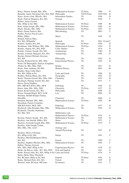| Barry, Thomas Joseph, BSc, MSc                         | <b>Mathematical Science</b> | TS Prize        | 1980         | D            |
|--------------------------------------------------------|-----------------------------|-----------------|--------------|--------------|
| Bastable, James Desmond, BA, MA, PhD Philosophy        |                             | TS/TS Prize     | 1939/1942    | D            |
| Bates, Jessica Aine, BSocSc, MA                        | <b>Information Studies</b>  | TS              | 1996         | D            |
| Beale, Patricia Margaret, BA, MA                       | German                      | TS              | 1969         | C            |
| Bellew, James Gerard,                                  |                             |                 |              |              |
| BSc, HDip in Ed, MSc                                   | <b>Mathematical Science</b> | <b>TS Prize</b> | 1990         | M            |
| Bent, Aidan Joseph, BSc, MSc                           | Mathematical Science        | <b>TS Prize</b> | 1980         | G            |
| Black, Deirdre, BSc, MSc                               | <b>Mathematical Science</b> | TS Prize        | 1993         | D            |
| Black, Elaine Patricia, BSc                            | Microbiology                | TS              | 2003         | $\mathsf{C}$ |
| Bodley, Seoirse Pascal Lauri,                          |                             |                 |              |              |
| BMus, DMus                                             | Music                       | TS              | 1956         | D            |
| Boland, Patricia Mary,                                 |                             |                 |              |              |
| BA, MA, HDipinEd                                       | Spanish                     | <b>TS</b>       | 1961 D and C |              |
| Bonetto, Sandra, BA, MA                                | Philosophy                  | TS Prize        | 1999         | D            |
| Boothman, John William, BSc, MSc                       | Mathematical Science        | TS Prize        | 1970         | D            |
| Bourke, Angela, BA, MA, PhD                            | Celtic Studies              | <b>TS</b>       | 1974         | D            |
| Bourke, Cormac Joseph, BA, MA                          | Archaeology                 | TS              | 1980         | D            |
| Bourke, Lorraine Margaret, BA, MA                      | Archaeology                 | TS              | 1996         | G            |
| Boylan, Dermot Michael Aloysius,                       |                             |                 |              |              |
| BA, MA                                                 | Philosophy                  | TS              | 1930         | D            |
|                                                        |                             | TS              |              | D            |
| Boylan, Richard Kevin, BSc, MSc                        | <b>Experimental Physics</b> |                 | 1926         |              |
| Boyle (Ní Bhaoighill), Patricia Josephine              |                             |                 |              |              |
| (Paitrís S), BSc, MSc, PhD                             | Botany                      | TS              | 1951         | D            |
| Boyle, Peter Anthony, BA MA                            | Modern History              | TS              | 2003         | М            |
| Bradley, Bruce John Mary,                              |                             |                 |              |              |
| BA, MA, HDip in Ed                                     | Latin and Greek             | <b>TS</b>       | 1968         | D            |
| Bradley, Helena Maria, BA, MA                          | Geography                   | <b>TS</b>       | 1992         | D            |
| Brady, Thomas Gerard, BSc, MSc, DSc                    | Chemistry                   | TS              | 1935         | D            |
| Breatnach, Pádraig Arnold, BA, MA                      | Irish                       | TS              | 1971         | $\mathsf{C}$ |
| Breen, David Stephen,                                  |                             |                 |              |              |
| BSc, MB BCh BAO, MSc, MCh                              | Pathology                   | <b>TS</b>       | 1949         | D            |
| Breen, John, BSc, MSc, PhD                             | Chemistry                   | <b>TS Prize</b> | 1937         | D            |
| Breen, Keith Gerard, BA, MA                            | Philosophy                  | TS              | 1998         | G            |
| Breen, Oonagh Brigid, BCL LLM                          | Law                         | <b>TS</b>       | 2004         | D            |
| Brennan, Meabh Bridget Fatima,                         |                             |                 |              |              |
| HonsBSc                                                | Chemistry                   | TS              | 2006         | $\mathsf{C}$ |
| Brennan, Michael, BSc, MSc                             | <b>Mathematical Science</b> | TS Prize        | 1989         | М            |
| Bresnihan, Patrick Cornelius,                          |                             |                 |              |              |
| MB BCh BAO, MCh, MD                                    | Pathology                   | <b>TS</b>       | 1937         | D            |
| Broderick, John Brendan, BSc, MSc                      | Mathematical Science        | TS              | 1945         | D            |
| Broderick, Timothy Stanislaus,                         |                             |                 |              |              |
| BA, BSc, MA                                            | Mathematics and             |                 |              |              |
|                                                        | <b>Mathematical Physics</b> | TS Prize        | 1916         | C            |
| Browne, Patrick Joseph, BA, MA                         | <b>Mathematical Science</b> | TS              | 1910         | D            |
| Buckley, Ann Imelda, BMus, MA                          | Music                       | <b>TS</b>       | 1973         | $\mathsf C$  |
| Buckley, Jeremiah Joseph, BSc, MSc                     | Mathematical Science        | <b>TS Prize</b> | 1979         | $\mathsf{C}$ |
| Buckley, John Joseph Cronan,                           |                             |                 |              |              |
| BSc, MSc, DSc, LLD                                     | Zoology and                 |                 |              |              |
|                                                        | Animal Physiology           | TS              | 1927         | D            |
| Buckley, Maeve Christina,                              |                             |                 |              |              |
| BA, HDip in Ed, MA                                     | Italian                     | <b>TS</b>       | 1961         | C            |
| Buckley, Marella(Margaret Ellen),                      |                             |                 |              |              |
| BA, MA                                                 | French                      | <b>TS</b>       | 1989         | $\mathsf{C}$ |
|                                                        | Mathematical Science        | TS              | 1984         | $\mathsf{C}$ |
| Buckley, Stephen Michael, BSc, MSc                     |                             |                 |              |              |
| Bullen, Thomas Gerrard,                                |                             | TS              | 1938         | D            |
| BSc, MSc, PhD, HDip in Ed                              | <b>Experimental Physics</b> |                 |              |              |
| Burke (de Búrca), John, BA, MA, PhD                    | Irish and English           | <b>TS</b>       | 1941         | G<br>G       |
| Burke, Kieran John, BA, MA, HDip in Ed Latin and Greek |                             | TS Prize        | 1976         |              |
| Burns, Helen Mary Elizabeth,                           |                             |                 |              |              |
| BA, BComm, HDip in Ed, MA                              | English                     | TS Prize        | 1954         | G            |
| Burns, Michael Peter, BA, MA                           | French                      | TS              | 1959         | D            |
| Busteed, John, BComm, MComm                            | Economics                   | TS              | 1921         | C            |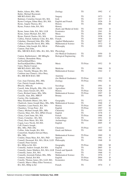| Butler, Aileen, BSc, MSc                                   | Zoology                       | TS              | 1992 | С             |
|------------------------------------------------------------|-------------------------------|-----------------|------|---------------|
| Butler, Michael Raymond,                                   |                               |                 |      |               |
| MB BCh BAO, BSc                                            | Surgery                       | <b>TS</b>       | 1973 | D             |
| Buttimer, Cornelius Gerard, BA, MA                         | Irish                         | TS              | 1977 | C             |
| Byrne Costigan, Ethna Mary, BA, MA                         | English and French            | TS              | 1926 | D             |
| Byrne, Angela Theresa, BA                                  | History                       | TS              | 2006 | М             |
| Byrne, Francis John, BA, MA                                | History                       |                 |      |               |
|                                                            | (Early and Medieval Irish)    | TS              | 1959 | D             |
| Byrne, James John, BA, MA, LLB                             | Economics                     | <b>TS</b>       | 1941 | D             |
| Byrne, James Michael, BA, MA                               | Music                         | TS              | 2001 | M             |
| Byrne, Patrick Charles, BA, MA                             | Economics                     | <b>TS</b>       | 1938 | D             |
| Caffrey, Patrick Anthony Colm, BA, MA                      | French                        | TS              | 1956 | D             |
| Cahalane, Diarmuid John, BSc, MSc                          | <b>Applied Mathematics</b>    | <b>TS</b>       | 2007 | $\mathsf{C}$  |
| Callan, Columcille David, BSc, MSc                         | <b>Mathematical Science</b>   | TS              | 1972 | D             |
| Callanan, John Joseph, BA, MLitt                           | Philosophy                    | <b>TS</b>       | 1999 | D             |
| Cannon, Paul John,                                         |                               |                 |      |               |
| BSc, MB BCh BAO, MSc, BA, MA, MA                           | Physiology                    |                 |      |               |
|                                                            | (for Medical Graduates)       | <b>TS</b>       | 1950 | D             |
| Canton, Bartholomew, BE MEngSc                             | <b>Biological Engineering</b> | <b>TS</b>       | 2003 | D             |
| Carberry, Bernadette Mary,                                 |                               |                 |      |               |
| JunTeachOual(Mus),                                         |                               |                 |      |               |
| SenTeachQual(Mus), BMus                                    | Music                         | TS Prize        | 1952 | D             |
|                                                            |                               |                 |      |               |
| Carey, Martin Conrad,                                      | Medicine                      | <b>TS</b>       | 1966 | D             |
| MB BCh BAO, MD, DSc                                        |                               | TS              |      | C             |
| Carey, Timothy Morgan, BA, MA                              | <b>Mathematical Science</b>   |                 | 1942 |               |
| Carleton (nee Chance), Alice Bury,                         |                               |                 |      |               |
| BA, MB BCH BAO, MD                                         | Anatomy                       |                 |      |               |
|                                                            | (for Medical Graduates)       | TS Prize        | 1919 | D             |
| Carr, Joan Christina, BSc, MSc                             | Zoology                       | TS Prize        | 1962 | G             |
| Carr, Patrick Joseph Anthony,                              |                               |                 |      |               |
| BSocSc, MSocSc                                             | Sociology                     | TS              | 1991 | D             |
| Carroll, John, BAgrSc, BSc, DSc, LLD                       | Agriculture                   | <b>TS</b>       | 1926 | D             |
| Carty, James Gerard, BA, MA                                | History                       | TS Prize        | 1928 | D             |
| Casey, Richard James, BSc, MSc                             | Mathematical Science          | TS Prize        | 1997 | D             |
| Cassells, Alan, BSc, MRUP                                  | Botany                        | TS              | 1966 | D             |
| Cawley (Nic Amhlaidh),                                     |                               |                 |      |               |
| Mary Elizabeth (Maire), BA, MA                             | Geography                     | TS              | 1972 | G             |
| Chadwick, James Joseph Mary, BSc, MSc Mathematical Science |                               | <b>TS</b>       | 1968 | $\mathcal{C}$ |
| Chambers, Liam Patrick, BA, MA                             | History                       | <b>TS Prize</b> | 1997 | М             |
| Chambers, Vivian Peter, BA                                 | English                       | TS Prize        | 1997 | G             |
| Clancy, Michael Joseph, BSc, MSc                           | Chemistry                     | TS              | 1955 | G             |
| Clayton, Mary, BA, MA, DPhil (Oxon)                        | English                       | <b>TS</b>       | 1978 | $\mathcal{C}$ |
| Cleary, Carol Anne, BA, MA                                 | French                        | TS Prize        | 1968 | D             |
| Cleary, Cornelius, BA, MA                                  | Celtic Studies                | TS              | 1951 | D             |
| Cleary, Rose Marie, BA, MA                                 | Archaeology                   | TS Prize        | 1980 | C             |
| Cogan, Lucy Nicole, BA MA                                  | English                       | <b>TS</b>       | 2005 | D             |
| Coll, Francis Joseph,                                      |                               |                 |      |               |
| BSc, MSc, PhD, DSc                                         | Chemistry                     | TS Prize        | 1937 | G             |
| Collins, John Joseph, BA, MA                               | Greek and Hebrew              | TS              | 1969 | D             |
| Comerford, Stephen Edward Mary,                            |                               |                 |      |               |
| BSc, MSc                                                   | <b>Mathematical Science</b>   | <b>TS Prize</b> | 1969 | D             |
| Condon, Diana Mary, BA, MA, PhD                            | Spanish                       | TS              | 1961 | $\mathcal{C}$ |
| Connell, Desmond, BA, MA, DLitt, LLD                       | Philosophy                    | <b>TS</b>       | 1948 | D             |
| Connell, Peter Gerard,                                     |                               |                 |      |               |
| BA, HDip in Ed, MA                                         | Geography                     | TS Prize        | 1980 | M             |
| Connolly, Andrew Joseph, BA MA                             | English                       | <b>TS</b>       | 2005 | D             |
| Connolly, James Matthew, BA, MA, LLB                       | French and Spanish            | <b>TS</b>       | 1944 | D             |
| Connolly, James, BA, MA                                    | French                        | <b>TS</b>       | 1968 | G             |
| Connolly, Jeremiah Finbarr, BSc, MSc                       | Mathematical Science          | TS              | 1976 | $\mathcal{C}$ |
| Connors, Sinéad, BA MA                                     | English                       | TS Prize        | 2004 | D             |
| Conolly, Thomas James, BA, LLD, MA                         | Economics                     | TS Prize        | 1926 | D             |
| Conrick, Maeve (Mary Ellen Veronica),                      |                               |                 |      |               |
| BA, MA, HDip in Ed                                         | French                        | TS              | 1974 | C             |
|                                                            |                               |                 |      |               |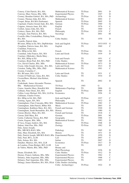| Conroy, Colm Patrick, BA, MA                                                     | <b>Mathematical Science</b> | TS Prize        | 2001      | D             |
|----------------------------------------------------------------------------------|-----------------------------|-----------------|-----------|---------------|
| Conway, Mary Teresa, BSc, MSc                                                    | <b>Experimental Physics</b> | TS              | 1947      | D             |
| Cooney, Brendan Gabriel, BA, MA, PhD                                             | Archaeology                 | <b>TS Prize</b> | 1976      | D             |
| Cooney, Thomas John, BA, MA                                                      | <b>Mathematical Science</b> | TS              | 2002      | $\mathsf{C}$  |
| Cooper, Brian, BA MA (Sorbonne)                                                  | Spanish                     | TS Prize        | 2005      | D             |
| Copeland, Charles Gerard Jude, BA, MA                                            | German                      | TS Prize        | 1969      | G             |
| Coppins, Attracta Anne, BA, MA                                                   | English                     | TS              | 1976      | $\mathsf{C}$  |
| Corbett, James John, BA, MA                                                      | French                      | TS              | 1969      | $\mathcal{C}$ |
| Corkery, Denis, BA, MA, PhD                                                      | Philosophy                  | TS Prize        | 1939      | $\mathsf{C}$  |
| Corrigan, Aine Patricia, BA, MA                                                  | Sociology                   | TS              | 2001      | M             |
| Costello (Mac Coisdealbha), Pádraig Seán,                                        |                             |                 |           |               |
| BA, MA                                                                           | Celtic Studies              | TS              | 1970      | D             |
| Costello, Patrick John,                                                          |                             |                 |           |               |
| BComm, HDip in Ed, MA, DipPubAdm                                                 | Irish and English           | TS Prize        | 1933/1935 | G             |
| Coughlan, Patricia Anne, BA, MA                                                  | English                     | TS              | 1969      | C             |
| Counihan, Francesca,                                                             |                             |                 |           |               |
| BA, HDip in Ed, MA                                                               | French                      | TS Prize        | 1984      | G             |
| Counihan, John Francis, BA, MA                                                   | Latin and Greek             | <b>TS Prize</b> | 1939      | D             |
| Courtney (Mulcahy), Sheila Mary,                                                 |                             |                 |           |               |
| BA, MA, HDip in Ed                                                               | Irish and French            | TS              | 1951      | C             |
|                                                                                  | Celtic Studies              | TS              | 1989      | D             |
| Courtney, Brian Paul, BA, MA, PhD                                                | <b>Mathematical Science</b> | TS Prize        | 1973      | D             |
| Cox, David Charles, BSc, MSc                                                     | Latin and Greek             | <b>TS</b>       | 1913      | D             |
| Coyne, John Joseph Aloysius, BA, MA                                              |                             | TS              |           | C             |
| Creedon, Tadhg, BSc, MSc, PhD                                                    | <b>Mathematical Science</b> |                 | 1991      |               |
| Cremin, Cornelius C,                                                             | Latin and Greek             | TS              |           | C             |
| BA, BComm, MA, LLD                                                               |                             |                 | 1931      | D             |
| Cronin (O'Sullivan), Anna, BA, MA                                                | Celtic Studies              | TS              | 1934      |               |
| CrozierShaw, Michael Alan Robert,                                                |                             |                 |           | D             |
| BA, MA                                                                           | Spanish                     | TS              | 2002      |               |
| Cruikshank, James Alexander Thomas,<br><b>BSc</b><br><b>Mathematical Science</b> | TS Prize                    | 1993            | G         |               |
|                                                                                  |                             | TS              | 2006      | G             |
| Cruise, Jennifer Mary, HonsBA MA                                                 | Mathematics/Topology        |                 |           | D             |
| Culhane, Peter Denis, BA, MA                                                     | English                     | TS Prize        | 2000      | G             |
| Cullen, Louis Michael, BA, MA, LLD hc                                            | Economics                   | TS              | 1956      |               |
| Cullinane, Charles Foster,                                                       |                             |                 |           |               |
| BA, HDip in Ed, MA, PhD                                                          | Irish and English           | TS Prize        | 1927      | C             |
| Cuming, Agnes, BA, MA                                                            | Philosophy                  | TS              | 1912      | D             |
| Cunningham, Clare Concepta, BEd, MA                                              | <b>Mathematical Science</b> | TS Prize        | 1982      | $\mathcal{C}$ |
| Cunningham, John Patrick, BMus MA                                                | Music                       | <b>TS</b>       | 2003      | D             |
| Cunningham, Kathleen Mary, BA, MA                                                | French and German           | TS              | 1920      | D             |
| Cunningham, Sarah Bernadette, BA, MA                                             | History                     | TS              | 1980      | G             |
| Curran (Boyle), Mary, BA, MA                                                     | French and German           | TS              | 1918      | $\mathcal{C}$ |
| Curran, Edel Mary, BA                                                            | German                      | TS Prize        | 2001      | M             |
| Curtin, Catherine Teresa, BA, PhD                                                | Geography                   | TS              | 1988      | C             |
| Curtin, Eugene, BSc, MSc                                                         | Mathematical Science        | TS              | 1982      | D             |
| D'Arcy, Fergus Andrew, BA, MA                                                    | History                     | TS Prize        | 1968      | D             |
| Dalton, John Pius, BSc, PhD                                                      | Zoology                     | <b>TS Prize</b> | 1982      | D             |
| Daly, James Joseph,                                                              |                             |                 |           |               |
| BSc, MB BCh BAO, MSc                                                             | Pathology                   | TS              | 1965      | D             |
| Daly, Mary Elizabeth, BA, MA                                                     | History                     | <b>TS</b>       | 1971      | D             |
| Daly, Patrick Joseph, MB BCh BAO, BSc Experimental Physics                       |                             | TS              | 1959      | D             |
| Daly, Paul, BCL, LLM                                                             | Law                         | TS              | 2007      | C             |
| Daly, Selena, BA, MA                                                             | Italian                     | TS              | 2007      | D             |
| Danaher, Maurice, BA, MA, LLB                                                    | Economics                   | TS Prize        | 1917      | D             |
| de Londras, Fiona Bridget, BCL LLM                                               | Law                         | TS              | 2005      | $\mathsf{C}$  |
| de Valéra, Máirín, BSc, MSc, PhD                                                 | Botany and                  |                 |           |               |
|                                                                                  | Plant Physiology            | TS              | 1936      | D             |
| Deane, Elizabeth, BA                                                             | Celtic Studies              | <b>TS Prize</b> | 1912      | D             |
| Deeney, Francis Anthony, BSc, MSc                                                | <b>Experimental Physics</b> | TS              | 1962      | C             |
| Delaney, John Augustine, BSc, MSc                                                | <b>Experimental Physics</b> | <b>TS</b>       | 1968      | $\mathcal{C}$ |
| Delaney, Paul Augustine, BSc, MSc                                                | <b>Experimental Physics</b> | TS              | 1993      | $\mathsf{C}$  |
| Delargy, James Hamilton, BA, MA, DLitt Celtic Studies (including                 |                             |                 |           |               |
|                                                                                  | Celtic Archaeology)         | TS Prize        | 1922      | D             |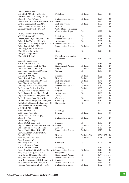| Dervan, Peter Anthony,                                       |                             |                 |                 |               |
|--------------------------------------------------------------|-----------------------------|-----------------|-----------------|---------------|
| MB BCh BAO, BSc, MSc, MD                                     | Pathology                   | TS Prize        | 1973            | G             |
| Desmond, Francis Anthony (Tony),                             |                             |                 |                 |               |
| BSc, MSc, PhD (Waterloo)                                     | <b>Mathematical Science</b> | <b>TS Prize</b> | 1975            | $\mathsf{C}$  |
|                                                              |                             |                 |                 |               |
| Devine, Patrick Francis, BA, BMus, MA                        | Music                       | TS              | 1975            | D             |
| Devlin, Denis Alfred, BA, MA                                 | Irish and French            | TS Prize        | 1930            | D             |
| Devlin, Judith Edina, BA, MA                                 | History                     | TS              | 1975            | D             |
| Dillon, Myles Patrick, BA, MA                                | Celtic Studies (including   |                 |                 |               |
|                                                              | Celtic Archaeology)         | TS              | 1922            | D             |
| Dillon, Theobald Wolfe Tone,                                 |                             |                 |                 |               |
|                                                              |                             |                 |                 |               |
| MB BCh BAO, MD                                               | Pathology                   | TS              | 1922            | D             |
| Dineen, John Hugh, BSc, MSc, DSc                             | <b>Mathematical Science</b> | <b>TS</b>       | 1965            | $\mathsf{C}$  |
| Dolan, Brian Thomas, BA, MA                                  | Archaeology                 | TS              | 2007            | D             |
| Dolan, Francis Anthony Hugh, BSc, MSc                        | Mathematical Science        | TS              | 1998            | G             |
| Dolan, Patrick, BSc, MSc                                     | <b>Mathematical Science</b> | TS Prize        | 1959            | D             |
| Domoney, Claire Alice Mary,                                  |                             |                 |                 |               |
|                                                              |                             |                 |                 |               |
| BSc, HDip in Ed, MSc                                         | Botany                      | TS              | 1978            | D             |
| Donegan, Joseph Francis,                                     |                             |                 |                 |               |
| BSc, MB BCh BAO                                              | Physiology (for Medical     |                 |                 |               |
|                                                              | Graduates)                  | TS Prize        | 1917            | G             |
| Donnelly, Bryan John,                                        |                             |                 |                 |               |
| MB BCh BAO, BSc, MCh                                         |                             | <b>TS</b>       | 1981            | D             |
|                                                              | Surgery                     |                 |                 |               |
| Donnelly, Donal Ivor, BSc, MSc                               | <b>Experimental Physics</b> | <b>TS Prize</b> | 1919            | D             |
| Donnelly, John E, BA, MA                                     | English                     | TS Prize        | 1992            | D             |
| Donoghue, John Daniel, BA, MA                                | German                      | <b>TS</b>       | 1968            | G             |
| Donohoe, John Francis,                                       |                             |                 |                 |               |
| MB BCh BAO, MD                                               | Medicine                    | <b>TS Prize</b> | 1972            | D             |
| Doran, Patrick Francis, BA, MA                               | History                     | <b>TS Prize</b> | 1955            | $\mathsf{C}$  |
|                                                              |                             |                 |                 |               |
| Dore, Eamon Proinsias, BA, MA                                | Irish and English           | TS Prize        | 1941            | D             |
| Dorr, Cian Sean, BA, MA                                      | Philosophy                  | TS              | 1994            | C             |
| Dowling, Patrick Noel, BSc, MSc                              | <b>Mathematical Science</b> | TS Prize        | 1980            | D             |
| Doyle, Aidan Patrick, BA, MA                                 | Irish                       | TS Prize        | 1983            | $\mathsf{C}$  |
| Doyle, Conan Turlough, HonsBA MA                             | English                     | TS              | 2006            | D             |
| Doyle, Feargal James Mary, BArch                             | Architecture                | <b>TS</b>       | 1996            | D             |
|                                                              |                             | TS              | 1945            | D             |
| Doyle, Mary Helena, BSc, MSc, PhD                            | <b>Botany</b>               |                 |                 |               |
| Doyle, Raphael John, BSc, MSc                                | Chemistry                   | TS              | 1928            | D             |
| Drumm, James Joseph, BSc, MSc, DSc                           | Chemistry                   | TS Prize        | 1917            | D             |
| Duff (Beck), Rebecca Barbara Jane, BE                        | Engineering                 | TS              | 2000            | D             |
| Duff, Francis Arthur Joseph Mary,                            |                             |                 |                 |               |
| MB BCh BAO, DipPH,                                           |                             |                 |                 |               |
| BScPublicHealth, MCh                                         | Pathology                   | TS              | 1940            | D             |
|                                                              |                             |                 |                 |               |
| Duffy, Gary Paul, BSc                                        | Science                     | <b>TS Prize</b> | 2003            | G             |
| Duffy, Gavin Francis Murphy,                                 |                             |                 |                 |               |
| BSc, MSc, PhD                                                | <b>Mathematical Science</b> | TS Prize        | 1994            | D             |
| Duffy, George Joseph,                                        |                             |                 |                 |               |
| BSc, MB BCh BAO, MD                                          | Medicine                    | TS              | 1963            | D             |
| Duggan, Niamh Helena, BA MSc (Oxon)                          | French                      | <b>TS Prize</b> | 2004            | C             |
|                                                              |                             |                 |                 |               |
| Duke, Edward Joseph, BSc, DSc                                | Zoology                     | TS              | 1962            | D             |
| Dunne, Patrick Hugh, BSc, MSc                                | <b>Mathematical Science</b> | TS Prize        | 1978            | D             |
| Edwards, Robert Walter Dudley,                               |                             |                 |                 |               |
| BA, MA, DLitt                                                | History                     | TS Prize/TS     | 1931/1932       | D             |
| Edwards, Ruth, BA, MA                                        | History                     | TS Prize        | 1968            | D             |
| Egan, Margaret Mary,                                         |                             |                 |                 |               |
|                                                              |                             | TS              |                 | D             |
| BSc, HDip in Ed, MSc                                         | Chemistry                   |                 | 1921            |               |
| Enright, Margaret Anne,                                      |                             |                 |                 |               |
| MB BCh BAO, DipPH                                            | Pathology                   | TS              | 1919            | $\mathsf{C}$  |
| Fagan (Mrs Bree), Olivia Mary, BSc, MSc Mathematical Science |                             | TS Prize        | 1974            | G             |
| Fahy, Angela Mary, BA, MA                                    | Geography                   | TS              | 1981            | $\mathcal{C}$ |
| Fahy, Edward Francis, BSc, MSc                               | <b>Experimental Physics</b> | TS              | D and C<br>1944 |               |
|                                                              |                             | TS              | 1974            | C             |
| Fahy, Edward Joseph, BSc, MSc                                | <b>Mathematical Science</b> |                 |                 |               |
| Fahy, John Vincent, MB BCh BAO, MD                           | Medicine                    | TS              | 1990            | D             |
| Fahy, Stephen Bernard, BSc, MSc                              | <b>Mathematical Science</b> | <b>TS</b>       | 1981            | $\mathsf{C}$  |
| Fanning, John Desmond, BSc, MSc                              | <b>Mathematical Science</b> | <b>TS Prize</b> | 1972            | G             |
|                                                              |                             |                 |                 |               |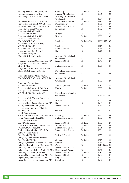| Fanning, Matthew, BSc, MSc, PhD                              | Chemistry                   | TS Prize        | 1977         | D                |
|--------------------------------------------------------------|-----------------------------|-----------------|--------------|------------------|
| Fanning, Saranna, HonsBSc                                    | Medical Microbiology        | TS              | 2006         | C                |
| Faul, Joseph, MB BCH BAO, MD                                 | Anatomy (for Medical        |                 |              |                  |
|                                                              | Graduates)                  | <b>TS</b>       | 1924         | D                |
| Fay, James M, BA, BSc, MSc, BE                               | <b>Experimental Physics</b> | TS Prize        | 1913         | D                |
| Feely, John, MB BCh BAO, BSc, MD                             | Pharmacology                | TS              | 1978         | D                |
| Ferguson, John Patrick, BAFS, MSc                            | Mathematical Science        | <b>TS</b>       | 2001         | D                |
| Finn, Mary Grace, BA, MA                                     | Economics                   | TS              | 1982         | $\mathsf{C}$     |
| Finnegan, Michael David,                                     |                             |                 |              |                  |
| BA, HDip in Ed, MA                                           | History                     | TS              | 2002         | G                |
|                                                              |                             | TS Prize        | 2000         | M                |
| Finnegan, Michael, BA, PhD                                   | History                     |                 |              |                  |
| Finucane, James Francis,                                     |                             |                 |              |                  |
| BSc, MB BCh BAO                                              | Medicine                    | TS Prize/TS     | 1969/1972    | C                |
| FitzGerald, Garret Adare Mary,                               |                             |                 |              |                  |
| MB BCh BAO, MD                                               | Medicine                    | TS              | 1977         | D<br>$\mathbf C$ |
| Fitzgerald, James, BA, MA                                    | Latin and Greek             | <b>TS</b>       | 1966         |                  |
| Fitzgerald, Jennifer, BA, MA                                 | English                     | TS              | 1971         | D                |
| FitzGerald, Margaret M,                                      |                             |                 |              |                  |
| BSc, MB BCh BAO, MSc                                         | Anatomy (for Medical        |                 |              |                  |
|                                                              | Graduates)                  | TS              | 1951         | D                |
| Fitzgerald, Michael Cornelius, BA, MA                        | Latin and Greek             | <b>TS</b>       | 1948         | D                |
| Fitzgerald, Michael Joseph Patrick,                          |                             |                 |              |                  |
| BECivil, MSc                                                 | <b>Mathematical Science</b> | <b>TS</b>       | 1975         | G                |
| Fitzgerald, Oliver Patrick Noel Alexis,                      |                             |                 |              |                  |
| BSc, MB BCh BAO, MSc, MD                                     | Physiology (for Medical     |                 |              |                  |
|                                                              | Graduates)                  | <b>TS</b>       | 1937         | D                |
| FitzGerald, Patrick Alexis Martin,                           |                             |                 |              |                  |
| BSc, MB BCh BAO, MSc, MCh, MD                                | Anatomy (for Medical        |                 |              |                  |
|                                                              | Graduates)                  | TS              | 1937         | D                |
| Fitzgerald, Thomas Walter,                                   |                             |                 |              |                  |
| BA, MB BCh BAO                                               | <b>Ancient Classics</b>     | <b>TS Prize</b> | 1919         | G                |
| Flanagan, Aindrias Aodh, BA, MA                              | English                     | <b>TS Prize</b> | 2000         | D                |
| Flanagan, Joseph Martin St Finbarr,                          |                             |                 |              |                  |
| MB BCh BAO, BSc, MSc, MD                                     | Physiology (for Medical     |                 |              |                  |
|                                                              | Graduates)                  | <b>TS</b>       | 1959 D and C |                  |
| Flanagan, Marie Therese Bernadette,                          |                             |                 |              |                  |
| BA, DipL, MA                                                 | History                     | <b>TS</b>       | 1972         | D                |
| Flannery, Denis James Martin, BA, MA                         | English                     | <b>TS</b>       | 1985         | D                |
| Flavin, James Noel, BSc, MSc                                 | <b>Mathematical Science</b> | TS              | 1959         | C                |
| Fleischmann, Ruth Mary Matilda,                              |                             |                 |              |                  |
| BA, MA, PhD                                                  | German                      | <b>TS</b>       | 1964         | C                |
| Flood, John Charles,                                         |                             |                 |              |                  |
| MB BCh BAO, BA, BComm, MD, MCh                               | Pathology                   | TS Prize        | 1925         | D                |
| Flynn, John Joseph, BSc, MSc                                 | <b>Mathematical Science</b> | TS              | 1989         | C                |
| Foley, Richard Joseph,                                       |                             |                 |              |                  |
| BA, MA, HDipinEd                                             | Latin and Greek             | <b>TS Prize</b> | 1937         | D                |
| Francis, Elizabeth Mary Teresa, BArch                        | Architecture                | TS Prize        | 1996         | D                |
| Franklin, David, BSc, MSc                                    | <b>Mathematical Science</b> | TS              | 1935         | D                |
|                                                              |                             | TS Prize        |              | G                |
| Friel, Nial Patrick Mary, BSc, MSc                           | <b>Mathematical Science</b> |                 | 1996         |                  |
| Gaffney, James Patrick,                                      |                             |                 |              |                  |
| BA, HDip in Ed, MA                                           | Irish and English           | TS Prize        | 1935         | G                |
| Gallagher, Ann Christina Therese,                            |                             |                 |              |                  |
| BA, HDip in Ed, MA                                           | German                      | TS Prize        | 1973         | G                |
| Gallagher, Michael Paul Mary, BA, MA                         | English                     | <b>TS</b>       | 1961         | D                |
| Gallagher, Patrick Hugh, BSc, MSc, DSc                       | Chemistry                   | <b>TS</b>       | 1919 D and G |                  |
| Gallivan, John Daniel, BSc, MSc                              | <b>Mathematical Science</b> | TS              | 1962         | D                |
| Galvin, Cornelius, BSc, HDip in Ed, MSc Experimental Physics |                             | TS              | 1932         | D                |
| Gath, Eugene Gerard, BSc, MSc                                | <b>Mathematical Science</b> | TS Prize        | 1982         | D                |
| Gaynor, Christopher Paul, BA, MA, PhD                        | Latin and Greek             | <b>TS</b>       | 1959         | D                |
| Gaynor, Fergal Oliver Natalis, BA                            | English                     | TS Prize        | 1994         | $\mathcal{C}$    |
| Geary, John Francais Anthony, BA, MA                         | Sociology                   | <b>TS</b>       | 1987         | D                |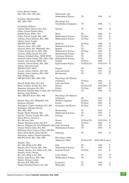| Geary, Robert Charles,<br>BSc, MSc, DSc, DEconSc      | Mathematics and             |                       |                   |               |
|-------------------------------------------------------|-----------------------------|-----------------------|-------------------|---------------|
|                                                       | <b>Mathematical Physics</b> | <b>TS</b>             | 1918              | D             |
| Gebruers, Elizabeth Mary,                             |                             |                       |                   |               |
| BSc, MSc, PhD                                         | Physiology (for             |                       |                   |               |
|                                                       | Non-Medical Graduates)      | TS                    | 1968              | $\mathsf{C}$  |
| Geoghegan (Dubois),                                   |                             |                       |                   |               |
| Gemma Marie Therese, BA, MA                           | German                      | TS                    | 1963              | D             |
| Gillen, Gerard Thomas Mary,                           |                             |                       |                   |               |
| DipMusTeach, BMus, MA                                 | Music                       | <b>TS</b>             | 1966              | D             |
| Gillen, Patrick Joseph, BSc, MSc                      | <b>Mathematical Science</b> | <b>TS Prize</b>       | 1991              | G             |
| Giltinan, David Michael, BSc, MSc                     | Mathematical Science        | TS Prize              | 1979              | $\mathsf{C}$  |
| Glazier, James Joseph,                                |                             |                       |                   |               |
| MB BCh BAO, MD                                        | Medicine                    | <b>TS Prize</b>       | 1986              | D             |
| Gleeson, James, BSc, MSc                              | Mathematical Science        | <b>TS</b>             | 1995              | D             |
| Gleeson, Marie, BA, HDipinEd, MA                      | Spanish                     | TS                    | 1973              | G             |
| Golden, Daragh Kevin, BSc, MSc                        | <b>Mathematical Science</b> | TS Prize              | 1992              | D             |
| Gormley, Philip Gerard, BA, MA                        | <b>Mathematical Science</b> | TS                    | 1931              | D             |
| Graham, Elizabeth Mary, MVB MVM                       | Veterinary Medicine         | TS                    | 1999              | D             |
| Grannell, James Joseph, BSc, MSc, PhD                 | Mathematical Science        | <b>TS</b>             | 1970              | $\mathsf{C}$  |
| Grogan, Jane Sorcha, MPhil, BA                        | English                     | <b>TS Prize</b>       | 2000              | G             |
| Guerrini, Vincent Henry, BSc, MSc                     | <b>Experimental Physics</b> | TS Prize/TS           | 1934/1935         | D             |
| Guiney, Edward Joseph,                                |                             |                       |                   |               |
| MB BCh BAO, MCh                                       | Surgery                     | <b>TS</b>             | 1961              | D             |
| Gwynn, Aubrey Osborn, BA, MA                          | Latin and Greek             | TS                    | 1915              | D             |
| Hackett, James Anthony, BSc, PhD                      | Biochemistry                | TS                    | 1975              | D             |
| Hall, William John,                                   |                             |                       |                   |               |
| MB BCh BAO, BSc, MSc, MD                              | Physiology (for Medical     |                       |                   |               |
|                                                       | Graduates)                  | TS Prize              | 1962              | $\mathsf{C}$  |
|                                                       | Latin and Greek             | <b>TS</b>             | 1976              | D             |
| Hamell, Philip Mary, BA, MA                           | History                     | TS Prize/TS           | 1954/1955         | D             |
| Hand, Geoffrey Joseph, BA, MA                         |                             |                       |                   | D             |
| Hanrahan, Georgina, BA, MA                            | Politics                    | TS Prize<br><b>TS</b> | 2007              | D             |
| Hanrahan, Mairéad Mary Colette, BA, MA French         |                             |                       | 1984              |               |
| Harman, John William,                                 |                             |                       |                   |               |
| BSc, MB BCh BAO, MSc, MD                              | Physiology (for Medical     |                       |                   |               |
|                                                       | Graduates)                  | TS                    | 1941              | D             |
| Harnett, Ellen, BA, HDipinEd, MA                      | Modern Languages            | TS Prize              | 1916              | D             |
| Harrigan, Michael,                                    | French                      | TS Prize              | 2002              | D             |
| Harrington, Charles Stanhope, BA, MA                  | Economics and History       | TS Prize              | 1915              | $\mathsf{C}$  |
| Harrington, Michael Gerard,                           |                             |                       |                   |               |
| BSc, MSc, PhD                                         | Biochemistry                | <b>TS</b>             | 1952              | $\mathcal{C}$ |
| Haugh, Martin Brendan, BSc                            | Mathematical Science        | <b>TS</b>             | 1993              | $\mathsf{C}$  |
| Hayden, Thomas Joseph, BSc, PhD                       | Zoology                     | <b>TS</b>             | 1973              | D             |
| Hayes-McCoy, Gerard A,                                |                             |                       |                   |               |
| BA, BComm, MA                                         | History                     | TS Prize/TS           | 1932/1934         | G             |
| Hazard, Benjamin James, BA MA                         | History                     | TS Prize              | 2004              | $\mathsf{C}$  |
| Heavey, Margaret M., BA, HDipinEd, MA Latin and Greek |                             |                       |                   | G             |
| Heelan, Patrick Aidan, BA, MA                         |                             | <b>TS</b>             | 1928              |               |
|                                                       | <b>Mathematical Science</b> | TS                    | 1948              | D             |
| Heffernan (Fox), Frances Claire, MB BCh               |                             |                       |                   |               |
| BAO, DCH (RCPI, Dobst (RCSI)                          | Pathology                   | <b>TS</b>             | 1963              | G             |
| Heffernan, Andrew Gerard Augustine,                   |                             |                       |                   |               |
| MB BCh BAO, BSc, MSc, MD                              | Physiology (1959)           |                       |                   |               |
|                                                       | /Medicine (1960)            | TS Prize/TS           | 1959/1960 D and C |               |
| Hegarty, John,                                        |                             |                       |                   |               |
| BA, MA, HDip in Ed, PhD                               | Irish                       | <b>TS</b>             | 1954              | $\mathsf{C}$  |
| Hegarty, Peter Vincent, BSc, MSc                      | <b>Mathematical Science</b> | <b>TS</b>             | 1994              | $\mathsf{C}$  |
|                                                       | Irish and French            | TS Prize              |                   | G             |
| Henchy, Bridget, BA, HDip in Ed, MA                   |                             |                       | 1931              |               |
| Henebry, Pierce Declan,                               | Celtic Studies              | TS                    | 1937              | D             |
| BA, MA, HDip in Ed, PhD                               |                             | <b>TS</b>             |                   | D             |
| Hickey, John Bosco, BSc, MSc                          | Mathematical Science        |                       | 1963              |               |
| Hickey, Thomas Joseph,                                |                             | <b>TS</b>             |                   | $\mathsf{C}$  |
| BComm, BA, MEconSc<br>Hogan, Desmond Patrick, BA, MA  | Economics<br>Philosophy     | <b>TS</b>             | 1926<br>1994      | G             |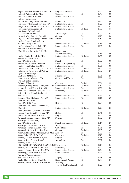| Hogan, Jeremiah Joseph, BA, MA, DLitt English and French     |                               | TS              | 1924 | D              |
|--------------------------------------------------------------|-------------------------------|-----------------|------|----------------|
| Holland, Anthony, BSc, MSc                                   | Chemistry                     | TS              | 1943 | C              |
| Holland, Finbarr, BSc, MSc                                   | <b>Mathematical Science</b>   | TS              | 1962 | D              |
| Holmes, Denis Abel,                                          |                               |                 |      |                |
| BA, BComm, DipPubAdmin, MA                                   | Economics                     | TS              | 1947 | D              |
| Honohan, William Anthony, BA, MA                             | <b>Mathematical Science</b>   | TS              | 1929 | D              |
| Horgan, Cornelius Oliver, BSc, MSc, DSc Mathematical Science |                               | <b>TS</b>       | 1965 | $\mathsf{C}$   |
| Houghton, Conor James, BSc                                   | Mathematical Science          | <b>TS Prize</b> | 1993 | G              |
| Hourihane, Colum Patrick,                                    |                               |                 |      |                |
| BA, HDip in Ed, MA                                           | Archaeology                   | TS              | 1979 | $\overline{C}$ |
| Howard, Mary Patricia, BA, MA                                | German                        | TS              | 1973 | D              |
| Hughes, Anthony George, BMus, DMus                           | Music                         | TS              | 1952 | D              |
| Hughes, Louis Ignatius Gerard,                               |                               |                 |      |                |
| BA, MA, HDip in Ed                                           | <b>Mathematical Science</b>   | TS Prize        | 1933 | D              |
| Hughes, Shane Joseph, BSc, MSc                               | Mathematical Science          | TS              | 1987 | D              |
| Humphries, Carmel Frances,                                   |                               |                 |      |                |
| BSc, HDip in Ed, MSc, PhD, DSc                               | Zoology and                   |                 |      |                |
|                                                              | Animal Physiology             | TS              | 1933 | D              |
| Hurley, Daniel John, BSc, MSc                                | <b>Mathematical Science</b>   | TS Prize        | 1966 | C              |
| Hurley, Elizabeth Anne,                                      |                               |                 |      |                |
| BA, MA, HDip in Ed                                           | French                        | <b>TS</b>       | 1972 | $\mathcal{C}$  |
| Hurley, Fergus Gerard, HonsBE                                | <b>Electrical Engineering</b> | TS              | 2006 | $\mathcal{C}$  |
| Hurley, John Fintan, BA, MA                                  | Mathematical Science          | <b>TS</b>       | 1971 | $\mathsf{C}$   |
| Hurley, Thaddeus Christopher, BSc, MSc                       | <b>Mathematical Science</b>   | TS Prize        | 1966 | G              |
| Hutchinson, Kevin Mary, BA, MA                               | <b>Mathematical Science</b>   | TS Prize        | 1982 | D              |
| Hyland, Anne Margaret,                                       |                               |                 |      |                |
| <b>BA BMus MMusicol</b>                                      | Musicology                    | TS              | 2006 | D              |
| Hynes, Sinead Margaret, BSc                                  | Occupational Therapy          | <b>TS</b>       | 2007 | G              |
| Hynes, Stephen Patrick,                                      |                               |                 |      |                |
| BComm, MEconSc                                               | Commerce                      | TS Prize        | 2001 | G              |
| Imbusch, George Francis, BSc, MSc, DSc Experimental Physics  |                               | <b>TS Prize</b> | 1959 | G              |
| Ingram, Richard Ernest, BSc, MSc                             | Mathematical Science          | <b>TS</b>       | 1939 | D              |
| Irwin, Jones Anthony Peter, BA, MA                           | Philosophy                    | <b>TS Prize</b> | 1994 | D              |
| Jeffers, Robert Humphries Francis,                           |                               |                 |      |                |
| BSc, MSc                                                     | <b>Mathematical Science</b>   | <b>TS Prize</b> | 1965 | C              |
| Jennings, David Edmond, BA, MA                               | <b>Mathematical Science</b>   | <b>TS</b>       | 1972 | $\overline{C}$ |
| Johnston, Elva Bríd,                                         |                               |                 |      |                |
| BA, MA, DPhil (Oxon)                                         | History                       | TS              | 1994 | C              |
| Johnstone, Ray Fidelis O Donovan,                            |                               |                 |      |                |
| BSc, MSc                                                     | <b>Mathematical Science</b>   | TS Prize        | 1979 | G              |
| Jones (MacSeóin), Frederick Michael                          |                               |                 |      |                |
| Hudson (Feardocha MH), BA, MA                                | History                       | <b>TS</b>       | 1946 | G              |
| Jordan, John Edward, BA, MA                                  | English                       | TS              | 1952 | D              |
| Kavanagh, Aileen Frances, BCL, MA                            | Politics                      | <b>TS</b>       | 1997 | D              |
| Kavanagh, Frances Mary,                                      |                               |                 |      |                |
| BA, MA, HDip in Ed                                           | French and German             | TS Prize        | 1914 | D              |
| Kavanagh, James Aloysius, BSc                                | Botany                        | TS              | 1960 | D              |
| Kavanagh, James, BA, MA, PhD                                 | Celtic Studies                | TS              | 1931 | D              |
| Kavanagh, Richard John, BA, MA                               | German                        | TS Prize        | 1963 | $\overline{C}$ |
| Keady, Eibhlin Marie Mairéad, BSc, MSc Zoology               |                               | TS              | 1990 | G              |
| Keane, John, BSc, MSc, PhD                                   | Chemistry                     | TS Prize        | 1919 | D              |
| Kearney, Colbert Joseph, BA, MA                              | English                       | TS              | 1968 | D              |
| Kearney, John Francis, BAgrSc                                | Agriculture                   | TS              | 2002 | D              |
| Kearney, Niall P, BA,                                        |                               |                 |      |                |
| HDip in Ed, MB BCh BAO, DipCG, MEd Pharmacology              |                               | TS Prize        | 1970 | D              |
| Kearney, Richard Marius, BA, MA                              | Philosophy                    | <b>TS</b>       | 1977 | D              |
| Keating, George Richard, BSc, MSc                            | <b>Mathematical Science</b>   | TS Prize        | 1924 | D              |
| Keaveney, Arthur Peter, BA, MA                               | Latin and Greek               | TS              | 1975 | G              |
| Keaveny, Thomas Vincent,                                     |                               |                 |      |                |
| BSc, MB BCh BAO, MCh                                         | Surgery                       | TS              | 1968 | D              |
| Keefe, Thomas Denis, BSc, MSc                                | <b>Experimental Physics</b>   | <b>TS</b>       | 1953 | D              |
| Keenan, Edward, MB BCH BAO, MD                               | Anatomy                       |                 |      |                |
|                                                              | (for Medical Graduates)       | <b>TS</b>       | 1927 | D              |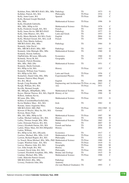| Kelehan, Peter, MB BCh BAO, BSc, MSc Pathology              |                                                       | <b>TS</b>       | 1973      | G             |
|-------------------------------------------------------------|-------------------------------------------------------|-----------------|-----------|---------------|
| Kelleher, Patrick, BA, MA                                   | Philosophy                                            | TS Prize        | 1934      | C             |
| Kelly, Anne-Laure, BA                                       | Spanish                                               | TS Prize        | 2002      | $\mathsf{C}$  |
| Kelly, Bernard Joseph Marshall,                             |                                                       |                 |           |               |
| BSc, MSc                                                    | <b>Mathematical Science</b>                           | TS Prize        | 1996      | D             |
| Kelly, Elizabeth Gabrielle,                                 |                                                       |                 |           |               |
| BSc, MSc, HDip in Ed                                        | <b>Mathematical Science</b>                           | TS Prize        | 1976      | $\mathsf{C}$  |
| Kelly, Frederick Joseph, BA, MA                             | French                                                | <b>TS</b>       | 1959      | D             |
| Kelly, James Kevin, MB BCh BAO                              | Pathology                                             | <b>TS</b>       | 1977      | G             |
| Kelly, John Maurice, BA, MA                                 | Latin and Greek                                       | <b>TS</b>       | 1953      | D             |
| Kelly, Maria Michelle, BA MA (York)                         | English                                               | <b>TS</b>       | 2004      | G             |
| Kelly, Michael Gerard, BA, MA, LLB                          | French                                                | TS              | 1995      | G             |
| Kelly, Peter Martin Anthony,                                |                                                       |                 |           |               |
| MB BCh BAO, BSc, MSc                                        | Pathology                                             | TS              | 1984      | D             |
| Kennedy, John David,                                        |                                                       |                 |           |               |
| BSc, MB BCh BAO, MSc, MD                                    | Pathology                                             | TS              | 1943      | G             |
| Kennedy, John Murtagh, BSc, MSc                             | <b>Mathematical Science</b>                           | <b>TS</b>       | 1960      | D             |
| Kennedy, Kieran Anthony,                                    |                                                       |                 |           |               |
| DipPubAdm, BComm, MEconSc                                   | Economics                                             | <b>TS</b>       | 1960      | D             |
| Kennedy, Nessa M, BA                                        | Geography                                             | TS              | 1975      | G             |
| Kennedy, Patrick Brendan,                                   |                                                       |                 |           |               |
| BSc, MSc, PhD, DSc                                          | <b>Mathematical Science</b>                           | TS              | 1951      | C             |
| Kennedy, Sheila Gertrude,                                   |                                                       |                 |           |               |
| BA, HDip in Ed, MA                                          | History                                               | <b>TS Prize</b> | 1925      | $\mathcal{C}$ |
| Kennedy, William Jean Vianney,                              |                                                       |                 |           |               |
| BA, HDip in Ed, MA                                          | Latin and Greek                                       | TS Prize        | 1956      | $\mathsf{C}$  |
| Kennefick, Daniel John, BSc, MSc                            | <b>Experimental Physics</b>                           | <b>TS</b>       | 1989      | $\mathsf{C}$  |
| Kennon, Patricia Mary Brigid,                               |                                                       |                 |           |               |
| BA, BA, MLitt                                               | English                                               | TS              | 2000      | D             |
|                                                             |                                                       |                 | 2003      | C             |
| Keogh, Craig Brendan, BE<br>Keogh, William, BA, MA          | Engineering and Architecture TS Prize, ex aeq<br>Arts | TS Prize        | 1931      | $\mathsf{C}$  |
|                                                             |                                                       |                 |           |               |
| Keville, Bernard Joseph,                                    | <b>Mathematical Science</b>                           | <b>TS</b>       | 1996      | M             |
| BE, MEngSc, HDipMaths, MSc                                  |                                                       | <b>TS Prize</b> |           | D             |
| Keyes, Marian Therese, BA, MA, DipLIS History of Art        |                                                       |                 | 1990      |               |
| Killeen, Anthony Kevin,                                     | <b>Mathematical Science</b>                           | <b>TS Prize</b> |           | G             |
| BComm, BSc, MSc                                             |                                                       |                 | 1929      |               |
| Killilea (CaoimhinMacGiollaLéith),                          |                                                       |                 |           |               |
| Kevin Matthew Mary, BA, MA                                  | Irish                                                 | TS              | 1982      | D             |
| Kirrane, James Augustine Mary,                              |                                                       |                 | 1961/1965 | G             |
| MB BCh BAO, MD, PhD                                         | Pathology                                             | <b>TS Prize</b> |           |               |
| Kirwan (O'Boyle), Mary Ita, BA, MA                          | German                                                | TS              | 1957      | C             |
| Kirwan, Henry Paul,                                         |                                                       |                 |           |               |
| BSc, BA, MSc, HDip in Ed                                    | Mathematical Science                                  | TS Prize        | 1997      | M             |
| Laffan, Michael Anthony, BA, MA                             | History                                               | <b>TS</b>       | 1968      | D             |
| Laffey, Thomas Joseph, BSc, MSc                             | <b>Mathematical Science</b>                           | TS Prize        | 1965      | G             |
| Lalor, Doireann Patricia, BA, MA                            | Italian                                               | TS              | 2007      | D             |
| Laracy, Elizabeth Darina, BA, MA                            | French and Italian                                    | <b>TS</b>       | 1938      | D             |
| Larkin, Hilary Mary, BA MA HDipinEd                         | History                                               | TS              | 2004      | D             |
| Larkin, William,                                            |                                                       |                 |           |               |
| BA, HDip in Ed, MA, DEconSc                                 | Economics                                             | <b>TS</b>       | 1917      | C             |
| Lawless, Michael, BSc, MSc, LLD                             | Mathematical Science                                  | TS Prize        | 1931      | G             |
| Lawton, Richard Rupert, BA, MA                              | Philosophy                                            | TS              | 1922      | C             |
| Le Noach, Brian Michael, BSc, MSc, PhD Mathematical Science |                                                       | TS Prize        | 1980      | D             |
| Leaper, Winifred Anne, BA, MA                               | History                                               | TS Prize        | 1919      | G             |
| Leavey, Maurice John, BA, MA                                | Geography                                             | TS Prize        | 1988      | M             |
| Lee, John Joseph, BA, MA                                    | History                                               | TS              | 1965      | D             |
| Leonard, David John, BA, MA                                 | Philosophy                                            | TS Prize        | 1992      | D             |
| Leonard, Elizabeth Josephine, BSc, MSc                      | Botany and Zoology                                    | TS              | 1915      | D             |
| Linehan, Michael, BSc, MSc                                  | <b>Mathematical Science</b>                           | TS Prize        | 1988      | $\mathsf{C}$  |
| Little, Malcolm Patrick Gerard,                             |                                                       |                 |           |               |
| MB BCh BAO, BSc, MSc                                        |                                                       |                 |           |               |
|                                                             | Pathology                                             | TS              | 1967      | G             |
| Livesey, Frederick John, BSc                                | Anatomy                                               |                 | 1993      | $\mathsf{C}$  |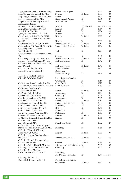| Logan, Miriam Leontia, HonsBA MSc       | Mathematics/Algebra            | TS              | 2006      | D             |
|-----------------------------------------|--------------------------------|-----------------|-----------|---------------|
| Long, Cormac Diarmuid, BSc, MSc         | Science                        | TS Prize        | 2000      | C             |
| Long, Joseph Benedict Mary, BA, MA      | French                         | TS              | 1965      | D             |
| Losty, John Joseph, BSc, MSc            | <b>Experimental Physics</b>    | TS              | 1956      | D             |
| Loughman, John Anthony, BA, MA          | History of Art                 | TS              | 1990      | D             |
| Lydon, James Francis,                   |                                |                 |           |               |
| BA, MA, DLitt hc, PhD (Lon)             | History                        | TS/TS Prize     | 1952/1954 | G             |
| Lynch, Mary Christina, BA, MA           | English                        | TS              | 1954      | $\mathcal{C}$ |
| Lynn, Eileen, BA, MA                    | French                         | TS              | 1954      | G             |
| Lyons, Thomas Bernard, BA, MA           | History                        | TS              | 1949      | $\mathcal{C}$ |
| Mac Cárthaigh, Seán-Pól, BA MPhil       | History                        | TS Prize        | 2005      | $\mathcal{C}$ |
| Mac Con Uladh, Damian Henry Tone,       |                                |                 |           |               |
| BA, MA                                  | History                        | <b>TS</b>       | 2000      | G             |
| MacAlevey, Paul Joseph, BSc, MSc        | <b>Mathematical Science</b>    | <b>TS Prize</b> | 1989      | D             |
| MacAonghusa, Pól Gearoid, BSc, MSc      | <b>Mathematical Science</b>    | <b>TS Prize</b> | 1984      | D             |
| MacCarthy, Emma Margaret,               |                                |                 |           |               |
| BA, HDip in Ed                          | Irish                          | TS              | 1999      | $\mathsf{C}$  |
| MacConamhna, Oisin Aengus Padraig,      |                                |                 |           |               |
| <b>BSc</b>                              | Science                        | TS              | 2001      | G             |
|                                         | <b>Mathematical Science</b>    | TS Prize        | 1982      | G             |
| MacDonough, Mary Ann, BSc, MSc          |                                | TS              |           | D             |
| MacEntee, Máire Caitriona, BA, MA       | Irish and English              |                 | 1942      |               |
| MacGiollarnáth, Proinnsias Coirreall F, |                                |                 |           |               |
| BA, MA, LLB                             | Irish and French               | <b>TS Prize</b> | 1949      | G             |
| MacLiam, Tomás, BA, MA                  | Latin and Greek                | TS              | 1956      | D             |
| MacMahon, Brian, BSc, MSc               | Botany and                     |                 |           |               |
|                                         | <b>Plant Physiology</b>        | <b>TS</b>       | 1931      | D             |
| MacMahon, Michael Thomas,               |                                |                 |           |               |
| MSc, MB BCh BAO, DipPH                  | Physiology (for Medical        |                 |           |               |
|                                         | Graduates)                     | TS              | 1914      | D             |
| MacMathúna, Liam Deasún, BA, MA         | <b>Celtic Studies</b>          | TS              | 1970      | D             |
| MacMathúna, Séamus Flannan, BA, MA      | Latin and Greek                | TS              | 1967      | G             |
| MacNamara, Matthew Mary,                |                                |                 |           |               |
| BA, HDip in Ed, MA                      | French                         | TS Prize        | 1965      | C             |
| MacWhite, Eoin, BA, MA                  | Archaeology                    | TS              | 1944      | D             |
| Madden, Denis, BSc, MSc                 | Chemistry                      | TS              | 1923      | $\mathcal{C}$ |
| Malcolm, John George, BA MLitt          | Archaeology                    | <b>TS</b>       | 2005      | G             |
| Mansfield, Michael, BA, MA              | Economics                      | TS Prize        | 1935      | D             |
| Marsh, Andrew James, BSc, MSc           | Mathematical Science           | <b>TS</b>       | 2000      | G             |
| Martin, Conor John, BA, MA              | Philosophy                     | TS              | 1945      | D             |
| Martin, Francis Xavier, BA, MA          | History                        | TS              | 1952      | D             |
| Martin, John Paul, BA, MA               | Economics                      | TS              | 1971      | D             |
| Masterson, Patrick Peter, BA, MA        | Philosophy                     | TS              | 1960      | D             |
| Mathews, Elizabeth Sarah, BA            | Education                      | TS Prize        | 2004      | G             |
| McAlindon, Thomas Edward, BA, MA        | English                        | TS              | 1956      | $\mathcal{C}$ |
| McBride, Patrick Peter,                 |                                |                 |           |               |
| BA, HDip in Ed, MA                      | French and Italian             | <b>TS</b>       | 1932      | D             |
| McCabe (Ni Chába), Mary Margaret        |                                |                 |           |               |
| (Máire M), MB BCh BAO, BSc, MD          | Pathology                      | <b>TS</b>       | 1961      | D             |
| McCarthy (Ellen McWilliams),            |                                |                 |           |               |
| Eileen Mary, BA, MA                     | English                        | TS Prize        | 2000      | C             |
| McCarthy (Lewis), Caroline Maeve,       |                                |                 |           |               |
|                                         | <b>Mathematical Science</b>    | <b>TS Prize</b> | 1992      | G             |
| BSc, MSc                                |                                |                 |           |               |
| McCarthy (Sikora), Margaret Mary,       |                                |                 |           |               |
| BA, HDip in Ed, MA                      | German                         | TS Prize        | 1963      | $\mathsf{C}$  |
| McCarthy, Cathal, HonsBE MEngSc         | Microelectronic Engineering TS |                 | 2006      | $\mathcal{C}$ |
| McCarthy, Daniel Gerard, BSc, PhD       | Chemistry                      | TS              | 1977      | $\mathcal{C}$ |
| McCarthy, Denis Matthew,                |                                |                 |           |               |
| MB BCh BAO, BSc, MSc, MD                | Physiology                     |                 |           |               |
|                                         | (for Medical Graduates)        | TS              | 1965      | D and C       |
| McCarthy, Earl Francis,                 |                                |                 |           |               |
| BSc, MB BCh BAO, MSc, PhD               | Physiology (for Medical        |                 |           |               |
|                                         | Graduates)                     | TS Prize        | 1932      | C             |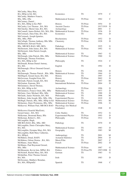| McCarthy, Mary Rita,                                                           |                                                            |                             |              |               |
|--------------------------------------------------------------------------------|------------------------------------------------------------|-----------------------------|--------------|---------------|
| BA, HDip in Ed, MA                                                             | Economics                                                  | TS                          | 1979         | C             |
| McCarthy, Matthew Francis,                                                     |                                                            |                             |              |               |
| BSc, MSc, DSc                                                                  | <b>Mathematical Science</b>                                | TS Prize                    | 1962         | C             |
| McCartney, Daniel,                                                             |                                                            |                             |              |               |
| BA, MA, HDip in Ed, PhD                                                        | History                                                    | TS Prize                    | 1954         | D             |
| McCauley, Leo Thomas, BA, MA                                                   | <b>Ancient Classics</b>                                    | <b>TS Prize</b>             | 1917/1919    | D             |
| McClatchie, Meriel Ann, BA, MA                                                 | Archaeology                                                | <b>TS</b>                   | 2001         | $\mathcal{C}$ |
| McConnell, James Robert, BA, MA, DSc                                           | Mathematical Science                                       | TS Prize                    | 1936         | D<br>D        |
| McCormack, Dara Fahy, BA, MA                                                   | Economics                                                  | TS                          | 1964         |               |
| McCormack, Joseph Ignatius,<br>BSc, MSc, PhD                                   | Biochemistry                                               | <b>TS Prize</b>             | 1952         | D             |
| McCullagh, Thomas Anthony, BSc MSc                                             | Chemistry                                                  | TS Prize                    | 1928         | D             |
| McDermott, Edward Neale,                                                       |                                                            |                             |              |               |
| BSc, MB BCh BAO, MD, MCh                                                       | Pathology                                                  | <b>TS</b>                   | 1925         | G             |
| McDermott, John James, BA, MA                                                  | Mathematical Science                                       | TS Prize                    | 1992         | G             |
| McDermott, John Patrick Joseph,                                                |                                                            |                             |              |               |
| BSc, MSc                                                                       | Mathematical Science                                       | <b>TS</b>                   | 1963         | G             |
| McDonagh, John Patrick, BSc, MSc                                               | <b>Mathematical Science</b>                                | TS Prize                    | 1960         | G             |
| McDonagh, Thomas Fortchern,                                                    |                                                            |                             |              |               |
| BA, MA, HDip in Ed                                                             | Philosophy                                                 | <b>TS</b>                   | 1924         | C             |
| McDonald, Ronan Daniel Antony,                                                 |                                                            |                             |              |               |
| BA, MA                                                                         | English                                                    | TS                          | 1992         | D             |
| McDonough, Oliver Ormond Gerard,<br>BA, MA                                     | History                                                    | <b>TS</b>                   | 1946         | D             |
| McDonough, Thomas Patrick, BSc, MSc                                            | <b>Mathematical Science</b>                                | <b>TS</b>                   | 1964         | G             |
| McElligott, Gerard Jason, BA, MA                                               | History                                                    | TS                          | 1997         | D             |
| McGoveran, Fearghal Eoin, BA                                                   | History                                                    | TS Prize                    | 2002         | D             |
| McGrath, Patrick Joseph, BA, MA                                                | Philosophy                                                 | TS                          | 1957         | M             |
| McGrattan, Eamonn, MA                                                          | <b>International Relations</b>                             | TS Prize                    | 2004         | D             |
| McGuinness, David Thomas,                                                      |                                                            |                             |              |               |
| BA, MA, HDip in Ed                                                             | Archaeology                                                | TS Prize                    | 1996         | D             |
| McGuinness, Francis Oisin, BSc, MSc                                            | <b>Mathematical Science</b>                                | TS                          | 1977         | D             |
| McGuire, Gary Michael, BSc, MSc                                                | <b>Mathematical Science</b>                                | TS                          | 1990         | D             |
| McGuirk, James Nicholas, BA, MA                                                | Philosophy                                                 | <b>TS</b>                   | 1998         | M             |
| McHenry, John Joseph, BSc, MSc, DSc                                            | <b>Experimental Physics</b>                                | <b>TS</b>                   | 1919         | D             |
| McHugh, Patrick, BSc, MSc, HDip in Ed<br>McInerney, Daire Proinnsias, BSc, MSc | <b>Mathematical Science</b><br><b>Mathematical Science</b> | <b>TS Prize</b><br>TS Prize | 1951<br>1996 | М<br>G        |
| McKeever, William Paul, MB BCh BAO                                             | Physiology (for Medical                                    |                             |              |               |
|                                                                                | Graduates)                                                 | TS                          | 1948         | D             |
| McKeown (Gearóid MacEoin),                                                     |                                                            |                             |              |               |
| Gerard James, BA, MA                                                           | Celtic Studies                                             | <b>TS</b>                   | 1952         | G             |
| McKernan, Desmond Barry, BSc                                                   | <b>Experimental Physics</b>                                | TS Prize                    | 1993         | D             |
| McKernan, Robert L, MA                                                         | Philosophy                                                 | <b>TS Prize</b>             | 1912         | D             |
| McLaughlin, Hugh,                                                              |                                                            |                             |              |               |
| MB BCh BAO, BSc, MSc, MD                                                       | Pathology                                                  | TS                          | 1970         | D             |
| McLoughlin, Denis Chrisopher Mary,                                             |                                                            |                             |              |               |
| BA, MA                                                                         | <b>Mathematical Science</b>                                | TS                          | 1983         | D             |
| McLoughlin, Dympna Mary, BA, MA                                                | Geography                                                  | <b>TS</b>                   | 1983         | М             |
| McLoughlin, Ruth Mary Catherine,<br>BA, HDipA                                  |                                                            | <b>TS</b>                   | 2001         | M             |
| McMahon, Donal, BAFS                                                           | Anthropology<br><b>Actuarial Statistics</b>                | TS                          | 2004         | D             |
| McMahon, Orlene Denise, BA, MA                                                 | Music/Film                                                 | TS                          | 2007         | $\mathsf{C}$  |
| McManus, Anne Marie,                                                           | French                                                     | TS Prize                    | 2002         | D             |
| McManus, Paul Raymond Gerard,                                                  |                                                            |                             |              |               |
| BSc, MSc                                                                       | Mathematical Science                                       | <b>TS Prize</b>             | 1987         | G             |
| McMenamin, Kevin Iain, MPhil, BA                                               | Politics                                                   | TS Prize/TS                 | 1997/1998    | D             |
| McNicholl, Rachel Mary, BA, MA                                                 | German                                                     | TS                          | 1983         | G             |
| McQuillan, Peter Thomas Gerard,                                                |                                                            |                             |              |               |
| BA, MA                                                                         | Irish                                                      | TS                          | 1983         | D             |
| McSweeney, Matthew Brendan,                                                    |                                                            |                             |              |               |
| BA, MA, HDipinEd                                                               | Spanish                                                    | <b>TS</b>                   | 1968         | $\mathsf{C}$  |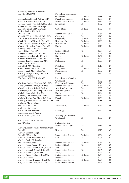McSwiney, Stephen Alphonsus,

| BA, MB BCh BAO                               | Physiology (for Medical     |                 |      |                |
|----------------------------------------------|-----------------------------|-----------------|------|----------------|
|                                              | Graduates)                  | TS Prize        | 1911 | D              |
| Mecklenburg, Paula, BA, MA, PhD              | French and German           | <b>TS Prize</b> | 1938 | D              |
| Meehan, Maria Grace, BSc, PhD                | <b>Mathematical Science</b> | TS Prize        | 1993 | G              |
|                                              |                             |                 |      |                |
| Meenan, James Francis, BA, MA, LLD           | Economics                   | TS              | 1932 | D              |
| Melia (OMáille), Thomas Joseph,              |                             |                 |      |                |
| BA, HDip in Ed, PhD, DLittCelt               | <b>Celtic Studies</b>       | TS Prize        | 1937 | G              |
| Mellon, Pauline Elizabeth,                   |                             |                 |      |                |
| BSc, MSc, PhD                                | <b>Mathematical Science</b> | TS              | 1986 | D              |
| Metcalfe (O'Neill), Mary P, BSc, MSc         | Chemistry                   | TS              | 1915 | D              |
| Mills, Gerald Michael, BA, MA                | Geography                   | <b>TS Prize</b> | 1983 | D              |
|                                              | History of Art              | <b>TS Prize</b> |      | D              |
| Minch, Rebecca Elizabeth, BA, MA             |                             |                 | 1990 |                |
| Mohr, Thomas Quentin, BA, MA, LLB            | History/Law                 | TS Prize        | 2002 | G              |
| Moloney, Bernadette Marie, BA, MA            | English                     | TS Prize        | 1976 | D              |
| Moloney, Eoghan (Owen) Patrick               |                             |                 |      |                |
| Joseph Oliver, BA, MA                        | Latin and Greek             | <b>TS</b>       | 1999 | M              |
| Mongan, Adrian Owen, BA, MA                  | Commerce                    | TS              | 2001 | D              |
| Montague, John Patrick, BA, MA               | English                     | TS Prize        | 1952 | D              |
| Mooney, Sinéad Martha, BA, MA                | English                     | TS              | 1997 | $\overline{C}$ |
|                                              |                             | <b>TS</b>       | 1990 | D              |
| Mooney, Timothy Denis, BA, MA                | Philosophy                  |                 |      |                |
| Moore, Henry Francis,                        |                             |                 |      |                |
| MB BCh BAO, MD, DSc                          | Pathology                   | <b>TS</b>       | 1913 | D              |
| Moore, Niamh Mary, BA, PhD                   | Geography                   | TS Prize        | 2000 | D              |
| Moran, Niamh Mary, BSc, PhD                  | Pharmacology                | TS              | 1987 | D              |
| Moriarty, Margaret Mary, BA, MA              | French                      | <b>TS</b>       | 1972 | G              |
| Moriarty, Michael,                           |                             |                 |      |                |
| BSc, MSc, MB BCh BAO, MD                     | Physiology (for Medical     |                 |      |                |
|                                              | Graduates)                  | TS              | 1932 | D              |
| Morrison, Herbert Needham, BSc, MSc          | <b>Experimental Physics</b> | TS              | 1913 | G              |
| Mortell, Michael Philip, BSc, MSc            | <b>Mathematical Science</b> | <b>TS Prize</b> | 1963 | $\mathsf{C}$   |
| Moynihan, Sinead Brigid, BA MA               | American Literature         | TS              | 2003 | G/C            |
|                                              |                             |                 |      |                |
| Mulchrone, Kate, BA, HDip in Ed, MA          | Irish and German            | TS              | 1918 | D              |
| Mulhall, Anne Marie, BA, MA                  | English                     | TS              | 1994 | G              |
| Mulhern, John Francis, BSc, MSc              | Mathematical Science        | <b>TS</b>       | 1964 | G              |
| Mullally, Evelyn Ann Maria, BA, MA           | French                      | <b>TS Prize</b> | 1968 | D              |
| Mullally, Robert James Anthony, BA, MA Irish |                             | TS              | 1988 | D              |
| Mullaney, Marie Celine,                      |                             |                 |      |                |
| BSc, MSc, PhD, DSc                           | Biochemistry                | TS Prize        | 1959 | D              |
| Mulligan, Niall John,                        |                             |                 |      |                |
| MB BCh BAO, MMedSc                           | Pathology                   | <b>TS</b>       | 1997 | D              |
|                                              |                             |                 |      |                |
| Murnaghan, Donal Patrick,                    |                             |                 |      |                |
| MB BCH BAO, BA, MA                           | Anatomy (for Medical        |                 |      |                |
|                                              | Graduates)                  | TS              | 1939 | D              |
| Murnaghan, Francis Dominie,                  |                             |                 |      |                |
| BA, MA, DSc                                  | Mathematics and             |                 |      |                |
|                                              | <b>Mathematical Physics</b> | TS              | 1914 | D              |
| Murphy (Cronin), Maura Joannes Brigid,       |                             |                 |      |                |
| BA, MA                                       | History                     | TS              | 1975 | $\mathcal{C}$  |
| Murphy, Brendan Joseph,                      |                             |                 |      |                |
| BA, MA, HDip in Ed                           | <b>Mathematical Science</b> | TS Prize        | 1981 | $\mathcal{C}$  |
|                                              |                             | TS              | 2006 | $\mathsf{C}$   |
| Murphy, Cian Christopher, BCL                | Law                         |                 |      |                |
| Murphy, Daniel Christopher,                  |                             |                 |      |                |
| BSc, MEconSc, MSc                            | Mathematical Science        | TS Prize        | 1963 | $\mathsf{C}$   |
| Murphy, Gerald Senan, BA, MA                 | Latin and Greek             | <b>TS</b>       | 1969 | $\mathbf C$    |
| Murphy, James Kevin Collins, BA, MA          | Irish                       | <b>TS</b>       | 1967 | D              |
| Murphy, Jeremiah Gerard, BSc, MSc            | <b>Mathematical Science</b> | TS              | 1985 | $\mathbf C$    |
| Murphy, John Paul, BSc, MSc                  | Botany                      | TS              | 1975 | $\mathcal{C}$  |
| Murphy, Kieran Anthony, BSc, MSc             | Mathematical Science        | TS Prize        | 1964 | M              |
|                                              | Medicine                    | TS              | 2002 | D              |
| Murphy, Michael                              |                             |                 |      | $\overline{C}$ |
| Murphy, Thomas Brendan, BSc, MSc             | <b>Mathematical Science</b> | TS Prize        | 1995 |                |
| Murphy, Thomas, BSc, MSc, DSc                | <b>Experimental Physics</b> | TS              | 1941 | D              |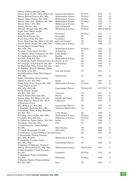| Murray (ÓMuireadhaigh), John                             |                             |                 |              |               |
|----------------------------------------------------------|-----------------------------|-----------------|--------------|---------------|
| Francis (Seán P), BSc, MSc, HDip in Ed                   | <b>Experimental Physics</b> | TS Prize        | 1932         | D             |
| Murray, Edward Francis, BSc, MSc                         | <b>Mathematical Science</b> | TS Prize        | 2002         | D             |
| Murray, James Charles, BSc, MSc                          | <b>Mathematical Science</b> | TS Prize        | 1964         | D             |
| Murray, John Cyril, DipMaSc, BE, MSc                     | <b>Mathematical Science</b> | TS Prize        | 1993         | D             |
| Murray, John J, BSc, MSc                                 | <b>Mathematical Science</b> | <b>TS</b>       | 1970         | C             |
| Murray, Thomas, BA                                       | Irish and English           | TS Prize        | 1934         | D             |
| Murtagh, Michael John, BSc, MSc                          | <b>Mathematical Science</b> | <b>TS Prize</b> | 1966 D and M |               |
| Nagle, John Charles Joseph,                              |                             |                 |              |               |
| BComm, MEconSc                                           | Economics                   | <b>TS Prize</b> | 1932         | C             |
| Nally, David Patrick, BA                                 | Geography                   | <b>TS</b>       | 2000         | $\mathcal{C}$ |
| Neary, James Peter, BA, MA                               | Economics                   | TS              | 1974         | D             |
| Nevin, Mary Kate, BA, HDip in Ed, MA                     | Irish and German            | TS              | 1922         | D             |
| Newell, Martin Joseph, BSc, MSc, DSc                     | <b>Mathematical Science</b> | TS              | 1930         | G             |
| Newell, Martin Leonard Mary,                             |                             |                 |              |               |
| BSc, MSc, DSc                                            | <b>Mathematical Science</b> | <b>TS Prize</b> | 1962         | G             |
| Newman, Conor James, BA, MA                              | Archaeology                 | <b>TS</b>       | 1987         | D             |
| Ní Chatháin, Máire Prionnseas, BA, MA                    | Celtic Studies              | <b>TS</b>       | 1958         | G             |
| Ní Chuilleanáin, Eiléan, BA, MA                          | English                     | TS              | 1964         | $\mathcal{C}$ |
| Ní Chuív, Nóra, BA, MA                                   | Mathematical Science        | <b>TS</b>       | 1967         | D             |
| Ní Ghrádaigh, Jenifer Winifred Kirley, BA History of Art |                             | TS              | 1999         | D             |
| Ní Loingsigh, Aine Filomena, BA, MA                      | Archaeology                 | TS              | 1976         | C             |
| Ní Mhaonaigh, Máire Cristín, BA, MA                      | Irish                       | TS              | 1986         | Ċ             |
| Ní Shuibhne (Bean Uí Bhrugha), Máire,                    |                             |                 |              |               |
| BA, HDip in Ed, MA                                       | Irish and German            | TS              | 1941         | C             |
| Ní Shúilleabháin, Máire Éilin Aingeal,                   |                             |                 |              |               |
| BSc, MSc                                                 | Biochemistry                | TS              | 1959         | D             |
| Nolan (ONualláin), David Anthony                         |                             |                 |              |               |
| (Dáithí A), BA, MA, PhD                                  | Italian                     | TS              | 1957         | D             |
| Nolan, Brien Conor Joseph, BSc, MSc                      | <b>Mathematical Science</b> | <b>TS Prize</b> | 1991         | D             |
| Nolan, Patrick Joseph,                                   |                             |                 |              |               |
| BSc, MSc, PhD, DSc                                       | <b>Experimental Physics</b> | TS Prize/TS     | 1915/1917    | D             |
| Nolan, Thomas Joseph,                                    |                             |                 |              |               |
| BA, BSc, MSc, DSc                                        | Chemistry                   | <b>TS</b>       | 1911         | D             |
| Nugent, Eileen Mary Jude, BSc                            | Physics                     | TS              | 2003         | D             |
| Nugent, Ellen, BA, HDip in Ed, MA                        | <b>English and French</b>   | <b>TS</b>       | 1935         | D             |
| Nunes Martinez, Patricia, BA, MLitt                      | Linguistics                 | TS              | 1997         | D             |
| O Brolcháin, Cilian,                                     |                             |                 |              |               |
| BSc, HDip in Ed, MSc, BA                                 | <b>Experimental Physics</b> | TS              | 1929         | D             |
| Ó Buachalla, Reamonn, BSc, MSc                           | Geometry/Mathematics        | TS              | 2007         | C             |
| O Buachalla, Tadhg Nollaig Breandán,                     |                             |                 |              |               |
| BA, MA, PhD                                              | <b>Celtic Studies</b>       | <b>TS</b>       | 1958         | $\mathcal{C}$ |
| Ó Cairbre, Fiacre Ailbhe, BSc, MSc                       | <b>Mathematical Science</b> | TS Prize        | 1982         | M             |
| Ó Catháin, Sean, BA, MA                                  | <b>Mathematical Science</b> | TS Prize        | 1989         | G             |
| Ó Ceallacháin, Éanna Pádraic, BA, MA                     | Italian                     | TS              | 1986         | C             |
| Ó Coileáin, Seán, BA, MA                                 | Irish                       | TS              | 1967         | $\mathcal{C}$ |
| Ó Con Cheanainn, Ciarán Pádhraic,                        |                             |                 |              |               |
| <b>BAMA</b>                                              | Nua-Ghaeilge                | TS              | 2004         | D             |
| Ó Conaill, Donnchadh, BA MA                              | Philosophy                  | <b>TS</b>       | 2005         | C             |
| O Cuilleanáin, Cormac Oilibhear, BA, MA Italian          |                             | TS              | 1972         | D             |
| Ó Donnchadha, Pádraig Seosamh,                           |                             |                 |              |               |
| BSc, MSc, BComm                                          | <b>Mathematical Science</b> | <b>TS</b>       | 1954         | C             |
| O Foghludha, Fearghus Tadhg,                             |                             |                 |              | D             |
| BSc, MSc, PhD                                            | <b>Experimental Physics</b> | TS              | 1950         |               |
| O Mathúna (O'Mahony), Diarmuid                           | <b>Mathematical Science</b> |                 |              | C             |
| Pádraig (Jeremiah Patrick), BSc, MSc                     |                             | TS/TS Prize     | 1957         |               |
| Ó Muircheartaigh, Fionán Seosamh,                        | Economics                   | <b>TS Prize</b> |              | D             |
| BA, MA                                                   |                             |                 | 1974         |               |
| O Murchadha, Feilics Conchubhar,<br>BA, MA               |                             | TS Prize        | 1988         | G             |
| O Murchú, Máirtín (Thomas Martin),                       | Philosophy                  |                 |              |               |
|                                                          |                             |                 |              |               |
| BA, MA, PhD                                              | Irish                       | <b>TS</b>       | 1961         | C             |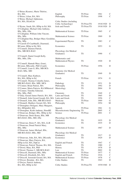| O'Brien (Kearns), Marie Thérèse,         |                                |             |           |                |
|------------------------------------------|--------------------------------|-------------|-----------|----------------|
| BA, MA                                   | English                        | TS Prize    | 1961      | C              |
| O'Brien, Lilian, BA, MA                  | Philosophy                     | TS Prize    | 1998      | $\mathsf{C}$   |
| O'Brien, Michael Alphonsus,              |                                |             |           |                |
| BA, MA, DLittCelt                        | Celtic Studies (including      |             |           |                |
|                                          |                                |             |           | D              |
|                                          | Celtic Archaeology)            | TS Prize/TS | 1918/1920 |                |
| O'Byrne, Sarah, BA, HDip in Ed, MA       | Irish and French               | TS Prize/TS | 1918/1920 | D              |
| O'Callaghan, Michael John Anthony,       |                                |             |           |                |
| BSc, MSc, DSc                            | <b>Mathematical Science</b>    | TS Prize    | 1965      | C              |
| O'Callaghan, William John Vincent,       |                                |             |           |                |
| BSc, MSc                                 | <b>Mathematical Science</b>    | TS Prize    | 1969      | D              |
| O'Callaghan-Hay, Bridget Mary Geraldine, |                                |             |           |                |
| BSc, MSc                                 | <b>Experimental Physics</b>    | TS          | 1983      | C              |
|                                          |                                |             |           |                |
| O'Carroll (O Cearbhaill), Diarmuid,      |                                |             |           |                |
| BComm, HDip in Ed, MA                    | Economics                      | <b>TS</b>   | 1953      | G              |
| O'Connell, Damien Patrick,               |                                |             |           |                |
| BSc, MB BCh BAO                          | Physiology (for Medical        |             |           |                |
|                                          | Graduates)                     | TS          | 1990      | $\overline{C}$ |
| O'Connell, Daniel Joseph Kelly,          |                                |             |           |                |
| BSc, MSc, DSc                            | Mathematics and                |             |           |                |
|                                          | <b>Mathematical Physics</b>    | TS          | 1920      | D              |
|                                          |                                |             |           |                |
| O'Connell, Hannah Mary (Joan),           |                                |             |           |                |
| BComm, MEconSc, PhD (Camb)               | Economics                      | TS Prize    | 1956      | D              |
| O'Connell, Liam G, BSc, MB BCh           |                                |             |           |                |
| BAO, MSc, MD                             | Anatomy (for Medical           |             |           |                |
|                                          | Graduates)                     | TS          | 1949      | D              |
| O'Connell, Mary Kathryn,                 |                                |             |           |                |
| BA, MA, HDip in Ed                       | French                         | TS Prize    | 1974      | G              |
| O'Connell, Thomas Columba James,         |                                |             |           |                |
|                                          |                                |             |           | D              |
| MB BCh BAO, BSc, MIE, MCh                | Pathology                      | TS          | 1931      |                |
| O'Connor, Brian Patrick, MA              | Philosophy                     | TS          | 1992      | D              |
| O'Connor, Maria Patricia, BA MMusicol    | Musicology                     | TS          | 2004      | D              |
| O'Connor, Timothy Edmond,                |                                |             |           |                |
| BSc, MSc, PhD                            | Chemistry                      | <b>TS</b>   | 1949      | $\overline{C}$ |
| O'Daly, Gerard James Patrick, BA, MA     | Latin and Greek                | <b>TS</b>   | 1965      | D              |
| O'Donnell, John Gerard Joseph, BA, MA    | Latin and Greek                | <b>TS</b>   | 1956      | C              |
| O'Donnell, John, BSc, MB BCh BAO         | Medicine                       | TS Prize    | 1969      | G              |
| O'Donnell, Matthew Gerard, BA, MA        |                                | TS          | 1954      | М              |
|                                          | Philosophy                     |             |           |                |
| O'Donoghue (Neligan), Mary Margaret,     |                                |             |           |                |
| BA, HDipinEd, MA                         | Spanish                        | TS Prize    | 1961      | G              |
| O'Donoghue, Keith Anthony, HonsBE        | Microelectronic Engineering TS |             | 2005      | $\mathsf{C}$   |
| O'Donovan, Bridget, BSc, HDip in Ed      | Science                        | TS Prize    | 2001      | $\mathsf{C}$   |
| O'Donovan, Denis Kenry, BSc, MB          |                                |             |           |                |
| BCh BAO, MSc, MD, DSc                    | Physiology (for Medical        |             |           |                |
|                                          | Graduates)                     | TS          | 1935      | D              |
|                                          | Economics                      | TS          |           | D              |
| O'Donovan, Denis P, BA, MA, LLB          |                                |             | 1935      |                |
| O'Donovan, Donal Patrick Mary,           |                                |             |           |                |
| BSc, MSc                                 | <b>Mathematical Science</b>    | <b>TS</b>   | 1967      | D              |
| O'Donovan, James Michael, BSc,           |                                |             |           |                |
| MB BCh BAO, MSc, MD                      | Physiology (for Medical        |             |           |                |
|                                          | Graduates)                     | TS          | 1917      | G              |
| O'Donovan, John, BA, MA, DEconSc         | Economics                      | TS          | 1929      | D              |
| O'Donovan, Mary Patricia, BA,            |                                |             |           |                |
|                                          |                                | <b>TS</b>   |           |                |
| HDip in Ed, MA, DipCat                   | English and French             |             | 1947      | $\mathsf{C}$   |
| O'Donovan, Patrick Thomas, BA, MA        | French                         | <b>TS</b>   | 1980      | $\mathcal{C}$  |
| O'Dowd, Mary, BA, PhD                    | History                        | <b>TS</b>   | 1978      | $\mathbf D$    |
| O'Dowd, Thomas J., MB BCh BAO            | Law                            | TS          | 2002      | $\mathbf D$    |
| O'Driscoll, Diarmuid, BSc, MSc           | Mathematical Science           | TS Prize    | 1977      | $\mathcal{C}$  |
| O'Driscoll, Elizabeth, BA, MA            | English and French             | TS Prize    | 1916      | $\mathcal{C}$  |
| O'Driscoll, Jeremiah Gerard, BA, MA      | <b>Mathematical Science</b>    | TS Prize    | 1978      | $\mathcal{C}$  |
|                                          | Celtic Studies                 | TS          |           | $\mathbf D$    |
| O'Dwyer, Brendan, BA, MA                 |                                |             | 1943      |                |
| O'Dwyer, Patrick Anthony,                |                                |             |           |                |
| BA, MA, HDip in Ed                       | Celtic Studies                 | TS Prize/TS | 1939/1940 | D              |
|                                          |                                |             |           |                |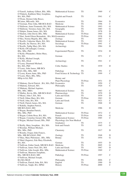| O'Farrell, Anthony Gilbert, BSc, MSc             | <b>Mathematical Science</b>               | TS              | 1969 | C              |
|--------------------------------------------------|-------------------------------------------|-----------------|------|----------------|
| O'Flaherty, Kathleen Mary Josephine,             |                                           |                 |      |                |
| BA, MA, PhD                                      | English and French                        | <b>TS</b>       | 1941 | $\mathsf{C}$   |
| O'Flynn, Dermot John Bosco,                      |                                           |                 |      |                |
| BComm, MEconSc, MA                               | Economics                                 | <b>TS</b>       | 1964 | D              |
| O'Gorman, Peter John, MB BCh BAO                 | Medicine                                  | <b>TS</b>       | 1996 | $\mathsf{C}$   |
| O'Halloran, Anne Fionnuala, BA, MA               | Mathematical Science                      | <b>TS</b>       | 1993 | ${\bf G}$      |
| O'Halloran, Veronica Anne, BA, MA                | Geography                                 | <b>TS</b>       | 1985 | G              |
| O'Halpin, Eunan James, BA, MA                    | History                                   | <b>TS</b>       | 1978 | D              |
| O'Hanlon, John David, BSc, MSc                   | <b>Mathematical Science</b>               | TS Prize        | 1965 | $\mathbf D$    |
| O'Hart, Sarah Eileen Bernadette, BA, MAEconomics |                                           | TS Prize        | 1938 | $\mathbf D$    |
| O'Hea, Norma Majella, BSc, MSc                   | Zoology                                   | <b>TS</b>       | 1997 | $\mathcal{C}$  |
| O'Keeffe, Catherine Marie, BA, MA                | <b>Mathematical Science</b>               | TS              | 1992 | $\overline{C}$ |
| O'Keeffe, Ita Therese, BA, MA                    | Sociology                                 | TS Prize        | 1991 | $\mathcal{C}$  |
| O'Keeffe, Tadhg Mary, BA, MA                     | Archaeology                               | TS              | 1984 | D              |
| O'Kelly (OCeallaigh), Cormac,                    |                                           |                 |      |                |
| BSc, MSc, PhD                                    | <b>Experimental Physics</b>               | TS              | 1934 | D              |
| O'Kelly (Watanabe), Helen Mary,                  |                                           | TS              |      | $\mathsf{C}$   |
| BA, MA                                           | German                                    |                 | 1971 |                |
| O'Kelly, Michael Joseph,                         |                                           | TS              | 1941 | C              |
| BA, MA, DLitt<br>O'Leary, Diarmuid Michael,      | Archaeology                               |                 |      |                |
| BA, MA, PhD                                      | Celtic Studies                            | TS              |      | D              |
| O'Leary, John James, MB BCh                      |                                           |                 | 1939 |                |
| BAO, BSc, MSc, MD                                |                                           | TS              | 1991 | C              |
| O'Leary, Karen Anne, BSc, PhD                    | Pathology<br>Food Science & Technology TS |                 | 1999 | $\overline{C}$ |
| O'Leary, Mary, BSc, MSc,                         |                                           |                 |      |                |
| HDip in Ed, PhD                                  | Botany and                                |                 |      |                |
|                                                  | Plant Physiology                          | TS Prize        | 1931 | D              |
| O'Mahony, David Patrick, BA, MA, PhD Economics   |                                           | <b>TS</b>       | 1950 | $\mathcal{C}$  |
| O'Mahony, Edward, MA                             | Philosophy                                | TS              | 1920 | C              |
| O'Mahony, Michael Aquinas,                       |                                           |                 |      |                |
| BSc, MSc, MBA                                    | <b>Mathematical Science</b>               | TS              | 1963 | $\overline{C}$ |
| O'Malley, Kevin, BSc, MB BCh BAO                 | Pharmacology                              | <b>TS</b>       | 1970 | $\mathbf D$    |
| O'Meara, John J, BA, MA                          | Latin and Greek                           | TS              | 1939 | D              |
| O'Neill, Ethna Mary, BA, MA                      | German                                    | <b>TS Prize</b> | 1963 | D              |
| O'Neill, John, BA, MA                            | Latin and Greek                           | TS              | 1921 | $\mathsf{C}$   |
| O'Neill, Patrick James, BA, MA                   | German                                    | <b>TS</b>       | 1968 | D              |
| O'Rahilly, Stephen Patrick,                      |                                           |                 |      |                |
| MB BCh BAO, MD                                   | Medicine                                  | <b>TS</b>       | 1986 | D              |
| O'Regan, Brendan Patrick,                        |                                           |                 |      |                |
| BSc, MSc, PhD                                    | <b>Mathematical Science</b>               | TS Prize        | 1972 | $\mathsf{C}$   |
| O'Regan, Colette Rosa, BA, MA                    | French                                    | TS Prize        | 1956 | G              |
| O'Regan, Cornelius Gerard, BSc, MSc              | Mathematical Science                      | <b>TS Prize</b> | 1985 | $\mathsf{C}$   |
| O'Regan, Michael Gerard, BSc, PhD                | Physiology (for Non-Medical               |                 |      |                |
|                                                  | Graduates)                                | <b>TS</b>       | 1975 | $\mathcal{C}$  |
| O'Reilly, Mary Josephine, BA, MA                 | Irish and French                          | TS              | 1945 | G              |
| O'Riordan, William Michael,                      |                                           |                 |      |                |
| BSc, MSc, PhD                                    | Chemistry                                 | <b>TS</b>       | 1917 | D              |
| O'Rourke, Fergus John Francis,                   |                                           |                 |      |                |
| MSc, MB BCh BAO, PhD                             | Zoology                                   | <b>TS</b>       | 1948 | D              |
| O'Shea, Mary Philomena, BSc, MSc                 | Botany                                    | <b>TS</b>       | 1954 | G              |
| O'Shiel (Sagarra), Eda Mary Elizabeth,           |                                           |                 |      |                |
| BA, MA                                           | German                                    | <b>TS</b>       | 1955 | D              |
| O'Sullivan, Esther Sarah, MB BCh BAO             | Medicine                                  | <b>TS</b>       | 2005 | G              |
| O'Sullivan, James Noel, BA, MA                   | Latin and Greek                           | <b>TS</b>       | 1967 | D              |
| O'Sullivan, John Joseph, BSc, MSc                | <b>Mathematical Science</b>               | TS Prize        | 1969 | $\mathsf{C}$   |
| O'Sullivan, Maureen Josephine,                   |                                           |                 |      |                |
| BSc, MB BCh BAO, MD                              | Pathology                                 | TS Prize        | 1997 | C              |
| O'Sullivan, Michael Joseph,                      |                                           |                 |      |                |
| <b>BA MA MLIS</b>                                | Philosophy                                | <b>TS</b>       | 2006 | $\mathcal{C}$  |
| O'Sullivan, Patrick John, BA, MA                 | English                                   | TS              | 1990 | D              |
| O'Sullivan, Tadgh, BA, MPhil                     | History                                   | TS Prize        | 2000 | C              |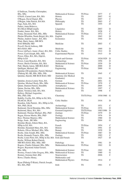| Mathematical Science                                                  | <b>TS Prize</b>                                                                                                                                                                                                                                                                                                                                                                                                                                                                                                                                                                                                                                                                                                                     | 1977                                                                                                                                                                                                                                                                                                                                                                                            | $\mathcal{C}$                                                                                                                                                                                                                                                               |
|-----------------------------------------------------------------------|-------------------------------------------------------------------------------------------------------------------------------------------------------------------------------------------------------------------------------------------------------------------------------------------------------------------------------------------------------------------------------------------------------------------------------------------------------------------------------------------------------------------------------------------------------------------------------------------------------------------------------------------------------------------------------------------------------------------------------------|-------------------------------------------------------------------------------------------------------------------------------------------------------------------------------------------------------------------------------------------------------------------------------------------------------------------------------------------------------------------------------------------------|-----------------------------------------------------------------------------------------------------------------------------------------------------------------------------------------------------------------------------------------------------------------------------|
| History                                                               | TS                                                                                                                                                                                                                                                                                                                                                                                                                                                                                                                                                                                                                                                                                                                                  | 2007                                                                                                                                                                                                                                                                                                                                                                                            | G                                                                                                                                                                                                                                                                           |
| Physics                                                               | TS                                                                                                                                                                                                                                                                                                                                                                                                                                                                                                                                                                                                                                                                                                                                  | 2007                                                                                                                                                                                                                                                                                                                                                                                            | $\mathsf{C}$                                                                                                                                                                                                                                                                |
|                                                                       | TS                                                                                                                                                                                                                                                                                                                                                                                                                                                                                                                                                                                                                                                                                                                                  | 2003                                                                                                                                                                                                                                                                                                                                                                                            | $\mathcal{C}$                                                                                                                                                                                                                                                               |
|                                                                       |                                                                                                                                                                                                                                                                                                                                                                                                                                                                                                                                                                                                                                                                                                                                     |                                                                                                                                                                                                                                                                                                                                                                                                 | D                                                                                                                                                                                                                                                                           |
|                                                                       |                                                                                                                                                                                                                                                                                                                                                                                                                                                                                                                                                                                                                                                                                                                                     |                                                                                                                                                                                                                                                                                                                                                                                                 |                                                                                                                                                                                                                                                                             |
|                                                                       |                                                                                                                                                                                                                                                                                                                                                                                                                                                                                                                                                                                                                                                                                                                                     |                                                                                                                                                                                                                                                                                                                                                                                                 | D                                                                                                                                                                                                                                                                           |
|                                                                       |                                                                                                                                                                                                                                                                                                                                                                                                                                                                                                                                                                                                                                                                                                                                     |                                                                                                                                                                                                                                                                                                                                                                                                 | $\mathsf{C}$                                                                                                                                                                                                                                                                |
|                                                                       |                                                                                                                                                                                                                                                                                                                                                                                                                                                                                                                                                                                                                                                                                                                                     |                                                                                                                                                                                                                                                                                                                                                                                                 | $\overline{C}$                                                                                                                                                                                                                                                              |
|                                                                       |                                                                                                                                                                                                                                                                                                                                                                                                                                                                                                                                                                                                                                                                                                                                     |                                                                                                                                                                                                                                                                                                                                                                                                 | D                                                                                                                                                                                                                                                                           |
|                                                                       |                                                                                                                                                                                                                                                                                                                                                                                                                                                                                                                                                                                                                                                                                                                                     |                                                                                                                                                                                                                                                                                                                                                                                                 | D                                                                                                                                                                                                                                                                           |
|                                                                       |                                                                                                                                                                                                                                                                                                                                                                                                                                                                                                                                                                                                                                                                                                                                     |                                                                                                                                                                                                                                                                                                                                                                                                 |                                                                                                                                                                                                                                                                             |
|                                                                       |                                                                                                                                                                                                                                                                                                                                                                                                                                                                                                                                                                                                                                                                                                                                     |                                                                                                                                                                                                                                                                                                                                                                                                 |                                                                                                                                                                                                                                                                             |
|                                                                       |                                                                                                                                                                                                                                                                                                                                                                                                                                                                                                                                                                                                                                                                                                                                     |                                                                                                                                                                                                                                                                                                                                                                                                 | C                                                                                                                                                                                                                                                                           |
|                                                                       |                                                                                                                                                                                                                                                                                                                                                                                                                                                                                                                                                                                                                                                                                                                                     |                                                                                                                                                                                                                                                                                                                                                                                                 |                                                                                                                                                                                                                                                                             |
|                                                                       |                                                                                                                                                                                                                                                                                                                                                                                                                                                                                                                                                                                                                                                                                                                                     |                                                                                                                                                                                                                                                                                                                                                                                                 | D                                                                                                                                                                                                                                                                           |
|                                                                       |                                                                                                                                                                                                                                                                                                                                                                                                                                                                                                                                                                                                                                                                                                                                     | 1912                                                                                                                                                                                                                                                                                                                                                                                            | D                                                                                                                                                                                                                                                                           |
|                                                                       | TS                                                                                                                                                                                                                                                                                                                                                                                                                                                                                                                                                                                                                                                                                                                                  | 1915                                                                                                                                                                                                                                                                                                                                                                                            | D                                                                                                                                                                                                                                                                           |
|                                                                       |                                                                                                                                                                                                                                                                                                                                                                                                                                                                                                                                                                                                                                                                                                                                     |                                                                                                                                                                                                                                                                                                                                                                                                 |                                                                                                                                                                                                                                                                             |
|                                                                       |                                                                                                                                                                                                                                                                                                                                                                                                                                                                                                                                                                                                                                                                                                                                     |                                                                                                                                                                                                                                                                                                                                                                                                 | D                                                                                                                                                                                                                                                                           |
|                                                                       |                                                                                                                                                                                                                                                                                                                                                                                                                                                                                                                                                                                                                                                                                                                                     |                                                                                                                                                                                                                                                                                                                                                                                                 | D                                                                                                                                                                                                                                                                           |
|                                                                       |                                                                                                                                                                                                                                                                                                                                                                                                                                                                                                                                                                                                                                                                                                                                     |                                                                                                                                                                                                                                                                                                                                                                                                 | D                                                                                                                                                                                                                                                                           |
|                                                                       |                                                                                                                                                                                                                                                                                                                                                                                                                                                                                                                                                                                                                                                                                                                                     |                                                                                                                                                                                                                                                                                                                                                                                                 | D                                                                                                                                                                                                                                                                           |
|                                                                       |                                                                                                                                                                                                                                                                                                                                                                                                                                                                                                                                                                                                                                                                                                                                     |                                                                                                                                                                                                                                                                                                                                                                                                 | G                                                                                                                                                                                                                                                                           |
|                                                                       |                                                                                                                                                                                                                                                                                                                                                                                                                                                                                                                                                                                                                                                                                                                                     |                                                                                                                                                                                                                                                                                                                                                                                                 |                                                                                                                                                                                                                                                                             |
|                                                                       |                                                                                                                                                                                                                                                                                                                                                                                                                                                                                                                                                                                                                                                                                                                                     |                                                                                                                                                                                                                                                                                                                                                                                                 |                                                                                                                                                                                                                                                                             |
|                                                                       |                                                                                                                                                                                                                                                                                                                                                                                                                                                                                                                                                                                                                                                                                                                                     |                                                                                                                                                                                                                                                                                                                                                                                                 | $\overline{C}$                                                                                                                                                                                                                                                              |
|                                                                       |                                                                                                                                                                                                                                                                                                                                                                                                                                                                                                                                                                                                                                                                                                                                     |                                                                                                                                                                                                                                                                                                                                                                                                 |                                                                                                                                                                                                                                                                             |
|                                                                       |                                                                                                                                                                                                                                                                                                                                                                                                                                                                                                                                                                                                                                                                                                                                     |                                                                                                                                                                                                                                                                                                                                                                                                 | D                                                                                                                                                                                                                                                                           |
|                                                                       |                                                                                                                                                                                                                                                                                                                                                                                                                                                                                                                                                                                                                                                                                                                                     |                                                                                                                                                                                                                                                                                                                                                                                                 | G                                                                                                                                                                                                                                                                           |
|                                                                       |                                                                                                                                                                                                                                                                                                                                                                                                                                                                                                                                                                                                                                                                                                                                     |                                                                                                                                                                                                                                                                                                                                                                                                 | $\mathsf{C}$                                                                                                                                                                                                                                                                |
| Astrophysics                                                          | TS                                                                                                                                                                                                                                                                                                                                                                                                                                                                                                                                                                                                                                                                                                                                  | 2005                                                                                                                                                                                                                                                                                                                                                                                            | ${\bf G}$                                                                                                                                                                                                                                                                   |
| <b>Mathematical Science</b>                                           | TS                                                                                                                                                                                                                                                                                                                                                                                                                                                                                                                                                                                                                                                                                                                                  | 1997                                                                                                                                                                                                                                                                                                                                                                                            | $\mathsf{C}$                                                                                                                                                                                                                                                                |
| French                                                                | TS                                                                                                                                                                                                                                                                                                                                                                                                                                                                                                                                                                                                                                                                                                                                  | 1998                                                                                                                                                                                                                                                                                                                                                                                            | $\overline{C}$                                                                                                                                                                                                                                                              |
|                                                                       |                                                                                                                                                                                                                                                                                                                                                                                                                                                                                                                                                                                                                                                                                                                                     |                                                                                                                                                                                                                                                                                                                                                                                                 |                                                                                                                                                                                                                                                                             |
|                                                                       |                                                                                                                                                                                                                                                                                                                                                                                                                                                                                                                                                                                                                                                                                                                                     |                                                                                                                                                                                                                                                                                                                                                                                                 | G                                                                                                                                                                                                                                                                           |
|                                                                       |                                                                                                                                                                                                                                                                                                                                                                                                                                                                                                                                                                                                                                                                                                                                     |                                                                                                                                                                                                                                                                                                                                                                                                 |                                                                                                                                                                                                                                                                             |
|                                                                       |                                                                                                                                                                                                                                                                                                                                                                                                                                                                                                                                                                                                                                                                                                                                     |                                                                                                                                                                                                                                                                                                                                                                                                 | D                                                                                                                                                                                                                                                                           |
|                                                                       |                                                                                                                                                                                                                                                                                                                                                                                                                                                                                                                                                                                                                                                                                                                                     |                                                                                                                                                                                                                                                                                                                                                                                                 |                                                                                                                                                                                                                                                                             |
|                                                                       |                                                                                                                                                                                                                                                                                                                                                                                                                                                                                                                                                                                                                                                                                                                                     |                                                                                                                                                                                                                                                                                                                                                                                                 | C                                                                                                                                                                                                                                                                           |
|                                                                       |                                                                                                                                                                                                                                                                                                                                                                                                                                                                                                                                                                                                                                                                                                                                     |                                                                                                                                                                                                                                                                                                                                                                                                 |                                                                                                                                                                                                                                                                             |
|                                                                       |                                                                                                                                                                                                                                                                                                                                                                                                                                                                                                                                                                                                                                                                                                                                     |                                                                                                                                                                                                                                                                                                                                                                                                 | D                                                                                                                                                                                                                                                                           |
|                                                                       |                                                                                                                                                                                                                                                                                                                                                                                                                                                                                                                                                                                                                                                                                                                                     |                                                                                                                                                                                                                                                                                                                                                                                                 | D                                                                                                                                                                                                                                                                           |
|                                                                       |                                                                                                                                                                                                                                                                                                                                                                                                                                                                                                                                                                                                                                                                                                                                     |                                                                                                                                                                                                                                                                                                                                                                                                 | D                                                                                                                                                                                                                                                                           |
|                                                                       |                                                                                                                                                                                                                                                                                                                                                                                                                                                                                                                                                                                                                                                                                                                                     |                                                                                                                                                                                                                                                                                                                                                                                                 | D                                                                                                                                                                                                                                                                           |
|                                                                       |                                                                                                                                                                                                                                                                                                                                                                                                                                                                                                                                                                                                                                                                                                                                     |                                                                                                                                                                                                                                                                                                                                                                                                 | D                                                                                                                                                                                                                                                                           |
| Engineering                                                           |                                                                                                                                                                                                                                                                                                                                                                                                                                                                                                                                                                                                                                                                                                                                     | 2004                                                                                                                                                                                                                                                                                                                                                                                            | ${\bf G}$                                                                                                                                                                                                                                                                   |
|                                                                       |                                                                                                                                                                                                                                                                                                                                                                                                                                                                                                                                                                                                                                                                                                                                     |                                                                                                                                                                                                                                                                                                                                                                                                 |                                                                                                                                                                                                                                                                             |
| French                                                                | <b>TS Prize</b>                                                                                                                                                                                                                                                                                                                                                                                                                                                                                                                                                                                                                                                                                                                     | 1954                                                                                                                                                                                                                                                                                                                                                                                            | C                                                                                                                                                                                                                                                                           |
|                                                                       | <b>TS</b>                                                                                                                                                                                                                                                                                                                                                                                                                                                                                                                                                                                                                                                                                                                           | 1991                                                                                                                                                                                                                                                                                                                                                                                            | D                                                                                                                                                                                                                                                                           |
|                                                                       |                                                                                                                                                                                                                                                                                                                                                                                                                                                                                                                                                                                                                                                                                                                                     |                                                                                                                                                                                                                                                                                                                                                                                                 | D                                                                                                                                                                                                                                                                           |
|                                                                       |                                                                                                                                                                                                                                                                                                                                                                                                                                                                                                                                                                                                                                                                                                                                     |                                                                                                                                                                                                                                                                                                                                                                                                 | D                                                                                                                                                                                                                                                                           |
|                                                                       |                                                                                                                                                                                                                                                                                                                                                                                                                                                                                                                                                                                                                                                                                                                                     |                                                                                                                                                                                                                                                                                                                                                                                                 | $\mathcal{C}$                                                                                                                                                                                                                                                               |
|                                                                       |                                                                                                                                                                                                                                                                                                                                                                                                                                                                                                                                                                                                                                                                                                                                     |                                                                                                                                                                                                                                                                                                                                                                                                 | D                                                                                                                                                                                                                                                                           |
|                                                                       |                                                                                                                                                                                                                                                                                                                                                                                                                                                                                                                                                                                                                                                                                                                                     |                                                                                                                                                                                                                                                                                                                                                                                                 |                                                                                                                                                                                                                                                                             |
|                                                                       |                                                                                                                                                                                                                                                                                                                                                                                                                                                                                                                                                                                                                                                                                                                                     |                                                                                                                                                                                                                                                                                                                                                                                                 | D                                                                                                                                                                                                                                                                           |
|                                                                       |                                                                                                                                                                                                                                                                                                                                                                                                                                                                                                                                                                                                                                                                                                                                     |                                                                                                                                                                                                                                                                                                                                                                                                 |                                                                                                                                                                                                                                                                             |
|                                                                       |                                                                                                                                                                                                                                                                                                                                                                                                                                                                                                                                                                                                                                                                                                                                     |                                                                                                                                                                                                                                                                                                                                                                                                 | D                                                                                                                                                                                                                                                                           |
|                                                                       |                                                                                                                                                                                                                                                                                                                                                                                                                                                                                                                                                                                                                                                                                                                                     |                                                                                                                                                                                                                                                                                                                                                                                                 |                                                                                                                                                                                                                                                                             |
|                                                                       |                                                                                                                                                                                                                                                                                                                                                                                                                                                                                                                                                                                                                                                                                                                                     |                                                                                                                                                                                                                                                                                                                                                                                                 | D                                                                                                                                                                                                                                                                           |
| Rooney, Francis John Gregory, BSc, MSc<br><b>Mathematical Science</b> | TS                                                                                                                                                                                                                                                                                                                                                                                                                                                                                                                                                                                                                                                                                                                                  | 1980                                                                                                                                                                                                                                                                                                                                                                                            | G                                                                                                                                                                                                                                                                           |
| Neuroscience                                                          | <b>TS</b>                                                                                                                                                                                                                                                                                                                                                                                                                                                                                                                                                                                                                                                                                                                           | 2006                                                                                                                                                                                                                                                                                                                                                                                            | $\mathsf{C}$                                                                                                                                                                                                                                                                |
| Mathematics and                                                       |                                                                                                                                                                                                                                                                                                                                                                                                                                                                                                                                                                                                                                                                                                                                     |                                                                                                                                                                                                                                                                                                                                                                                                 |                                                                                                                                                                                                                                                                             |
| <b>Mathematical Physics</b>                                           | <b>TS Prize</b>                                                                                                                                                                                                                                                                                                                                                                                                                                                                                                                                                                                                                                                                                                                     | 1914                                                                                                                                                                                                                                                                                                                                                                                            | $\overline{C}$                                                                                                                                                                                                                                                              |
|                                                                       |                                                                                                                                                                                                                                                                                                                                                                                                                                                                                                                                                                                                                                                                                                                                     |                                                                                                                                                                                                                                                                                                                                                                                                 |                                                                                                                                                                                                                                                                             |
| Irish                                                                 | <b>TS</b>                                                                                                                                                                                                                                                                                                                                                                                                                                                                                                                                                                                                                                                                                                                           | 1961                                                                                                                                                                                                                                                                                                                                                                                            | $\mathbf C$                                                                                                                                                                                                                                                                 |
|                                                                       | Philosophy<br>Spanish<br>Linguistics<br>History<br><b>Mathematical Science</b><br>English<br>Economics<br>Medicine<br>Medicine<br>Celtic Studies<br><b>Experimental Physics</b><br>French and German<br>Archaeology<br>Mathematical Science<br>Medicine<br>Engineering<br><b>Mathematical Science</b><br>Anatomy (for Medical<br>Graduates)<br>German<br><b>Mathematical Science</b><br>Chemistry<br>Celtic Studies<br>Archaeology<br>Mathematical Science<br>German/Linguistics<br>Zoology<br>Zoology<br><b>Mathematical Science</b><br>History<br>Botany<br>Mathematical Science<br>Zoology<br>Roche, Louis Peter, BA, HDip in Ed, MA Irish and French<br>Pathology<br><b>Mathematical Science</b><br><b>Mathematical Science</b> | <b>TS</b><br>TS<br><b>TS</b><br>TS Prize<br><b>TS</b><br>TS<br><b>TS</b><br>TS<br>TS<br>TS Prize<br>TS<br><b>TS Prize</b><br><b>TS</b><br>TS Prize<br>TS<br><b>TS</b><br><b>TS</b><br><b>TS Prize</b><br>TS/TS Prize<br><b>TS</b><br>TS<br>TS Prize<br>TS/TS Prize<br>TS Prize<br><b>TS</b><br>TS<br><b>TS</b><br>TS<br>TS Prize<br><b>TS</b><br>TS<br><b>TS</b><br>TS Prize<br><b>TS Prize</b> | 1955<br>2003<br>1928<br>1972<br>1963<br>1944<br>2003<br>1969<br>1926/1929<br>1956<br>1939<br>2000<br>2000<br>1945<br>1921<br>2001<br>1970<br>1958/1960<br>1916<br>1931<br>1974<br>1983/1986<br>1979<br>1976<br>1960<br>1939<br>1987<br>1982<br>1927<br>1981<br>1962<br>1962 |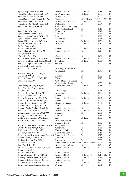| Ryan, Barry James, BSc, MSc                                  | <b>Mathematical Science</b>                   | TS Prize    | 1988           | D              |
|--------------------------------------------------------------|-----------------------------------------------|-------------|----------------|----------------|
| Ryan, Bartholomew, BA(Dub) MA                                | Arts/Humanities                               | TS Prize    | 2003           | D              |
| Ryan, Brenda Mary, BSc MSc                                   | Mathematics                                   | TS          | 2005           | G              |
| Ryan, Daniel Joseph, BSc, MSc, PhD                           | Chemistry                                     | TS/TS Prize | 1934/1935/1937 | $\mathsf{C}$   |
| Ryan, Denis Mary, BSc, MSc                                   | <b>Mathematical Science</b>                   | TS Prize    | 1984           | G              |
| Ryan, Eoin, BE MEngSc BA MLitt                               | Philosophy                                    | TS          | 2004           | D              |
| Ryan, John, BA, MA, DLitt                                    | Celtic Studies (including                     |             |                |                |
|                                                              | Celtic Archaeology)                           | TS          | 1918           | D              |
| Ryan, John, BComm                                            | Economics                                     | <b>TS</b>   | 1919           | D              |
| Ryan, Michael Francis, BSc                                   | Zoology                                       | TS          | 1964           | D              |
| Ryan, Samantha Louise, BCL, LLM                              | Law                                           | <b>TS</b>   | 1999           | $\mathsf{C}$   |
| Ryan, Terence Michael, BA, MA                                | Economics                                     | TS          | 1968           | D              |
| Rynne, Etienne Andrew, BA, MA                                | Archaeology                                   | TS Prize    | 1956           | D              |
| Salmon, William, BA, MA                                      | History                                       | TS Prize    | 1934           | D              |
| Sanfey, Darach John,                                         |                                               |             |                |                |
| BA, HDip in Ed, MA                                           | French                                        | TS Prize    | 1989           | D              |
| Scallan, Patrick Gerard, BA, MA                              | <b>Mathematical Science</b>                   | TS          | 1978           | G              |
| Scott, Francis Leslie,                                       |                                               |             |                |                |
| BSc, MSc, PhD, DSc                                           | Chemistry                                     | TS          | 1952           | $\overline{C}$ |
| Scott, Richard Anthony, BSc, MSc                             | <b>Mathematical Science</b>                   | TS Prize    | 1959           | $\mathcal{C}$  |
| Scraggs, Emily Anne, BSocSc, MSocSc                          | Sociology                                     | TS Prize    | 1991           | $\mathcal{C}$  |
| Seemann, Daphne Maria, HonsBA MA                             | German                                        | TS          | 2005           | D              |
| Shanahan, Edward Francis,                                    |                                               |             |                |                |
| MB BCH BAO, MCh                                              | Anatomy (for Medical                          |             |                |                |
|                                                              | Graduates)                                    | TS          | 1945           | D              |
| Shanahan, Fergus Liam Joseph,                                |                                               |             |                |                |
| MB BCh BAO, BSc, MD                                          | Medicine                                      | TS          | 1982           | D              |
| Shannon, Mary Frances, BSc, PhD                              | Zoology                                       | <b>TS</b>   | 1979           | D              |
| Shaw, Francis J, BA                                          | Celtic Studies (including                     |             |                |                |
|                                                              | Celtic Archaeology)                           | <b>TS</b>   | 1930           | D              |
| Shea, Margaret Mary, BA, MA                                  | French and German                             | TS Prize    | 1918           | G              |
| Shee (Twohig), Elizabeth Ann,                                |                                               |             |                |                |
| BA, MA, PhD                                                  | Archaeology                                   | TS          | 1968           | $\mathsf{C}$   |
| Sheehan, John Gerard, BA, MA                                 | Archaeology                                   | TS Prize    | 1984           | G              |
| Sheehan, Natalie, BA, MA                                     | French                                        | TS          | 2002           | $\mathsf{C}$   |
| Sheehy, Robert Andew, BSc, MSc                               | <b>Mathematical Science</b>                   | TS Prize    | 1991           | $\mathcal{C}$  |
| Silles, Mary Antonia, BComm, MA                              | Economics                                     | TS          | 1999           | D              |
| Sinnot, Daniel Richard, BA, MA                               | Economic History                              | TS Prize    | 2007           | D              |
| Sinnott, Gillian Mary, BCL, MA                               | Politics                                      | TS          | 2002           | D              |
| Sionóid, Peadar Nollaig, BSc, MSc                            | <b>Mathematical Science</b>                   | TS          | 1988           | D              |
| Skerritt, Paul Michael, BSc, MSc                             | <b>Mathematical Science</b>                   | TS Prize    | 1998           | D              |
| Skinner, Liam John, MB BCh BAO                               | Medicine                                      | TS          | 2001           | $\overline{C}$ |
| Slattery, David Patrick, BA, MA                              | Philosophy                                    | TS          | 1988           | $\overline{C}$ |
| Smith, Olivia Frances, BCL, LLM                              | Law                                           | TS Prize    | 1999           | C              |
| Smyth, Alfred Patrick, BA, MA                                | History (Early and                            |             |                |                |
|                                                              | Medieval Irish)                               | <b>TS</b>   | 1969           | D              |
| Smyth, William James (Séamus), BA, PhD Geography             |                                               | <b>TS</b>   | 1972           | D              |
| Smyth, William John, BA, PhD                                 |                                               | TS          | 1968           | D              |
| Stack, Norah Blake, BA, MA                                   | Geography<br><b>English and German</b>        | <b>TS</b>   | 1914           | D              |
|                                                              |                                               | TS          |                | $\mathsf{C}$   |
| Stockley, Violet A A, BA                                     | French and German                             | <b>TS</b>   | 1916<br>1973   | $\overline{C}$ |
| Stynes, Martin Joseph Anthony, BSc, MSc Mathematical Science |                                               |             |                |                |
| Sugrue, Pádraig Colm, BDS                                    | Dentistry                                     | <b>TS</b>   | 1988           | $\mathsf{C}$   |
| Sullivan, Jennifer, BA, MLitt                                | Linguistics                                   | TS          | 2007           | D              |
| Sweetman, Paul, BE                                           | Engineering and Architecture TS Prize, ex aeq |             | 2003           | D              |
| Tate, Parr, BSc, MSc                                         | Botany and Zoology                            | TS          | 1924           | $\mathsf{C}$   |
| Temple Lang, Duncan Walter, BA, MA                           | Mathematical Science                          | TS Prize    | 1990           | D              |
| Tierney, James Joseph,                                       |                                               |             |                |                |
| BA, HDipinEd, MA                                             | Latin and Greek                               | <b>TS</b>   | 1934           | D              |
| Tierney, Michael, BA, MA, DLitt                              | Latin and Greek                               | TS Prize/TS | 1915/1917      | D              |
| Timoney, James Richard, BA, MA                               | Mathematical Science                          | TS Prize    | 1931           | D              |
| Timoney, Richard Martin, BSc, MSc                            | <b>Mathematical Science</b>                   | TS          | 1974           | D              |
| Toomey, Maurice, BA, MA                                      | History                                       | TS Prize    | 1954           | D              |
| Torney, Diarmuid Anthony, BA MA                              | Politics                                      | TS          | 2006           | D              |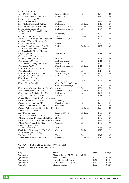| Totton, Aidin Joseph,                          |                             |                 |      |              |
|------------------------------------------------|-----------------------------|-----------------|------|--------------|
| BA, MA, HDip in Ed                             | Latin and Greek             | TS              | 1969 | C            |
| Travers, David Hubert, BA, MA                  | Economics                   | TS              | 1923 | D            |
| Traynor, Oscar James Mary,                     |                             |                 |      |              |
| MB BCh BAO, MCh                                | Surgery                     | <b>TS</b>       | 1981 | D            |
| Troy, Michael Charles, BA, MA                  | Philosophy                  | <b>TS Prize</b> | 1918 | D            |
| Tuite, Michael Patrick, BSc, MSc               | <b>Mathematical Science</b> | <b>TS Prize</b> | 1979 | D            |
| Twomey, John Brian, BSc, MSc                   | <b>Mathematical Science</b> | TS              | 1964 | $\mathsf{C}$ |
| Ua Dochartaigh, Éamonn Feichin,                |                             |                 |      |              |
| BA, MA                                         | Philosophy                  | <b>TS</b>       | 1939 | D            |
| Van Dijk, Peter Paul, BSc                      | Zoology                     | TS Prize        | 1992 | G            |
| Várilly, Joseph Charles Denis, BSc, MSc        | <b>Mathematical Science</b> | TS              | 1973 | D            |
| Vaughan (O'Brien), Kathleen Mary,              |                             |                 |      |              |
| BA, HDip in Ed, MA                             | French                      | TS              | 1962 | C            |
| Vaughan, Patrick Carthage, BA, MA              | Irish                       | <b>TS Prize</b> | 1982 | $\mathsf{C}$ |
| Waldron (deBhaldraithe), Thomas                |                             |                 |      |              |
| MacDonnchadha (Tomás M), BA,                   |                             |                 |      |              |
| MA, PhD, DLitt                                 | Irish and French            | <b>TS</b>       | 1938 | D            |
| Walsh (Strnd-Walsh), Katherine,                |                             |                 |      |              |
| BA, MA, DPhil (oxon)                           | History                     | TS              | 1968 | D            |
| Walsh, Annie, BA, MA                           | Irish and English           | TS              | 1916 | G            |
| Walsh, David Anthony, BSc, MSc                 | <b>Mathematical Science</b> | TS              | 1966 | $\mathsf{C}$ |
| Walsh, Julia A, BA                             | French and German           | TS Prize        | 1916 | G            |
| Walsh, Paul Martin, BSc, MSc                   | Zoology                     | TS              | 1986 | $\mathsf{C}$ |
| Walsh, Paul, BA                                | <b>Celtic Studies</b>       | <b>TS</b>       | 1914 | D            |
| Walsh, Richard, BA, MA, PhD                    | Irish and English           | TS Prize        | 1938 | D            |
| Walsh, Richard, BSc, MSc, HDip in Ed           | <b>Mathematical Science</b> | TS              | 1936 | G            |
| Walsh, Robert Francis,                         |                             |                 |      |              |
| BA, MA, HDip in Ed, PhD                        | Irish and English           | TS Prize        | 1936 | C            |
|                                                | Celtic Studies (including   |                 |      |              |
| Walshe, Mary, BA, MA                           | Celtic Archaeology)         | TS              | 1928 | D            |
|                                                | Spanish                     | TS              | 1991 | D            |
| Ward, Aengus Martin Matthew, BA, MA            |                             | <b>TS Prize</b> | 1978 | G            |
| Ward, James Jerome, BSc, MSc                   | <b>Mathematical Science</b> | <b>TS</b>       | 1982 | D            |
| Ward, Laurence Christian, BA, MA               | Philosophy                  |                 |      | C            |
| Ware, Niall John, BA, MA, PhD                  | Spanish                     | TS              | 1958 |              |
| Warner, Thomas Frederick Collier Spencer,      |                             |                 |      |              |
| MB BCh BAO, BSc, MSc, MD                       | Pathology                   | TS              | 1970 | G            |
| Whelan, Anna Julia, BA, MA                     | French and Italian          | <b>TS</b>       | 1953 | D            |
| Whelan, Kevin Martin, BA, PhD                  | Geography                   | TS              | 1980 | D            |
| Whelan, Pádraig Máire, BSc, MSc, PhD           | <b>Botany</b>               | <b>TS Prize</b> | 1978 | C            |
| Whelan, Thomas Oliver,                         |                             |                 |      |              |
| BA, MA, MEconSc                                | Latin and Greek             | TS Prize        | 1968 | D            |
| Wilkinson, Thomas Brian, BCL                   | Law                         | TS              | 1987 | C            |
| Williams, Thomas Desmond, BA, MA               | History                     | <b>TS</b>       | 1943 | D            |
| Willis (Abbott), Anne Patricia, BMus, MA Music |                             | TS              | 1971 | C            |
| Wilson, John Pierce, BSc, MSc                  | Chemistry                   | TS              | 1940 | $\mathsf{C}$ |
| Winter, Margaret Mary,                         |                             |                 |      |              |
| BA, MA, HDip in Ed                             | Irish                       | TS              | 1968 | D            |
| Wood, John Oliver Joseph, BSc, PhD             | Chemistry                   | TS Prize        | 1977 | G            |
| Wood-Baker, Cyril Stanley,                     |                             |                 |      |              |
| BSc, MSc, PhD                                  | Zoology                     | TS              | 1942 | C            |
| Wynne, Mark Anthony, BA, MA                    | Economics                   | <b>TS Prize</b> | 1982 | D            |

## **Aguisín 7: Buaiteoirí Sparánachta OÉ 1930 - 2005 Appendix 7: NUI Bursaries 1930 - 2005**

| <b>Subject</b> | <b>Name</b>                       | Year | College    |
|----------------|-----------------------------------|------|------------|
| Agriculture    | Ahearne, Francis M, MAgrSc1963UCD |      |            |
| Agriculture    | Bothwell, Karen.                  | 1997 | <b>UCD</b> |
| Agriculture    | Byrne, Ignatius, BAgrSc           | 1968 | <b>UCD</b> |
| Agriculture    | Carey, Annette T, BAgrSc          | 1990 | <b>UCD</b> |
| Agriculture    | Choiseul, James                   | 1993 | UCD        |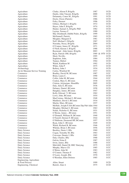| Agriculture                   | Clarke, Alison P, BAgrSc                    | 1987 |                 | UCD        |
|-------------------------------|---------------------------------------------|------|-----------------|------------|
| Agriculture                   | Dardis, John Vincent, BAgrSc                | 2000 |                 | <b>UCD</b> |
| Agriculture                   | Delanunty, Conor M., BAgrSc                 | 1991 |                 | <b>UCD</b> |
| Agriculture                   | Doyle, Owen (Patrick)                       | 1986 |                 | <b>UCD</b> |
| Agriculture                   | Foley, Dermot                               | 1996 |                 | <b>UCD</b> |
| Agriculture                   | Gibney, Michael J, BAgrSc                   | 1972 |                 | <b>UCD</b> |
| Agriculture                   | Hayes, John F, BAgrSc                       | 1974 |                 | UCD        |
| Agriculture                   | Hunter, Samuel A, BAgrSc PhD                | 1982 |                 | <b>UCD</b> |
| Agriculture                   | Layton, Terence F                           | 1980 |                 | <b>UCD</b> |
| Agriculture                   | Mac Domhnaill, Dáibhí Pedro, BAgrSc         | 1999 |                 | <b>UCD</b> |
| Agriculture                   | McDonnell, Patrick,                         | 1965 |                 | <b>UCD</b> |
| Agriculture                   | Meagher, Margaret E                         | 1981 |                 | <b>UCD</b> |
| Agriculture                   | Neff, Michael J, BAgrSc                     | 1967 |                 | <b>UCD</b> |
| Agriculture                   | Noronha, Nessa, BAgrSc                      | 2004 |                 | <b>UCD</b> |
| Agriculture                   | O'Connor, James JC, BAgrSc                  | 1971 |                 | <b>UCD</b> |
| Agriculture                   | O'Neill, Kieran J, BAgrSc                   | 1988 |                 | <b>UCD</b> |
| Agriculture                   | Raymond, John James, BAgrSc                 | 2003 |                 | <b>UCD</b> |
| Agriculture                   | Ryan, Patrick OM, BAgrSc                    |      | 1969 & 1970 UCD |            |
| Agriculture                   | Short, Neville,                             | 1995 |                 | <b>UCD</b> |
| Agriculture                   | Stapleton, John,                            | 1984 |                 | <b>UCD</b> |
| Agriculture                   | Tunney, Hubert                              | 1964 |                 | <b>UCD</b> |
| Agriculture                   | Walsh, Kathleen M                           | 1992 |                 | <b>UCD</b> |
| Agriculture                   | White, John P                               | 1975 |                 | <b>UCD</b> |
| Archaeology                   | Raftery, John J                             | 1934 |                 | <b>UCD</b> |
| Art & Museum Service Training | Carlos, Winifred M                          | 1937 |                 | <b>UCG</b> |
| Commerce                      | Bradley, David M, BComm                     | 1987 |                 | <b>UCC</b> |
| Commerce                      | Brien, Laura C,                             | 1990 |                 | <b>UCD</b> |
| Commerce                      | Colfer, John M, BComm                       | 1944 |                 | <b>UCC</b> |
| Commerce                      | Conlon, Mary E, BComm                       | 1930 |                 | UCD        |
| Commerce                      | Crinion, Arlynejane, HonsBSc                | 2005 |                 | <b>UCD</b> |
| Commerce                      | Daly, Julia E, BComm                        | 1936 |                 | UCD        |
| Commerce                      | Delaney, Daniel, BComm                      | 1958 |                 | <b>UCD</b> |
| Commerce                      | Haughey, James, BComm                       | 1947 |                 | <b>UCD</b> |
| Commerce                      | Kelly, Edward V, BComm                      | 1962 |                 | <b>UCD</b> |
| Commerce                      | Lowe, John, BComm                           | 1954 |                 | UCD        |
| Commerce                      | MacCormac, Michael J, BComm                 | 1948 |                 | <b>UCD</b> |
| Commerce                      | Maddock, David J, BComm                     | 1934 |                 | <b>UCD</b> |
| Commerce                      | Martin, Mary, BComm                         | 1937 |                 | <b>UCD</b> |
| Commerce                      | McHale, Joseph P, BA BComm Dip Pub Adm 1944 |      |                 | UCD        |
| Commerce                      | Meagher, Michael J, BComm                   | 1963 |                 | <b>UCD</b> |
| Commerce                      | Nolan, Nicholas G, BComm                    | 1931 |                 | <b>UCD</b> |
| Commerce                      | O'Byrne, James ., BComm                     | 1951 |                 | <b>UCD</b> |
| Commerce                      | O'Donnell, William H, BComm                 | 1940 |                 | <b>UCD</b> |
| Commerce                      | O'Farrell, Dermot F, BComm                  | 1944 |                 | <b>UCC</b> |
| Commerce                      | O'Halloran, Desmond HP, BComm               | 1957 |                 | <b>UCD</b> |
| Commerce                      | Ryan, John C, BComm                         | 1949 |                 | <b>UCD</b> |
| Commerce                      | Walsh, Richard B, BComm                     | 1946 |                 | <b>UCC</b> |
| Commerce                      | Whelan, Brian J, BComm                      | 1956 |                 | <b>UCD</b> |
| Dairy Science                 | Buckley, Denis J, BSc                       | 1969 |                 | <b>UCC</b> |
| Dairy Science                 | Cogan, Tomothy M, BSc                       | 1963 |                 | UCC        |
| Dairy Science                 | Corcoran, Dennis J, BSc                     | 1965 |                 | <b>UCC</b> |
| Dairy Science                 | Daly, Charles, BSc                          | 1968 |                 | UCC        |
| Dairy Science                 | Galvin, Erina E                             | 1987 |                 | <b>UCC</b> |
| Dairy Science                 | Irwin, James, BSc                           | 1988 |                 | UCC        |
| Dairy Science                 | Mulvihill, Daniel M, BSC Dairying           | 1975 |                 | <b>UCC</b> |
| Dairy Science                 | Murphy, Maeve CE                            | 1985 |                 | UCC        |
| Dairy Science                 | O'Brien, John M,                            | 1983 |                 | UCC        |
| Dairy Science                 | O'Connor, Thomas P                          | 1982 |                 | UCC        |
| Dairy Science                 | O'Leary, Joseph, BSc                        | 1970 |                 | UCC        |
| Dairy Science                 | O'Riordan, Ellen Dolores                    | 1985 |                 | UCC        |
| Engineering, Agriculture      |                                             |      |                 |            |
| & Food Process                | Allen, Stuart                               | 1999 |                 | <b>UCD</b> |
| Engineering, Chemical         | Barrett, Alan A                             | 1975 |                 | <b>UCD</b> |
|                               |                                             |      |                 |            |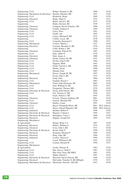| Engineering, Civil                               | Bolger, Thomas A, BE                   | 1968         | UCD               |
|--------------------------------------------------|----------------------------------------|--------------|-------------------|
| Engineering, Mechanical & Electrical             | Brerton, Michael, BE                   | 1953         | <b>UCD</b>        |
| Engineering, Civil                               | Broderick, Brian                       | 1989         | UCD               |
| Engineering, Electrical                          | Burke, Mark E                          | 1974         | <b>UCC</b>        |
| Engineering, Civil                               | Butler, David J, BE                    | 1973         | <b>UCD</b>        |
| Engineering                                      | Butler, Dermot, BE                     | 1939         | <b>UCC</b>        |
| Engineering, Chemical                            | Cadagon, David (Charles), BE           | 1988         | UCD               |
| Engineering, Chemical                            | Carden, Andreas P.                     | 1994         | UCD               |
| Engineering, Civil                               | Carey, Peter                           | 1991         | UCG               |
| Engineering, Civil                               | Clarke, Ian                            | 1992         | <b>UCG</b>        |
| Engineering, Civil                               | Cleary, Michael P, BE                  | 1972         | <b>UCG</b>        |
| Engineering                                      | Collins, Lucas, BE                     | 1938         | <b>UCD</b>        |
| Engineering, Civil                               | Connolly, Raymond J                    | 1990         | <b>UCC</b>        |
| Engineering, Mechanical                          | Corless, Martin J,                     | 1977         | <b>UCD</b>        |
| Engineering, Electrical                          | Creedon, Brendan G, BE                 | 1978         | UCD               |
| Engineering                                      | Cuffe, Robert J, BE                    | 1934         | UCD               |
| Engineering, Chemical                            | Cummins, Patrick FA                    | 1982         | <b>UCD</b>        |
| Engineering, Civil                               | Daly, Albert F,                        | 1979         | <b>UCG</b>        |
| Engineering, Electrical                          | Daly, James A,                         | 1980         | <b>UCD</b>        |
| Engineering, Chemical                            | Deane, Francis M, BE                   | 1971         | <b>UCD</b>        |
| Engineering, Civil                               | Devlin, John P, BE                     | 1964         | <b>UCC</b>        |
| Engineering, Civil                               | Dignam, Mark                           | 1993         | <b>UCG</b>        |
| Engineering, Civil                               | Dodd, Vincent A, BE                    | 1960         | UCD               |
| Engineering, Civil                               | Dunne, Susan                           | 1998         | <b>UCD</b>        |
| Engineering, Civil                               | Durand, Paul                           | 1985         | <b>UCD</b>        |
| Engineering, Mechanical                          | Dwyer, Joseph M, BE                    | 1957         | <b>UCD</b>        |
| Engineering                                      | Evans, John J, BE                      | 1933         | UCG               |
| Engineering, Electrical                          | Feely, Orla                            | 1986         | UCD               |
| Engineering, Civil                               | Feighan, Kieran J                      | 1983         | <b>UCG</b>        |
| Engineering, Mechanical                          | Finan, John Desmond, BE                | 2002         | UCD               |
| Engineering, Civil                               | Finn, William D, BE                    | 1954         | <b>UCC</b>        |
| Engineering, Civil                               | Fitzpatrick, Thomas MG,                | 1978         | UCD               |
| Engineering, Electronic & Electrical             | Flynn, John Patrick, BE                | 2000         | UCD               |
| Engineering, Civil                               | Fox, Terence O, BE                     | 1956         | <b>UCC</b>        |
| Engineering                                      | Foyle, Patrick J, BE                   | 1943         | <b>UCC</b>        |
| Engineering, Chemical                            | Frewen, Thomas Anthony, BE             | 2001         | <b>UCD</b>        |
| Engineering, Civil                               | Garrick, Michael FM                    | 1976         | <b>UCG</b>        |
| Engineering, Chemical                            | Hanley, Conor                          | 1991         | UCD               |
| Engineering, Civil                               | Hayes, Fionnuala Marie, BE             | 2001         | NUI, Galway       |
| Engineering, Civil                               | Hayes, Sinead Margaret, BE             | 2000<br>1998 | NUI, Galway       |
| Engineering, Industrial                          | Headon, Robert P                       | 1994         | UCG<br><b>UCC</b> |
| Engineering, Electronic & Electrical             | Hegarty, Colman J                      | 1990         | <b>UCD</b>        |
| Engineering, Electronic & Electrical             | Heneghan, Conor J                      | 1982         | <b>UCC</b>        |
| Engineering, Electrical                          | Higgins, Joseph EG                     |              |                   |
| Engineering, Mechanical                          |                                        | 1987         | UCD               |
| & Agricultural                                   | Hogan, Brian J.A                       | 1974         | <b>UCC</b>        |
| Engineering, Electrical<br>Engineering, Chemical | Hurley, William G<br>Ivory, John J, BE | 1971         | <b>UCD</b>        |
| Engineering, Electronic & Electrical             | Keane, John P                          | 1998         | <b>UCD</b>        |
| Engineering, Electrical                          | Kennedy, Michael P                     | 1984         | <b>UCD</b>        |
| Engineering, Electrical                          | King, John, BE                         | 1966         | <b>UCC</b>        |
| Engineering, Industrial                          | Lawlor, Therese F                      | 1984         | UCG               |
| Engineering                                      | Leech, William P, BE                   | 1942         | <b>UCD</b>        |
| Engineering, Civil                               | Lennon, Bernard B                      | 1994         | <b>UCC</b>        |
| Engineering, Mechanical                          |                                        |              |                   |
| & Agricultural                                   | Looby, Thomas B                        | 1983         | <b>UCD</b>        |
| Engineering, Civil                               | Mac Alevey, Niall F,                   | 1987         | <b>UCD</b>        |
| Engineering, Civil                               | Mac Eoin, Sean, BE MIEI                | 1982         | <b>UCG</b>        |
| Engineering, Civil                               | Maher, Patrick J                       | 1981         | <b>UCG</b>        |
| Engineering, Electronic & Electrical             | Maxwell, David Vincent, BE             | 1996         | <b>UCD</b>        |
| Engineering, Electrical                          | McCarthy, Timothy O, BE MEngSc         | 1970         | <b>UCC</b>        |
| Engineering, Mechanical & Electrical             | McGennis, Edward AM, BE                | 1951         | UCD               |
|                                                  |                                        |              |                   |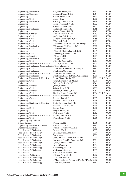| Engineering, Mechanical                                  | McQuaid, James, BE                          | 1961         | UCD                       |
|----------------------------------------------------------|---------------------------------------------|--------------|---------------------------|
| Engineering, Chemical                                    | Menzies, Donald J, BE                       | 1967         | <b>UCD</b>                |
| Engineering                                              | Meyler, James J, BE                         | 1940         | <b>UCD</b>                |
| Engineering, Civil                                       | Moran, Brian                                | 1980         | <b>UCG</b>                |
| Engineering, Mechanical                                  | Moriarty, Thomas J, BE                      | 1969         | <b>UCD</b>                |
| Engineering                                              | Morrissey, Joseph J, BE                     | 1932         | <b>UCD</b>                |
| Engineering                                              | Moynihan, John J, BE                        | 1935         | <b>UCC</b>                |
| Engineering, Mechanical                                  | Mullen, Thomas J, BE                        | 1965         | <b>UCD</b>                |
| Engineering                                              | Munro, Charles TG, BE                       | 1947         | <b>UCD</b>                |
| Engineering, Chemical                                    | Murphy, Edward N, BE                        | 1963         | <b>UCD</b>                |
| Engineering, Civil                                       | Ní Chuinn, Caitriona                        | 1999         | <b>UCD</b>                |
| Engineering, Civil                                       | O Broin, Caoimhghin P, BE                   | 1955         | <b>UCG</b>                |
| Engineering, Civil                                       | O'Connell, Paul                             | 1985         | <b>UCD</b>                |
| Engineering, Civil                                       | O'Donnell, Gavin Wilfred, BE MEngSc         | 1995         | <b>UCC</b>                |
| Engineering, Mechanical                                  | O'Donovan, Neil Joseph, BE                  | 2000         | <b>UCD</b>                |
| Engineering, Civil                                       | O'Driscoll, Fiona                           | 1984         | <b>UCD</b>                |
| Engineering                                              | O'Farrell, Christopher A, BSc BE            | 1949         | <b>UCD</b>                |
| Engineering, Civil                                       | O'Flaherty, Richard M, BE                   | 1948         | UCC                       |
| Engineering, Industrial                                  | O'Gorman, PD                                | 1981         | <b>UCG</b>                |
| Engineering, Mechanical                                  | O'Higgins, John                             | 1985         | <b>UCD</b>                |
| Engineering, Civil                                       | O'Keeffe, John D, BE                        | 1951         | <b>UCC</b>                |
| Engineering, Mechanical & Electrical                     | O'Neill, Charles M, BE                      | 1954         | <b>UCD</b>                |
| Engineering, Mechanical & AgriculturalO'Reilly, Kieran E |                                             | 1981         | <b>UCD</b>                |
| Engineering, Civil                                       | O'Sullivan, Catherine, BE MEngSc            | 1997         | UCC                       |
| Engineering, Mechanical                                  | O'Sullivan, Cornelius                       | 1997         | <b>UCD</b>                |
| Engineering, Mechanical & Electrical                     | O'Sullivan, Diarmuid, BE                    | 1955         | <b>UCD</b>                |
| Engineering, Mechanical                                  | O'Sullivan, Shane Patrick, BSc MEngSc       | 1999         | <b>UCD</b>                |
|                                                          |                                             |              |                           |
| Engineering, Electronic & Electrical                     | Porter, Shaun Martin, BE                    | 2001<br>1979 | NUI, Galway<br><b>UCC</b> |
| Engineering, Civil                                       | Punch, Edward F, BE MEngSc                  |              |                           |
| Engineering                                              | Quinlan, Patrick M, BE                      | 1941         | <b>UCC</b>                |
| Engineering, Electrical                                  | Quinn, Conor A                              | 1988         | UCC                       |
| Engineering, Civil                                       | Raftery, John J, BE                         | 1952         | <b>UCD</b>                |
| Engineering, Electrical                                  | Reardon, Bernard C, BE                      | 1957         | <b>UCC</b>                |
| Engineering, Civil                                       | Riordan, James Charles, BE                  | 1996         | NUI, Galway               |
| Engineering, Mechanical & Electrical                     | Sheehan, Jeremiah P, BE                     | 1952         | <b>UCD</b>                |
| Engineering, Chemical                                    | Sheehan, Patrick B.                         | 1997         | <b>UCD</b>                |
| Engineering                                              | Sheridan, Thomas P, BE                      | 1936         | <b>UCD</b>                |
| Engineering, Electronic & Electrical                     | Smith, Raymond Carl, BE                     | 2002         | <b>UCD</b>                |
| Engineering                                              | Stephens, Liam FA, BE                       | 1944         | <b>UCD</b>                |
| Engineering, Civil                                       | Sugrue, Joan                                | 1988         | <b>UCG</b>                |
| Engineering                                              | Teague, James, BE                           | 1937         | <b>UCD</b>                |
| Engineering, Civil                                       | Wall, Denis V, BE                           | 1953         | <b>UCC</b>                |
| Engineering, Mechanical & Electrical                     | Walters, John M, BE                         | 1948         | <b>UCD</b>                |
| Engineering, Civil                                       | Ward, Robert J, BE                          | 1986         | <b>UCG</b>                |
| Engineering, Agricultural                                |                                             |              |                           |
| & Food Process                                           | Waugh, Paul R                               | 1996         | <b>UCD</b>                |
| Engineering, Mechanical & Food                           | Whelan, Conor R                             | 1995         | <b>UCD</b>                |
| Engineering, Electrical                                  | Whelan, Maurice VKA, BE                     | 1962         | UCC                       |
| Food Science & Technology                                | Brennan, Noelle                             | 1997         | <b>UCC</b>                |
| Food Science & Techonolgy                                | Brickley, Ciara Anne, BSc                   | 2004         | UCC                       |
| Food Science & Technology                                | Curtin, Aine                                | 1999         | <b>UCC</b>                |
| Food Science & Technology                                | Geary, Michael David Patrick, BSc           | 2000         | <b>UCC</b>                |
| Food Science & Technology                                | Harrington, Jennifer Catherine, BSc         | 2001         | <b>UCC</b>                |
| Food Science & Technology                                | Lynch, Andrew J, BSc                        | 1991         | <b>UCC</b>                |
| Food Science & Technology                                | Lynch, Ciaran M                             | 1994         | <b>UCC</b>                |
| Food Science & Technology                                | McSweeney, Paul LH                          | 1990         | UCC                       |
| Food Science & Technology                                | McSweeney, Seamus L                         | 1995         | UCC                       |
| Food Science                                             | Murphy, Ellen Frances, BSc                  | 2003         | <b>UCC</b>                |
| Food Science & Nutrition                                 | O'Brien, Nora M, BSc                        | 1982         | <b>UCC</b>                |
| Food Science & Technology                                | O'Connell, John E                           | 1998         | <b>UCG</b>                |
| Food Science & Technology                                | O'Mahony, James Anthony, BAgrSc MAgrSc 2002 |              | <b>UCC</b>                |
| Food Science & Technology                                | O'Sullivan, Michele                         | 1997         | UCC                       |
|                                                          |                                             |              |                           |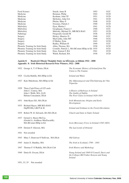| Food Science                      | Smyth, Anne B                                  | 1993 | <b>UCC</b> |
|-----------------------------------|------------------------------------------------|------|------------|
| Medicine                          | Brennan, Philip                                | 1942 | <b>UCD</b> |
| Medicine                          | Keohane, John TF                               | 1951 | <b>UCD</b> |
| Medicine                          | McSorley, John GA                              | 1941 | <b>UCD</b> |
| Medicine                          | Phelan, Mary P                                 | 1948 | <b>UCD</b> |
| Medicine                          | Sweeney, Patrick J                             | 1940 | <b>UCD</b> |
| Midwiferv                         | Dyar, Martin J                                 | 1941 | <b>UCD</b> |
| Midwiferv                         | Geoghegan, Francis J                           | 1940 | <b>UCC</b> |
| Midwifery                         | Mulcahy, Michael D., MB BCh BAO                | 1953 | <b>UCD</b> |
| Pathology                         | Fitzgerald, Gerald M                           | 1938 | <b>UCD</b> |
| Surgery                           | Hickey, Maurice D                              | 1940 | <b>UCC</b> |
| Surgery                           | MacCarthy, John MT                             | 1946 | <b>UCG</b> |
| Surgery                           | O'Malley, Eoin                                 | 1943 | <b>UCD</b> |
| Surgery                           | Radley, William H                              | 1949 | <b>UCC</b> |
| Phonetic Training for Irish Study | Allen, Thomas, BA                              | 1938 | <b>UCD</b> |
| Phonetic Training for Irish Study | Costello, Patrick J., MA BComm HDip in Ed 1935 |      | <b>UCG</b> |
| Phonetic Training for Irish Study | Dore, Eamon F, BA                              | 1941 | <b>UCD</b> |
| Phonetic Training for Irish Study | Walsh, Richard, BA                             | 1938 | <b>UCD</b> |
|                                   |                                                |      |            |

#### **Aguisín 8: Buaiteoirí Dhuais Thaighde Staire na hÉireann, sa bhliain 1922 - 2008 Appendix 8: Irish Historical Research Prize Winners, 1922 - 2008**

|      | 1922 George A. T. O'Brien, DLitt                                                                               | The Economic History of Ireland from The<br>Union to The Famine                                            |
|------|----------------------------------------------------------------------------------------------------------------|------------------------------------------------------------------------------------------------------------|
|      | 1925 Cecilia Rahilly, MA HDip in Ed                                                                            | Ireland and Wales                                                                                          |
|      | 1927 Kate Mulchrone, MA HDip in Ed                                                                             | Die Abfassungszeit und Überlieferung der Vita<br>Tripartita                                                |
|      | 1929 Three Cash Prizes of £25 each:<br>John C. Conroy, MA<br>John J. Webb, MA, LLD:<br>Helena Concannon, DLitt | A History of Railways in Ireland<br>The Guilds of Dublin<br>The Poor Clares in Ireland 1629-1929           |
| 1931 | John Ryan (SJ), MA DLitt                                                                                       | Irish Monasticism, Origins and Early<br>Development                                                        |
| 1933 | Richard Hayes, MB BCh BAO<br>DipPH BSc LRCP & SI                                                               | Ireland and Irishmen in the French Revolution                                                              |
|      | 1935 Robert W. D. Edwards, BA MA DLitt                                                                         | Church and State in Tudor Ireland                                                                          |
| 1937 | Gerard A. Hayes-McCoy,<br>(Gerárd A. Aoidheac-MacEacaidh),<br>MA BComm HDip in Ed                              | Scots Mercenary Force in Ireland (1565-1603)                                                               |
| 1939 | Dermot F. Gleeson, MA                                                                                          | The Last Lords of Ormond                                                                                   |
| 1941 | Not awarded                                                                                                    |                                                                                                            |
| 1943 | Mary J. Donovan O'Sullivan, MA DLitt                                                                           | Old Galway                                                                                                 |
| 1945 | James E. Handley, MA                                                                                           | The Irish in Scotland, 1798 - 1845                                                                         |
| 1947 | Thomas F. O'Rahilly, MA DLitt Celt                                                                             | Irish History and Mythology                                                                                |
|      | 1949 Denis R. Gwynn, DLitt                                                                                     | Young Ireland and 1848 O'Connell, Davis and<br>the Colleges Bill Father Kenyon and Young<br><b>Ireland</b> |
|      | 1951, 53, 55<br>Not awarded                                                                                    |                                                                                                            |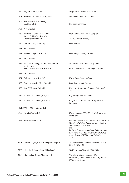| 1959 Hugh F. Kearney, PhD                                | Strafford in Ireland, 1633-1760                                                                                                                                                                                                                                             |
|----------------------------------------------------------|-----------------------------------------------------------------------------------------------------------------------------------------------------------------------------------------------------------------------------------------------------------------------------|
| 1961 Maureen McGeehin (Wall), MA                         | The Penal Laws, 1691-1760                                                                                                                                                                                                                                                   |
| 1963 Rev. Maurice P. J. Sheehy,<br><b>BA PhD DLitt</b>   | Pontifica Hibernica                                                                                                                                                                                                                                                         |
| 1965 Not awarded                                         |                                                                                                                                                                                                                                                                             |
| 1967 Maurice O'Connell, BA, MA<br>Kevin B. Nowlan, BA MA | Irish Politics and Social Conflict                                                                                                                                                                                                                                          |
| (Additional Prize: £100                                  | The Politics of Repeal)                                                                                                                                                                                                                                                     |
| 1969 Gerard A. Hayes-McCoy                               | <b>Irish Battles</b>                                                                                                                                                                                                                                                        |
| 1971 Not awarded                                         |                                                                                                                                                                                                                                                                             |
| 1973 Francis J. Byrne, BA MA                             | Irish Kings and High Kings                                                                                                                                                                                                                                                  |
| 1975 Not awarded                                         |                                                                                                                                                                                                                                                                             |
| 1977 Nicholas P Canny, BA MA HDip in Ed                  | The Elizabethan Conquest of Ireland                                                                                                                                                                                                                                         |
| jointly with<br>Ruth Dudley Edwards, BA MA               | Patrick Pearse – The Triumph of Failure                                                                                                                                                                                                                                     |
| 1979 Not awarded                                         |                                                                                                                                                                                                                                                                             |
| 1981 Colin A. Lewis, BA PhD                              | Horse Breeding in Ireland                                                                                                                                                                                                                                                   |
| 1983 Daniel Augustine Kerr, BA MA                        | Peel, Priests and Politics                                                                                                                                                                                                                                                  |
| 1985 Karl T. Hoppen, BA MA                               | Elections, Politics and Society in Ireland<br>1832 - 1885                                                                                                                                                                                                                   |
| 1987 Patrick J. O'Connor, BA, PhD                        | <b>Exploring Limerick's Past</b>                                                                                                                                                                                                                                            |
| 1989 Patrick J. O'Connor, BA PhD                         | People Make Places: The Story of Irish<br>Palatines                                                                                                                                                                                                                         |
| 1991, 1993, 1995 Not awarded                             |                                                                                                                                                                                                                                                                             |
| 1997 Jacinta Prunty, BA                                  | Dublin Slums 1800-1925: A Study in Urban<br>Geography                                                                                                                                                                                                                       |
| 1999 Thomas McGrath, PhD                                 | Religious Renewal and Reform in the Pastoral<br>Ministry of Bishop James Doyle of Kildare<br>and Leighlin 1786-1834<br>and<br>Politics, Interdenominational Relations and<br>Education in the Public Ministry of Bishop<br>James Doyle of Kildare and Leighlin<br>1786-1834 |
| 2001 Gerard J Lyne, BA MA HDipinEd DipLib                | The Lansdowne Estate in Kerry under W.S.<br>Trench 1849 - 72                                                                                                                                                                                                                |
| 2003 Nicholas P Canny, MA, PhD (Penn)                    | Making Ireland British 1580-1650                                                                                                                                                                                                                                            |
| 2005 Christopher Robert Maginn, PhD                      | 'Civilizing' Gaelic Leinster: The<br>extension of Tudor Rule in the O'Byrne and<br>O'Toole Lordships                                                                                                                                                                        |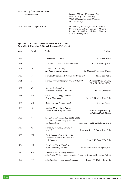Leabhar Mór na nGenealach: The *Great Book of Irish Genealogies (1645-66) compiled by Dubhaltach Mac Fhirbhsigh*

2007 William J. Smyth, BA PhD *Map-making, Landscapes and Memory: A Geography of Colonial and Early Modern Ireland c. 1530-1750* published in 2006 by Cork University Press

## **Aguisín 9: Léachtaí O'Donnell Foilsithe, 1957 - 2008 Appendix 9: Published O'Donnell Lectures, 1957 - 2008**

| Author                                                | Title                                                                                         | <b>Number</b> | Year |
|-------------------------------------------------------|-----------------------------------------------------------------------------------------------|---------------|------|
| Micheline Walsh                                       | The O'Neills in Spain                                                                         | I             | 1957 |
| John A. Murphy, MA                                    | Justin MacCarthy, Lord Mountcashel                                                            | П             | 1958 |
| Sir Charles Petrie, MA (Oxon)                         | Daniel O'Connor Sligo:<br>His Family and His Times                                            | Ш             | 1959 |
| Micheline Walsh                                       | The MacDonnells of Antrim on the Continent                                                    | IV            | 1960 |
| Professor Denis Gwynn,<br><b>DLitt FRHistSoc MRIA</b> | Thomas Francis Meagher (reprinted 2009)                                                       | V             | 1961 |
| Síle Ní Chinnéide                                     | Napper Tandy and the<br>European Crisis of 1798-1803                                          | VI            | 1962 |
| Kevin B. Nowlan, MA, PhD                              | Charles Gavan Duffy and the<br>Repeal Movement                                                | VII           | 1963 |
| Seamus Pender                                         | Waterford Merchants Abroad                                                                    | VIII          | 1964 |
| Gerard A. Hayes-McCoy,<br>MA, PhD, DLitt, MRIA        | Captain Myles Walter Keogh,<br>United States Army 1840-1876                                   | IX            | 1965 |
| Professor John Ryan (SJ) MA, DLitt                    | Toirdbleach Ó Conchubair (1088-1156),<br>King of Connacht, King of Ireland,<br>Co. Freasabra, | X             | 1966 |
| Professor John G. Barry, MA, PhD                      | The Study of Family History in<br><b>Ireland</b>                                              | XI            | 1967 |
| Patrick K. Egan (PP), PhD                             | The Influence of the Irish on the<br>Catholic Church in America in the<br>19th Century        | <b>XII</b>    | 1968 |
| Professor Francis John Byrne, MA                      | The Rise of Uí Néill and the<br>High-kingship of Ireland                                      | XIII          | 1969 |
| Professor Oliver McDonagh, MA, PhD                    | The Nineteenth Century Novel and<br>Irish Social History; Some Aspects                        | XIV           | 1970 |
| Robert W. Dudley Edwards                              | Irish Families: The Archival Aspects                                                          | XVI           | 1972 |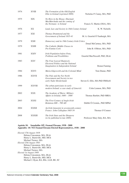| Nicholas P. Canny, MA, PhD      | The Formation of the Old English<br>Elite in Ireland (reprinted 2009)                                  | <b>XVIII</b>  | 1974 |
|---------------------------------|--------------------------------------------------------------------------------------------------------|---------------|------|
| Francis X. Martin (OSA), MA     | No Hero in the House; Diarmait<br>MacMurchada and the coming of<br>the Normans to Ireland              | <b>XIX</b>    | 1975 |
| K. W. Nicholls                  | Land, Law and Society in 16th Century Ireland                                                          | <b>XX</b>     | 1976 |
| M. A. Gearóid Ó Tuathaigh, MA   | Thomas Drummond and the<br>Government of Ireland 1835-41                                               | XXI           | 1977 |
| Donal McCartney, MA, PhD        | Democracy and its 19th Century Irish Critics                                                           | XXII          | 1979 |
| John B. O'Brien, MA, PhD        | The Catholic Middle Classes in<br>Pre-Famine Cork                                                      | XXIII         | 1979 |
| Gearóid MacNiocaill, PhD, DLitt | Irish Population before Petty,<br><b>Problems and Possibilities</b>                                    | <b>XXIV</b>   | 1981 |
| Ronan Fanning                   | The Four Leaved Shamrock,<br>Electoral Politics and the National<br>Imagination in Independent Ireland | <b>XXV</b>    | 1983 |
| Tom Dunne, PhD                  | Maria Edgeworth and the Colonial Mind                                                                  | <b>XXVI</b>   | 1984 |
| Steven G. Ellis, MA PhD FRHistS | The Pale and the Far North<br>Government and Society in two<br>early Tudor Borderlands                 | <b>XXVII</b>  | 1986 |
| Colm Lennon, MA, PhD            | The urban patriciates in early<br>modern Ireland: a case-study of Limerick                             | <b>XXVIII</b> | 1999 |
| Thomas Bartlett, PhD MRIA       | The Academy of Warre: Military<br>Affairs in Ireland, 1600 - 1800                                      | <b>XXX</b>    | 2002 |
| Dáibhí Ó Croinín,, PhD MPhil    | The First Century of Anglo-Irish<br>Relations $600 - 700$ AD                                           | XXXI          | 2003 |
| Thomas O'Connor                 | An Irish Jansenist in seventeenth-century<br>France: John Callaghan 1605-54                            | XXXII         | 2004 |
| Professor Mary Daly, BA, MA     | The Irish State and the Diaspora<br>(to be published in late 2009)                                     | <b>XXXIII</b> | 2008 |

# **Aguisín 10: Ionadaithe OÉ i Seanad Éireann, 1938 - 2008 Appendix: 10: NUI Seanad Éireann Elected Representatives, 1938 - 2008**

*Elected 17th August 1938* Helena Concannon, MA, DLitt Henry L. Barniville, MD, MCh Michael Tierney, MA *Elected 25th August 1943* Helena Concannon, MA, DLitt Henry L. Barniville, MD, MCh Michael Tierney, MA *Elected 1st August 1944* Helena Concannon, MA, DLitt Henry L. Barniville, MD, MCh Michael J. Ryan, BA, BSc, LLB, BE, SC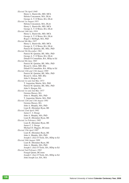*Elected 7th April 1948* Henry L. Barniville, MD, MCh Helena Concannon, MA, DLitt George A. T. O'Brien, BA, DLitt *Elected 1st August 1951* Helena Concannon, MA, DLitt Henry L. Barniville, MD, MCh George A. T. O'Brien, BA, DLitt *Elected 14th July 1954* Henry L. Barniville, MD, MCh George A. T. O'Brien, BA, DLitt Roger J. McHugh, MA, PhD *Elected 9th May 1957* Henry L. Barniville, MD, MCh George A. T. O'Brien, BA, DLitt Patrick M. Quinlan, BE, MSc, PhD *Elected 5th December 1961* Patrick M. Quinlan, BE, MSc, PhD George A. T. O'Brien, BA, DLitt Dónall Ó Connalláin, BA, HDip in Ed *Elected 8th June 1965* Patrick M. Quinlan, BE, MSc, PhD Bryan G. Alton, MD, BSc Dónall Ó Connalláin, BA, HDip in Ed *Elected 12th and 13th August 1969* Patrick M. Quinlan, BE, MSc, PhD Bryan G. Alton, MD, BSc John S. Horgan, BA *Elected 1st and 2nd May 1973* T. Augustine Martin, MA, PhD Patrick M. Quinlan, BE, MSc, PhD John S. Horgan, BA *Elected 1st and 2nd May 1977* Gemma Hussey, BA John A. Murphy, MA, PhD T. Augustine Martin, MA, PhD *Elected 12th and 13th August 1981* Gemma Hussey, BA John A. Murphy, MA, PhD Liam B. (Brendan) Ryan, BE *Elected 22nd April 1982* James C. I. Dooge John A. Murphy, MA, PhD Liam B. (Brendan) Ryan, BE *Elected 1st February 1983* Liam B. (Brendan) Ryan, BE James C. I. Dooge Michael D. Higgins, BComm *Elected 15th April 1987* Liam B. (Brendan) Ryan, BE John A. Murphy, MA, PhD Joseph J. (Joe) O'Toole, BA, HDip in Ed *Elected 16th August 1989* Liam B. (Brendan) Ryan, BE John A. Murphy, MA, PhD Joseph J. (Joe) O'Toole, BA, HDip in Ed *Elected 2nd February 1993* Feargal Quinn, BComm Joseph J. (Joe) O'Toole, BA, HDip in Ed John Joseph Lee, BA, MA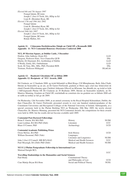*Elected 6th and 7th August 1997* Feargal Quinn, BComm Joseph J. (Joe) O'Toole, BA, HDip in Ed Liam B. (Brendan) Ryan, BE *Elected 17th and 18th July 2002* Feargal Quinn Liam B. (Brendan) Ryan, BE Joseph J. (Joe) O'Toole, BA, HDip in Ed *Elected 26th July 2007* Joseph J. (Joe) O'Toole, BA, HDip in Ed Feargal Quinn, BComm Rónán Mullen, BA

## **Aguisín 11: Céimeanna Dochtúireachta Oinigh an Chéid OÉ a Bronnadh 2008 Appendix 11: NUI Centennial Honorary Doctorates Conferred 2008**

**NUI, 49 Merrion Square, at Dublin Castle, 3 December**

| Donlon, John Anthony (Sean) BA                | LLD.       |
|-----------------------------------------------|------------|
| Gregson, Professor Peter, Vice-Chancellor OUB | <b>DSc</b> |
| Martin, Dr Diarmuid, BA, Archbishop of Dublin | LLD.       |
| O'Reilly, Emily, BA, Ombudsman                | LLD.       |
| Scott, Dr Tony, BSc, MSc, PhD, President RDS  | <b>DSc</b> |
| Tristram, Professor Hildegard                 | DLittCelt  |

## **Aguisín 12: Buaiteoirí Ghradaim OÉ sa bhlian 2008 Appendix 12: Recipients of NUI Awards, 2008**

Dé Céadaoin, an 12 Samhain 2008, ag ócáid bhliantúil sa Bhrú Ríoga, Cill Mhaighneann, Baile Átha Cliath, bhronn an Seansailéir ag an am, an Dr Garret FitzGerald, gradaim ar bhreis agus céad mac léinn/céimí de chuid Chomh-Ollscoileanna agus Choláistí Aitheanta Ollscoil na hÉireann. Ina dhiaidh sin, ag ócáid ar leith i bhFoirgneamh Phelan OÉ Dé Céadaoin an 20 Bealtaine 2009, bhronn an Seansailéir nuathofa, an Dr. Maurice Manning, Gradaim an Chéid OÉ; reáchtáladh na comórtais dos na gradaim seo sa bhliain 2008 ach ní raibh na torthaí ar fáil go dtí 2009.

On Wednesday 12th November 2008, at an annual ceremony in the Royal Hospital Kilmainham, Dublin, the then Chancellor, Dr Garret FitzGerald, presented awards to over one hundred students/graduates of the Constituent Universities and Recognised Colleges of the National University of Ireland. Subsequently, at a special ceremony held in the Phelan Building NUI on Wednesday 20th May 2009, the newly elected Chancellor, Dr. Maurice Manning, presented the NUI Centennial Awards; the competitions for these awards were held in 2008, but the results did not become available until 2009.

| <b>Centennial Post-Doctoral Fellowships</b>                                        |                              |             |
|------------------------------------------------------------------------------------|------------------------------|-------------|
| Brian F. Gurrin, BA MA PhD                                                         | History                      | <b>NUIM</b> |
| Liam Lenihan, BA MA PhD (Dub)                                                      | Literature                   | UCC         |
| Blaze O'Connor, PhD                                                                | Archaeology                  | <b>UCD</b>  |
| <b>Centennial Academic Publishing Prizes</b>                                       |                              |             |
| Owen McGee, BA PhD                                                                 | <b>Irish History</b>         | <b>UCD</b>  |
| William Desmond, PhD (Yale)                                                        | Languages,                   |             |
|                                                                                    | Literature and Linguistics   | <b>NUIM</b> |
| John J (Joe) O'Connell, MB BCh BAO                                                 | Medical and Health Sciences  | UCC         |
| Paul Moynagh, BA (Dub) PhD (Dub)                                                   | Medical and Health Sciences  | <b>NUIM</b> |
| NUI E J Phelan Postgraduate Fellowship in International Law<br>Mairead Enright BCL |                              |             |
|                                                                                    |                              | UCC         |
| <b>Travelling Studentships in the Humanities and Social Sciences</b>               |                              |             |
| Paul Brady                                                                         | <b>Constitutional Theory</b> |             |
|                                                                                    | and Philosophy of Law        | <b>UCD</b>  |
| Cian Mattijs Bryan BA Hons                                                         | Social and Political Theory  | <b>NUIG</b> |
|                                                                                    |                              |             |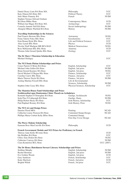| Daniel Deasy Liam BA Hons MA                                      | Philosophy                                              | <b>UCC</b>                |
|-------------------------------------------------------------------|---------------------------------------------------------|---------------------------|
| Katy Dineen BA Hons MA                                            | Political Theory                                        | <b>UCC</b>                |
| Julie Marie Finnerty BA                                           | French                                                  | NUIM                      |
| Stephen Terence Edward Graham                                     |                                                         |                           |
| <b>BA Hons BMus Hons</b>                                          | Contemporary Music                                      | <b>UCD</b>                |
| William Ian Magee BA Hons MA                                      | Archaeology                                             | <b>UCC</b>                |
| Cornelia Annette Nell BA Hons                                     | Social Anthropology                                     | <b>NUIM</b>               |
| Abaigéal Mhuire Warfield BA Hons                                  | History                                                 | <b>NUIM</b>               |
| <b>Travelling Studentships in the Sciences</b>                    |                                                         |                           |
| Paul Francis Browne BSc Hons                                      | Astronomy                                               | <b>NUIG</b>               |
| Fiona Valerie Foley BSc Hons                                      | Geochemistry                                            | <b>UCC</b>                |
| Eoin Ronan Hyde BSc Hons                                          | Life and Political Sciences                             | <b>UCC</b>                |
| Alice Lynch BSc Hons                                              | Physics                                                 | <b>UCD</b>                |
| Nicolas Niall Madigan MB BCh BAO                                  | Medical Neuroscience                                    | <b>NUIG</b>               |
| Ross McKiernan BSc BSc Hons                                       | Anatomy                                                 | <b>UCD</b>                |
| Thomas John Gerard Quirke BSc Hons                                | Zoology                                                 | <b>UCC</b>                |
| The Dr Mary I Thornton Scholarship in Education                   |                                                         | <b>UCC</b>                |
| Michael Delargey                                                  |                                                         |                           |
| The NUI Denis Phelan Scholarships and Prizes                      |                                                         |                           |
| Conor Patrick O'Brien BA Hons                                     | English, Scholarship                                    | <b>UCC</b>                |
| Michael John Gallen BA Hons                                       | English, 2nd prize                                      | NUIM                      |
| Brian Gerard Kearney BA Hons                                      | English, 3rd prize                                      | <b>NUIG</b>               |
| David Michael O'Regan BSc Hons                                    | Finance, Scholarship                                    | <b>UCC</b>                |
| Caroline Carew BSc Hons                                           | Finance, 2nd prize                                      | <b>UCC</b>                |
| Maria Therese Doyle BA Hons                                       | Finance, 3rd prize                                      | <b>NUIM</b>               |
| Aisling Martina Frizzell BSc Hons                                 | Life & Environmental                                    |                           |
| Stephen John Casey BSc Hons                                       | Sciences, Scholarship<br>Physical Sciences, Scholarship | <b>NUIM</b><br><b>UCC</b> |
| The Mansion House Fund Scholarships and Prizes                    |                                                         |                           |
| Scoláireachtaí agus Duaiseanna Chiste Theach an Ardmhéara         |                                                         |                           |
| Kenneth Stephen O'Donoghue BA Hons                                | Gaeilge, Scoláireacht                                   | <b>NUIG</b>               |
| Seán Pius Ó Cathasaigh BA Hons                                    | Gaeilge, Duais                                          | <b>NUIM</b>               |
| Philip Robert Healy BA Hons                                       | Irish History, Scholarship                              | <b>UCC</b>                |
| Paul Raphael Rooney BA Hons                                       | Irish History, Prize                                    | <b>NUIG</b>               |
| <b>The NUI Art and Design Prizes</b>                              |                                                         |                           |
| Damien Flood MFA                                                  | Painting                                                | <b>NCAD</b>               |
| Catherine Louise Pearson BA Hons                                  | Centennial Stamp Design                                 | <b>NCAD</b>               |
| Phillipa Maria Corbett Kelly BDes Hons                            | Centennial Stamp,                                       |                           |
|                                                                   | First Day Cover Design                                  | <b>NCAD</b>               |
| The Pierce Malone Scholarship                                     |                                                         |                           |
| Eamonn Ross MacConville BA Hons                                   | Philosophy                                              | <b>UCD</b>                |
| French Government Medals and NUI Prizes for Proficiency in French |                                                         |                           |
| Thérese Anne Kelly BComm Hons                                     |                                                         | <b>UCD</b>                |
| Ida Holdhus BA Hons                                               |                                                         | <b>UCC</b>                |
| Chloe Áine Diskin BA Hons                                         |                                                         | <b>NUIG</b>               |
| Catherine Conway BA Hons                                          |                                                         | <b>NUIM</b>               |
| Ciara Kennefick BCL Hons                                          |                                                         | <b>UCC</b> (2007)         |
| The Dr Henry Hutchinson Stewart Literary Scholarships and Prizes  |                                                         |                           |
| Siobhan Murphy                                                    | English, Scholarship                                    | <b>NUIM</b>               |
| Rachel Brennan                                                    | English, 2nd prize                                      | <b>NUIM</b>               |
| Eve Golden Woods                                                  | English, 3rd prize                                      | <b>UCD</b>                |
| Gary Sandison                                                     | French, Scholarship                                     | <b>UCC</b>                |
| Katie Sherlock<br><b>Brighid Walsh</b>                            | French, 2nd prize                                       | <b>UCD</b><br><b>UCC</b>  |
|                                                                   | French, 3rd prize                                       |                           |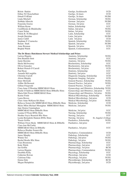| Róisín Harkin                                                   | Gaeilge, Scoláireacht                                    | <b>UCD</b>  |
|-----------------------------------------------------------------|----------------------------------------------------------|-------------|
| Eithne Ní Chonchubhair                                          |                                                          | <b>UCD</b>  |
| Dónall Ó hÉalaí                                                 | Gaeilge, 2ú duais                                        |             |
|                                                                 | Gaeilge, 3ú duais                                        | <b>NUIM</b> |
| Linda Mitchell                                                  | German, Scholarship                                      | <b>NUIG</b> |
| Siobhán Albrecht                                                | German 2nd prize                                         | <b>NUIM</b> |
| Franziska Goetze                                                | German, 3rd prize                                        | <b>UCC</b>  |
| William Byrne                                                   | Italian, Scholarship                                     | <b>UCC</b>  |
| Caoilfhionn de Bhaldraithe                                      | Italian, 2nd prize                                       | <b>NUIG</b> |
| Conor Nolan                                                     | Italian, 3rd prize                                       | <b>NUIG</b> |
| Nóirín B. Ní Bheaglaoi                                          | Latin, Scholarship                                       | <b>UCC</b>  |
| Joseph Sheridan                                                 | Latin, 2nd prize                                         | <b>NUIM</b> |
| James Cahill                                                    | Latin 3rd prize                                          | <b>UCD</b>  |
| Stephane F. Czarnecka                                           | Spanish, Scholarship                                     | <b>NUIG</b> |
| Renate Stark                                                    | Spanish, 2nd prize                                       | <b>NUIM</b> |
| Anne Brennan                                                    | Spanish, 3rd prize                                       | <b>UCD</b>  |
| <b>Brighid Walsh</b>                                            | Spanish, Commendation                                    | <b>UCC</b>  |
| The Dr Henry Hutchinson Stewart Medical Scholarships and Prizes |                                                          |             |
| Larissa Higgins                                                 | Anatomy, Scholarship                                     | <b>NUIG</b> |
| Don Brandon Stott                                               | Anatomy, 2nd prize                                       | <b>UCC</b>  |
| Jamie Bawden                                                    | Anatomy, 3rd prize                                       | <b>NUIG</b> |
| Sheila McSweeney                                                | Biochemistry, Scholarship                                | <b>UCC</b>  |
| Olivia Gonzalez                                                 | Biochemistry, 2nd prize                                  | <b>NUIG</b> |
| Robert ffrench O'Carroll                                        | Biochemistry, 3rd prize                                  | <b>UCD</b>  |
| Paul Ryan                                                       | Dentistry, Scholarship                                   | <b>UCC</b>  |
| Amanda McLaughlin                                               |                                                          | <b>UCC</b>  |
| Christine Carroll                                               | Dentistry, 2nd prize<br>Diagnostic Imaging, Scholarship  | <b>UCD</b>  |
| Alison Murphy                                                   | Diagnostic Imaging, 2nd prize                            | <b>UCD</b>  |
| Emer McGrath                                                    | General Practice, Scholarship                            | <b>NUIG</b> |
| Ailbhe McDermott                                                | General Practice, 2nd prize                              | <b>NUIG</b> |
| Gillian Fitzgerald                                              | General Practice, 3rd prize                              | <b>UCC</b>  |
| Ciara Anne O'Riordan MBBChBAO Hons                              | Gynaecology and Obstetrics, Scholarship NUIG             |             |
| Noelle O'Sullivan MBBChBAO Hons BMedSc Hons                     | Gynaecology and Obstetrics, 2nd prize                    | <b>UCC</b>  |
| Maria Edel Power MBBChBAO Hons                                  | Gynaecology and Obstetrics, 3rd prize                    | <b>NUIG</b> |
| Karine Forde                                                    | Medical Microbiology, Scholarship                        | <b>NUIG</b> |
| Laura Brown                                                     |                                                          | <b>UCD</b>  |
| Clare-Anne McKeon BA Hons                                       | Medical Microbiology, 2nd prize                          | <b>NUIG</b> |
| Rebecca Somerville MBBChBAO Hons BMedSc Hons                    | Medical Microbiology, 3rd prize<br>Medicine, Scholarship | <b>UCD</b>  |
|                                                                 |                                                          | <b>NUIG</b> |
| Myles Mfon Michael Monaghan MBBChBAO Hons                       | Medicine, 2nd prize                                      |             |
| Jane Denise Cunningham                                          |                                                          | <b>UCC</b>  |
| MBBChBAO Hons BMedSc Hons                                       | Medicine, 3rd prize                                      | <b>NUIG</b> |
| Leanna O'Flynn BNSc Hons<br>Heather Joyce Beamish BSc Hons      | Nursing, Scholarship                                     | <b>UCC</b>  |
| Lynda Bernadette Hannon BNSc Hons                               | Nursing, 2nd prize<br>St. Angela's College               |             |
| Tomás Griffin                                                   | Nursing, 3rd prize                                       | <b>NUIG</b> |
|                                                                 | Paediatrics, Scholarship                                 |             |
| William Owen Healy MBBChBAO Hons & BMedSc                       | Paediatrics, 2nd prize                                   | <b>UCC</b>  |
| Ciara Ann McCarthy                                              |                                                          |             |
| MBBChBAO Hons & BMedSc                                          | Paediatrics, 3rd prize                                   | <b>UCC</b>  |
| Rebecca Heather Somerville                                      |                                                          |             |
| MBBChBAO Hons BMedSc Hons                                       | Paediatrics, Commendation                                | <b>UCD</b>  |
| James Murphy                                                    | Pathology, Scholarship                                   | <b>UCC</b>  |
| Winnie Teo                                                      | Pathology, 2nd prize                                     | NUIG        |
| Rachel Brodie BSc Hons                                          | Pathology, 3rd prize                                     | <b>NUIG</b> |
| Ciara Boomsma                                                   | Pharmacology, Scholarship                                | <b>UCC</b>  |
| Katie Walsh                                                     | Pharmacology, 2nd prize                                  | <b>UCC</b>  |
| Jan Griffin                                                     | Pharmacology, 3rd prize                                  | <b>RCSI</b> |
| Larissa Higgins                                                 | Pharmacology, Commendation                               | <b>NUIG</b> |
| Dearbhla Kelly                                                  | Physiology, Scholarship                                  | <b>UCC</b>  |
| Catherine Rowan                                                 | Physiology, 2nd prize                                    | <b>UCD</b>  |
| Caitriona Fahy                                                  | Physiology, 3rd prize                                    | <b>NUIG</b> |
| Emma Daly                                                       | Physiotherapy, Scholarship                               | <b>RCSI</b> |
| Megan Humphries                                                 | Physiotherapy, 2nd prize                                 | <b>UCD</b>  |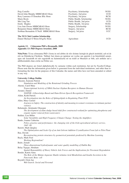| Peig Costello                            | Psychiatry, Scholarship    | <b>NUIG</b> |
|------------------------------------------|----------------------------|-------------|
| David John Murphy MBBChBAO Hons          | Psychiatry, 2nd prize      | <b>UCD</b>  |
| Rory Laurence O'Donohoe BSc Hons         | Psychiatry, 3rd prize      | <b>RCSI</b> |
| Marie Boyle                              | Public Health, Scholarship | <b>NUIG</b> |
| Mei Ling Tan                             | Public Health, 2nd prize   | <b>UCD</b>  |
| Emily Hughes                             | Public Health, 3rd prize   | <b>NUIG</b> |
| Lisa Ann Owens MBBChBAO Hons             | Surgery, Scholarship       | <b>NUIG</b> |
| Benjamin Dunne MBBChBAO Hons             | Surgery, 2nd prize         | <b>RCSI</b> |
| Siobhan Bernadette O'Neill MBBChBAO Hons | Surgery, 3rd prize         | UCC         |
| The NUI Club London Scholarship          |                            |             |
| Daniel Michael O'Brien BAgrSc Hons       | Agriculture                | UCD         |

## **Aguisín 13: Céimeanna PhD a Bronnadh, 2008 Appendix 13: PhD Degrees Awarded, 2008**

**Nóta/Note:** Tá na céimeanna PhD i liosta in ord aibítre de réir sloinne laistigh de ghach institiúid, ach ní de réir na Dáimhe/an Choláiste. Tabhair faoi deara go ngintear an t-eolas san aguisín ó na hinstitiúidí aonair, agus nár leasaíodh nó nár eagraíodh na hainmneacha nó na teidil ar bhealach ar bith, ach amháin iad a athfhormáidiú chun críche na Féilire seo.

The PhD degrees are listed alphabetically by surname within each institution, but not by Faculty/College. Please note that the information given below is generated from the individual institutions, and other than reformatting the lists for the purposes of this Calendar, the names and titles have not been amended or edited in any way.

## **University College Dublin**

| Ahearne, Eamonn Patrick                                                                                |
|--------------------------------------------------------------------------------------------------------|
| Simulation and Modeling of the Rotational Grinding Process                                             |
| Aherne, Carol Mary                                                                                     |
| Transcriptional Activity of NR4A Nuclear Orphan Receptors in Human Disease                             |
| Aioanei, Daniel                                                                                        |
| YASPER: A Knowledge-Based and Data-Driven Speech Recognition Framework                                 |
| Alden, Keith Patrick                                                                                   |
| An Investigation into the Roles of Sphingolipids in Regulating Plant PCD                               |
| Allen, Mary Carmel                                                                                     |
| Journeys to Safety: The construction of identity and meaning in women's resistance to intimate partner |
| violence                                                                                               |
| Babatunde, Akintunde Olusegun                                                                          |
| The development of alum sludge based tidal flow constructed wetland for optimising phosphorus and      |
| organic matter removal from wastewaters                                                                |
| Baldini, Lisa Miller                                                                                   |
| Solar Variability and High Frequency Climate Change: Testing the Amplifiers                            |
| Banks, Joanne Catherine                                                                                |
| Policy, practice and performance: the changing role of the Irish agricultural advisory service,        |
| 1945 - 88                                                                                              |
| Barrett, Mark Quigley                                                                                  |
| The Optimization and Scale-Up of an Anti-Solvent Addition Crystallization From Lab to Pilot Plant      |
| Bau, Davide                                                                                            |
| Reconstructing protein structures by geometrical potentials predicted by Machine Learning              |
| Bayly, Mark Fred                                                                                       |
| Working Regionalism?                                                                                   |
| Bedri, Zeinab                                                                                          |
| Three-dimenstional hydrodynamic and water quality modelling of Dublin Bay                              |
| Belay Tegegn, Abraham                                                                                  |
| Spatial Repeatability of Heavy Vehicle Axle Forces and the Implications for Pavement Degradation       |
| Bender, Katrin Anna                                                                                    |
| The Role of the Malate-Asparate Shuttle inAmino Acid Metabolism and Insulin Secretion in the           |
| Pancreatic Beta-cell                                                                                   |
| Boydell, Oisín Jan                                                                                     |
| Web Search: Social and Personal                                                                        |
|                                                                                                        |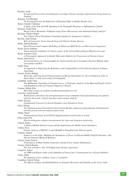| Braiden, Aoife                                                                                                                          |
|-----------------------------------------------------------------------------------------------------------------------------------------|
| Exceptional Preservation of arthropods in an Upper Triassic shoreface deposit from Frome, Somerset,<br>England                          |
| Brangan, Carl Brendan                                                                                                                   |
| An Investigation into the Behaviour of Retaining Walls in Dublin Boulder Clay                                                           |
| Brazil, Jennifer Catherine                                                                                                              |
| A Study of the Role of P13K Signaling in the Neutrophil Response to Inflammatory Stimuli                                                |
| Brennan, Donal John                                                                                                                     |
| Breast Cancer Biomarker Validation using Tissue Microarrays and Automated Image Analysis                                                |
| Brennan, Thérèse Brigid                                                                                                                 |
| New Planar Chiral Phosphine-Containing Ligands for Asymmetric Catalysis                                                                 |
| Browne, John Gerard                                                                                                                     |
| Role of Connective Tissue Growth Factor In Fibrotic Ocular Disease                                                                      |
| Burke, Darren Richard                                                                                                                   |
| Semi-Physical and Compact Modelling of Submicron MOS Devices at Microwave Frequencies                                                   |
| Byrne, Gavin Anthony                                                                                                                    |
| Transcriptional regulation of virulence genes of the intracellular pathogen Rhodococcus equi<br>Byrne, Jennifer Claire                  |
| A Proteomatics Approach to Identify Molecular Markers for Progression in Prostate Cancer                                                |
| Byrne, John David                                                                                                                       |
| Vocational Choice as a Demographic for Search and Inertia in Consumer Decision Making under                                             |
| Uncertainty and Risk                                                                                                                    |
| Cahill, Peter                                                                                                                           |
| An Approach to Improving the Robustness and Comparability of Unit Selection Speech Synthesis                                            |
| <b>Algorithms</b>                                                                                                                       |
| Camon, Evelyn Bridget                                                                                                                   |
| Molecular and Functional Characterisation of Bovine Interleukin-12: Novel Production of IL-12                                           |
| Heterodimer as Self-processing 2A Polypeptide                                                                                           |
| Campbell, Aoife Clare<br>The Midblastula Transition in Xenopus Laevis; A Proteomic Analysis of the Maternal/Xygotic Switch              |
| and Regulation of the p53 Tumour Suppressor Protein                                                                                     |
| Cannon, Máirín Eilis                                                                                                                    |
| Microbial ecology of synthetic pyrethroid degradation in soil                                                                           |
| Casserley, Sarah Noelle                                                                                                                 |
| Randomised controlled trial of hospital-based versus community-based physiotherapy for patients                                         |
| with low back pain: clinical outcomes and economic analysis                                                                             |
| Cellai, Davide                                                                                                                          |
| Fundamental Processes in Slowed Dynamics near Dynamical Arrest                                                                          |
| Chen, Sihong                                                                                                                            |
| Development of novel biocatalysts derived from Bacillus sphaericus phenylalanine dehydrogenase                                          |
| towards activity with non-natural amino acids<br>Childs, Stuart                                                                         |
| Polyunsaturated Fatty Acid (PUFA) Supplementation and Fertility in Cattle                                                               |
| Chua, Chern Pin                                                                                                                         |
| Electrocardiogram-oximetry measurements for sleep and sleepiness monitoring                                                             |
| Church, Karen                                                                                                                           |
| A Study of Mobile Internet Usage and the Implications for Mobile Search Interfaces                                                      |
| Collery, Ross                                                                                                                           |
| Genetic Analysis of RETGC-1 and CRALBP in Zebrafish Cone Photoreceptors                                                                 |
| Connors, Sinéad                                                                                                                         |
| Explorers at the Edge: Mapping the Boundaries of Power in Old and Middle English Literature, with<br>Special Attention Medieval Romance |
| Conroy, James Francis                                                                                                                   |
| Performance of Wind Turbine Generators during Power System Disturbances                                                                 |
| Cooney, Sinéad Brenda                                                                                                                   |
| The Arts of Politics: The 1959 Hugh Lane Pictures Agreement                                                                             |
| Cosgrove, Sonya                                                                                                                         |
| An NMR and Kinetic Study of the Inhibition of Pepsin and --Chymotrypsin by a Glyoxal Inhibitor                                          |
| Cotter, Juliet                                                                                                                          |
| Development of new synthetic route to 7-azindoles                                                                                       |
| Coughlan, Garrett Fintan                                                                                                                |
| The Effects of Injury and Rehabilitation on Dynamic Movement And Stability of the Lower Limb                                            |
|                                                                                                                                         |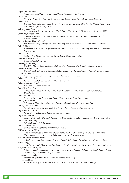| Coyle, Maurice Brendan                                                                                   |  |
|----------------------------------------------------------------------------------------------------------|--|
| Community-based Personalization and Social Support in Web Search                                         |  |
| Crilly, Ciaran                                                                                           |  |
| The (Syn) Aesthetics of Modernism: Music and Visual Art in the Early Twentieth Century                   |  |
| Cullen, Eva                                                                                              |  |
| The Regulation, Expression and Role of the Transcription Factor EGR-1 in the Mature Neutrophil's         |  |
| Response to Inflammatory Stimuli                                                                         |  |
| Cullen, Niamh Ann                                                                                        |  |
| From Avant-gardism to Antifascism: The Politics of Publishing in Turin between 1918 and 1928             |  |
| Cummins, Bridget Alice                                                                                   |  |
| Alternative strategies for improving the efficiency of utilisation of forage and concentrates by         |  |
| finishing cattle                                                                                         |  |
| Cusack, Declan Thomas Patrick                                                                            |  |
| The Application of Quinazoline-Containing Ligands in Asymmetric Transition Metal Catalysis               |  |
| Dalzell, Thomas                                                                                          |  |
| Subjective Disposition to Psychosis in the Schreber Case. Freuds Aetiology between Psychiatry and        |  |
| Psychoanalysis                                                                                           |  |
| Darley, Lisa                                                                                             |  |
| Studies of the Vinylogues of Metal Co-ordinated Carbon Monoxide                                          |  |
| Dawson, Frances Mary                                                                                     |  |
| Cross-Cultural Psychology                                                                                |  |
| Devaney, Fiona Mary                                                                                      |  |
| The Alder Marsh: Ecohydrology and Restoration Prospects of a A Desiccating Dune Slack                    |  |
| Devereux, Barry James                                                                                    |  |
| The Role of Relational and Conceptual Knowledge in the Interpretation of Noun-Noun Compunds              |  |
| D'Helft, Catherine                                                                                       |  |
| Dose and Image Optimisation for Cardiac Interventional Procedures                                        |  |
| Doheny, Emer Patricia                                                                                    |  |
|                                                                                                          |  |
| Neuromusculoskeletal Modelling of the Elbow Joint                                                        |  |
| Doherty, Kenneth Joseph                                                                                  |  |
| Nonclassical Shock Dynamics                                                                              |  |
| Donnellan, Peter Daniel                                                                                  |  |
| Intracellular Signalling by the Prostacyclin Receptor: The Influence of Post-Translational               |  |
| Modification                                                                                             |  |
| Donnelly, Clár Anne                                                                                      |  |
| Bacterial Enzymatic Dehalogenation of Flourinated Aliphatic Compounds                                    |  |
| Dooley, John Patrick                                                                                     |  |
| Behavioural Modelling and Memory Length Calculation of RF Power Amplifiers                               |  |
| Doran, William Patrick                                                                                   |  |
| Investigating Linguistic and Statistical Approaches to Extractive Summarisation                          |  |
| Doyle, Dearbhla Aoife                                                                                    |  |
| Novel Glycosyl Amides and Macrocyclic Compounds                                                          |  |
| Doyle, Jennifer Sarah                                                                                    |  |
| Coming Full Circle: The United Kingdom's Defence Review (1974) and Defence White Paper (1975)            |  |
| Dunne, Eamonn Philip                                                                                     |  |
| Acts of Reading: J. Hillis Miller                                                                        |  |
|                                                                                                          |  |
| Dunne, Terence Edmund                                                                                    |  |
| Studies on the biosynthesis of polyene antibiotics                                                       |  |
| El Khachia, Nour Eddine                                                                                  |  |
| In-vivo analysis of the photosynthetically active fraction of chlorophyll-a, and its Chlorophyll         |  |
| Fluorescence Quenching temporal characteristics in algal suspensions                                     |  |
| Fanning, June Caroline Cabrini                                                                           |  |
| A Study of Immune Responses to Fasciola Hepatic Infection and vaccination in Cattle and Sheep            |  |
| Feeley, Maggie                                                                                           |  |
| Adult literacy and affective equality: Recognising the pivotal role of care in the learning relationship |  |
| Fitzgerald, Joanne Brighid                                                                               |  |
| Using a dynamic system simulation model to assess the influence of climate, soil and climate change      |  |
| on low-cost grass based dairy production                                                                 |  |
| Fitzgerald, John Anthony                                                                                 |  |
| Recognition of Handwritten Mathematics Using Fuzzy Logic                                                 |  |
| Fitzpatrick, Clare                                                                                       |  |
| Shape Analysis of the Resection Surfaces of the Knee in Relation to Implant Design                       |  |
|                                                                                                          |  |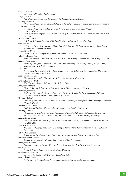| Fitzpatrick, John                                                                                   |
|-----------------------------------------------------------------------------------------------------|
| Voice-over IP Wireless Performance                                                                  |
| Fitzpatrick, Martin                                                                                 |
| New Oxazoline-Containing Ligands for the Asymmetric Heck Reaction                                   |
| Fleming, Lisa Mary                                                                                  |
| Physiological and neuroanatomical studies of the reflex response to upper airway negative pressure  |
| Flynn, Robin James                                                                                  |
| Immunomodulation Fasciola hepatica infection: Implications for animal health                        |
| Freeney, Yseult Miriam                                                                              |
| Studies on Work Engagement: An Exploration of the Factors that Reduce Burnout and Foster Well-      |
| being at work                                                                                       |
| French, John Samuel                                                                                 |
| A Robotic Telescope for Optical Follow-Up Observations of Gamma-Ray Bursts                          |
| Froessler, Frank                                                                                    |
| A Practice Theoretical Analysis of Real Time Collaboration Technology: Skype and Sametime in        |
| Software Development Projects                                                                       |
| Fullen, Brona Mary                                                                                  |
| Low Back Pain Management by Doctors: Impact of Attitudes and Beliefs                                |
| Gallagher, Louise Ann                                                                               |
| Public Attitudes to Solid Waste Infrastructure and the Role Of Compensation and Siting Decisions    |
| Gannon, Rosemarie                                                                                   |
| Exploring the 'spatial' dimension of an 'information society': an investigation of the 'friction of |
| distance' in a rural Irish community                                                                |
| Gao, Yuhui                                                                                          |
| An Incipient Investigation of Key Role Leaders' Personal Values and their Impact on Marketing       |
| Performance and its Antecedents                                                                     |
| García Ordiales, Nuria                                                                              |
| Phase-based Prosodic Cliticisation: A Comparative Study of Asturian                                 |
| Gaynor, Karen Gertrude                                                                              |
| The Phytosociology and Ecology of Irish Sand Dunes                                                  |
| Ging, John Anthony                                                                                  |
| Photonic Design Solutions for Passive & Active Planar Lightwave Circuits                            |
| Gkartzios, Menelaos                                                                                 |
| Revisiting Counterurbanisation: Preferences for Rural Residential Environments and Urban            |
| Generated Rural Housing in the Republic of Ireland                                                  |
| Gleeson, Michael                                                                                    |
| Analysis of the Photochemical Kinetics in Photopolymers for Holographic Data Storage and Hybrid     |
| Photonic Circuits                                                                                   |
| Gorman, Patricia Jane                                                                               |
| God, Sex and Politics: The Interplay of Theology and Gender in Ulysses                              |
| Gormley, Thomas                                                                                     |
| Workplace Partnership in Context: The Effects of Industrial Relations Settings on Partnership       |
| Processes and Outcomes in the Case of the Irish State-Owned Broadscasting Authority                 |
| Greene, Linda Maria                                                                                 |
| Lesbian Athletes and their Experiences of Gender and Sexuality in Competitive Sports in Ireland     |
| $(C. 1980 - 2007)$                                                                                  |
| Hadi Nezhad, Mehri                                                                                  |
| The Use of Rheology and Dynamic Imaging to Assess Wheat Flour Suitability for Confectionery         |
| Production                                                                                          |
| Halley, Paul Graham                                                                                 |
| Temporal profile of gene expression in the rat dentate gyrus following spatial learning             |
| Hallissey, Ronan Patrick                                                                            |
| Systems for Indentifying Critical Source Areas within Catchments                                    |
| Harris, Niall Kenneth                                                                               |
| Characterisation of Factors Affecting Dynamic Heavy Vehicle Infrastructure Interaction              |
| Hassett, Sinéad                                                                                     |
| Innate Tolerance Induction in the Newborn Monocyte                                                  |
| Hazekamp, Anne Marie                                                                                |
| Special Roles in Selected Medieval Welsh Prose Tales                                                |
| Hearty, Aine Patricia                                                                               |
| Exploration of food and meal-based dietary patterns in Irish adults and teenagers                   |
|                                                                                                     |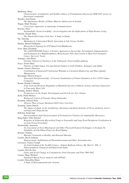| Heffernan, Barry                                                                                                      |
|-----------------------------------------------------------------------------------------------------------------------|
| Characteristics of planktonic and biofilm cultures of Pseudomonas fluorescens DSM 8341 grown on                       |
| fluorinated compounds                                                                                                 |
| Henefer, Jean Elaine                                                                                                  |
| The Information Worlds of Ethnic Minority Adolescents in Irealnd                                                      |
| Hogan, Mark Thomas                                                                                                    |
| Cross-Layer Approches in Autonomic Communications                                                                     |
| Howley, Peter                                                                                                         |
| Sustainability Versus Liveability': An investigation into the Implications of High-Density Living                     |
| Howlin, Niamh Mary                                                                                                    |
| The Nineteenth-Century Irish Jury: A Study in Depth                                                                   |
| Hu, Yansong                                                                                                           |
| Marketing In A Networked World: Innovation in Life Science Toolkits                                                   |
| Hudzia, Benoit Guillaume                                                                                              |
| Hierarchical Topology for P2P Based Grid Middleware                                                                   |
| Ivers, Mary Elizabeth                                                                                                 |
| The CANSURVIVOR Project: A Positive Approach to Surviorship. Development, Implementation                              |
| and Evaluation of a Multidisciplinary, Biosychosial, Piloy Intervention to Meet Post-Treatment                        |
| Cancer Survivors' Needs                                                                                               |
| Jennings, Ann-Marie                                                                                                   |
| Genomic Analysis of Vurulence in the Pathogenic Yeast Candida glabrata                                                |
| Joyce, Tríona Mary                                                                                                    |
|                                                                                                                       |
| Patterns of Added Sugar, Fat and Nutrient Intakes in Irish Children, Teenagers and Adults<br>Jurado, Gustavo Bercerra |
|                                                                                                                       |
| Contribution of Integrated Constructed Wetlands to Catchment Biodiversity and Water Quality                           |
| Management                                                                                                            |
| Kavanagh, Patricia Frances                                                                                            |
| Synvergent Entrepreneurship'. A Forensic Examination of Venture Dynamics in Five UCD Campus                           |
| Companies                                                                                                             |
| Keane, Deirdre Catherine                                                                                              |
| Fatty Acid and Hormone Regulation of Metabolic/Secretory Pathway Activity and Gene Expression                         |
| in Pancraetic Beta Cells                                                                                              |
| Keating, Andrew Martin                                                                                                |
| Perspectives on the Origin, Development and Growth of a New Venture                                                   |
| Kelly, Paula Monica                                                                                                   |
| Biological Control of Parasitic Sheep Nematodes                                                                       |
| Kennedy, Edward Peter                                                                                                 |
| Abrasive Wear of Laser Hardened GG25 Grey Cast Iron                                                                   |
| Kennedy, James Patrick                                                                                                |
| The impact of shade on the morphology, physiology and photochemistry of Picea sitchensis, Larix $x$                   |
| eurolepis and Thuja plicata                                                                                           |
| Killoran, Sarah Jane                                                                                                  |
| Electrosynthesis and Characterisation of Permselective Polymers for Implantable Biosensors                            |
| King-Salter, Giles Edward                                                                                             |
| Response of Arbuscular Mycorrhizal Fungi to Seasonally and Long-Term Phosphorus Fertilisation in                      |
| an Irish Grazed Grassland                                                                                             |
| Ktenioudaki, Anastasia                                                                                                |
| An Assessment of Novel Rheological and Other Physical/Chemical Techniques to Evaluate the                             |
| Suitability of Irish Wheat Flours for Bread Baking                                                                    |
| Kumari, Neelam                                                                                                        |
| Macular Cartenoids in Healthy and Diseased Maculae                                                                    |
| Lawlor, David Anthony                                                                                                 |
| Hyperaromatic Stabilisation of Phenanthrenonium and Other Arenonium Ions                                              |
| Lawrence, Francis Joseph                                                                                              |
| An Irish Gradual of the Twelfth Century - Oxford, Bodleian Library, Ms. Rawl C. 892: A                                |
| Palaeographical, Liturgical and Repertorial Study.                                                                    |
| Layden, Dervila Ann                                                                                                   |
| Genre and Social Change in Contemporary Irish Literature and Film 1990-2001                                           |
| Leeney, Hugo Michael                                                                                                  |
| Simulation Based Power Analysis with APPLES                                                                           |
| Lestini, Elena Rita Maria                                                                                             |
| A Study of Hetrosupramolecular Systems                                                                                |
|                                                                                                                       |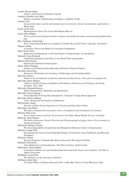| Leyden, Rosaria Maria                                                                               |
|-----------------------------------------------------------------------------------------------------|
| Sythesis of Divalent Carbohydrate Ligands                                                           |
| Linehan, Christine Lucy Mary                                                                        |
| Epilepsy in Ireland: Epidemiology and Impact on Quality of Life                                     |
| Lokmer, Ivan                                                                                        |
| Long period seismic activity and moment tensor inversion in volcanic environments: application to   |
| Mount Etna                                                                                          |
| Lynch, Lydia Anne                                                                                   |
| Haematopoietic Stem Cells in the Adult Human Mucosa                                                 |
| Lynch, Mary Bridget                                                                                 |
| The use of non starch polysaccharides to improve gut health and reduce environmental pollution from |
| pigs                                                                                                |
| Mac Confhaola, Cathal John                                                                          |
| The 5' Untranslated Region as a regulator of Insulin-like growth Factor 1 Receptor Translation      |
| Maguire, Philip                                                                                     |
| A Cognitive Theory and Model of Conceptual Combination                                              |
| Mark, Emily Dawn<br>Memorials and Monuments to the Irish Famine: Commemorative Art and History      |
| Marshall, Fiona Elizabeth                                                                           |
| Competition Regulation and Policy at the World Trade Organisation                                   |
|                                                                                                     |
| Martin, Alan Norman<br>Dynamically Embodied Virtual Agents                                          |
| Matos, Marie-Christine                                                                              |
| Synthesis of Polyhydroxylated Macrolides Related to Natural Products                                |
| McArdle, Gavin Peter                                                                                |
| Interactive 3D Interfaces for Learning, Collaborating and Socialising Online                        |
| McCarron, Pearse                                                                                    |
| Studies in the development of reference materials for phycotoxins, with a focus on azaspiracids     |
| McCarthy, Brian William                                                                             |
| A History Of The Provision and Reform of Probationer Education and Training in the Garda            |
| Siochana, 1922 -2007                                                                                |
| McCarthy, Elizabeth Patricia                                                                        |
| Audio Fingerprinting: Modelling and Optimisation                                                    |
| McCarthy, Kevin Anthony                                                                             |
| From Individual To Group Recommendation: A Dynamic Critique-Based Approach                          |
| McCarthy, Robert Anthony                                                                            |
| A New Strategy for the Synthesis of Himbacine                                                       |
| McCorristine, Shane                                                                                 |
| Varieties of Ghost-Seeing Experience In Victorian and Edwardian Culture                             |
| McCrohan, Ann Maria                                                                                 |
| The effects of dutasteride on prostate cancer cell apoptosis and mechanisms of resistance           |
| McDaid, Shari Lynn                                                                                  |
| Power, Empowerment and User Involvement in the Public Mental Health Services in Ireland             |
| McDevitt, Allan Damien                                                                              |
| The Book of Invasions: Genetic Diversity and Phylogeography of pygmy shrews (Sorex minutus) in      |
| Ireland and Europe                                                                                  |
| McDonald, Michael Vincent                                                                           |
| The Interchangeability of Leadership and Management Behaviour Styles in Organisations               |
| McEniry, Joseph Niall                                                                               |
| Investigating the Factors Controlling Baled Silage Fermentation Using Traditional and Molecular     |
| Techniques                                                                                          |
| McGlynn, Sinéad                                                                                     |
| Spectral Properties of Gamma Ray Bursts Detected by The Integral Satellite                          |
| McGuirk, Paul David                                                                                 |
| From Modernism to Postmodernism: The Films & Fiction of Neil Jordan                                 |
| McKiernan, Aidan Stephen                                                                            |
| Controlled evaluation of a psychoeducational intervention for breast cancer patients: The Time to   |
| <b>Adjust Programme</b>                                                                             |
| McMahon, Ciaran John                                                                                |
| The Prehistory of the Concept of 'Attention'<br>McManus, Emer Mary                                  |
| A Critical Edition of Thomas Heywood's How a Man May Choose a Good Wife from a Bad                  |
|                                                                                                     |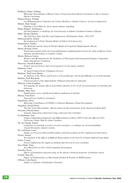| McSherry, Elaine Aishling                                                                              |
|--------------------------------------------------------------------------------------------------------|
| Molecular Determinants of Breast Cancer Progression from Ductal Carcinoma in Situ to Invasive          |
| Ductal Carcinoma                                                                                       |
| Melgar Pernias, Yolanda                                                                                |
| Los Bildungsromane Femeninos de Carmen Boullosa y Sandra Cisneros: Lectura Comparativa                 |
| Mellett, Mark Joseph                                                                                   |
| Defining a Novel Role for Sef in innate immune signalling                                              |
| Moges Banjaw, Awdenegest                                                                               |
| Soil Degradation, a Challenge for Food Security in Imbulo Catchment Southern Ethiopia                  |
| Mohr, Thomas Quentin                                                                                   |
| The Irish Free State And The Legal Implications Of Dominion Status, 1922-1937                          |
| Mohsenimanesh, Ahmad                                                                                   |
| Development of A Finite Element Model of Vehicle-Soil interaction                                      |
| Montedonico, Sandra                                                                                    |
| The Retinoids and the Lung in Nitrofen Model of Congenital Diaphragmatic Hernia                        |
| Moran, Rosalyn Jackie                                                                                  |
| Neural mass models of the electroencephalogram a unifying framework for the study of effective brain   |
| anatomy and physiology in cognitive testing                                                            |
| Morris, Rebecca Louise                                                                                 |
| Kinetics and Mechanisms for the Oxidation of Fluorinated and Oxygenated Organis Compounds              |
| under Atmospheric Conditions                                                                           |
| Morrissey, Niamh Katherine                                                                             |
| Gastric mucosal barrier and cyclooxygenase-2 in the equine stomach                                     |
| Muldoon, Conor                                                                                         |
| An Agent Framework for Ubiquitous Services                                                             |
| Muldoon, Niall Liam Martin                                                                             |
| An Analysis of the Theory and Practice of Psychotherapy with Sexual Offenders in an Irish Institute    |
| Mullane, Niall Raymond                                                                                 |
| Characterisation of the Opportunistic Pathogen Enterobacter Sakazakii                                  |
| Mulryan, Linda Josephine                                                                               |
| Investigating the lasting effects of perinatal exposure to low levels of xenoestrogens on learning and |
| behaviour                                                                                              |
|                                                                                                        |
|                                                                                                        |
| Murphy, Mary Nora                                                                                      |
| Epidemiology of two significant foodborne pathogens in Ireland                                         |
| Murray, Cian Daire                                                                                     |
| Stereoselective Synthesis of Lignans                                                                   |
| Napoletano, Silvia                                                                                     |
| Molecular Contribution of CITED1 to Pubertal Mammary Gland Development                                 |
| Naughton, Gerald David                                                                                 |
| The One Great Discontinuity :African American Reconstructions of the American Family Idyll             |
| Newman, Edward James                                                                                   |
| Semantic Equivalence Detection Using a Decision-Tree Classifier                                        |
| Ní Ghabhann, Joan                                                                                      |
| Antigen-independent Expansion and Differentiation of Naïve CD8 T Cells into Effector CTLs              |
| Following Culture With Ac-chain Cytokines                                                              |
| Nic An Ultaigh, Sinéad                                                                                 |
| Cathepsins in nematode excretory-secretory products: co-ordinate use of Caenorhabditis                 |
| elegans/Strongylus vulgaris systems                                                                    |
| Nic Lochlainn, Laura                                                                                   |
| Studies on Precursor-Directed Biosynthesis and Glycosylation of New Amphotericin Derivatives           |
| Nichol, Alistair                                                                                       |
| Investigation of the Effects of Buffered Hypercapnia on the Severity of Sepsis Induced Lung Injury     |
| Nolan, Cormac                                                                                          |
| Factors Influencing the supply, recruitment and survival of coral reef fishes                          |
| Noor Ellahi, Tariq                                                                                     |
| Java Based Peer-to-Peer Grid Computing Environment                                                     |
| Noronha, Nessa                                                                                         |
| Effects of formulation and processing on the physico-chemical properties of imitation cheese           |
| Ó Dúill, Séan Pio                                                                                      |
| Impact of Nonlinearities on Wavelength-labelled IP Packets in WDM Systems                              |
| O'Brien, Colin David                                                                                   |
| Studies is Synthetic Carbohydrate Chemistry                                                            |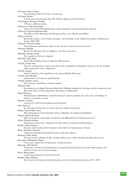| O'Connor, Eimear Marie                                                                                               |
|----------------------------------------------------------------------------------------------------------------------|
| Sean Keating (1889-1977) New Perspectives                                                                            |
| O'Connor, Róisín                                                                                                     |
| A Proteomoic Investigation Into The Proteins Released From Platelets                                                 |
| O'Donoghue, Brendan Timothy                                                                                          |
| A Poetics of Homecoming                                                                                              |
| O'Donovan, John Christopher                                                                                          |
| Trust in the Social Web Applications in Recommender Systems and Online Auctions                                      |
| O'Driscoll, Keelin Katherine Mary<br>The Effect of Out-Wintering Pad Design on Dairy Cow Health and Welfare          |
| O'Dwyer, Kieran                                                                                                      |
| Restorative Justice in the Garda Siochana: An Evaluation of the Garda Programme of Restorative                       |
| Justice 2002-2003                                                                                                    |
| O'Farrell, Christina Eithne                                                                                          |
| Thermodynamic and Kinetic Study of the Solvation of Some Non-electrolytes                                            |
| Okamuro, Minako                                                                                                      |
| Beckett the Medium: Elective Affinities with Yeats and Joyce                                                         |
| O'Keeffe, Declan Joseph                                                                                              |
| The cognition of being in Aquinas                                                                                    |
| O'Keeffe, Mark Kent                                                                                                  |
| Search-Based Refactoring for Software Maintenance                                                                    |
| O'Neill, Carmel Ann                                                                                                  |
| The role of adenosine receptor activation in the modulation of dopamine release in the rat striatum:                 |
| studies using fast cyclic voltammetry                                                                                |
| O'Neill, Eoghan                                                                                                      |
| Genetic Analysis of the Staphylococcus aureus Biofilm Phenotype                                                      |
| O'Neill, Eoin Michael                                                                                                |
| Explorations in Economics and Planning                                                                               |
| O'Neill, Jennifer Louise                                                                                             |
| Diet, Lifestyle and Obesity in Irish Children<br>O'Regan, Edel                                                       |
| Development of a Rapid Detection Method for Multiple Salmonella Serotypes and Investigation of the                   |
| Molecular Basis of Fluoroquinolone Resistance in Salmonella                                                          |
| Pang, Wanyong                                                                                                        |
| Immunological inflammatory and physiological responses during the acute stress of banding or                         |
| burdizzo castration in cattle                                                                                        |
| Pannier, Liselotte                                                                                                   |
| A Search for DNA Polymorphisms and Signature                                                                         |
| Paul, Patrick J.                                                                                                     |
| Re-Visioning EU Security A Critical Security Studies Perspective                                                     |
| Phelan, Sinéad Mary Alice                                                                                            |
| Micropropagation of Ornamentals: Salvia, Tulbaghia, Erysimum and Buddleia                                            |
| Pilgrim, Wayne Kenneth                                                                                               |
| Effect of apoptotic neutrophils on function and differentation of human monocytes                                    |
| Power, Patrick Anthony                                                                                               |
| Production of Non-Toxic Amphotericin Derivatives by Engineered Biosynthesis                                          |
| Radley, Emma Bridget                                                                                                 |
| Uncanny Interlocutions The Dynamics of the Real in Contemporary Cinema                                               |
| Radu, Theodora Christina                                                                                             |
| Completely Bounded Polynomials between Operator Spaces                                                               |
| Rattigan, Paraic Hugh                                                                                                |
| The Assessment of Bridge Traffic Loading Allowing for Vehicle-Bridge Dynamic Interaction<br>Razzaque, Mohammed Abdur |
| Cross-Layer Approches in Autonomic Communications                                                                    |
| Rehmann, Nils Patrick                                                                                                |
| Preparative isolation and purification of Azaspiracids and related toxins from blue mussels and                      |
| characterisation of new toxin analogs                                                                                |
| Reidy, Brian James                                                                                                   |
| Carbon Sequestration in Irish Forest Soil                                                                            |
| Relihan, Mary Martina                                                                                                |
| The Church of Ireland and Its Relationship with the Irish Education System 1922 -1950                                |
|                                                                                                                      |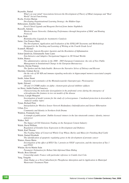Reynolds, Sinéad *What's on your mind? Associations between the Development of Theory of Mind, Language and "Real World" Social Functioning.*  Roche, Evelyn Marian *Developing Orgainisational Learning Strategy: the Hidden Gaps* Rübesamen, Jennifer Anne *Novel Chiral Ligands and Reagents Derived from Amino Naphthols* Ruzzelli, Antonio *Wireless Sensor Networks: Enhancing Performance through Integration of MAC and Routing Protocols*  Ryan, Ruth *Bisimidazoline Ligands for Asymmetric Catalysis* Sarno, Una Frances Mary *The Development, Application and Evaluation of the EPILLAW Taxonomy and Methodology Designed for the Teaching and Learning of Writing at the Fourth Grade Level*  Scannell, Michael *Pleiotropic Lipoxin Receptor Agonists and the Resolution of Inflammation*  Schon Quinlivan, Emmanuelle Anne Laure *Non-Intrusive and Adaptive Navigational Support in 3D Virtual Worlds* Schön, Bianca *The administrative reforms in the 2000 - 2005 European Commission: the role of New Public Management in Instututional Change in the European Bureaucracy* Sheerin, Declan Finnian *The Spoken and the Indeclinable: Between the Narrative Selves of Deleuze and Ricoeur* Sheridan, Graham Kevin *On the role of NF-KB and immune-signaling molecules in hippocampal memory-associated synaptic plasticity* Smith, Adam Stuart *Anatomy and systematics of the Rhomaleosauride (Sauropterygia: Plesiosauria)*  Spink, Edward *1H and 13 CNMR studies on alpha- chymotrypsin-glyoxal inhibitor adducts* ter Horst, Judith Pauline Francisca *Characterising the molecular dysregulation in the prefrontal cortex during the emergence of schizophrenia-like features in two rat models of the disease* Tormey, Laragh Margaret *Investigation of model systems for the study of cyclooxygenase- 2 mediated protection in doxorubicin -induced cardiac injury* Tynan, Richard Peter *Interpolation for Wireless Sensor Network Redundancy Indentification and Sensor Hibernation*  Urban, Eva *Community and Identity in Northern Irish Drama* Waldron, Fionnuala Joan *A triumph of publicanism'. Dublin licensed vintners in the late nineteenth century: identity, interest and power*  Walker, Neil *The Impact of CO2 Emissions Trading on the European Cement Industry* Walsh, David William *Regulation of Gremlin Gene Expression in Development and Diabetes*  Walsh, Karl Thomas *The Feeding Value of Conserved Whole-Crop Wheat, Barley and Maize for Finishing Beef Cattle* Walsh, Sinéad Elizabeth *The identification of apoptotic regulating genes in the development of prostate cancer*  Watters, Karen Maria *Investigation of the effect of HTLV Tax 1 protein on VEGF expression, and the interaction of Tax 1 and PFD3* Whelan, Kevin Martin Seán *Parameter Estimation for Robust Side-Informed Data Hiding* Woods, Ross Edward *Censorship under Franco with particular reference to Camilo José Cela* Yang, Yongzhe *Alum Sludge as a Novel Adsorbent for Phosphorus Adsorption and its Application in Municipal Wastewater Treatment Plant*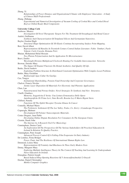## Zhang, Yi

| Relationships of Power Distance and Organizational Climate with Employees' Innovation - A Study |  |  |  |  |  |
|-------------------------------------------------------------------------------------------------|--|--|--|--|--|
| of Chinese R&D Professionals                                                                    |  |  |  |  |  |
| Zhang, Zhihang                                                                                  |  |  |  |  |  |

*Experimental and Numerical Investigation of Vacuum Cooling of Cooked Rice and Cooked Diced Beef as Chilled Ready Meal Components*

# **University College Cork**

| Ambrose, Monica                                                                                                                            |
|--------------------------------------------------------------------------------------------------------------------------------------------|
| Investigation Of Novel Therapeutic Targets For The Treatment Of Oesophageal And Renal Cancer                                               |
| Audoit, Guillaume                                                                                                                          |
| Synthesis And Characterisation Of Templated Silicon And Germanium Nanowires.                                                               |
| Baylor, Gordon Hugh                                                                                                                        |
| Structural Shape Optimisation Of 3D Elastic Continua Incorporating Surface Point Mapping.                                                  |
| Best, David Albert                                                                                                                         |
| Representations Of Rurality In Twentieth Century Central Italian Literature: Fabio Tombari, Paolo<br>Volponi, Carlo Cassola, Romana Petri. |
| Bhuian, Mohammed Belal Hossain                                                                                                             |
| Two-Photon Polymerisation And Its Application To Microstructures                                                                           |
| Bravi, Emilio                                                                                                                              |
| Wavelenght Division Multiplexed Clockwork Routing For Scalable Interconnection Networks                                                    |
| Browne, Deirdre Mary                                                                                                                       |
| The Impact Of Enamel Fluorosis On Dental Aesthetics And Quality Of Life.                                                                   |
| Burke, David Andrew                                                                                                                        |
| Exploiting Problem Structure In Distributed Constraint Optimisation With Complex Locat Problems                                            |
| Butler, Mary Geraldine                                                                                                                     |
| Buitlearaigh Agus Cultur Na Gaeilge.                                                                                                       |
| Cao, Tongyu                                                                                                                                |
| Institutional Shareholding, Pension Fund Ownership And Corporate Governance.                                                               |
| Chalvet, Francis Nicolas                                                                                                                   |
| Atomic Layer Deposition Of Materials For Electronic And Photonic Applications                                                              |
| Chen, Lan                                                                                                                                  |
| Nanostructured And Porous Oxides: Novel Strategies To Synthesis And New Structures.                                                        |
| Cinelli, Gianluca                                                                                                                          |
| Memoria, Soggettivita E Verita: Una Lettura Ermeneutica Delle Opere                                                                        |
| Autobiografiche Di Primo Levi, Nuto Revelli, Rosetta Loy E Mario Rigoni Stern.                                                             |
| Clifford, Noretta                                                                                                                          |
| Functions Of The EphA3 Receptor Tyrosine Kinase In Cancer                                                                                  |
| Connolly, Michael Mario                                                                                                                    |
| The Prehistoric Settlement Of The Lee Valley, Tralee, Co. Kerry: A Landscape Perspective.<br>Copuroglu, Mehmet                             |
| Development Of Polymer Nanocomposite Materials.                                                                                            |
| Cortes Dieguez, Juan Pablo                                                                                                                 |
| Developing Online Dispute Resolution For Consumers In The European Union.                                                                  |
| Cremin, Derek John                                                                                                                         |
| The Internet As A Research Tool For Musicology                                                                                             |
| Cunningham, Denise Carol                                                                                                                   |
| An Exploration Of The Perspectives Of The Various Stakeholders Of Preschool Education In                                                   |
| Ireland In Relation To Ouality Practice.                                                                                                   |
| Cunningham, Peter Joseph                                                                                                                   |
| Advanced Process Control Of A Falling-Film Evaporator In Dairy Industry                                                                    |
| De Londras, Fiona Bridget                                                                                                                  |
| Power, Panic And The Resilience Of International Human Rights Law.                                                                         |
| Denmead, Louise Mary                                                                                                                       |
| Representations Of Feminity And Blackness In Three Early Modern Texts                                                                      |
| Denny, Margaret Mary                                                                                                                       |
| Exploring Multiple Intelligence Theory In The Context Of Teaching And Learning In Undergraduate                                            |
| Nurse Education In Ireland.                                                                                                                |
| Donoghue, Patrick Joseph                                                                                                                   |
| Based Induced Ring-Opening Reactions Of 5-Arenesulfonylmethyl-2-Oxazoli                                                                    |
| Doolan, Daniel Christopher                                                                                                                 |
| Mobile Computer Graphics                                                                                                                   |
|                                                                                                                                            |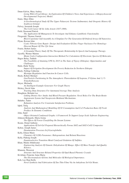| Dunn-Galvin, Mary Audrey                                                                                                             |
|--------------------------------------------------------------------------------------------------------------------------------------|
| Living With A Food Allergy: An Exploration Of Children's Views And Experiences. A Biopsychosocial<br>Developmental Trajectory Model. |
| Ennis, Mary Ellen                                                                                                                    |
| A Geochronological Study Of The Upper Palaeozoic Tectono Sedimentary And Orogenic History Of<br>Southwest Ireland.                   |
| Falvey, Jeremiah Joseph                                                                                                              |
| The Cork Career Of Sir John Arnott (1837-1898).                                                                                      |
| Field, Desmond Patrick<br>The Application Of Mutagenesis To Investigate And Enhance Lantibiotic Functionality                        |
| Fitzgerald, Thomas Garrett                                                                                                           |
| Block Copolymer Self-Assembly As A Template For The Generation Of Ordered Arrays Of Nanowires.<br>Flynn, Rowan John                  |
| Cystic Fibrosis Gene Repair: Design And Evaluation Of Zinc Finger Nucleases For Homology-<br>Directed Repair Of The Cftr Gene        |
| Fourie, Robert James                                                                                                                 |
| A Grounded Theory Study Of The Therapeutic Relationship In Speech And Language Therapy.                                              |
| Gyorffy, Werner Marton                                                                                                               |
| Monte Carlo Configuration Interaction Method For Calculation Of Electronic Spectra Of Molecules<br>Hagos Belay, Taddele              |
| The Feasibility of Attaining UPE by 2015 in The State of Tigray (Ethiopia): Opportunities and<br>Challenges                          |
| Haile, Haile Tesfay<br>Impact Of Irrigation Development On Poverty Reduction In Northern Ethiopia                                    |
| Healy, Nollaig Catherine<br>Mystique Regulation And Function In Cancer Cells.                                                        |
| Healy, Robert Michael                                                                                                                |
| Gas/Particle Partitioning In The Atmospheric Photoxidation Of Isoprene, P-Xylene And 1,3 5-<br>Trimethylbenzene                      |
| Heyer, Michaela                                                                                                                      |
| An Intelligent Example Generator For Graph Theory                                                                                    |
| Hickey, David John                                                                                                                   |
| Tracking Data Structures For Automated Average Time Analysis                                                                         |
| Houghton, Belinda Lee<br>Linking Dietary Na+ Intake And Blood Pressure Regulation: Novel Roles For The Brain Renin-                  |
| Angiotensin System And Vasopressin-Mediated Mechanisms.                                                                              |
| Hulubei, Tudor                                                                                                                       |
| Refutation Analysis For Constraint Satisfaction Problems.<br>Iqbal, Tariq                                                            |
| Analysis And Mathematical Modelling Of 02 Consumption And Co2 Production Rates Of Fresh<br>Produce In Dynamic Conditions             |
| John, Sunil                                                                                                                          |
| Object Oriented Condensed Graphs: A Framework To Support Large-Scale Software Engineering<br>Johnson-Beljaards, Maria Josina         |
| The Effects Of Forest Clearfelling On Stream Systems                                                                                 |
| Keane, Donal Anthony<br>Applications Of Sol-Gel Prepared Hierarchically Porous SiO2 and SiO2-CeO2 Composites                         |
| Kehoe, Joseph James<br>Denaturation Processes In $\beta$ -Lactoglobulin.                                                             |
| Kelly, Eileen Marie<br>Chemistry Of 3(2H)-Furanones: Halogenations And Related Reactions                                             |
| Kelly, Pádraig Joseph                                                                                                                |
| Enantioselective Transition Metal Catalysed Oxidation Of Sulfides.<br>Khan, Maida Abdulssatar                                        |
| Engineering Analysis Of Osmotic Dehydration Of Mango: Effect Of Mass Transfer And Quality<br>Kinetics.                               |
| Khunsin, Worawut                                                                                                                     |
| Structure And Structure-Related Properties Of Opal-Based Photonic Crystals                                                           |
| Kivlehan, Francine Anna Maria<br>The Electroanalysis Of Ions And Molecules Of Biological Importance.                                 |
| Koh, Lee Huat Kelly                                                                                                                  |
| Novel Synthesis And Fabrication Of Zno Thin Films Via An Anhydrous Sol-Gel Route.                                                    |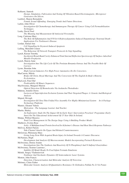| Kulkarni, Santosh                                                                                                     |
|-----------------------------------------------------------------------------------------------------------------------|
| Design, Simulation, Fabrication And Testing Of Vibration Based Electromagnetic, Micropower                            |
| Generators On Silicon.                                                                                                |
| Lambert, Sharon Bernadette                                                                                            |
| Female Sexual Offending: Emerging Trends And Future Directions.                                                       |
| Larkin, John Oliver                                                                                                   |
| Investigation Of Chemotherapy And Immunogene Therapy Of Cancer Using Cell Permeabilisation                            |
| Techniques.                                                                                                           |
| Leahy, David Noel                                                                                                     |
| The Meaning And Measurement Of Antisocial Personality.                                                                |
| Long, Caitriona Mary                                                                                                  |
| The Role Of Inflammation And P38 In 6-Hydroxydopamine-Induced Dopaminergic Neuronal Death -                           |
| Implications For Parkinson's Disease.                                                                                 |
| Lordan, Sinéad Ann                                                                                                    |
| Cell Signalling In Oxysterol-Induced Apoptosis                                                                        |
| Lulling, Meredith Connor                                                                                              |
| The Behaviour Of Network Transport Protocols In Voip Signalling.                                                      |
| Lynch, Kieran Timothy                                                                                                 |
| Incoherent Broad-Band Cavity-Enhanced Total Internal Reflection Spectroscopy Of Surface-Adsorbed                      |
| Metallo-Porphyrins                                                                                                    |
| Lynch, Sharon Anne                                                                                                    |
| Investigation Into The Life Cycle Of The Protistan Bonamia Ostreae And The Possible Role Of                           |
| Carriers                                                                                                              |
| Lyons, Brendan John                                                                                                   |
| High-Current Inductors For High-Power Automotive Dc-Dc Converters.                                                    |
| MacCarron, Máirín                                                                                                     |
| Brides Of Christ, Royal Marriage And The Conversion Of The English In Bede's Historia                                 |
| Ecclesiastica                                                                                                         |
| MacLeod, Finn Olaf                                                                                                    |
| Predictability Of Binary Sequences.                                                                                   |
| MacSweeney, Margaret Marion                                                                                           |
| Optical Detection Of Biomolecules Via Avalanche Photodiodes                                                           |
| Mahony, Jennifer Dawn                                                                                                 |
|                                                                                                                       |
| Lactococcal Superinfection Exclusion Systems And Their Targetted Phages: A Genetic And Biological                     |
| Analysis                                                                                                              |
| Majeed, Bivragh                                                                                                       |
| Investigation Of Ultra-Thin Folded Flex Assembly For Highly Miniaturised System- In-A Package                         |
| Technology Platforms                                                                                                  |
| Mannix, Eleanor Valerie                                                                                               |
| Motivation - The Language Learner And Teacher.                                                                        |
| Martin, Shirley                                                                                                       |
| An Exploratory Study On The Impact Of An Early Years' Intervention Preschool Programme (Early                         |
|                                                                                                                       |
| Start) On The Educational Achievement Of 15 Year Olds In Ireland.                                                     |
| Matipa, Wilfred Masuwa                                                                                                |
| Total Cost Management At The Design Stage Using A Building Product Model.                                             |
| Matthews, Evelyn Rose                                                                                                 |
| Jerky: A Multifunctional Protein Involved In Alzheimer's Disease And Heat Shock Response Pathways                     |
| McEvoy, Robert Patrick                                                                                                |
| Side-Channel Attacks On Fpgas And Related Countermeasures.                                                            |
| McGowan, Philomena Mary                                                                                               |
| Living Long-Term With Acquired Brain Injury In Ireland Towards A Counter Discourse.                                   |
| McNamara, Hugh                                                                                                        |
| Development And Analysis Of Macroeconomic Models Incorporating Preisach Hysteresis.                                   |
| McSweeney, Denise Joanne                                                                                              |
| Investigations Into The Synthesis And Reactivity Of N-Phosphinoyl And N-Sulfonyl Oxaziridines                         |
| McSweeney, Seamus Laurence,                                                                                           |
| Stability Of Model Ready-To-Feed Infant Formula Emulsions                                                             |
| Melnik, Sergey Vladimirovich                                                                                          |
| Nonlinear And Stochastic Dynamics Of Semiconductor Laser Systems.                                                     |
| Menton, John Francis                                                                                                  |
| Detection, Characterisation And Molecular Analysis Of Norovirus                                                       |
| Moloney, Claire Esther<br>Molecular Genetic Analysis Of Quantitative Resistance To Globodera Pallida Pa 2/3 In Potato |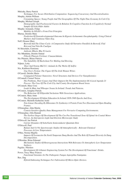| Mulcahy, Barry Patrick                                                                                                            |
|-----------------------------------------------------------------------------------------------------------------------------------|
| Techniques For Secure Distribution Computation: Sequencing Concurrency And Decentralisation.                                      |
| Murphy, Adrian William                                                                                                            |
| Consuming Spaces: Young People And The Geographies Of The Night-Time Economy In Cork City<br>Murphy, Michael Joseph               |
| Demographic And Psychosocial Factors In Relation To Cognitive Function In A Cognitively Normal                                    |
| Sample Of Irish Older Adults                                                                                                      |
| Murphy-Armando, Felipe                                                                                                            |
| Mobility In GExSI1-x From First Principles                                                                                        |
| Murray, Deirdre Mary                                                                                                              |
| Prediction Of Neurodevelopmental Outcome In Hypoxic-Ischaemmic Encephalopathy: Using Clinical<br>Markers And Continous Video-Eeg. |
| Neff, Eleanor Mary                                                                                                                |
| Beowolf And The Ulster Cycle: A Comparative Study Of Narrative Parallels In Beowolf, Fled                                         |
| Bricrend And Tain Bo Cuailgne                                                                                                     |
| Ní Shiocháin, Caitriona                                                                                                           |
| Amhrain Mhaire Bhu Ni Laeire                                                                                                      |
| Nic Mhathúna, Deirdre Sinéad<br>Filiocht Phiarais Feiritear: Cnuasachdanta.                                                       |
| Nic Phiarais, Blaise Patricia                                                                                                     |
| The Suitability Of Buckwheat For Malting And Brewing.                                                                             |
| Nijhuis, Letty                                                                                                                    |
| 'Deor And Nytenu Mid Us': Animals In The Works Of Aelfric                                                                         |
| Nix, Kathleen Rosemary                                                                                                            |
| Una Troy's Fiction: The Figure Of The Irish Women Writer.<br>O'Carroll, Deirdre Marie                                             |
| Conjugated Polymer Nanowires: Novel Structures And Devices For Nanophotonics                                                      |
| O'Connell, Carmel Teresa                                                                                                          |
| The Problems, Their Causes And Their Impacts On The Implementation Of A Local Agenda 21                                           |
| Process: The Case Of The Cork City And County Development Board Areas                                                             |
| O'Connell, Mary Cora                                                                                                              |
| Leads In Mute And Whooper Swans In Ireland: Trends And Patterns.<br>O'Connor, Aonghus Patrick                                     |
| The Behaviour Of Ellipsoidal Inclusions With Geoscience Applications.                                                             |
| O'Connor, Mary Anne                                                                                                               |
| The Development Of Infant Education In Ireland 1838-1948 Epochs And Eras.                                                         |
| O'Connor, Michelle Katherine Aoife                                                                                                |
| Non-Linear Decoding By Ribosomes To Synthesize A Protein From Two Disconnected Open Reading                                       |
| Frames.<br>O'Donoghue, John Martin                                                                                                |
| Context-Sensitive Quality Data Management For Pervasive Computing Environments.                                                   |
| O'Donoghue, Orla Hannah                                                                                                           |
| The Earliest Stages Of Development Of The Cns-Pns Transitional Zone Of Spinal An Cranial Motor                                    |
| Nerves. An Interspecies Light And Electron Microscopic Study                                                                      |
| O'Driscoll, Ian Patrick                                                                                                           |
| Carrier Dynamics Of InAs/GaAs Semiconductor Quantum Dots<br>O'Driscoll, Paul                                                      |
| Raman And Uv/Vis Spectroscopic Studies Of Atmospherically - Relevant Chemical                                                     |
| Processes At Low Temperatures                                                                                                     |
| O'Hea, Norma Majella                                                                                                              |
| Impacts Of Ivermectin On North Temperate Dung Beetles And The Role Of Faunal Diversity In Dung                                    |
| Decomposition.                                                                                                                    |
| O'Riordan, Brian Edmond<br>Mechanistic Studies Of Heterogeneous Interactions With Relevance To Atmospheric Low-Temperature        |
| Surfaces.                                                                                                                         |
| Pagidas, Nikolaos                                                                                                                 |
| Development Of A Kansei Engineering System For The Development Of Functional Drinks.                                              |
| Power, Tracy Mary Frances                                                                                                         |
| Functional Genomics In The Pathogenic Fungus Aspergillus Fumigatus.                                                               |
| Rao, Jing<br>Hybrid Embossing Techniques For Fabrication Of Micro-Optic Devices.                                                  |
|                                                                                                                                   |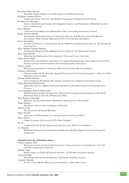| Reynolds, Mark Thomas                                                                          |
|------------------------------------------------------------------------------------------------|
| Optical/Ir Studies Of Quiescent X-Ray Binaries And Related Systems.                            |
| Rodriguez Aguilera, Rocio                                                                      |
| Engineering Design Of Active And Modified Atmosphere Packaging Of Soft Cheese.                 |
| Rosberg, Eva Marianne                                                                          |
| Genetic And Functional Analysis Of Conjugated Linoleic Acid Production In Bifidobacteria And   |
| Lactic Acid Bacteria.                                                                          |
| Rossi, Roberto                                                                                 |
| Constraint Programming For Optimization Under Uncertainty In Inventory Control.                |
| Rouse, Susan Catherine                                                                         |
| Investigation Of The Bio-Protective Properties Of Lactic Acid Bacteria From The Malting        |
| Environment, With Potential Application In The Food And Brewing Industry                       |
| Ryan, Anna Maria                                                                               |
|                                                                                                |
| Territory And Process: An Exploration Of The Wholeness Of Spatial Experience At The Meeting Of |
| Land And Sea.                                                                                  |
| Ryan, William Anthony Matthew                                                                  |
| Fundamental Studies In The Antifungal Activity Of Lactic Acid Bacteria In Ireland.             |
| Saha, Chitta Ranjan                                                                            |
| Modeling And Optimization Electromagnetic Vibrational Power Generator.                         |
| Scully, Norma Mary                                                                             |
| Bonded Silica Intermediates And Phases For Liquid Chromatography Using Supercritical Carbon    |
| Dioxide Synthesis Characterisation And Chromatographic Performance                             |
| Sheehy, Sorcha                                                                                 |
| Bird Aircraft Interactions: Pathology, Behavioural Ecology And Aerodynamics.                   |
| Stockley, John Henry                                                                           |
|                                                                                                |
| Characterisation Of The Beta-Site Amyloid Precursor Protein Cleaving Enzymej-1 (Bace-1) In The |
| Alzheimer'S Disease Brain                                                                      |
| Thomas, Robert William                                                                         |
| Larval Settlement And Benthic Recruitment: Variation Over Temporal And Spatial Scales.         |
| Tyther, Raymond Bartholemew                                                                    |
| Application Of Novel Affinity Purification Methods To Proteomic Analysis Of Stress Response    |
| Proteins.                                                                                      |
| van Landeghem, Katrien Joanna Jozef                                                            |
| High-Resolution Seafloor Evidence For Glacial And Post-Glacial Environments In The Tidally     |
| Dominated Irish Sea On The NW European Shelf.                                                  |
| Wall, Rebecca Anna Mia                                                                         |
| Metabolic Activity of the Enteric Microbiota: Implications for Host Health                     |
| Walsh, Maurice                                                                                 |
| The History Of Irish Army Intelligence 1918-1945.                                              |
|                                                                                                |
| Whelan, Clare                                                                                  |
| The Assessment Of Sexual Offending.                                                            |
| Wilke, Nicolle                                                                                 |
| Fabrication Of Microneedles For Electroportation And Drug Delivery                             |
| Wisse, Marco                                                                                   |
| Charge Exchange Spectroscopy In The Mast Tokamak.                                              |
| Xu, Ju                                                                                         |
| Confined Growth Of One Dimensional Nanostructures With Porous Templates                        |
| Ye, Zhipeng                                                                                    |
| Modelling Simulation And Architecture Modification Of Delta-Sigma Fractional-N Frequency       |
| Synthesizers.                                                                                  |
|                                                                                                |
|                                                                                                |
|                                                                                                |
|                                                                                                |
| <b>National University of Ireland, Galway</b>                                                  |
| Abram, Florence Julie                                                                          |
| Responses to stress in Listeria monocytogenes: Using proteomics to investigate the role of the |
| alternative sigma factor, Sigma B                                                              |
| Ahmed, Vaqar                                                                                   |
| Welfare Impact of Trade and Taxation Reforms: A CGE-Mircosimulation Analysis                   |
| Ainsworth, Jude                                                                                |
| Recombinant Bovine Growth Hormone and Peptide Amidating Activity                               |
|                                                                                                |
| Anninou, Pinelopi<br>Arsenic in Irish Marine Waters and its Potential as a Water Mass Tracer   |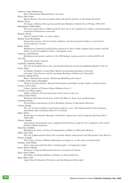| Avdeeva, Anna Dmitriyevna                                                                                                 |
|---------------------------------------------------------------------------------------------------------------------------|
| Three-Dimensional Magnetotelluric Inversion                                                                               |
| Barry, Peter James                                                                                                        |
| Marine Bivalves from the porcupine bank with special reference to the minute thyasirids                                   |
| Berber, Neval                                                                                                             |
| The Image of Bosnia-Herzegovina and Bosnian Muslims in British Travel Writing 1848-1914                                   |
| Bhreathnach, Póilín Máire                                                                                                 |
| The transcription factors CREI snd ACEI: their role in the regulation of cellulase and hemicellulase                      |
| expression inTalaromyces emersonii                                                                                        |
| Bisagni, Jacopo                                                                                                           |
| Amrae Coluimb Chille: A critical edition                                                                                  |
| Boland, Susan Bernadette                                                                                                  |
| Integrating enzymes, election transfer mediators and mesostructured surfaces to provide bio-<br>electroresponsive systems |
| Breen, Ailish                                                                                                             |
| Modulation of impaired would healing responcse by Nitric Oxide Synthase Gene transfer and thE                             |
| ability of a fivrim scaffold to deliver a therapeutic gene                                                                |
| Canavan, Lynn Edwina                                                                                                      |
| Biochemical and genetic analysis of the ATR damage response protein in chicken DT40 cells                                 |
| Cao, Hui                                                                                                                  |
| End-of-life product analysis                                                                                              |
| Caulfield, Catherine Dolores                                                                                              |
| The role of irradiated diet in the experimental induction of leucoencephalomyelopathy in the Cat                          |
| Clyne, Mark                                                                                                               |
| An Elliptic-Parabolic Coastal Wave Model Incorporating Shorelines of Varying                                              |
| Curvature Using Tensors and Incorporating Breaking with Recovery Using Rays                                               |
| Coleman, Martin Oliver                                                                                                    |
| Battery Management Systems: Monitoring Modelling and Control                                                              |
| Conliffe, Felim James Christopher                                                                                         |
| Fluids in the Irish Onshore Massif-Fluid Inclusion and Stable Isotope Studies of Irish Granites                           |
| Cooley, Carol Louise                                                                                                      |
| Genetic Analysis of Telomere Repeat Binding Factor 1                                                                      |
| Costello, Lisa Marie Agnes                                                                                                |
| Studies relating to Protein Expression in the Uterus of the Cow                                                           |
| Cullen, Emily Eileen                                                                                                      |
| Meanings and Cultural Functions of the Irish Harp as Torpe, Icon and Instrument                                           |
| Cummins, Ronan                                                                                                            |
| The Evolution and Analysis of Term-Weighting Schemes in Information Retrieval                                             |
| Curran, Deirdre                                                                                                           |
| The role of legal regulation in promoting employee voice: The implementation of the European                              |
| Information and Consultaton Directive in Ireland.                                                                         |
| Dann, Jeffrey                                                                                                             |
| British Sports in Ireland: Muscular Christianity, Amateruism, and the Imperial Sporting Ethos c.                          |
| 1860-1940                                                                                                                 |
| Dooley, Stephen                                                                                                           |
| Autoignition measurements and a validated detailed kinetic model for the combustion of the model                          |
| biodiesel Methyl butanoate.                                                                                               |
| Dorai Raj, Siobhán                                                                                                        |
| Identifying the Source of Faecal Contamination of Water by Molecular Methods                                              |
| Duffy, Gary Paul                                                                                                          |
| The role of Mesenchymal Stem Cells in Cardiac Repair, Angiogenesis and Therapeutic Gene Delivery                          |
| Dwane, Oonagh                                                                                                             |
| The Ecology of Larvel Whiting (Merlangius merlangus L.) in the waters around Ireland                                      |
| Eastlake, John Daniel                                                                                                     |
| Native American and Irish Native Autobiography: A Comparative Study                                                       |
| Eaton, Patricia Maude                                                                                                     |
| Responses to Special Educational Needs in Second Level Schools                                                            |
| Egan, Anne Colette                                                                                                        |
| The Rights and Responsibilities of Fathers in Irish Family Law                                                            |
| Egan, Maeve Ann                                                                                                           |
| Luigi Chiarelli Theatrical Performer and Anti-Bourgeois Playwright                                                        |
|                                                                                                                           |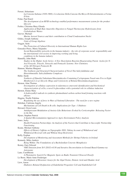| Ferrari, Sebastiano                                                                                                                                                       |
|---------------------------------------------------------------------------------------------------------------------------------------------------------------------------|
| La Conzone Italiana (1930-1969). L'evoluzione Della Canzone Da Mezzo Di Intrattenimento a Forma<br>D'Arte                                                                 |
| Folan, Paul Karol                                                                                                                                                         |
| The development of an RFID technology-enabled performance measurement system for the product<br>lifecycle                                                                 |
| Forbes, Christina Mary Glenda                                                                                                                                             |
| Application of High Rate Anaerobic Digestion to Fungal Thermozyme Hydrolysates from                                                                                       |
| Carbohydrate Wastes<br>Geever, Michael                                                                                                                                    |
| Marine Aerosol Sources and their contribution to Cloud Condensation Nuclei                                                                                                |
| Gildea, Joseph Anthony                                                                                                                                                    |
| Units of Group Algebras                                                                                                                                                   |
| Goggin, Seán<br>The Protection of Cultural Diversity in International Human Rights Law                                                                                    |
| Gonzalez-Perez, Maria Alejandra                                                                                                                                           |
| Social Repsonsiblity networks in the banana industry - the role of corporate social responsibility and<br>the international civil society in improving working and living |
| conditions in the banana industry                                                                                                                                         |
| Hanniffy, John Mark<br>Studies in the Higher Azole Series: A New Dearylation Reaction Regenerating Parent Azoles for N-                                                   |
| Aryl Pyrazole, Triazole, Tetrazole and Pentazole Systems: New Chemistry                                                                                                   |
| of the All-Nitrogen Pentazole Ri                                                                                                                                          |
| Hannon, Martina Margaret                                                                                                                                                  |
| The Synthesis and Structural Characterisation of Novel Tim Salicylaldimine and<br>Heterobimetallic Salicylaldimine Complexes                                              |
| Hehir, Sarah                                                                                                                                                              |
| Synthesis of Dimethyl Substituted Benzimidazoles Containing Cyclopropane Fused onto Five to Eight                                                                         |
| Membered [1,2-a] Alicyclic Rings and Cytotoxicity of Related Benzimidazolequinones                                                                                        |
| Hernon, Alan Thomas<br>Investigation of cellulase expression in talaromyces emersonii identification and biochemical                                                      |
| characterization of cel3a, a novel b-glucosidase with a potential role in cellulase induction                                                                             |
| Hernon, Elaine Mary                                                                                                                                                       |
| A-hydroxyalkyl radicals in synthesis photmediated carbon-carbon bond forming reactions with<br>alkynes                                                                    |
| Higgins, Noelle Fidelma                                                                                                                                                   |
| Regulating the use of force in Wars of National Liberation - The need for a new regime                                                                                    |
| Holohan, Caitriona Angela                                                                                                                                                 |
| Mechanisms of Cell Death in B-cells: Implications for Type -1 Diabetes<br>Howard, Owen Louis                                                                              |
| Antidepressant Modulation of Anxiety-Like Behaviours Evoked by Corticotrophin- Releasing Factor                                                                           |
| in the Rat                                                                                                                                                                |
| Hynes, Stephen Patrick                                                                                                                                                    |
| A Spatial Microsimulation Approach to Agric-Environment Policy Analysis<br>Jones, Jacky                                                                                   |
| Health Promotion Partnerships: An Analysis of the Factors that Contribute to Successful Partnership                                                                       |
| Functioning                                                                                                                                                               |
| Keane, Michael Anthony<br>Effects of Dietary Caffeine on Topographic EEG, Taking Account of Withdrawal and                                                                |
| Withdrawal Reversal with and Without Sleep Restriction                                                                                                                    |
| Kelly, Eoghan<br>Development of Monitoring and Assessment Methods for Shrimp Fisheries in Ireland                                                                         |
| Kennedy, Miles Andrew                                                                                                                                                     |
| Being Within: The Foundations of a Bachelardian Concrete Metaphysics                                                                                                      |
| Kenny, Gary Edward                                                                                                                                                        |
| VHE Emission from TeV J2032+4130 and Iterative Deconvolution in Ground Based Gamma-ray<br>Astronomy                                                                       |
| Lane, Caoilfhionn                                                                                                                                                         |
| A Photometric Search For Magnetic Spots on Radio Transient Ultracool Dwarfs                                                                                               |
| Le Berre, Marie Anne Frederique                                                                                                                                           |
| Development of Biosensor Assays for the Algal Toxins, Domoic Acid and Okadaic Acid<br>Liew, Aaron                                                                         |
| Diabeters Related Dysfunction of Endothelial Progenitor Cell and Endothelial Cell                                                                                         |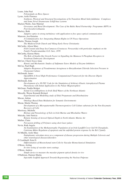| Loane, John Paul                                                                                   |  |
|----------------------------------------------------------------------------------------------------|--|
| Polynomials on Riesz Spaces                                                                        |  |
| Lyons, Aoife Florence                                                                              |  |
| Synthesis, Physical and Structural Investigations of In Transition Metal Salicylaldimine Complexes |  |
| and Some Novel Strannoxane Schiff-base systems                                                     |  |
| Macken Walsh, Áine Mairéad                                                                         |  |
| Goverance and Rural Development: The Case of the Baltic Rural Partnership Programme (RPP) in       |  |
| Post-Socialist Lithuania                                                                           |  |
| Mackey, Ruth                                                                                       |  |
| Adaptive optics in strong turbulence with application to free space optical communication          |  |
| Mansson, Asa Katarina                                                                              |  |
| A Communicative Act: Integrating Human Rights in UN Peace Operations                               |  |
| Martin, Thomas Joseph                                                                              |  |
| The Medieval Irish Church and Viking-Early Norse Christianity                                      |  |
| McCarthy, Alison Mary                                                                              |  |
| Irish Coastal and Deep Sea Cumacea (Crustacea: Peracarida) with particular emphasis on the         |  |
| Family Pseudocumatidae G.O. Sars, 1878                                                             |  |
| McCarthy, Karena Maria                                                                             |  |
| The Role of Insulin-like Growth Factor in Signalling the Mannose 6-Phosphate Receptors in          |  |
| Vertebrate Embroynic Development                                                                   |  |
| McCaw, Cheryl Joyce Anne                                                                           |  |
|                                                                                                    |  |
| Kinetic and Mechanistic Studies of Sulfamate Esters Models of Enzyme Inhibitors                    |  |
| McCay, Paul Hugh                                                                                   |  |
| Adaptive Responses of Pseudomonas Aeruginosa to Benzalkonium Chloride Selection Pressure in        |  |
| Chemostat Culture                                                                                  |  |
| McDonald, James                                                                                    |  |
| OpenDDA-A Novel High-Performance Computational Framework for the Discrete Dipole                   |  |
| Approximation                                                                                      |  |
| McDonald, John                                                                                     |  |
| Development of a 3D PIC Code for the Simulation of Arbitrary Kinetic Astrophysical Plasma          |  |
| Phenomena with Initial Application to the Pulsar Magnetosphere                                     |  |
| McGrane, Pauhla Bridget                                                                            |  |
| Extant Coccolithophores in Irish Shelf Waters of the Northeast Atlantic                            |  |
| Metcalfe, Wayne Kenneth Richard                                                                    |  |
| Experimental and Modelling study of Ethyl Propanoate and Diisobutylene                             |  |
| Mocan, Adrian                                                                                      |  |
| <b>Ontology-Based Data Mediation for Semantic Environments</b>                                     |  |
| Moran, Martin Thomas                                                                               |  |
| Development of a Micropatternable Thermoresponisve Cell Culture substrate for the Non-Enzymatic    |  |
| Recovery of Cells                                                                                  |  |
| Morrissey, Michelle                                                                                |  |
| Biology and Parasitology of Eels in Irish Marine and Mixohaline Waters                             |  |
| Mulcahy, Jane Patricia                                                                             |  |
| Remote Sensing of Aerosol Optical Depth in North Atlantic Marine Air                               |  |
| Mullan, Claire                                                                                     |  |
| Percussion drilling of Polymers using short laser pulses                                           |  |
| Nevin, Ruth Angela                                                                                 |  |
| An Examination of the Methanotrophic Population of an Irish Landfill Cover Soil Ní Chonghaile,     |  |
| Caitríona Máire Regulaton of apoptosis and the unfolded protein response by the Bcl-2 family       |  |
| Ní Mháille, Aoife Mary                                                                             |  |
| Endoplasmic reticulum stress as a component of disease progression during Multiple Sclerosis and   |  |
| other neurological diseases/disorders                                                              |  |
| Ó Cearbhaill, Eoin D.                                                                              |  |
| Differentiation of Mesenchymal stem Cells by Vascular Biomechanical Stimulation                    |  |
| O'Brien, Aisling                                                                                   |  |
| In vitro tesing of vascular stent coatings.                                                        |  |
| O'Brien, Andrew                                                                                    |  |
| Simple device to measure the macular pigment optical density in vivo                               |  |
| O'Halloran, Damien Martin                                                                          |  |
| Injectable Scaffold Approach Towards Regenerating the Nucleus Pulposus                             |  |
|                                                                                                    |  |
|                                                                                                    |  |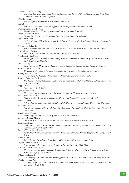| O'Keeffe, Cormac Anthony                                                                                                                 |
|------------------------------------------------------------------------------------------------------------------------------------------|
| Synthesis, Characterisation and Structural Studies of a Series of Cyclic Tridentate and Schiff-base<br>Ligands and their Metal Complexes |
| O'Reilly, Sarah                                                                                                                          |
| Aerosol Optical Properties at Mace Head, 1997-2002                                                                                       |
| Oren, Eyal                                                                                                                               |
| Algorithms and Components for Application development on the Semantic Web                                                                |
| O'Shaughnessy, Deirdre Ann                                                                                                               |
| Regulaton of RhoGTPase expression and function in smooth muscle.                                                                         |
| Patterson, Adrian Gerard                                                                                                                 |
| Benthic Biodiversity and Ecosystem Function in relation to Disturbance                                                                   |
| Poole, Alan Thomas                                                                                                                       |
| An Investigaion of Translocation as a Technique to Conserve the Red Squirrel (Sciurus Vulgaris) in<br>Ireland                            |
| Portsmouth, Robert Ian                                                                                                                   |
| The Intellectual and Political World of John Wilson Croker: Ideas, Circles and Conservatism                                              |
| Power, Martin Patrick                                                                                                                    |
| Risk, Science and Blood: The Politics of an Iatrogenic Disaster                                                                          |
| Prendergast, Lisa Marie                                                                                                                  |
| Novel approaches for the functional analysis of Atm, the central regulator of cellular responses to                                      |
| DNA double strand breaks                                                                                                                 |
| Quinn, Tracey                                                                                                                            |
| Does Repression Moderate the Impact of Social Context on Cardiovascular Reactivity to Stress?                                            |
| Redmond, Niamh Eleanor                                                                                                                   |
| Molecular systematics of the order haplosclerida (phylum porifera class demospongiae)                                                    |
| Rooney, Gemma Edel                                                                                                                       |
| Investigating the Neural Differentiation Potential of Mesenchymal Stem Cells<br>Rossiter, Catherine Patricia                             |
| The theory of Nonverbal communication and an investigation of Physical theatre techniques in people                                      |
| processing services                                                                                                                      |
| Ruppo, Irina                                                                                                                             |
| Ibsen and the Irish Revival                                                                                                              |
| Ryan, Pamela Avril                                                                                                                       |
| The ecology, metabolism and role for homoacetogens in high rate anaerobic digesters                                                      |
| Schot, Roseanne Melissa                                                                                                                  |
| Uisneach, Co. Westmeath: Archaeology, History and Legend (Prehistory - c.AD 1100)                                                        |
| Seery, Mairéad<br>Echoes, Images and Myths of the ENTRE-DEUX-Guerres in French Popular Music of the 21st century                         |
| Soler Vila, Anna                                                                                                                         |
| Nutritional Analysis of Seaweeds from the West Coast of Ireland and Their Inclusion as Fish-Feed                                         |
| Ingredients                                                                                                                              |
| Strielkowski, Wadim                                                                                                                      |
| Factors influencing the success of Polish rural micro-enterprises                                                                        |
| Sweeney, Bláithín Maeve                                                                                                                  |
| Chiral Base and Chiral Additive Induced Selectivity in Aldol-Tishchenko Reaction                                                         |
| Takemura, Hitomi                                                                                                                         |
| International Human Right to Conscientious Objection to Military Service and Individual Duties to                                        |
| Disobey Manifestly Illegal Orders<br>Tannian-Talbot, Anita Mary                                                                          |
| Acute Phase Gene Expression in Rainbow Trout (Oncorhynchus Mykiss) Subjected to Confinement                                              |
| <b>Stress</b>                                                                                                                            |
| Tiribelli, Carlo                                                                                                                         |
| Surrender, not Extradition: Transferring Offenders in a New International Context                                                        |
| Ullgren, Jenny Elisabet                                                                                                                  |
| Hydrographic Observations in the Southern Rockall Trough in 2003-2004                                                                    |
| Williams, Christopher David                                                                                                              |
| The environmental requirements of Sciomyzidae (Diptera) with particular reference to the role of                                         |
| Mollusc host/prey communities                                                                                                            |
| Wilson, Paul Joseph<br>Variations of Cox-Type Tests and Their Application to Models for Count Data With Modified Zeros                   |
| Woods, Jeannine Ann                                                                                                                      |
| Dialogic Imaginings: Colonialism, Postcolonialism and Cinematic Representations of Britain, Ireland                                      |
| and India c. 1910-1960                                                                                                                   |
|                                                                                                                                          |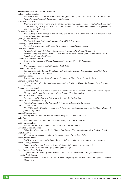# **National University of Ireland, Maynooth**

| $\sim$<br>Bolger, Fiachra Brendan                                                                                                                                               |
|---------------------------------------------------------------------------------------------------------------------------------------------------------------------------------|
| The In-Vitro And In-Vito Characterisation And Application Of Real-Time Sensors And Biosensors For<br>Neurochemical Studies Of Brain Energy Metabolism                           |
| Borscheid, Matthias                                                                                                                                                             |
| Theorising neo-liberal reforms and the shifting contours of local governance in Dublin: A case study                                                                            |
| on the metamorphosis of the local partnership model under the 2000-2006 Local Development and                                                                                   |
| Social Inclusion Programme                                                                                                                                                      |
| Brosnan, Anne Frances                                                                                                                                                           |
| The teaching of Mathematics at post-primary level in Ireland; a review of traditional patterns and an                                                                           |
| exploration of future practices<br>Cahill, Garrett Andrew                                                                                                                       |
| The Quasi-Optical Design and Analysis of the QUaD Telescsope                                                                                                                    |
| Carberry, Stephen Thomas                                                                                                                                                        |
| Proteomic Investigation of Gliotoxin Metabolism in Aspergillus fumigatus                                                                                                        |
| Chan, Gail Gareen                                                                                                                                                               |
| Developing the Implicit Relational Assessment Procedure (IRAP) as a Measure of<br>Between-Group Differences: Work, Leisure and the Relative Likeability of Social Groups Across |
| Canadian, US and Irish Citizens                                                                                                                                                 |
| Cochrane, Andreanne Lenise                                                                                                                                                      |
| Experimental Analysis of Human Fear: Developing Two Novel Methodologies                                                                                                         |
| Collins, Neil                                                                                                                                                                   |
| The Missionary Society Of St. Columban 1916-1954<br>Connell, Paul Martin                                                                                                        |
| Evangelicalism, The Church Of Ireland, And Anti-Catholicism In The Life And Thought Of Rev.                                                                                     |
| Tresham Dames Gregg, (1800-81)                                                                                                                                                  |
| Corcoran, Pádraig                                                                                                                                                               |
| Segmentation of Urban Remotely Sensed Imagery for Object Based Image Analysis                                                                                                   |
| Corrigan, Michelle Ann                                                                                                                                                          |
| An Investigation of the Interaction of Amphotericin B with the Human Pathogenic Yeast Candida                                                                                   |
| albicans                                                                                                                                                                        |
| Coveney, Seamus Joseph                                                                                                                                                          |
| Global Positioning Systems and Terrestrial Laser Scanning for the validation of an existing Digital<br>Elevation Model and the generation of new Digital Elevation Models       |
| Crawford, Heather Kathleen<br>Protestants And Irishness In Independent Ireland: An Exploration                                                                                  |
| Cullen, Elizabeth Margaret Mary                                                                                                                                                 |
| Climate Change And Health In Ireland: A National Vulnerability Assessment                                                                                                       |
| Curley, Martin Gerard                                                                                                                                                           |
| The IT Capability Maturing Framework: A Theory for Continuously Improving the Value Delivered<br>from IT Capability                                                             |
| Curtis, Caitriona Lisa                                                                                                                                                          |
| The agricultural labourer and the state in independent Ireland, 1922-76                                                                                                         |
| Daly, Ann                                                                                                                                                                       |
| The Dublin Medical Press and medical authority in Ireland 1850-1890                                                                                                             |
| Duffy, Brian Anthony                                                                                                                                                            |
| The relationship between police and public in Ireland 1900-1930<br>Elbendak, Omar Emhamed                                                                                       |
| Urban Transformation and Social Change in a Libyan City: An Anthropological Study of Tripoli.                                                                                   |
| English, Karen                                                                                                                                                                  |
| Mechanisms of Immunomodulation by Murine Mesenchymal Stem Cells                                                                                                                 |
| Fagan, Sheena Mary                                                                                                                                                              |
| Purification and characterisation of fungal cellulases produced using solid state fermentation                                                                                  |
| Farrell, Darragh Michael                                                                                                                                                        |
| Democracy Promotion Domestic Responsibility and the Impact of International                                                                                                     |
| Intervention on the Political Life of the Republika Srpska                                                                                                                      |
| Field-Corbett, Ciara Patricia                                                                                                                                                   |
| Differentiation Potential of Bone Marrow-Derived Cells: Expression of Lung-Related Genes<br>Finnerty, Niall Joseph                                                              |
| Electrochemical Sensors: In-Vitro And In-Vivo Analysis Of Brain Nitric Oxide And Regional Cerebral                                                                              |
| <b>Blood Flow</b>                                                                                                                                                               |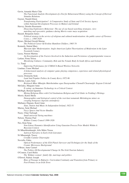| Gavin, Amanda Marie Cláir                                                                                |
|----------------------------------------------------------------------------------------------------------|
| The Functional-Analytic Development of a Test for Behavioural History using the Concept of Derived       |
| <b>Stimulus Relations</b>                                                                                |
| Gaynor, Niamh Eileen                                                                                     |
| Transforming Participation?: A Comparative Study of State and Civil Society Agency                       |
| within National Development Processes in Malawi and Ireland                                              |
| Harvey, Deirdre Rosemarie                                                                                |
| Dissecting Exploratory Behaviour: The use of cue-based searching strategies, view-                       |
| matching and egocentric guidance during Morris water maze acquisition                                    |
| Hazard, Benjamin James                                                                                   |
| Political strategy in the service of religious and cultural modernisation: the public career of Florence |
| Conry, c. 1560-1629                                                                                      |
| Hynes, Michael Gerald Marian                                                                             |
| The Political Career Of Erskine Hamilton Childers, 1905-74                                               |
|                                                                                                          |
| Kennedy, Sinéad Mary                                                                                     |
| Marxism After Modernisation: Anglo-American Leftist Theorisations of Modernism in the Later              |
| <b>Twentieth Century</b>                                                                                 |
| Lacey, Noreen Martina                                                                                    |
| An Investigation of the Factors Involved in the Induction and Persistence of papulopustular rosacea      |
| Larkan, Fiona Teresa                                                                                     |
| Moralizing Cultures: Community, Risk and the Female Body In South Africa and Ireland                     |
| Li, Tianji                                                                                               |
| Improving Performance for CSMA/CA Based Wireless Networks                                                |
| Linehan, Conor Michael                                                                                   |
| A behavioural analysis of computer game playing competence, experience and related physiological         |
| processes                                                                                                |
| Lucey, Donnacha Seán                                                                                     |
| Land And Popular Politics In County Kerry 1872-86                                                        |
| Malone, Laura Anne                                                                                       |
| Brisleach Mhor Mhaighe Muirtheimhne agus Deargruathar Chonaill Chearnaigh: Eagran Criticiuil             |
| McGaley, Margaret Anne                                                                                   |
| E-voting: an Immature Technology in a Critical Context                                                   |
| McHugh, Bernard Ignatius                                                                                 |
| Mixing Religious Rites with Civil Institutions Religion and Civil Order in Fielding's Writings           |
| Morris, Karen Sheila                                                                                     |
|                                                                                                          |
| Demographics and biological control of the root-knot nematode Meloidogyne minor on                       |
| creeping bentgrass (Agrostis stolonifera)                                                                |
| Mullaney-Dignam, Karol Anne                                                                              |
| State, Nation And Music In Independent Ireland, 1922-51                                                  |
| Murray, Seán Michael                                                                                     |
| Fuzzy Spaces And Vector Bundles                                                                          |
| Neary, Ultan Turlough                                                                                    |
| Small universal Turing machines                                                                          |
| Nelson, Thomas Paul                                                                                      |
| Kildare County Council 1899-1926                                                                         |
| Neo, Kian Seng                                                                                           |
| Non-Linear Dynamics Identification Using Gaussian Process Prior Models Within A                          |
| <b>Bayesian Context</b>                                                                                  |
| Ní Mhaoldomhnaigh, Ailis Máire Treasa                                                                    |
| Satirical Narrative in Early Irish Literature                                                            |
| Ní Mhaonaigh, Tracey                                                                                     |
| Croidhe Cainnte Chiarraighe                                                                              |
| Noviello, Fabio                                                                                          |
| Optical Performance of the ESA Planck Surveyor and Techniques for the Study of the                       |
| Cosmic Microwave Background                                                                              |
| O'Brien, Anne Carmel                                                                                     |
|                                                                                                          |
| The Politics Of Developmental Change In The Irish Tourism Industry                                       |
| O'Connor, Carol Helen                                                                                    |
| The 'Kildare women': family life, marriage and politics                                                  |
| O'Dowd, Padraic Joseph                                                                                   |
| Rites of Passage in Rafoarty: Curriculum Continuity and Transition from Primary to                       |
| Post-Primary in an Irish Town                                                                            |
|                                                                                                          |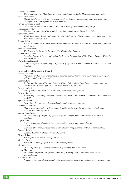| O'Keeffe, John Damian                                                                                                |
|----------------------------------------------------------------------------------------------------------------------|
| Music and Text in the Mass Settings of Sean and Peadar O Riada: Models, Modes and Motifs                             |
| Petti, Carloalberto                                                                                                  |
| Elucidating the propensity to genetically transform Solanum tuberosum L. and investigating the                       |
| consequences for subsequent risk assessment studies                                                                  |
| Rowan, Raymond Gerard                                                                                                |
| Investigations into the anti-Candida albicans activity of silver $(I)$ containing drugs                              |
| Ryan, Jennifer Mary                                                                                                  |
| The Immunosuppressive Characteristics of Adult Human Mesenchymal Stem Cells                                          |
| Ryan, Mary Anne                                                                                                      |
| Matrix Isolation of Atomic Sodium in Rare Gas Solids - A Combined Luminescence Spectroscopy and                      |
| Molecular Dynamics Study                                                                                             |
| Solmaz, Selim                                                                                                        |
| Topics in Automotive Rollover Prevention: Robust and Adaptive Switching Strategies for Estimation                    |
| and Control                                                                                                          |
| Teck, Rodney Francis                                                                                                 |
| Mid-Latitude Explosive Cyclogenesis: The Confounding Factors                                                         |
| Warner, Tracy Marie                                                                                                  |
| Prejudice Toward Refugees And Asylum-Seekers: An Examination Of The Group Position Model In<br>The Irish Context     |
| White, Emma Elizabeth                                                                                                |
| Ordinary Differential Equation (ODE) Models of Opiate-Use: The Treatment-Relapse Cycle and HIV                       |
| Infection                                                                                                            |
|                                                                                                                      |
| <b>Royal College of Surgeons in Ireland</b>                                                                          |
| Babovic, Daniela                                                                                                     |
| Phenotypic studies in mutants relating to dopaminergic and schizophrenia: dopamine D1 receptor                       |
| ablation and COMP 'knockout'                                                                                         |
| Brennan, Kiva                                                                                                        |
| Studies into the roles of Bruton's Tyrosine Kinase (BtK) and Src Homology 2 domain-containing                        |
| Inositol-5-Phospatase-1 (SHIP) in Toll-Like Receptor 4 Signalling.                                                   |
| Brennan, Orlaith                                                                                                     |
| Bone quality and its relationship with bone fregility and osteoparosis                                               |
| Bruschi, Simone<br>Studies on generation of Chemical diversity using hetero Diels Alder Reactions and Polyfunctional |
| scaffolds                                                                                                            |
| Byrne, Ann-Marie                                                                                                     |
| Neurophilin-1 in tumour cell survaval and sensitivity to chemotherapy                                                |
| Cathcart, Mary Clare                                                                                                 |
| Altered regulation of the Cyclooxgenase signalling pathway in the pathogenesis of pulmonary                          |
| hypertension and lung cancer                                                                                         |
| Cronin, John Simon                                                                                                   |
| An Investigation of suseptibility genes for sporadic amyotrophic lateral sclerosis in an Irish                       |
| population                                                                                                           |
| English, Jane                                                                                                        |
| Proteomic analysis of post-mortem brain in schizophrenia and bipolar disorder                                        |
| Flanagan, Aoife                                                                                                      |
| Synthesis, Structures and speciation studies of metal complexes with hydroxyaminophenolates                          |
| Garavan, Rebecca                                                                                                     |
| Complex Barriers to Health Service Utilisation<br>Gibson, Brian                                                      |
| Novel approaches to gene therapy in cancer                                                                           |
| Kijanka, Gregor                                                                                                      |
| Novel IgG antibody profiles in colorectal cancer patients                                                            |
| Kinirons, Peter                                                                                                      |
| An investigation of the genetic architecture of epilepsy and its treatment                                           |
| Lucitt, Margaret                                                                                                     |
| Proteomic Analysis of Zebrafish and the Role of Prostaglandin f2a in blood pressure and                              |
| atherosclerosis                                                                                                      |
| McCrudden, Eunan                                                                                                     |
| Trauma, psychological distress and post-traumatic stress disorders in ambulance service personnel                    |
|                                                                                                                      |